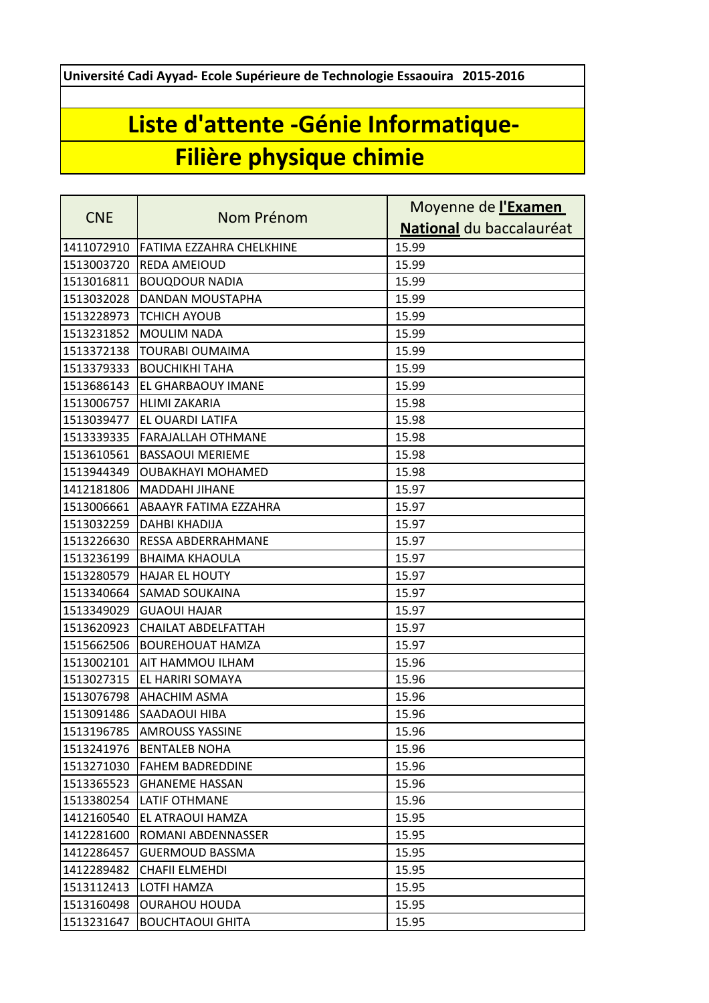**Université Cadi Ayyad- Ecole Supérieure de Technologie Essaouira 2015-2016**

## **Liste d'attente -Génie Informatique-Filière physique chimie**

|            | Nom Prénom                 | Moyenne de l'Examen      |
|------------|----------------------------|--------------------------|
| <b>CNE</b> |                            | National du baccalauréat |
| 1411072910 | FATIMA EZZAHRA CHELKHINE   | 15.99                    |
| 1513003720 | <b>REDA AMEIOUD</b>        | 15.99                    |
| 1513016811 | <b>BOUQDOUR NADIA</b>      | 15.99                    |
| 1513032028 | DANDAN MOUSTAPHA           | 15.99                    |
| 1513228973 | <b>TCHICH AYOUB</b>        | 15.99                    |
| 1513231852 | <b>MOULIM NADA</b>         | 15.99                    |
| 1513372138 | <b>TOURABI OUMAIMA</b>     | 15.99                    |
| 1513379333 | <b>BOUCHIKHI TAHA</b>      | 15.99                    |
| 1513686143 | EL GHARBAOUY IMANE         | 15.99                    |
| 1513006757 | <b>HLIMI ZAKARIA</b>       | 15.98                    |
| 1513039477 | EL OUARDI LATIFA           | 15.98                    |
| 1513339335 | <b>FARAJALLAH OTHMANE</b>  | 15.98                    |
| 1513610561 | <b>BASSAOUI MERIEME</b>    | 15.98                    |
| 1513944349 | <b>OUBAKHAYI MOHAMED</b>   | 15.98                    |
| 1412181806 | <b>MADDAHI JIHANE</b>      | 15.97                    |
| 1513006661 | ABAAYR FATIMA EZZAHRA      | 15.97                    |
| 1513032259 | <b>DAHBI KHADIJA</b>       | 15.97                    |
| 1513226630 | <b>RESSA ABDERRAHMANE</b>  | 15.97                    |
| 1513236199 | <b>BHAIMA KHAOULA</b>      | 15.97                    |
| 1513280579 | <b>HAJAR EL HOUTY</b>      | 15.97                    |
| 1513340664 | SAMAD SOUKAINA             | 15.97                    |
| 1513349029 | <b>GUAOUI HAJAR</b>        | 15.97                    |
| 1513620923 | <b>CHAILAT ABDELFATTAH</b> | 15.97                    |
| 1515662506 | <b>BOUREHOUAT HAMZA</b>    | 15.97                    |
| 1513002101 | AIT HAMMOU ILHAM           | 15.96                    |
| 1513027315 | EL HARIRI SOMAYA           | 15.96                    |
| 1513076798 | <b>AHACHIM ASMA</b>        | 15.96                    |
| 1513091486 | SAADAOUI HIBA              | 15.96                    |
|            | 1513196785 AMROUSS YASSINE | 15.96                    |
| 1513241976 | <b>BENTALEB NOHA</b>       | 15.96                    |
| 1513271030 | <b>FAHEM BADREDDINE</b>    | 15.96                    |
| 1513365523 | <b>GHANEME HASSAN</b>      | 15.96                    |
| 1513380254 | <b>LATIF OTHMANE</b>       | 15.96                    |
| 1412160540 | EL ATRAOUI HAMZA           | 15.95                    |
| 1412281600 | ROMANI ABDENNASSER         | 15.95                    |
| 1412286457 | <b>GUERMOUD BASSMA</b>     | 15.95                    |
| 1412289482 | <b>CHAFII ELMEHDI</b>      | 15.95                    |
| 1513112413 | LOTFI HAMZA                | 15.95                    |
| 1513160498 | <b>OURAHOU HOUDA</b>       | 15.95                    |
| 1513231647 | <b>BOUCHTAOUI GHITA</b>    | 15.95                    |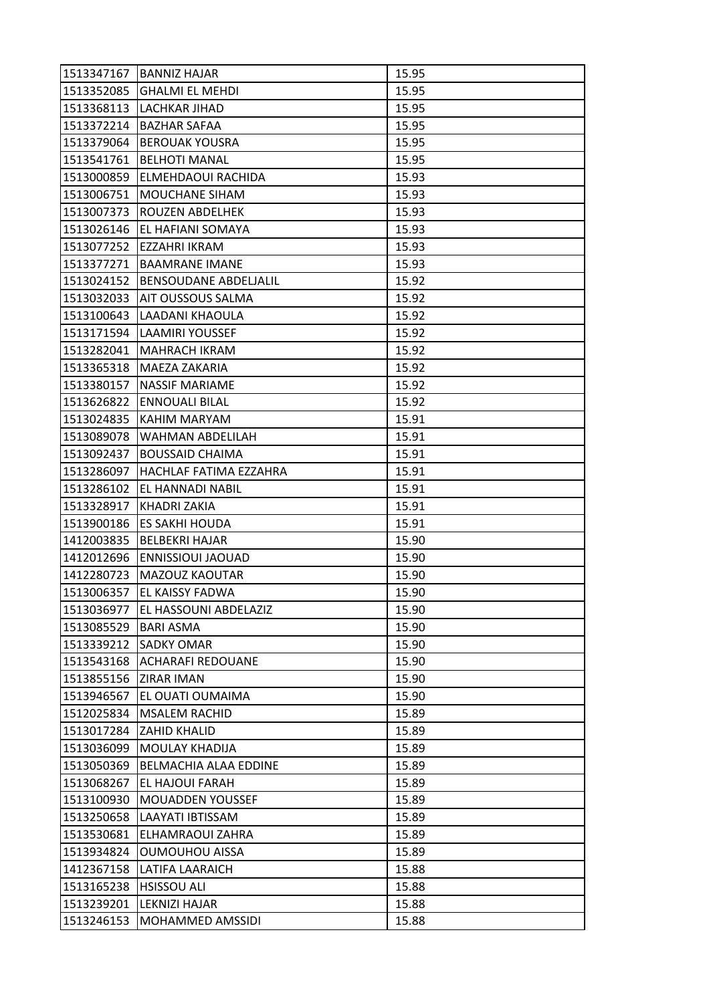| 1513352085<br><b>GHALMI EL MEHDI</b><br>15.95<br>1513368113<br>LACHKAR JIHAD<br>15.95<br>1513372214<br><b>BAZHAR SAFAA</b><br>15.95<br>15.95<br>1513379064<br><b>BEROUAK YOUSRA</b><br>1513541761<br><b>BELHOTI MANAL</b><br>15.95<br>15.93<br>1513000859<br>ELMEHDAOUI RACHIDA |  |
|---------------------------------------------------------------------------------------------------------------------------------------------------------------------------------------------------------------------------------------------------------------------------------|--|
|                                                                                                                                                                                                                                                                                 |  |
|                                                                                                                                                                                                                                                                                 |  |
|                                                                                                                                                                                                                                                                                 |  |
|                                                                                                                                                                                                                                                                                 |  |
|                                                                                                                                                                                                                                                                                 |  |
|                                                                                                                                                                                                                                                                                 |  |
| 1513006751<br>MOUCHANE SIHAM<br>15.93                                                                                                                                                                                                                                           |  |
| 1513007373<br>ROUZEN ABDELHEK<br>15.93                                                                                                                                                                                                                                          |  |
| 1513026146<br>EL HAFIANI SOMAYA<br>15.93                                                                                                                                                                                                                                        |  |
| 1513077252<br>EZZAHRI IKRAM<br>15.93                                                                                                                                                                                                                                            |  |
| 15.93<br>1513377271<br><b>BAAMRANE IMANE</b>                                                                                                                                                                                                                                    |  |
| 1513024152<br><b>BENSOUDANE ABDELIALIL</b><br>15.92                                                                                                                                                                                                                             |  |
| 1513032033<br><b>AIT OUSSOUS SALMA</b><br>15.92                                                                                                                                                                                                                                 |  |
| 15.92<br>1513100643<br>LAADANI KHAOULA                                                                                                                                                                                                                                          |  |
| <b>LAAMIRI YOUSSEF</b><br> 1513171594  <br>15.92                                                                                                                                                                                                                                |  |
| 1513282041<br><b>MAHRACH IKRAM</b><br>15.92                                                                                                                                                                                                                                     |  |
| 1513365318<br>15.92<br>MAEZA ZAKARIA                                                                                                                                                                                                                                            |  |
| 1513380157<br><b>NASSIF MARIAME</b><br>15.92                                                                                                                                                                                                                                    |  |
| 15.92<br>1513626822<br><b>ENNOUALI BILAL</b>                                                                                                                                                                                                                                    |  |
| KAHIM MARYAM<br>15.91<br>1513024835                                                                                                                                                                                                                                             |  |
| 1513089078<br>WAHMAN ABDELILAH<br>15.91                                                                                                                                                                                                                                         |  |
| 1513092437<br><b>BOUSSAID CHAIMA</b><br>15.91                                                                                                                                                                                                                                   |  |
| HACHLAF FATIMA EZZAHRA<br>15.91<br>1513286097                                                                                                                                                                                                                                   |  |
| 1513286102<br>EL HANNADI NABIL<br>15.91                                                                                                                                                                                                                                         |  |
| 15.91<br>1513328917<br><b>KHADRI ZAKIA</b>                                                                                                                                                                                                                                      |  |
| 1513900186<br>ES SAKHI HOUDA<br>15.91                                                                                                                                                                                                                                           |  |
| 1412003835<br><b>BELBEKRI HAJAR</b><br>15.90                                                                                                                                                                                                                                    |  |
| 1412012696<br><b>ENNISSIOUI JAOUAD</b><br>15.90                                                                                                                                                                                                                                 |  |
| 1412280723<br>MAZOUZ KAOUTAR<br>15.90                                                                                                                                                                                                                                           |  |
| EL KAISSY FADWA<br>15.90<br>1513006357                                                                                                                                                                                                                                          |  |
| 1513036977<br>EL HASSOUNI ABDELAZIZ<br>15.90                                                                                                                                                                                                                                    |  |
| 1513085529<br>15.90<br><b>BARI ASMA</b>                                                                                                                                                                                                                                         |  |
| 1513339212<br><b>SADKY OMAR</b><br>15.90                                                                                                                                                                                                                                        |  |
| 1513543168<br><b>ACHARAFI REDOUANE</b><br>15.90                                                                                                                                                                                                                                 |  |
| 1513855156<br><b>ZIRAR IMAN</b><br>15.90                                                                                                                                                                                                                                        |  |
| EL OUATI OUMAIMA<br>1513946567<br>15.90                                                                                                                                                                                                                                         |  |
| 15.89<br>1512025834<br><b>MSALEM RACHID</b>                                                                                                                                                                                                                                     |  |
| 1513017284<br>ZAHID KHALID<br>15.89                                                                                                                                                                                                                                             |  |
| 1513036099<br>MOULAY KHADIJA<br>15.89                                                                                                                                                                                                                                           |  |
| 1513050369<br>BELMACHIA ALAA EDDINE<br>15.89                                                                                                                                                                                                                                    |  |
| 1513068267<br>EL HAJOUI FARAH<br>15.89                                                                                                                                                                                                                                          |  |
| 15.89<br>1513100930<br><b>MOUADDEN YOUSSEF</b>                                                                                                                                                                                                                                  |  |
| 1513250658<br>LAAYATI IBTISSAM<br>15.89                                                                                                                                                                                                                                         |  |
| 1513530681<br>15.89<br>ELHAMRAOUI ZAHRA                                                                                                                                                                                                                                         |  |
| 1513934824<br><b>OUMOUHOU AISSA</b><br>15.89                                                                                                                                                                                                                                    |  |
| 1412367158<br>LATIFA LAARAICH<br>15.88                                                                                                                                                                                                                                          |  |
| <b>HSISSOU ALI</b><br>1513165238<br>15.88                                                                                                                                                                                                                                       |  |
| 1513239201<br>LEKNIZI HAJAR<br>15.88                                                                                                                                                                                                                                            |  |
| 1513246153<br>15.88<br>MOHAMMED AMSSIDI                                                                                                                                                                                                                                         |  |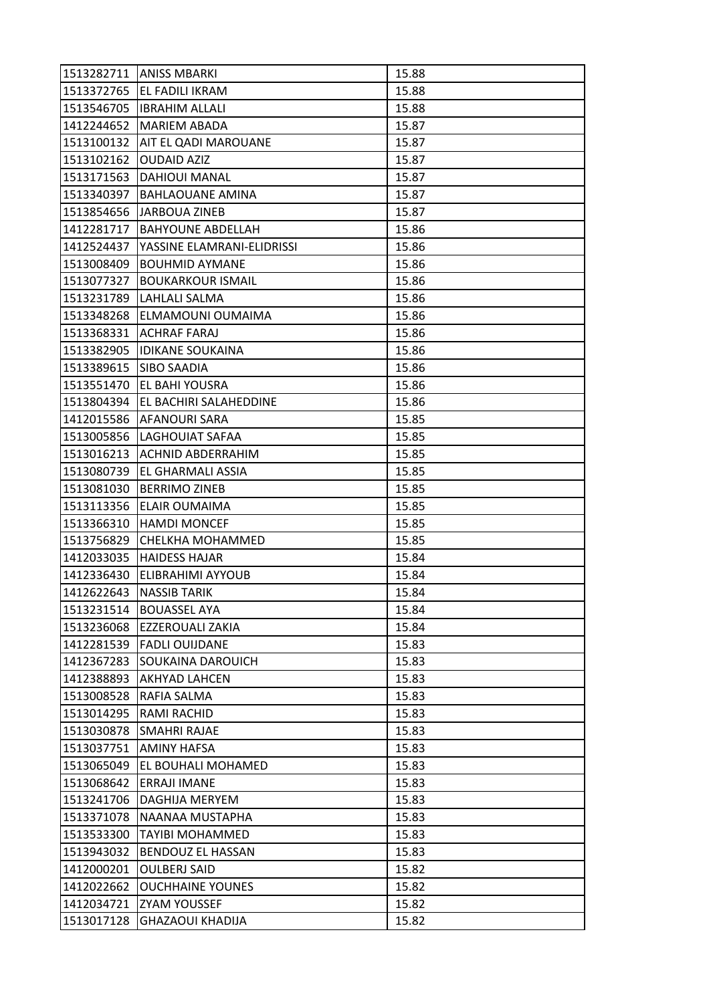|            | 1513282711   ANISS MBARKI  | 15.88 |
|------------|----------------------------|-------|
|            | 1513372765 EL FADILI IKRAM | 15.88 |
|            | 1513546705  IBRAHIM ALLALI | 15.88 |
| 1412244652 | <b>MARIEM ABADA</b>        | 15.87 |
| 1513100132 | AIT EL QADI MAROUANE       | 15.87 |
| 1513102162 | <b>OUDAID AZIZ</b>         | 15.87 |
| 1513171563 | <b>DAHIOUI MANAL</b>       | 15.87 |
| 1513340397 | BAHLAOUANE AMINA           | 15.87 |
| 1513854656 | JARBOUA ZINEB              | 15.87 |
| 1412281717 | <b>BAHYOUNE ABDELLAH</b>   | 15.86 |
| 1412524437 | YASSINE ELAMRANI-ELIDRISSI | 15.86 |
| 1513008409 | <b>BOUHMID AYMANE</b>      | 15.86 |
| 1513077327 | <b>BOUKARKOUR ISMAIL</b>   | 15.86 |
| 1513231789 | LAHLALI SALMA              | 15.86 |
| 1513348268 | ELMAMOUNI OUMAIMA          | 15.86 |
|            | 1513368331   ACHRAF FARAJ  | 15.86 |
| 1513382905 | <b>IDIKANE SOUKAINA</b>    | 15.86 |
| 1513389615 | ISIBO SAADIA               | 15.86 |
| 1513551470 | EL BAHI YOUSRA             | 15.86 |
| 1513804394 | EL BACHIRI SALAHEDDINE     | 15.86 |
|            | 1412015586   AFANOURI SARA | 15.85 |
| 1513005856 | LAGHOUIAT SAFAA            | 15.85 |
| 1513016213 | ACHNID ABDERRAHIM          | 15.85 |
| 1513080739 | EL GHARMALI ASSIA          | 15.85 |
| 1513081030 | <b>BERRIMO ZINEB</b>       | 15.85 |
| 1513113356 | ELAIR OUMAIMA              | 15.85 |
| 1513366310 | <b>HAMDI MONCEF</b>        | 15.85 |
| 1513756829 | CHELKHA MOHAMMED           | 15.85 |
| 1412033035 | <b>HAIDESS HAJAR</b>       | 15.84 |
| 1412336430 | ELIBRAHIMI AYYOUB          | 15.84 |
| 1412622643 | <b>NASSIB TARIK</b>        | 15.84 |
| 1513231514 | <b>BOUASSEL AYA</b>        | 15.84 |
| 1513236068 | <b>EZZEROUALI ZAKIA</b>    | 15.84 |
| 1412281539 | <b>FADLI OUIJDANE</b>      | 15.83 |
| 1412367283 | <b>SOUKAINA DAROUICH</b>   | 15.83 |
| 1412388893 | <b>AKHYAD LAHCEN</b>       | 15.83 |
| 1513008528 | RAFIA SALMA                | 15.83 |
| 1513014295 | RAMI RACHID                | 15.83 |
| 1513030878 | <b>SMAHRI RAJAE</b>        | 15.83 |
| 1513037751 | <b>AMINY HAFSA</b>         | 15.83 |
| 1513065049 | EL BOUHALI MOHAMED         | 15.83 |
| 1513068642 | ERRAJI IMANE               | 15.83 |
| 1513241706 | DAGHIJA MERYEM             | 15.83 |
| 1513371078 | NAANAA MUSTAPHA            | 15.83 |
| 1513533300 | <b>TAYIBI MOHAMMED</b>     | 15.83 |
| 1513943032 | BENDOUZ EL HASSAN          | 15.83 |
| 1412000201 | <b>OULBERJ SAID</b>        | 15.82 |
| 1412022662 | <b>OUCHHAINE YOUNES</b>    | 15.82 |
| 1412034721 | <b>ZYAM YOUSSEF</b>        | 15.82 |
| 1513017128 | <b>GHAZAOUI KHADIJA</b>    | 15.82 |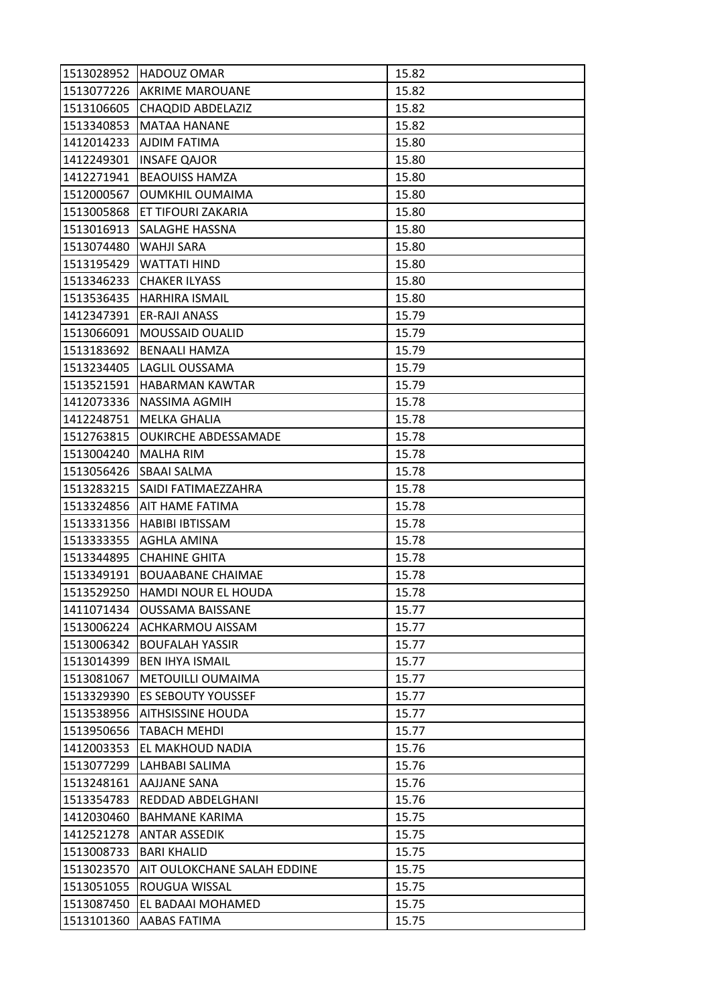| 1513028952 | <b>HADOUZ OMAR</b>          | 15.82 |
|------------|-----------------------------|-------|
|            | 1513077226 AKRIME MAROUANE  | 15.82 |
| 1513106605 | CHAQDID ABDELAZIZ           | 15.82 |
| 1513340853 | <b>MATAA HANANE</b>         | 15.82 |
| 1412014233 | AJDIM FATIMA                | 15.80 |
| 1412249301 | <b>INSAFE QAJOR</b>         | 15.80 |
| 1412271941 | <b>BEAOUISS HAMZA</b>       | 15.80 |
| 1512000567 | <b>OUMKHIL OUMAIMA</b>      | 15.80 |
| 1513005868 | ET TIFOURI ZAKARIA          | 15.80 |
| 1513016913 | SALAGHE HASSNA              | 15.80 |
| 1513074480 | <b>WAHJI SARA</b>           | 15.80 |
| 1513195429 | <b>WATTATI HIND</b>         | 15.80 |
| 1513346233 | <b>CHAKER ILYASS</b>        | 15.80 |
| 1513536435 | <b>HARHIRA ISMAIL</b>       | 15.80 |
| 1412347391 | <b>ER-RAJI ANASS</b>        | 15.79 |
| 1513066091 | MOUSSAID OUALID             | 15.79 |
| 1513183692 | <b>BENAALI HAMZA</b>        | 15.79 |
| 1513234405 | LAGLIL OUSSAMA              | 15.79 |
| 1513521591 | <b>HABARMAN KAWTAR</b>      | 15.79 |
| 1412073336 | NASSIMA AGMIH               | 15.78 |
| 1412248751 | <b>MELKA GHALIA</b>         | 15.78 |
| 1512763815 | <b>OUKIRCHE ABDESSAMADE</b> | 15.78 |
| 1513004240 | <b>MALHA RIM</b>            | 15.78 |
| 1513056426 | <b>SBAAI SALMA</b>          | 15.78 |
| 1513283215 | ISAIDI FATIMAEZZAHRA        | 15.78 |
| 1513324856 | AIT HAME FATIMA             | 15.78 |
| 1513331356 | HABIBI IBTISSAM             | 15.78 |
| 1513333355 | <b>AGHLA AMINA</b>          | 15.78 |
| 1513344895 | <b>CHAHINE GHITA</b>        | 15.78 |
| 1513349191 | <b>BOUAABANE CHAIMAE</b>    | 15.78 |
| 1513529250 | <b>HAMDI NOUR EL HOUDA</b>  | 15.78 |
| 1411071434 | <b>OUSSAMA BAISSANE</b>     | 15.77 |
| 1513006224 | <b>ACHKARMOU AISSAM</b>     | 15.77 |
| 1513006342 | <b>BOUFALAH YASSIR</b>      | 15.77 |
| 1513014399 | <b>BEN IHYA ISMAIL</b>      | 15.77 |
| 1513081067 | METOUILLI OUMAIMA           | 15.77 |
| 1513329390 | <b>ES SEBOUTY YOUSSEF</b>   | 15.77 |
| 1513538956 | <b>AITHSISSINE HOUDA</b>    | 15.77 |
| 1513950656 | TABACH MEHDI                | 15.77 |
| 1412003353 | EL MAKHOUD NADIA            | 15.76 |
| 1513077299 | LAHBABI SALIMA              | 15.76 |
| 1513248161 | AAJJANE SANA                | 15.76 |
| 1513354783 | REDDAD ABDELGHANI           | 15.76 |
| 1412030460 | <b>BAHMANE KARIMA</b>       | 15.75 |
| 1412521278 | <b>ANTAR ASSEDIK</b>        | 15.75 |
| 1513008733 | <b>BARI KHALID</b>          | 15.75 |
| 1513023570 | AIT OULOKCHANE SALAH EDDINE | 15.75 |
| 1513051055 | ROUGUA WISSAL               | 15.75 |
| 1513087450 | EL BADAAI MOHAMED           | 15.75 |
| 1513101360 | AABAS FATIMA                | 15.75 |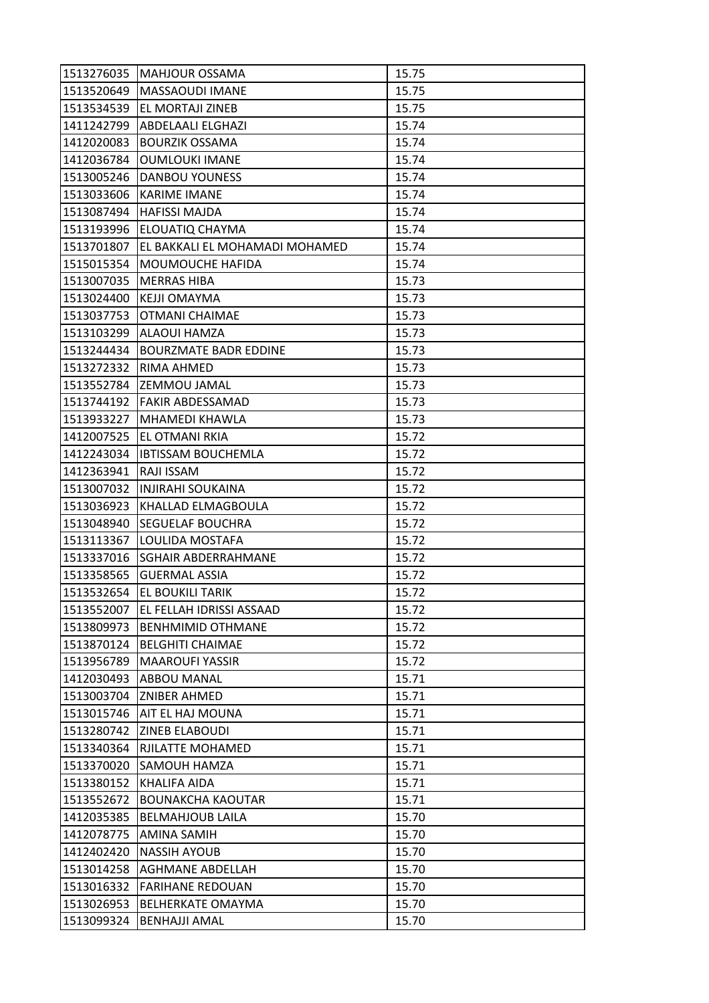| 1513276035 | <b>MAHJOUR OSSAMA</b>          | 15.75 |
|------------|--------------------------------|-------|
| 1513520649 | <b>MASSAOUDI IMANE</b>         | 15.75 |
| 1513534539 | EL MORTAJI ZINEB               | 15.75 |
| 1411242799 | <b>ABDELAALI ELGHAZI</b>       | 15.74 |
| 1412020083 | <b>BOURZIK OSSAMA</b>          | 15.74 |
| 1412036784 | <b>OUMLOUKI IMANE</b>          | 15.74 |
| 1513005246 | <b>DANBOU YOUNESS</b>          | 15.74 |
| 1513033606 | <b>KARIME IMANE</b>            | 15.74 |
| 1513087494 | <b>HAFISSI MAJDA</b>           | 15.74 |
| 1513193996 | <b>ELOUATIQ CHAYMA</b>         | 15.74 |
| 1513701807 | EL BAKKALI EL MOHAMADI MOHAMED | 15.74 |
| 1515015354 | MOUMOUCHE HAFIDA               | 15.74 |
| 1513007035 | <b>MERRAS HIBA</b>             | 15.73 |
| 1513024400 | <b>KEJJI OMAYMA</b>            | 15.73 |
| 1513037753 | <b>OTMANI CHAIMAE</b>          | 15.73 |
|            | 1513103299 ALAOUI HAMZA        | 15.73 |
| 1513244434 | <b>BOURZMATE BADR EDDINE</b>   | 15.73 |
| 1513272332 | <b>RIMA AHMED</b>              | 15.73 |
| 1513552784 | <b>ZEMMOU JAMAL</b>            | 15.73 |
| 1513744192 | <b>FAKIR ABDESSAMAD</b>        | 15.73 |
| 1513933227 | <b>MHAMEDI KHAWLA</b>          | 15.73 |
| 1412007525 | EL OTMANI RKIA                 | 15.72 |
| 1412243034 | <b>IBTISSAM BOUCHEMLA</b>      | 15.72 |
| 1412363941 | RAJI ISSAM                     | 15.72 |
| 1513007032 | INJIRAHI SOUKAINA              | 15.72 |
| 1513036923 | KHALLAD ELMAGBOULA             | 15.72 |
| 1513048940 | <b>SEGUELAF BOUCHRA</b>        | 15.72 |
| 1513113367 | LOULIDA MOSTAFA                | 15.72 |
| 1513337016 | <b>SGHAIR ABDERRAHMANE</b>     | 15.72 |
| 1513358565 | <b>GUERMAL ASSIA</b>           | 15.72 |
| 1513532654 | EL BOUKILI TARIK               | 15.72 |
| 1513552007 | EL FELLAH IDRISSI ASSAAD       | 15.72 |
| 1513809973 | <b>BENHMIMID OTHMANE</b>       | 15.72 |
| 1513870124 | <b>BELGHITI CHAIMAE</b>        | 15.72 |
| 1513956789 | <b>MAAROUFI YASSIR</b>         | 15.72 |
| 1412030493 | <b>ABBOU MANAL</b>             | 15.71 |
| 1513003704 | <b>ZNIBER AHMED</b>            | 15.71 |
| 1513015746 | AIT EL HAJ MOUNA               | 15.71 |
| 1513280742 | <b>ZINEB ELABOUDI</b>          | 15.71 |
| 1513340364 | RJILATTE MOHAMED               | 15.71 |
| 1513370020 | <b>SAMOUH HAMZA</b>            | 15.71 |
| 1513380152 | KHALIFA AIDA                   | 15.71 |
| 1513552672 | <b>BOUNAKCHA KAOUTAR</b>       | 15.71 |
| 1412035385 | <b>BELMAHJOUB LAILA</b>        | 15.70 |
| 1412078775 | <b>AMINA SAMIH</b>             | 15.70 |
| 1412402420 | <b>NASSIH AYOUB</b>            | 15.70 |
| 1513014258 | <b>AGHMANE ABDELLAH</b>        | 15.70 |
| 1513016332 | <b>FARIHANE REDOUAN</b>        | 15.70 |
| 1513026953 | BELHERKATE OMAYMA              | 15.70 |
| 1513099324 | <b>BENHAJJI AMAL</b>           | 15.70 |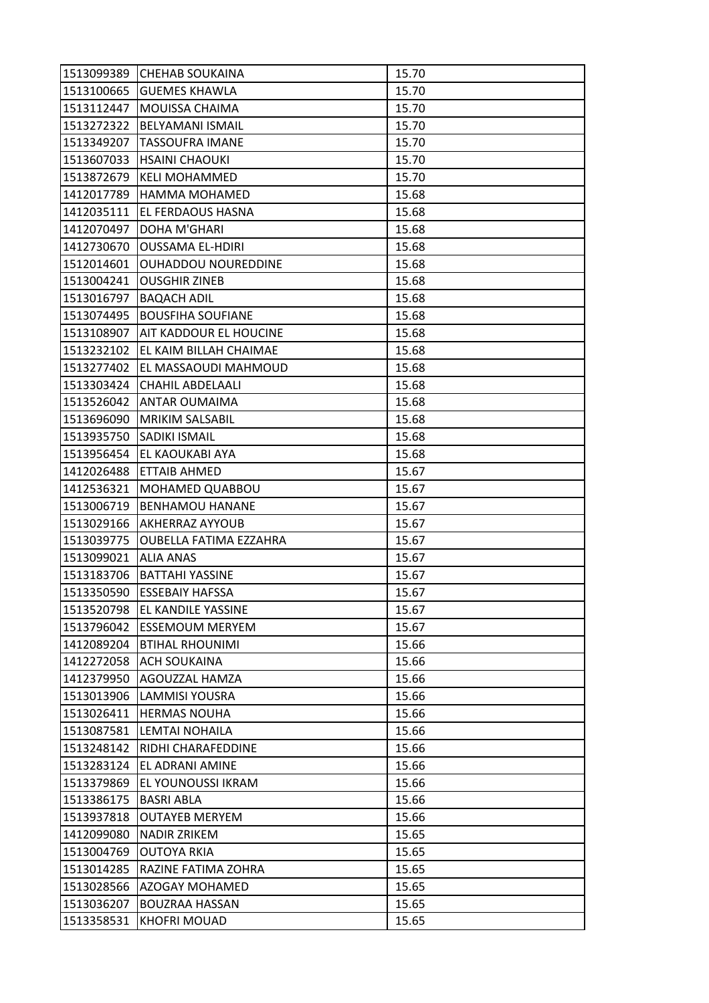| 1513099389 | <b>CHEHAB SOUKAINA</b>            | 15.70 |
|------------|-----------------------------------|-------|
| 1513100665 | <b>GUEMES KHAWLA</b>              | 15.70 |
| 1513112447 | MOUISSA CHAIMA                    | 15.70 |
| 1513272322 | <b>BELYAMANI ISMAIL</b>           | 15.70 |
| 1513349207 | <b>TASSOUFRA IMANE</b>            | 15.70 |
| 1513607033 | <b>HSAINI CHAOUKI</b>             | 15.70 |
| 1513872679 | <b>KELI MOHAMMED</b>              | 15.70 |
| 1412017789 | HAMMA MOHAMED                     | 15.68 |
| 1412035111 | EL FERDAOUS HASNA                 | 15.68 |
| 1412070497 | <b>DOHA M'GHARI</b>               | 15.68 |
| 1412730670 | <b>OUSSAMA EL-HDIRI</b>           | 15.68 |
| 1512014601 | <b>OUHADDOU NOUREDDINE</b>        | 15.68 |
| 1513004241 | <b>OUSGHIR ZINEB</b>              | 15.68 |
| 1513016797 | <b>BAQACH ADIL</b>                | 15.68 |
| 1513074495 | <b>BOUSFIHA SOUFIANE</b>          | 15.68 |
|            | 1513108907 AIT KADDOUR EL HOUCINE | 15.68 |
| 1513232102 | EL KAIM BILLAH CHAIMAE            | 15.68 |
| 1513277402 | EL MASSAOUDI MAHMOUD              | 15.68 |
| 1513303424 | CHAHIL ABDELAALI                  | 15.68 |
| 1513526042 | <b>ANTAR OUMAIMA</b>              | 15.68 |
| 1513696090 | <b>MRIKIM SALSABIL</b>            | 15.68 |
| 1513935750 | <b>SADIKI ISMAIL</b>              | 15.68 |
| 1513956454 | EL KAOUKABI AYA                   | 15.68 |
| 1412026488 | ETTAIB AHMED                      | 15.67 |
| 1412536321 | MOHAMED QUABBOU                   | 15.67 |
| 1513006719 | <b>BENHAMOU HANANE</b>            | 15.67 |
| 1513029166 | <b>AKHERRAZ AYYOUB</b>            | 15.67 |
| 1513039775 | OUBELLA FATIMA EZZAHRA            | 15.67 |
| 1513099021 | <b>ALIA ANAS</b>                  | 15.67 |
| 1513183706 | <b>BATTAHI YASSINE</b>            | 15.67 |
| 1513350590 | <b>ESSEBAIY HAFSSA</b>            | 15.67 |
| 1513520798 | <b>EL KANDILE YASSINE</b>         | 15.67 |
| 1513796042 | <b>ESSEMOUM MERYEM</b>            | 15.67 |
| 1412089204 | <b>BTIHAL RHOUNIMI</b>            | 15.66 |
| 1412272058 | <b>ACH SOUKAINA</b>               | 15.66 |
| 1412379950 | AGOUZZAL HAMZA                    | 15.66 |
| 1513013906 | <b>LAMMISI YOUSRA</b>             | 15.66 |
| 1513026411 | <b>HERMAS NOUHA</b>               | 15.66 |
| 1513087581 | LEMTAI NOHAILA                    | 15.66 |
| 1513248142 | RIDHI CHARAFEDDINE                | 15.66 |
| 1513283124 | EL ADRANI AMINE                   | 15.66 |
| 1513379869 | EL YOUNOUSSI IKRAM                | 15.66 |
| 1513386175 | <b>BASRI ABLA</b>                 | 15.66 |
| 1513937818 | <b>OUTAYEB MERYEM</b>             | 15.66 |
| 1412099080 | <b>NADIR ZRIKEM</b>               | 15.65 |
| 1513004769 | <b>OUTOYA RKIA</b>                | 15.65 |
| 1513014285 | RAZINE FATIMA ZOHRA               | 15.65 |
| 1513028566 | AZOGAY MOHAMED                    | 15.65 |
| 1513036207 | <b>BOUZRAA HASSAN</b>             | 15.65 |
| 1513358531 | <b>KHOFRI MOUAD</b>               | 15.65 |
|            |                                   |       |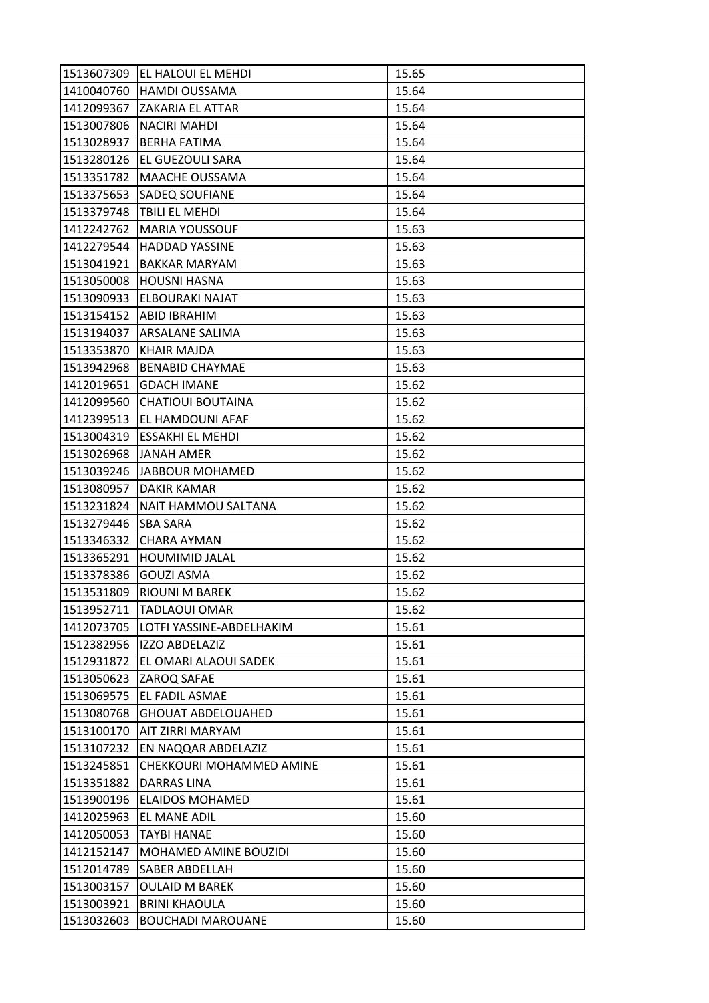| 1513607309 | EL HALOUI EL MEHDI           | 15.65 |
|------------|------------------------------|-------|
| 1410040760 | <b>HAMDI OUSSAMA</b>         | 15.64 |
| 1412099367 | <b>ZAKARIA EL ATTAR</b>      | 15.64 |
| 1513007806 | <b>NACIRI MAHDI</b>          | 15.64 |
| 1513028937 | <b>BERHA FATIMA</b>          | 15.64 |
| 1513280126 | EL GUEZOULI SARA             | 15.64 |
| 1513351782 | <b>MAACHE OUSSAMA</b>        | 15.64 |
| 1513375653 | <b>SADEQ SOUFIANE</b>        | 15.64 |
| 1513379748 | <b>TBILI EL MEHDI</b>        | 15.64 |
| 1412242762 | <b>MARIA YOUSSOUF</b>        | 15.63 |
| 1412279544 | <b>HADDAD YASSINE</b>        | 15.63 |
| 1513041921 | <b>BAKKAR MARYAM</b>         | 15.63 |
| 1513050008 | <b>HOUSNI HASNA</b>          | 15.63 |
| 1513090933 | <b>ELBOURAKI NAJAT</b>       | 15.63 |
| 1513154152 | ABID IBRAHIM                 | 15.63 |
|            | 1513194037 ARSALANE SALIMA   | 15.63 |
| 1513353870 | <b>KHAIR MAJDA</b>           | 15.63 |
| 1513942968 | <b>BENABID CHAYMAE</b>       | 15.63 |
| 1412019651 | <b>GDACH IMANE</b>           | 15.62 |
| 1412099560 | CHATIOUI BOUTAINA            | 15.62 |
|            | 1412399513 EL HAMDOUNI AFAF  | 15.62 |
| 1513004319 | <b>ESSAKHI EL MEHDI</b>      | 15.62 |
| 1513026968 | <b>JANAH AMER</b>            | 15.62 |
| 1513039246 | JABBOUR MOHAMED              | 15.62 |
| 1513080957 | DAKIR KAMAR                  | 15.62 |
| 1513231824 | NAIT HAMMOU SALTANA          | 15.62 |
| 1513279446 | <b>SBA SARA</b>              | 15.62 |
| 1513346332 | <b>CHARA AYMAN</b>           | 15.62 |
| 1513365291 | <b>HOUMIMID JALAL</b>        | 15.62 |
| 1513378386 | <b>GOUZI ASMA</b>            | 15.62 |
| 1513531809 | <b>RIOUNI M BAREK</b>        | 15.62 |
| 1513952711 | <b>TADLAOUI OMAR</b>         | 15.62 |
| 1412073705 | LOTFI YASSINE-ABDELHAKIM     | 15.61 |
| 1512382956 | <b>IZZO ABDELAZIZ</b>        | 15.61 |
| 1512931872 | EL OMARI ALAOUI SADEK        | 15.61 |
| 1513050623 | ZAROQ SAFAE                  | 15.61 |
| 1513069575 | EL FADIL ASMAE               | 15.61 |
| 1513080768 | <b>GHOUAT ABDELOUAHED</b>    | 15.61 |
| 1513100170 | AIT ZIRRI MARYAM             | 15.61 |
| 1513107232 | EN NAQQAR ABDELAZIZ          | 15.61 |
| 1513245851 | CHEKKOURI MOHAMMED AMINE     | 15.61 |
| 1513351882 | DARRAS LINA                  | 15.61 |
| 1513900196 | <b>ELAIDOS MOHAMED</b>       | 15.61 |
| 1412025963 | EL MANE ADIL                 | 15.60 |
| 1412050053 | <b>TAYBI HANAE</b>           | 15.60 |
| 1412152147 | <b>MOHAMED AMINE BOUZIDI</b> | 15.60 |
| 1512014789 | <b>SABER ABDELLAH</b>        | 15.60 |
| 1513003157 | <b>OULAID M BAREK</b>        | 15.60 |
| 1513003921 | <b>BRINI KHAOULA</b>         | 15.60 |
| 1513032603 | <b>BOUCHADI MAROUANE</b>     | 15.60 |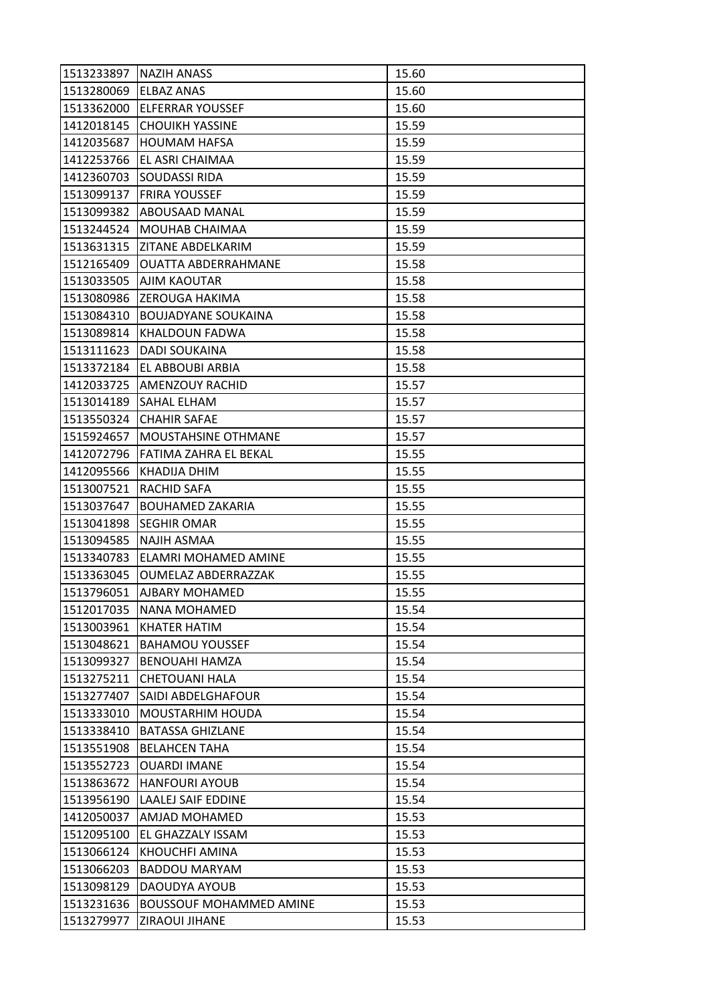| 1513233897 | <b>NAZIH ANASS</b>             | 15.60 |
|------------|--------------------------------|-------|
| 1513280069 | <b>ELBAZ ANAS</b>              | 15.60 |
| 1513362000 | <b>ELFERRAR YOUSSEF</b>        | 15.60 |
| 1412018145 | <b>CHOUIKH YASSINE</b>         | 15.59 |
| 1412035687 | <b>HOUMAM HAFSA</b>            | 15.59 |
| 1412253766 | EL ASRI CHAIMAA                | 15.59 |
| 1412360703 | <b>SOUDASSI RIDA</b>           | 15.59 |
| 1513099137 | <b>FRIRA YOUSSEF</b>           | 15.59 |
| 1513099382 | ABOUSAAD MANAL                 | 15.59 |
| 1513244524 | MOUHAB CHAIMAA                 | 15.59 |
| 1513631315 | IZITANE ABDELKARIM             | 15.59 |
| 1512165409 | <b>OUATTA ABDERRAHMANE</b>     | 15.58 |
| 1513033505 | AJIM KAOUTAR                   | 15.58 |
| 1513080986 | <b>ZEROUGA HAKIMA</b>          | 15.58 |
| 1513084310 | <b>BOUJADYANE SOUKAINA</b>     | 15.58 |
| 1513089814 | KHALDOUN FADWA                 | 15.58 |
| 1513111623 | <b>DADI SOUKAINA</b>           | 15.58 |
| 1513372184 | EL ABBOUBI ARBIA               | 15.58 |
| 1412033725 | <b>AMENZOUY RACHID</b>         | 15.57 |
| 1513014189 | SAHAL ELHAM                    | 15.57 |
| 1513550324 | <b>CHAHIR SAFAE</b>            | 15.57 |
| 1515924657 | MOUSTAHSINE OTHMANE            | 15.57 |
| 1412072796 | FATIMA ZAHRA EL BEKAL          | 15.55 |
| 1412095566 | KHADIJA DHIM                   | 15.55 |
| 1513007521 | <b>RACHID SAFA</b>             | 15.55 |
| 1513037647 | <b>BOUHAMED ZAKARIA</b>        | 15.55 |
| 1513041898 | <b>SEGHIR OMAR</b>             | 15.55 |
| 1513094585 | <b>NAJIH ASMAA</b>             | 15.55 |
| 1513340783 | ELAMRI MOHAMED AMINE           | 15.55 |
| 1513363045 | <b>OUMELAZ ABDERRAZZAK</b>     | 15.55 |
| 1513796051 | <b>AJBARY MOHAMED</b>          | 15.55 |
| 1512017035 | <b>NANA MOHAMED</b>            | 15.54 |
| 1513003961 | KHATER HATIM                   | 15.54 |
| 1513048621 | <b>BAHAMOU YOUSSEF</b>         | 15.54 |
| 1513099327 | <b>BENOUAHI HAMZA</b>          | 15.54 |
| 1513275211 | <b>CHETOUANI HALA</b>          | 15.54 |
| 1513277407 | SAIDI ABDELGHAFOUR             | 15.54 |
| 1513333010 | <b>MOUSTARHIM HOUDA</b>        | 15.54 |
| 1513338410 | <b>BATASSA GHIZLANE</b>        | 15.54 |
| 1513551908 | <b>BELAHCEN TAHA</b>           | 15.54 |
| 1513552723 | <b>OUARDI IMANE</b>            | 15.54 |
| 1513863672 | <b>HANFOURI AYOUB</b>          | 15.54 |
| 1513956190 | <b>LAALEJ SAIF EDDINE</b>      | 15.54 |
| 1412050037 | AMJAD MOHAMED                  | 15.53 |
| 1512095100 | EL GHAZZALY ISSAM              | 15.53 |
| 1513066124 | KHOUCHFI AMINA                 | 15.53 |
| 1513066203 | <b>BADDOU MARYAM</b>           | 15.53 |
| 1513098129 | DAOUDYA AYOUB                  | 15.53 |
| 1513231636 | <b>BOUSSOUF MOHAMMED AMINE</b> | 15.53 |
| 1513279977 | ZIRAOUI JIHANE                 | 15.53 |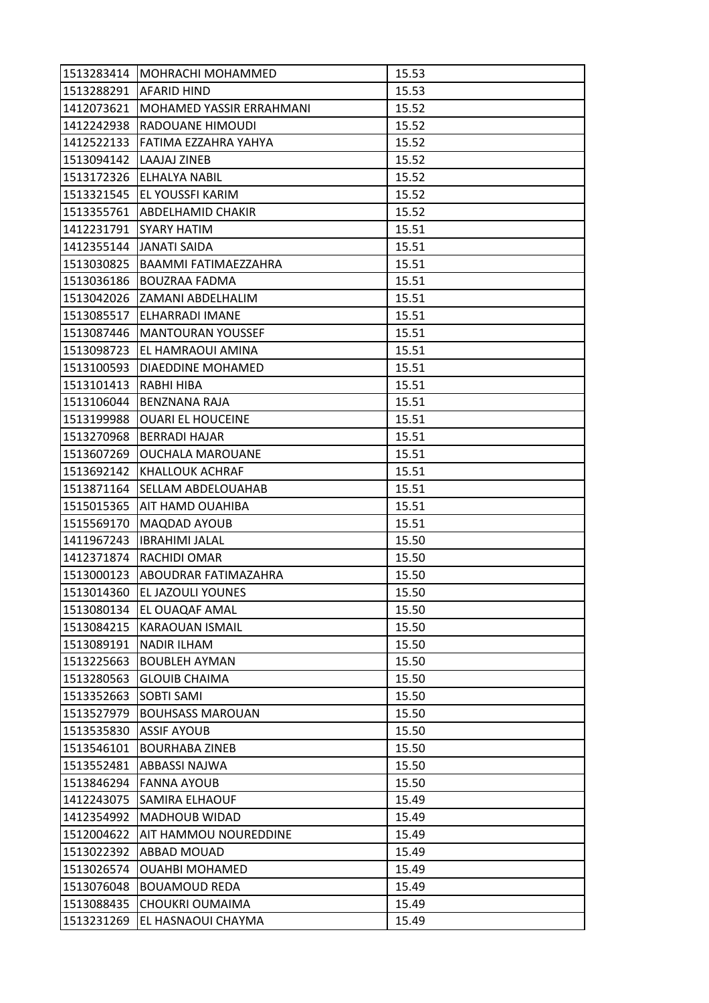| 1513283414 | <b>MOHRACHI MOHAMMED</b>        | 15.53 |
|------------|---------------------------------|-------|
|            | 1513288291   AFARID HIND        | 15.53 |
| 1412073621 | <b>MOHAMED YASSIR ERRAHMANI</b> | 15.52 |
| 1412242938 | RADOUANE HIMOUDI                | 15.52 |
| 1412522133 | FATIMA EZZAHRA YAHYA            | 15.52 |
| 1513094142 | LAAJAJ ZINEB                    | 15.52 |
| 1513172326 | <b>ELHALYA NABIL</b>            | 15.52 |
| 1513321545 | <b>EL YOUSSFI KARIM</b>         | 15.52 |
|            | 1513355761 ABDELHAMID CHAKIR    | 15.52 |
| 1412231791 | <b>SYARY HATIM</b>              | 15.51 |
|            | 1412355144 JJANATI SAIDA        | 15.51 |
| 1513030825 | <b>BAAMMI FATIMAEZZAHRA</b>     | 15.51 |
| 1513036186 | <b>BOUZRAA FADMA</b>            | 15.51 |
|            | 1513042026 ZAMANI ABDELHALIM    | 15.51 |
| 1513085517 | ELHARRADI IMANE                 | 15.51 |
|            | 1513087446  MANTOURAN YOUSSEF   | 15.51 |
| 1513098723 | <b>EL HAMRAOUI AMINA</b>        | 15.51 |
| 1513100593 | DIAEDDINE MOHAMED               | 15.51 |
| 1513101413 | RABHI HIBA                      | 15.51 |
| 1513106044 | <b>BENZNANA RAJA</b>            | 15.51 |
| 1513199988 | <b>OUARI EL HOUCEINE</b>        | 15.51 |
| 1513270968 | <b>BERRADI HAJAR</b>            | 15.51 |
| 1513607269 | <b>OUCHALA MAROUANE</b>         | 15.51 |
| 1513692142 | <b>KHALLOUK ACHRAF</b>          | 15.51 |
| 1513871164 | <b>SELLAM ABDELOUAHAB</b>       | 15.51 |
| 1515015365 | <b>AIT HAMD OUAHIBA</b>         | 15.51 |
| 1515569170 | <b>MAQDAD AYOUB</b>             | 15.51 |
| 1411967243 | <b>IBRAHIMI JALAL</b>           | 15.50 |
| 1412371874 | RACHIDI OMAR                    | 15.50 |
|            | 1513000123 ABOUDRAR FATIMAZAHRA | 15.50 |
| 1513014360 | EL JAZOULI YOUNES               | 15.50 |
| 1513080134 | EL OUAQAF AMAL                  | 15.50 |
| 1513084215 | <b>KARAOUAN ISMAIL</b>          | 15.50 |
| 1513089191 | <b>NADIR ILHAM</b>              | 15.50 |
| 1513225663 | <b>BOUBLEH AYMAN</b>            | 15.50 |
| 1513280563 | <b>GLOUIB CHAIMA</b>            | 15.50 |
| 1513352663 | <b>SOBTI SAMI</b>               | 15.50 |
| 1513527979 | <b>BOUHSASS MAROUAN</b>         | 15.50 |
| 1513535830 | <b>ASSIF AYOUB</b>              | 15.50 |
| 1513546101 | <b>BOURHABA ZINEB</b>           | 15.50 |
| 1513552481 | ABBASSI NAJWA                   | 15.50 |
| 1513846294 | <b>FANNA AYOUB</b>              | 15.50 |
| 1412243075 | <b>SAMIRA ELHAOUF</b>           | 15.49 |
| 1412354992 | <b>MADHOUB WIDAD</b>            | 15.49 |
| 1512004622 | <b>AIT HAMMOU NOUREDDINE</b>    | 15.49 |
| 1513022392 | ABBAD MOUAD                     | 15.49 |
| 1513026574 | <b>OUAHBI MOHAMED</b>           | 15.49 |
| 1513076048 | <b>BOUAMOUD REDA</b>            | 15.49 |
| 1513088435 | CHOUKRI OUMAIMA                 | 15.49 |
| 1513231269 | EL HASNAOUI CHAYMA              | 15.49 |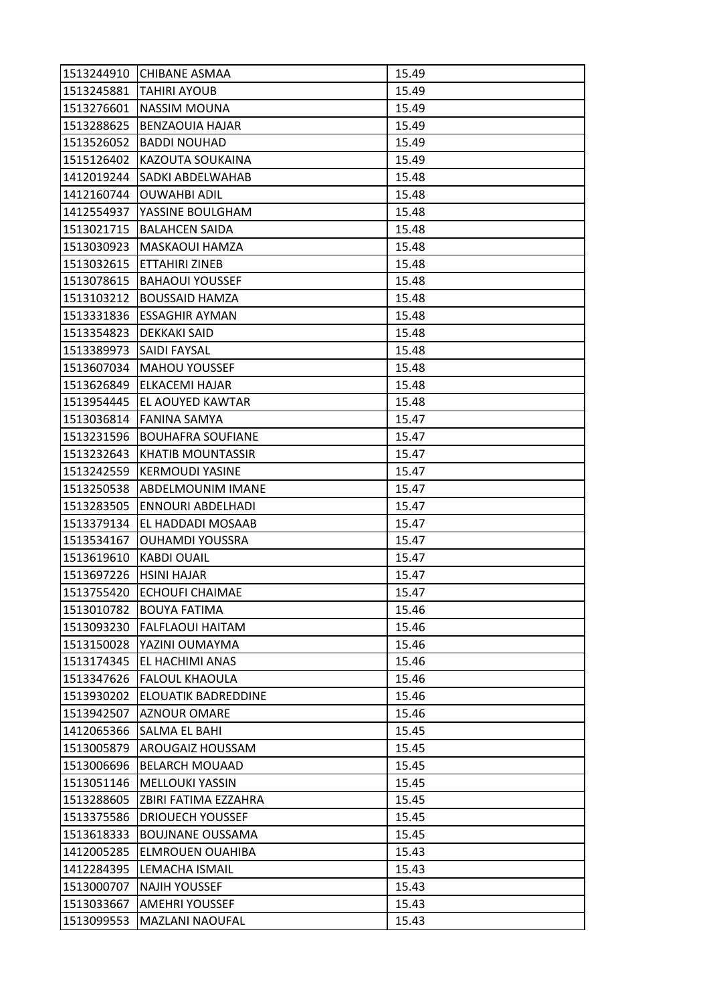| 1513244910 | CHIBANE ASMAA              | 15.49 |
|------------|----------------------------|-------|
| 1513245881 | <b>TAHIRI AYOUB</b>        | 15.49 |
| 1513276601 | <b>NASSIM MOUNA</b>        | 15.49 |
| 1513288625 | <b>BENZAOUIA HAJAR</b>     | 15.49 |
| 1513526052 | <b>BADDI NOUHAD</b>        | 15.49 |
| 1515126402 | KAZOUTA SOUKAINA           | 15.49 |
| 1412019244 | <b>SADKI ABDELWAHAB</b>    | 15.48 |
| 1412160744 | <b>OUWAHBI ADIL</b>        | 15.48 |
| 1412554937 | YASSINE BOULGHAM           | 15.48 |
| 1513021715 | <b>BALAHCEN SAIDA</b>      | 15.48 |
| 1513030923 | MASKAOUI HAMZA             | 15.48 |
| 1513032615 | ETTAHIRI ZINEB             | 15.48 |
| 1513078615 | <b>BAHAOUI YOUSSEF</b>     | 15.48 |
| 1513103212 | <b>BOUSSAID HAMZA</b>      | 15.48 |
| 1513331836 | <b>ESSAGHIR AYMAN</b>      | 15.48 |
| 1513354823 | <b>DEKKAKI SAID</b>        | 15.48 |
| 1513389973 | <b>SAIDI FAYSAL</b>        | 15.48 |
| 1513607034 | <b>MAHOU YOUSSEF</b>       | 15.48 |
| 1513626849 | <b>ELKACEMI HAJAR</b>      | 15.48 |
| 1513954445 | EL AOUYED KAWTAR           | 15.48 |
| 1513036814 | FANINA SAMYA               | 15.47 |
| 1513231596 | <b>BOUHAFRA SOUFIANE</b>   | 15.47 |
| 1513232643 | <b>KHATIB MOUNTASSIR</b>   | 15.47 |
| 1513242559 | <b>KERMOUDI YASINE</b>     | 15.47 |
| 1513250538 | ABDELMOUNIM IMANE          | 15.47 |
| 1513283505 | <b>ENNOURI ABDELHADI</b>   | 15.47 |
| 1513379134 | EL HADDADI MOSAAB          | 15.47 |
| 1513534167 | <b>OUHAMDI YOUSSRA</b>     | 15.47 |
| 1513619610 | <b>KABDI OUAIL</b>         | 15.47 |
| 1513697226 | <b>HSINI HAJAR</b>         | 15.47 |
| 1513755420 | <b>ECHOUFI CHAIMAE</b>     | 15.47 |
| 1513010782 | <b>BOUYA FATIMA</b>        | 15.46 |
| 1513093230 | <b>FALFLAOUI HAITAM</b>    | 15.46 |
| 1513150028 | YAZINI OUMAYMA             | 15.46 |
| 1513174345 | EL HACHIMI ANAS            | 15.46 |
| 1513347626 | <b>FALOUL KHAOULA</b>      | 15.46 |
| 1513930202 | <b>ELOUATIK BADREDDINE</b> | 15.46 |
| 1513942507 | <b>AZNOUR OMARE</b>        | 15.46 |
| 1412065366 | SALMA EL BAHI              | 15.45 |
| 1513005879 | <b>AROUGAIZ HOUSSAM</b>    | 15.45 |
| 1513006696 | <b>BELARCH MOUAAD</b>      | 15.45 |
| 1513051146 | <b>MELLOUKI YASSIN</b>     | 15.45 |
| 1513288605 | ZBIRI FATIMA EZZAHRA       | 15.45 |
| 1513375586 | <b>DRIOUECH YOUSSEF</b>    | 15.45 |
| 1513618333 | <b>BOUJNANE OUSSAMA</b>    | 15.45 |
| 1412005285 | ELMROUEN OUAHIBA           | 15.43 |
| 1412284395 | LEMACHA ISMAIL             | 15.43 |
| 1513000707 | <b>NAJIH YOUSSEF</b>       | 15.43 |
| 1513033667 | <b>AMEHRI YOUSSEF</b>      | 15.43 |
| 1513099553 | MAZLANI NAOUFAL            | 15.43 |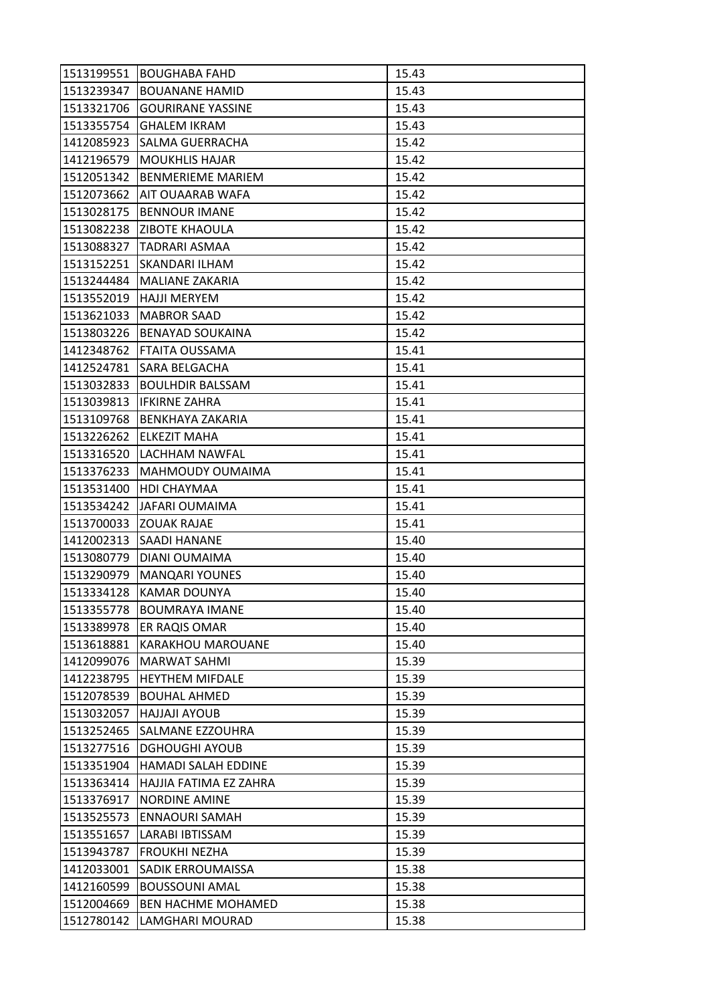| 1513199551 | <b>BOUGHABA FAHD</b>       | 15.43 |
|------------|----------------------------|-------|
| 1513239347 | <b>BOUANANE HAMID</b>      | 15.43 |
| 1513321706 | <b>GOURIRANE YASSINE</b>   | 15.43 |
| 1513355754 | <b>GHALEM IKRAM</b>        | 15.43 |
| 1412085923 | SALMA GUERRACHA            | 15.42 |
| 1412196579 | <b>MOUKHLIS HAJAR</b>      | 15.42 |
| 1512051342 | <b>BENMERIEME MARIEM</b>   | 15.42 |
| 1512073662 | AIT OUAARAB WAFA           | 15.42 |
| 1513028175 | <b>BENNOUR IMANE</b>       | 15.42 |
| 1513082238 | IZIBOTE KHAOULA            | 15.42 |
| 1513088327 | <b>TADRARI ASMAA</b>       | 15.42 |
| 1513152251 | <b>SKANDARI ILHAM</b>      | 15.42 |
| 1513244484 | <b>MALIANE ZAKARIA</b>     | 15.42 |
| 1513552019 | <b>HAJJI MERYEM</b>        | 15.42 |
| 1513621033 | <b>MABROR SAAD</b>         | 15.42 |
| 1513803226 | <b>BENAYAD SOUKAINA</b>    | 15.42 |
| 1412348762 | <b>FTAITA OUSSAMA</b>      | 15.41 |
| 1412524781 | SARA BELGACHA              | 15.41 |
| 1513032833 | <b>BOULHDIR BALSSAM</b>    | 15.41 |
| 1513039813 | <b>IFKIRNE ZAHRA</b>       | 15.41 |
| 1513109768 | BENKHAYA ZAKARIA           | 15.41 |
| 1513226262 | ELKEZIT MAHA               | 15.41 |
| 1513316520 | LACHHAM NAWFAL             | 15.41 |
| 1513376233 | MAHMOUDY OUMAIMA           | 15.41 |
| 1513531400 | HDI CHAYMAA                | 15.41 |
| 1513534242 | JAFARI OUMAIMA             | 15.41 |
| 1513700033 | <b>ZOUAK RAJAE</b>         | 15.41 |
| 1412002313 | <b>SAADI HANANE</b>        | 15.40 |
| 1513080779 | DIANI OUMAIMA              | 15.40 |
| 1513290979 | <b>MANQARI YOUNES</b>      | 15.40 |
| 1513334128 | KAMAR DOUNYA               | 15.40 |
| 1513355778 | <b>BOUMRAYA IMANE</b>      | 15.40 |
| 1513389978 | ER RAQIS OMAR              | 15.40 |
| 1513618881 | <b>KARAKHOU MAROUANE</b>   | 15.40 |
| 1412099076 | MARWAT SAHMI               | 15.39 |
| 1412238795 | <b>HEYTHEM MIFDALE</b>     | 15.39 |
| 1512078539 | <b>BOUHAL AHMED</b>        | 15.39 |
| 1513032057 | <b>HAJJAJI AYOUB</b>       | 15.39 |
| 1513252465 | SALMANE EZZOUHRA           | 15.39 |
| 1513277516 | <b>DGHOUGHI AYOUB</b>      | 15.39 |
| 1513351904 | <b>HAMADI SALAH EDDINE</b> | 15.39 |
| 1513363414 | HAJJIA FATIMA EZ ZAHRA     | 15.39 |
| 1513376917 | <b>NORDINE AMINE</b>       | 15.39 |
| 1513525573 | <b>ENNAOURI SAMAH</b>      | 15.39 |
| 1513551657 | LARABI IBTISSAM            | 15.39 |
| 1513943787 | <b>FROUKHI NEZHA</b>       | 15.39 |
| 1412033001 | SADIK ERROUMAISSA          | 15.38 |
| 1412160599 | <b>BOUSSOUNI AMAL</b>      | 15.38 |
| 1512004669 | <b>BEN HACHME MOHAMED</b>  | 15.38 |
| 1512780142 | LAMGHARI MOURAD            | 15.38 |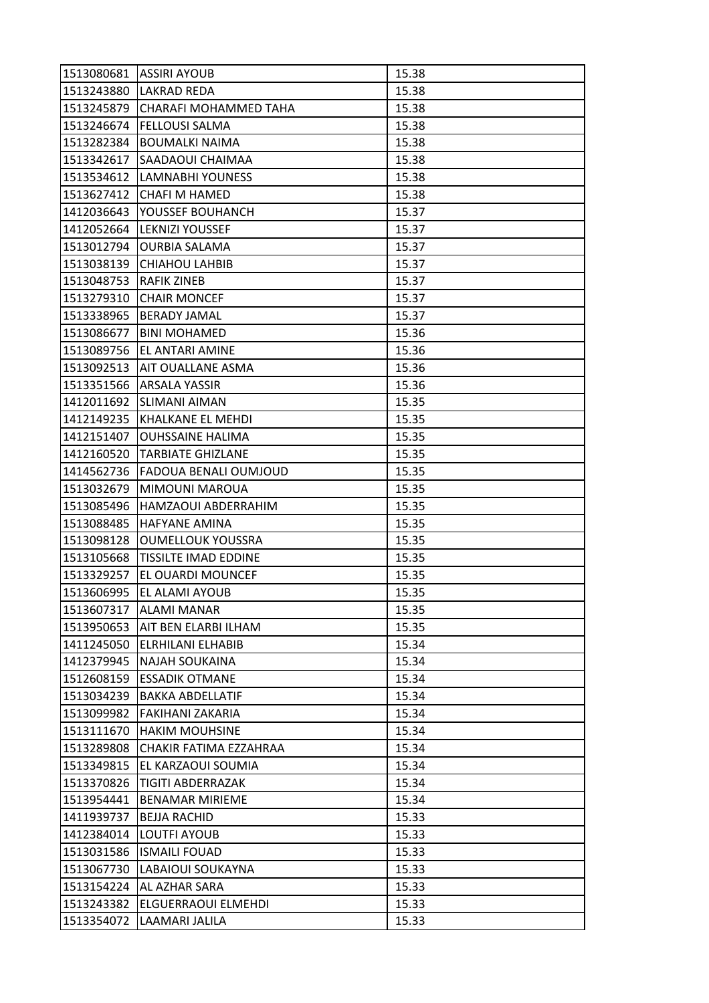| 1513080681 | <b>ASSIRI AYOUB</b>         | 15.38 |
|------------|-----------------------------|-------|
| 1513243880 | <b>LAKRAD REDA</b>          | 15.38 |
| 1513245879 | CHARAFI MOHAMMED TAHA       | 15.38 |
| 1513246674 | <b>FELLOUSI SALMA</b>       | 15.38 |
| 1513282384 | <b>BOUMALKI NAIMA</b>       | 15.38 |
| 1513342617 | SAADAOUI CHAIMAA            | 15.38 |
| 1513534612 | LAMNABHI YOUNESS            | 15.38 |
| 1513627412 | CHAFI M HAMED               | 15.38 |
| 1412036643 | YOUSSEF BOUHANCH            | 15.37 |
| 1412052664 | <b>LEKNIZI YOUSSEF</b>      | 15.37 |
| 1513012794 | <b>OURBIA SALAMA</b>        | 15.37 |
| 1513038139 | <b>CHIAHOU LAHBIB</b>       | 15.37 |
| 1513048753 | <b>RAFIK ZINEB</b>          | 15.37 |
| 1513279310 | <b>CHAIR MONCEF</b>         | 15.37 |
| 1513338965 | <b>BERADY JAMAL</b>         | 15.37 |
| 1513086677 | <b>BINI MOHAMED</b>         | 15.36 |
| 1513089756 | EL ANTARI AMINE             | 15.36 |
| 1513092513 | <b>AIT OUALLANE ASMA</b>    | 15.36 |
| 1513351566 | <b>ARSALA YASSIR</b>        | 15.36 |
| 1412011692 | <b>SLIMANI AIMAN</b>        | 15.35 |
| 1412149235 | <b>KHALKANE EL MEHDI</b>    | 15.35 |
| 1412151407 | <b>OUHSSAINE HALIMA</b>     | 15.35 |
| 1412160520 | <b>TARBIATE GHIZLANE</b>    | 15.35 |
| 1414562736 | FADOUA BENALI OUMJOUD       | 15.35 |
| 1513032679 | MIMOUNI MAROUA              | 15.35 |
| 1513085496 | HAMZAOUI ABDERRAHIM         | 15.35 |
| 1513088485 | <b>HAFYANE AMINA</b>        | 15.35 |
| 1513098128 | <b>OUMELLOUK YOUSSRA</b>    | 15.35 |
| 1513105668 | <b>TISSILTE IMAD EDDINE</b> | 15.35 |
| 1513329257 | EL OUARDI MOUNCEF           | 15.35 |
| 1513606995 | EL ALAMI AYOUB              | 15.35 |
| 1513607317 | <b>ALAMI MANAR</b>          | 15.35 |
| 1513950653 | AIT BEN ELARBI ILHAM        | 15.35 |
| 1411245050 | <b>ELRHILANI ELHABIB</b>    | 15.34 |
| 1412379945 | <b>NAJAH SOUKAINA</b>       | 15.34 |
| 1512608159 | <b>ESSADIK OTMANE</b>       | 15.34 |
| 1513034239 | <b>BAKKA ABDELLATIF</b>     | 15.34 |
| 1513099982 | <b>FAKIHANI ZAKARIA</b>     | 15.34 |
| 1513111670 | <b>HAKIM MOUHSINE</b>       | 15.34 |
| 1513289808 | CHAKIR FATIMA EZZAHRAA      | 15.34 |
| 1513349815 | EL KARZAOUI SOUMIA          | 15.34 |
| 1513370826 | TIGITI ABDERRAZAK           | 15.34 |
| 1513954441 | <b>BENAMAR MIRIEME</b>      | 15.34 |
| 1411939737 | <b>BEJJA RACHID</b>         | 15.33 |
| 1412384014 | LOUTFI AYOUB                | 15.33 |
| 1513031586 | <b>ISMAILI FOUAD</b>        | 15.33 |
| 1513067730 | LABAIOUI SOUKAYNA           | 15.33 |
| 1513154224 | AL AZHAR SARA               | 15.33 |
| 1513243382 | <b>ELGUERRAOUI ELMEHDI</b>  | 15.33 |
| 1513354072 | LAAMARI JALILA              | 15.33 |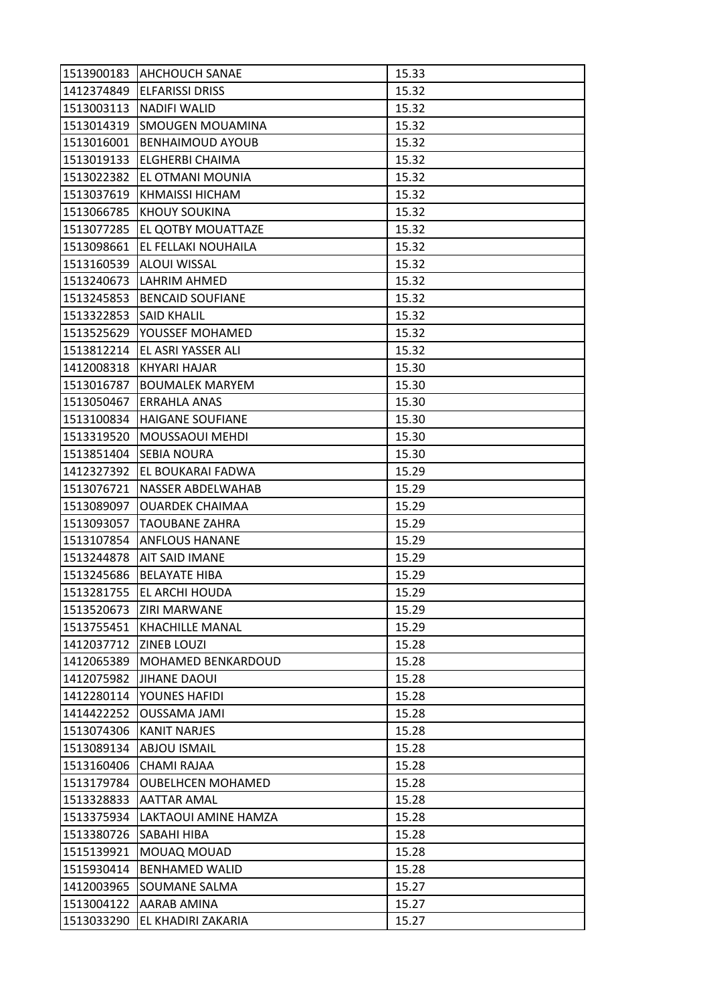| 1513900183 | <b>AHCHOUCH SANAE</b>    | 15.33 |
|------------|--------------------------|-------|
| 1412374849 | <b>ELFARISSI DRISS</b>   | 15.32 |
| 1513003113 | <b>NADIFI WALID</b>      | 15.32 |
| 1513014319 | SMOUGEN MOUAMINA         | 15.32 |
| 1513016001 | <b>BENHAIMOUD AYOUB</b>  | 15.32 |
| 1513019133 | <b>ELGHERBI CHAIMA</b>   | 15.32 |
| 1513022382 | EL OTMANI MOUNIA         | 15.32 |
| 1513037619 | <b>KHMAISSI HICHAM</b>   | 15.32 |
| 1513066785 | <b>KHOUY SOUKINA</b>     | 15.32 |
| 1513077285 | EL QOTBY MOUATTAZE       | 15.32 |
| 1513098661 | EL FELLAKI NOUHAILA      | 15.32 |
| 1513160539 | <b>ALOUI WISSAL</b>      | 15.32 |
| 1513240673 | LAHRIM AHMED             | 15.32 |
| 1513245853 | <b>BENCAID SOUFIANE</b>  | 15.32 |
| 1513322853 | <b>SAID KHALIL</b>       | 15.32 |
| 1513525629 | YOUSSEF MOHAMED          | 15.32 |
| 1513812214 | EL ASRI YASSER ALI       | 15.32 |
| 1412008318 | KHYARI HAJAR             | 15.30 |
| 1513016787 | <b>BOUMALEK MARYEM</b>   | 15.30 |
| 1513050467 | ERRAHLA ANAS             | 15.30 |
| 1513100834 | <b>HAIGANE SOUFIANE</b>  | 15.30 |
| 1513319520 | MOUSSAOUI MEHDI          | 15.30 |
| 1513851404 | <b>SEBIA NOURA</b>       | 15.30 |
| 1412327392 | EL BOUKARAI FADWA        | 15.29 |
| 1513076721 | NASSER ABDELWAHAB        | 15.29 |
| 1513089097 | <b>OUARDEK CHAIMAA</b>   | 15.29 |
| 1513093057 | <b>TAOUBANE ZAHRA</b>    | 15.29 |
| 1513107854 | <b>ANFLOUS HANANE</b>    | 15.29 |
| 1513244878 | <b>AIT SAID IMANE</b>    | 15.29 |
| 1513245686 | <b>BELAYATE HIBA</b>     | 15.29 |
| 1513281755 | EL ARCHI HOUDA           | 15.29 |
| 1513520673 | <b>ZIRI MARWANE</b>      | 15.29 |
| 1513755451 | <b>KHACHILLE MANAL</b>   | 15.29 |
| 1412037712 | <b>ZINEB LOUZI</b>       | 15.28 |
| 1412065389 | MOHAMED BENKARDOUD       | 15.28 |
| 1412075982 | <b>JIHANE DAOUI</b>      | 15.28 |
| 1412280114 | YOUNES HAFIDI            | 15.28 |
| 1414422252 | <b>OUSSAMA JAMI</b>      | 15.28 |
| 1513074306 | <b>KANIT NARJES</b>      | 15.28 |
| 1513089134 | <b>ABJOU ISMAIL</b>      | 15.28 |
| 1513160406 | <b>CHAMI RAJAA</b>       | 15.28 |
| 1513179784 | <b>OUBELHCEN MOHAMED</b> | 15.28 |
| 1513328833 | <b>AATTAR AMAL</b>       | 15.28 |
| 1513375934 | LAKTAOUI AMINE HAMZA     | 15.28 |
| 1513380726 | <b>SABAHI HIBA</b>       | 15.28 |
| 1515139921 | MOUAQ MOUAD              | 15.28 |
| 1515930414 | <b>BENHAMED WALID</b>    | 15.28 |
| 1412003965 | <b>SOUMANE SALMA</b>     | 15.27 |
| 1513004122 | AARAB AMINA              | 15.27 |
| 1513033290 | EL KHADIRI ZAKARIA       | 15.27 |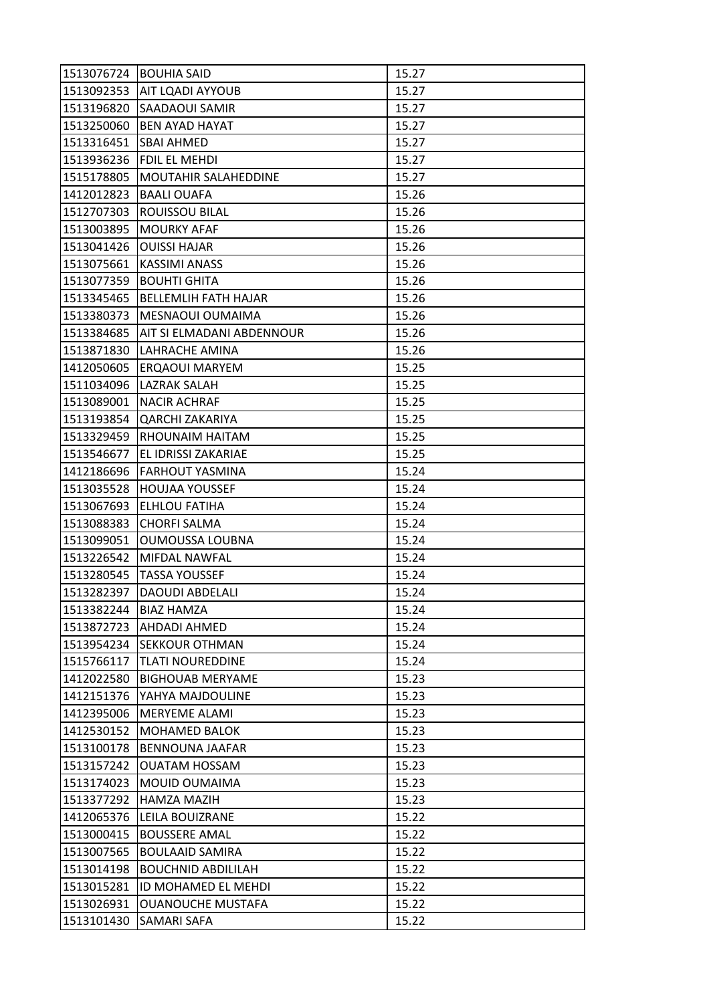| 1513076724 | <b>BOUHIA SAID</b>          | 15.27 |
|------------|-----------------------------|-------|
| 1513092353 | <b>AIT LOADI AYYOUB</b>     | 15.27 |
| 1513196820 | <b>SAADAOUI SAMIR</b>       | 15.27 |
| 1513250060 | <b>BEN AYAD HAYAT</b>       | 15.27 |
| 1513316451 | <b>SBAI AHMED</b>           | 15.27 |
| 1513936236 | FDIL EL MEHDI               | 15.27 |
| 1515178805 | MOUTAHIR SALAHEDDINE        | 15.27 |
| 1412012823 | <b>BAALI OUAFA</b>          | 15.26 |
| 1512707303 | ROUISSOU BILAL              | 15.26 |
| 1513003895 | <b>MOURKY AFAF</b>          | 15.26 |
| 1513041426 | <b>OUISSI HAJAR</b>         | 15.26 |
| 1513075661 | <b>KASSIMI ANASS</b>        | 15.26 |
| 1513077359 | <b>BOUHTI GHITA</b>         | 15.26 |
| 1513345465 | <b>BELLEMLIH FATH HAJAR</b> | 15.26 |
| 1513380373 | MESNAOUI OUMAIMA            | 15.26 |
| 1513384685 | AIT SI ELMADANI ABDENNOUR   | 15.26 |
| 1513871830 | LAHRACHE AMINA              | 15.26 |
| 1412050605 | ERQAOUI MARYEM              | 15.25 |
| 1511034096 | <b>LAZRAK SALAH</b>         | 15.25 |
| 1513089001 | <b>NACIR ACHRAF</b>         | 15.25 |
| 1513193854 | <b>QARCHI ZAKARIYA</b>      | 15.25 |
| 1513329459 | <b>RHOUNAIM HAITAM</b>      | 15.25 |
| 1513546677 | EL IDRISSI ZAKARIAE         | 15.25 |
| 1412186696 | FARHOUT YASMINA             | 15.24 |
| 1513035528 | <b>HOUJAA YOUSSEF</b>       | 15.24 |
| 1513067693 | <b>ELHLOU FATIHA</b>        | 15.24 |
| 1513088383 | <b>CHORFI SALMA</b>         | 15.24 |
| 1513099051 | OUMOUSSA LOUBNA             | 15.24 |
| 1513226542 | MIFDAL NAWFAL               | 15.24 |
| 1513280545 | <b>TASSA YOUSSEF</b>        | 15.24 |
| 1513282397 | <b>DAOUDI ABDELALI</b>      | 15.24 |
| 1513382244 | <b>BIAZ HAMZA</b>           | 15.24 |
| 1513872723 | <b>AHDADI AHMED</b>         | 15.24 |
| 1513954234 | <b>SEKKOUR OTHMAN</b>       | 15.24 |
| 1515766117 | <b>TLATI NOUREDDINE</b>     | 15.24 |
| 1412022580 | <b>BIGHOUAB MERYAME</b>     | 15.23 |
| 1412151376 | YAHYA MAJDOULINE            | 15.23 |
| 1412395006 | MERYEME ALAMI               | 15.23 |
| 1412530152 | <b>MOHAMED BALOK</b>        | 15.23 |
| 1513100178 | <b>BENNOUNA JAAFAR</b>      | 15.23 |
| 1513157242 | <b>OUATAM HOSSAM</b>        | 15.23 |
| 1513174023 | MOUID OUMAIMA               | 15.23 |
| 1513377292 | HAMZA MAZIH                 | 15.23 |
| 1412065376 | LEILA BOUIZRANE             | 15.22 |
| 1513000415 | <b>BOUSSERE AMAL</b>        | 15.22 |
| 1513007565 | <b>BOULAAID SAMIRA</b>      | 15.22 |
| 1513014198 | <b>BOUCHNID ABDILILAH</b>   | 15.22 |
| 1513015281 | ID MOHAMED EL MEHDI         | 15.22 |
| 1513026931 | <b>OUANOUCHE MUSTAFA</b>    | 15.22 |
| 1513101430 | SAMARI SAFA                 | 15.22 |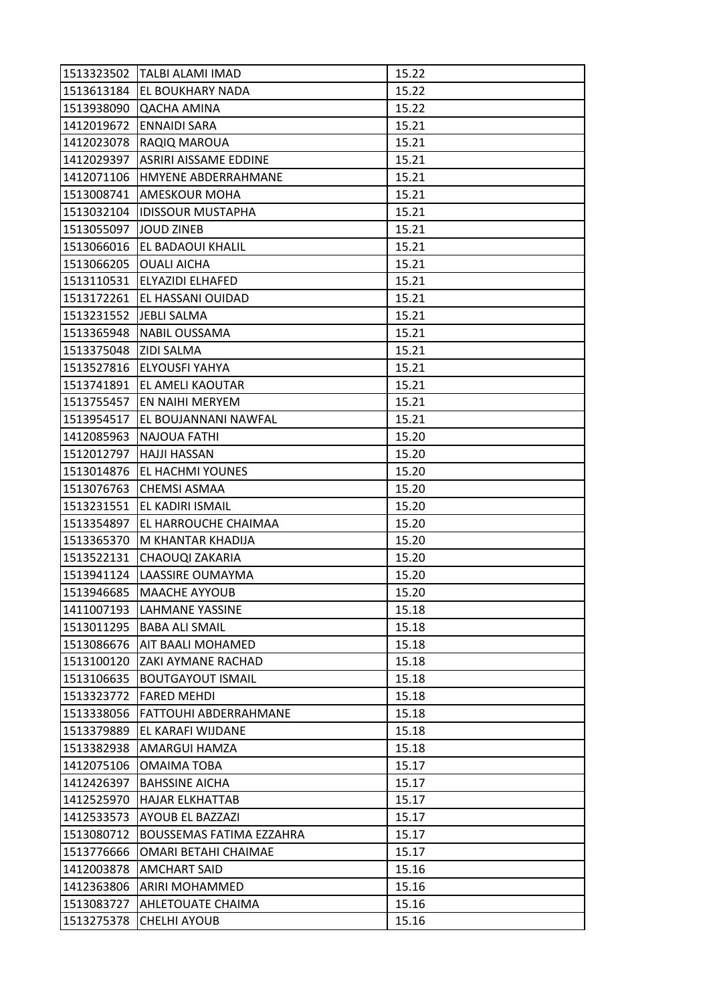| 1513323502 | <b>TALBI ALAMI IMAD</b>         | 15.22 |
|------------|---------------------------------|-------|
| 1513613184 | <b>EL BOUKHARY NADA</b>         | 15.22 |
| 1513938090 | QACHA AMINA                     | 15.22 |
| 1412019672 | <b>ENNAIDI SARA</b>             | 15.21 |
| 1412023078 | RAQIQ MAROUA                    | 15.21 |
| 1412029397 | ASRIRI AISSAME EDDINE           | 15.21 |
| 1412071106 | <b>HMYENE ABDERRAHMANE</b>      | 15.21 |
| 1513008741 | AMESKOUR MOHA                   | 15.21 |
| 1513032104 | <b>IDISSOUR MUSTAPHA</b>        | 15.21 |
| 1513055097 | <b>JOUD ZINEB</b>               | 15.21 |
|            | 1513066016 EL BADAOUI KHALIL    | 15.21 |
| 1513066205 | <b>OUALI AICHA</b>              | 15.21 |
| 1513110531 | ELYAZIDI ELHAFED                | 15.21 |
| 1513172261 | EL HASSANI OUIDAD               | 15.21 |
| 1513231552 | JEBLI SALMA                     | 15.21 |
| 1513365948 | <b>NABIL OUSSAMA</b>            | 15.21 |
| 1513375048 | <b>ZIDI SALMA</b>               | 15.21 |
| 1513527816 | <b>ELYOUSFI YAHYA</b>           | 15.21 |
| 1513741891 | EL AMELI KAOUTAR                | 15.21 |
| 1513755457 | EN NAIHI MERYEM                 | 15.21 |
| 1513954517 | EL BOUJANNANI NAWFAL            | 15.21 |
| 1412085963 | NAJOUA FATHI                    | 15.20 |
| 1512012797 | <b>HAJJI HASSAN</b>             | 15.20 |
| 1513014876 | <b>EL HACHMI YOUNES</b>         | 15.20 |
| 1513076763 | CHEMSI ASMAA                    | 15.20 |
| 1513231551 | EL KADIRI ISMAIL                | 15.20 |
| 1513354897 | EL HARROUCHE CHAIMAA            | 15.20 |
| 1513365370 | M KHANTAR KHADIJA               | 15.20 |
| 1513522131 | CHAOUQI ZAKARIA                 | 15.20 |
| 1513941124 | LAASSIRE OUMAYMA                | 15.20 |
| 1513946685 | <b>MAACHE AYYOUB</b>            | 15.20 |
| 1411007193 | <b>LAHMANE YASSINE</b>          | 15.18 |
|            | 1513011295 BABA ALI SMAIL       | 15.18 |
| 1513086676 | AIT BAALI MOHAMED               | 15.18 |
| 1513100120 | ZAKI AYMANE RACHAD              | 15.18 |
| 1513106635 | <b>BOUTGAYOUT ISMAIL</b>        | 15.18 |
| 1513323772 | <b>FARED MEHDI</b>              | 15.18 |
| 1513338056 | FATTOUHI ABDERRAHMANE           | 15.18 |
| 1513379889 | EL KARAFI WIJDANE               | 15.18 |
| 1513382938 | <b>AMARGUI HAMZA</b>            | 15.18 |
| 1412075106 | <b>OMAIMA TOBA</b>              | 15.17 |
| 1412426397 | <b>BAHSSINE AICHA</b>           | 15.17 |
| 1412525970 | <b>HAJAR ELKHATTAB</b>          | 15.17 |
| 1412533573 | AYOUB EL BAZZAZI                | 15.17 |
| 1513080712 | <b>BOUSSEMAS FATIMA EZZAHRA</b> | 15.17 |
| 1513776666 | OMARI BETAHI CHAIMAE            | 15.17 |
| 1412003878 | AMCHART SAID                    | 15.16 |
| 1412363806 | <b>ARIRI MOHAMMED</b>           | 15.16 |
| 1513083727 | AHLETOUATE CHAIMA               | 15.16 |
| 1513275378 | <b>CHELHI AYOUB</b>             | 15.16 |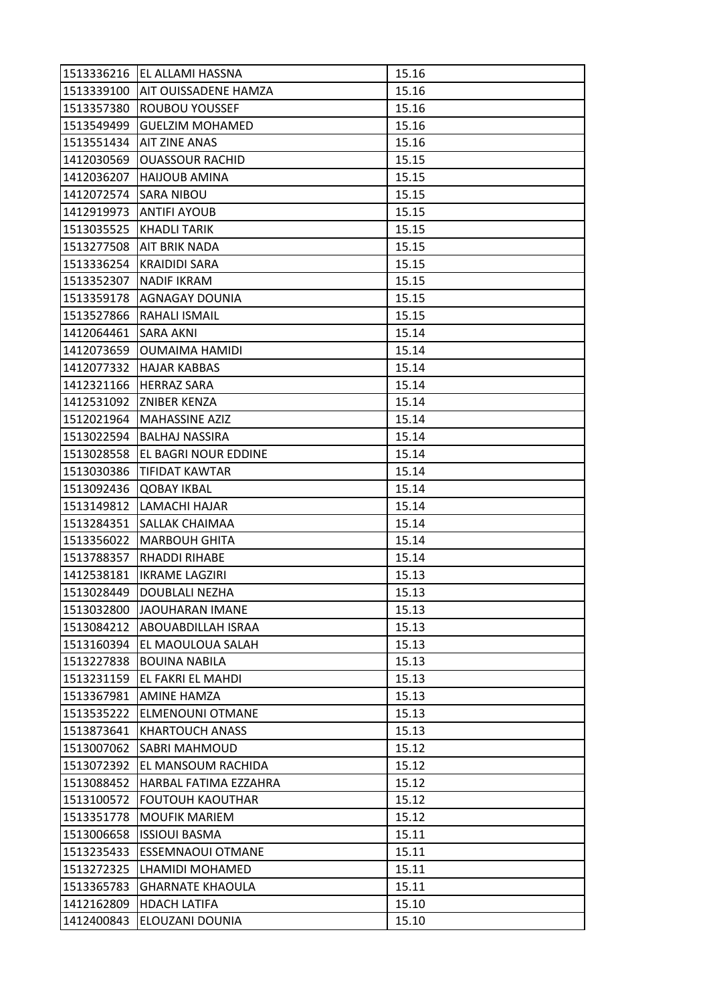| 1513336216 | EL ALLAMI HASSNA            | 15.16 |
|------------|-----------------------------|-------|
| 1513339100 | <b>AIT OUISSADENE HAMZA</b> | 15.16 |
| 1513357380 | ROUBOU YOUSSEF              | 15.16 |
| 1513549499 | <b>GUELZIM MOHAMED</b>      | 15.16 |
| 1513551434 | <b>AIT ZINE ANAS</b>        | 15.16 |
| 1412030569 | <b>OUASSOUR RACHID</b>      | 15.15 |
| 1412036207 | <b>HAIJOUB AMINA</b>        | 15.15 |
| 1412072574 | SARA NIBOU                  | 15.15 |
| 1412919973 | <b>ANTIFI AYOUB</b>         | 15.15 |
| 1513035525 | <b>KHADLI TARIK</b>         | 15.15 |
| 1513277508 | AIT BRIK NADA               | 15.15 |
| 1513336254 | <b>KRAIDIDI SARA</b>        | 15.15 |
| 1513352307 | <b>NADIF IKRAM</b>          | 15.15 |
| 1513359178 | <b>AGNAGAY DOUNIA</b>       | 15.15 |
| 1513527866 | RAHALI ISMAIL               | 15.15 |
| 1412064461 | <b>SARA AKNI</b>            | 15.14 |
| 1412073659 | <b>OUMAIMA HAMIDI</b>       | 15.14 |
| 1412077332 | <b>HAJAR KABBAS</b>         | 15.14 |
| 1412321166 | <b>HERRAZ SARA</b>          | 15.14 |
| 1412531092 | <b>ZNIBER KENZA</b>         | 15.14 |
| 1512021964 | <b>MAHASSINE AZIZ</b>       | 15.14 |
| 1513022594 | <b>BALHAJ NASSIRA</b>       | 15.14 |
| 1513028558 | EL BAGRI NOUR EDDINE        | 15.14 |
| 1513030386 | <b>TIFIDAT KAWTAR</b>       | 15.14 |
| 1513092436 | <b>QOBAY IKBAL</b>          | 15.14 |
| 1513149812 | LAMACHI HAJAR               | 15.14 |
| 1513284351 | SALLAK CHAIMAA              | 15.14 |
| 1513356022 | <b>MARBOUH GHITA</b>        | 15.14 |
| 1513788357 | <b>RHADDI RIHABE</b>        | 15.14 |
| 1412538181 | <b>IKRAME LAGZIRI</b>       | 15.13 |
| 1513028449 | DOUBLALI NEZHA              | 15.13 |
| 1513032800 | JAOUHARAN IMANE             | 15.13 |
| 1513084212 | <b>ABOUABDILLAH ISRAA</b>   | 15.13 |
| 1513160394 | EL MAOULOUA SALAH           | 15.13 |
| 1513227838 | <b>BOUINA NABILA</b>        | 15.13 |
| 1513231159 | EL FAKRI EL MAHDI           | 15.13 |
| 1513367981 | <b>AMINE HAMZA</b>          | 15.13 |
| 1513535222 | <b>ELMENOUNI OTMANE</b>     | 15.13 |
| 1513873641 | <b>KHARTOUCH ANASS</b>      | 15.13 |
| 1513007062 | <b>SABRI MAHMOUD</b>        | 15.12 |
| 1513072392 | EL MANSOUM RACHIDA          | 15.12 |
| 1513088452 | HARBAL FATIMA EZZAHRA       | 15.12 |
| 1513100572 | <b>FOUTOUH KAOUTHAR</b>     | 15.12 |
| 1513351778 | <b>MOUFIK MARIEM</b>        | 15.12 |
| 1513006658 | <b>ISSIOUI BASMA</b>        | 15.11 |
| 1513235433 | <b>ESSEMNAOUI OTMANE</b>    | 15.11 |
| 1513272325 | LHAMIDI MOHAMED             | 15.11 |
| 1513365783 | <b>GHARNATE KHAOULA</b>     | 15.11 |
| 1412162809 | <b>HDACH LATIFA</b>         | 15.10 |
| 1412400843 | ELOUZANI DOUNIA             | 15.10 |
|            |                             |       |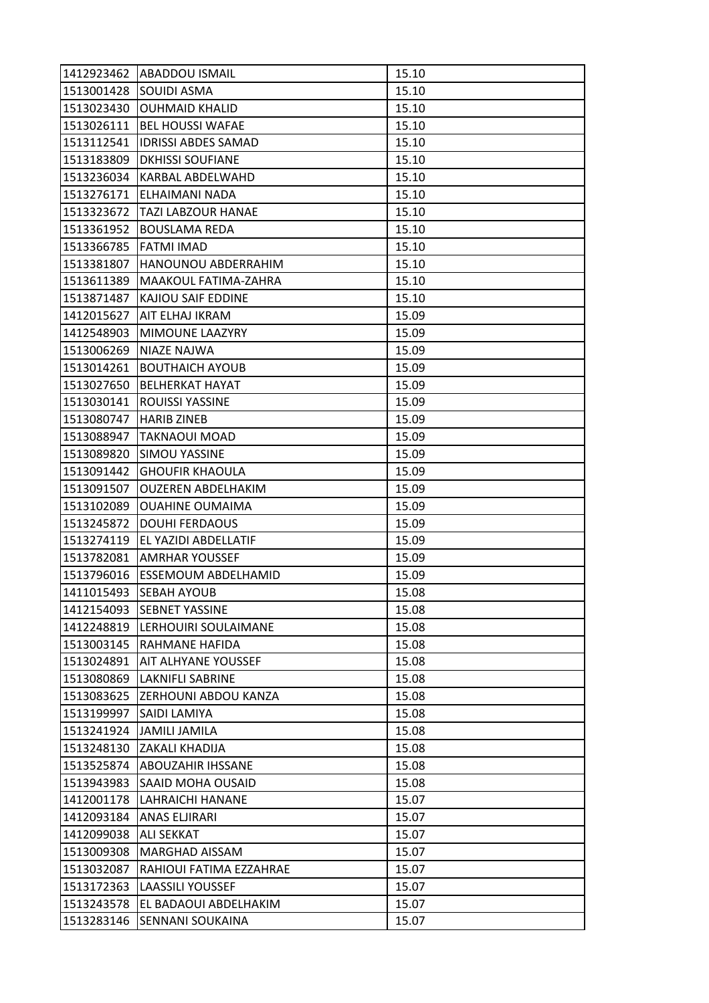| 1412923462 | <b>ABADDOU ISMAIL</b>           | 15.10 |
|------------|---------------------------------|-------|
| 1513001428 | <b>SOUIDI ASMA</b>              | 15.10 |
| 1513023430 | <b>OUHMAID KHALID</b>           | 15.10 |
| 1513026111 | <b>BEL HOUSSI WAFAE</b>         | 15.10 |
| 1513112541 | <b>IDRISSI ABDES SAMAD</b>      | 15.10 |
| 1513183809 | <b>DKHISSI SOUFIANE</b>         | 15.10 |
| 1513236034 | <b>KARBAL ABDELWAHD</b>         | 15.10 |
| 1513276171 | ELHAIMANI NADA                  | 15.10 |
| 1513323672 | TAZI LABZOUR HANAE              | 15.10 |
| 1513361952 | <b>BOUSLAMA REDA</b>            | 15.10 |
| 1513366785 | <b>FATMI IMAD</b>               | 15.10 |
| 1513381807 | HANOUNOU ABDERRAHIM             | 15.10 |
| 1513611389 | MAAKOUL FATIMA-ZAHRA            | 15.10 |
| 1513871487 | KAJIOU SAIF EDDINE              | 15.10 |
| 1412015627 | AIT ELHAJ IKRAM                 | 15.09 |
| 1412548903 | MIMOUNE LAAZYRY                 | 15.09 |
| 1513006269 | <b>NIAZE NAJWA</b>              | 15.09 |
| 1513014261 | <b>BOUTHAICH AYOUB</b>          | 15.09 |
| 1513027650 | <b>BELHERKAT HAYAT</b>          | 15.09 |
| 1513030141 | <b>ROUISSI YASSINE</b>          | 15.09 |
| 1513080747 | <b>HARIB ZINEB</b>              | 15.09 |
| 1513088947 | <b>TAKNAOUI MOAD</b>            | 15.09 |
| 1513089820 | <b>SIMOU YASSINE</b>            | 15.09 |
| 1513091442 | <b>GHOUFIR KHAOULA</b>          | 15.09 |
| 1513091507 | <b>OUZEREN ABDELHAKIM</b>       | 15.09 |
| 1513102089 | <b>OUAHINE OUMAIMA</b>          | 15.09 |
| 1513245872 | <b>DOUHI FERDAOUS</b>           | 15.09 |
| 1513274119 | EL YAZIDI ABDELLATIF            | 15.09 |
| 1513782081 | <b>AMRHAR YOUSSEF</b>           | 15.09 |
| 1513796016 | <b>ESSEMOUM ABDELHAMID</b>      | 15.09 |
| 1411015493 | SEBAH AYOUB                     | 15.08 |
| 1412154093 | <b>SEBNET YASSINE</b>           | 15.08 |
| 1412248819 | LERHOUIRI SOULAIMANE            | 15.08 |
| 1513003145 | RAHMANE HAFIDA                  | 15.08 |
| 1513024891 | AIT ALHYANE YOUSSEF             | 15.08 |
| 1513080869 | LAKNIFLI SABRINE                | 15.08 |
|            | 1513083625 ZERHOUNI ABDOU KANZA | 15.08 |
| 1513199997 | SAIDI LAMIYA                    | 15.08 |
| 1513241924 | <b>JAMILI JAMILA</b>            | 15.08 |
| 1513248130 | <b>ZAKALI KHADIJA</b>           | 15.08 |
| 1513525874 | IABOUZAHIR IHSSANE              | 15.08 |
| 1513943983 | SAAID MOHA OUSAID               | 15.08 |
| 1412001178 | <b>LAHRAICHI HANANE</b>         | 15.07 |
| 1412093184 | ANAS ELJIRARI                   | 15.07 |
| 1412099038 | <b>ALI SEKKAT</b>               | 15.07 |
| 1513009308 | <b>MARGHAD AISSAM</b>           | 15.07 |
| 1513032087 | RAHIOUI FATIMA EZZAHRAE         | 15.07 |
| 1513172363 | <b>LAASSILI YOUSSEF</b>         | 15.07 |
| 1513243578 | EL BADAOUI ABDELHAKIM           | 15.07 |
| 1513283146 | SENNANI SOUKAINA                | 15.07 |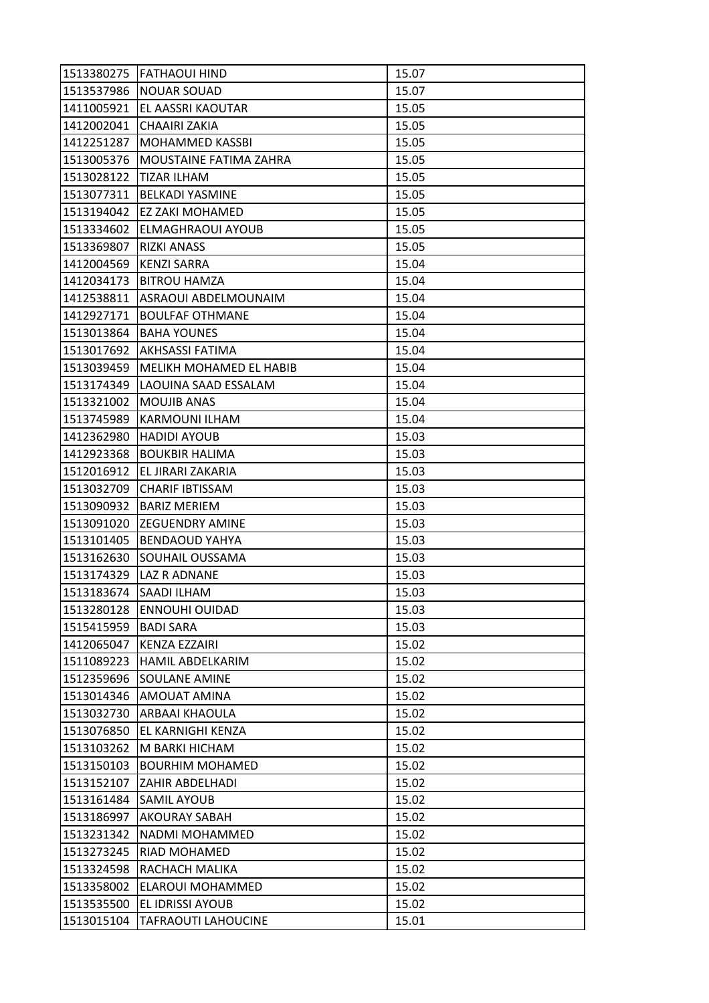| 1513380275 | <b>FATHAOUI HIND</b>       | 15.07 |
|------------|----------------------------|-------|
| 1513537986 | <b>NOUAR SOUAD</b>         | 15.07 |
| 1411005921 | EL AASSRI KAOUTAR          | 15.05 |
| 1412002041 | <b>CHAAIRI ZAKIA</b>       | 15.05 |
| 1412251287 | MOHAMMED KASSBI            | 15.05 |
| 1513005376 | MOUSTAINE FATIMA ZAHRA     | 15.05 |
| 1513028122 | <b>TIZAR ILHAM</b>         | 15.05 |
| 1513077311 | <b>BELKADI YASMINE</b>     | 15.05 |
| 1513194042 | <b>EZ ZAKI MOHAMED</b>     | 15.05 |
| 1513334602 | ELMAGHRAOUI AYOUB          | 15.05 |
| 1513369807 | <b>RIZKI ANASS</b>         | 15.05 |
| 1412004569 | <b>KENZI SARRA</b>         | 15.04 |
| 1412034173 | <b>BITROU HAMZA</b>        | 15.04 |
| 1412538811 | ASRAOUI ABDELMOUNAIM       | 15.04 |
| 1412927171 | <b>BOULFAF OTHMANE</b>     | 15.04 |
| 1513013864 | <b>BAHA YOUNES</b>         | 15.04 |
| 1513017692 | <b>AKHSASSI FATIMA</b>     | 15.04 |
| 1513039459 | MELIKH MOHAMED EL HABIB    | 15.04 |
| 1513174349 | LAOUINA SAAD ESSALAM       | 15.04 |
| 1513321002 | <b>MOUJIB ANAS</b>         | 15.04 |
| 1513745989 | <b>KARMOUNI ILHAM</b>      | 15.04 |
| 1412362980 | <b>HADIDI AYOUB</b>        | 15.03 |
| 1412923368 | <b>BOUKBIR HALIMA</b>      | 15.03 |
| 1512016912 | EL JIRARI ZAKARIA          | 15.03 |
| 1513032709 | <b>CHARIF IBTISSAM</b>     | 15.03 |
| 1513090932 | <b>BARIZ MERIEM</b>        | 15.03 |
| 1513091020 | IZEGUENDRY AMINE           | 15.03 |
| 1513101405 | <b>BENDAOUD YAHYA</b>      | 15.03 |
| 1513162630 | <b>SOUHAIL OUSSAMA</b>     | 15.03 |
| 1513174329 | LAZ R ADNANE               | 15.03 |
| 1513183674 | SAADI ILHAM                | 15.03 |
| 1513280128 | <b>ENNOUHI OUIDAD</b>      | 15.03 |
| 1515415959 | <b>BADI SARA</b>           | 15.03 |
| 1412065047 | KENZA EZZAIRI              | 15.02 |
| 1511089223 | HAMIL ABDELKARIM           | 15.02 |
| 1512359696 | <b>SOULANE AMINE</b>       | 15.02 |
| 1513014346 | <b>AMOUAT AMINA</b>        | 15.02 |
| 1513032730 | <b>ARBAAI KHAOULA</b>      | 15.02 |
| 1513076850 | EL KARNIGHI KENZA          | 15.02 |
| 1513103262 | M BARKI HICHAM             | 15.02 |
| 1513150103 | <b>BOURHIM MOHAMED</b>     | 15.02 |
| 1513152107 | <b>ZAHIR ABDELHADI</b>     | 15.02 |
| 1513161484 | <b>SAMIL AYOUB</b>         | 15.02 |
| 1513186997 | AKOURAY SABAH              | 15.02 |
| 1513231342 | NADMI MOHAMMED             | 15.02 |
| 1513273245 | RIAD MOHAMED               | 15.02 |
| 1513324598 | RACHACH MALIKA             | 15.02 |
| 1513358002 | ELAROUI MOHAMMED           | 15.02 |
| 1513535500 | EL IDRISSI AYOUB           | 15.02 |
| 1513015104 | <b>TAFRAOUTI LAHOUCINE</b> | 15.01 |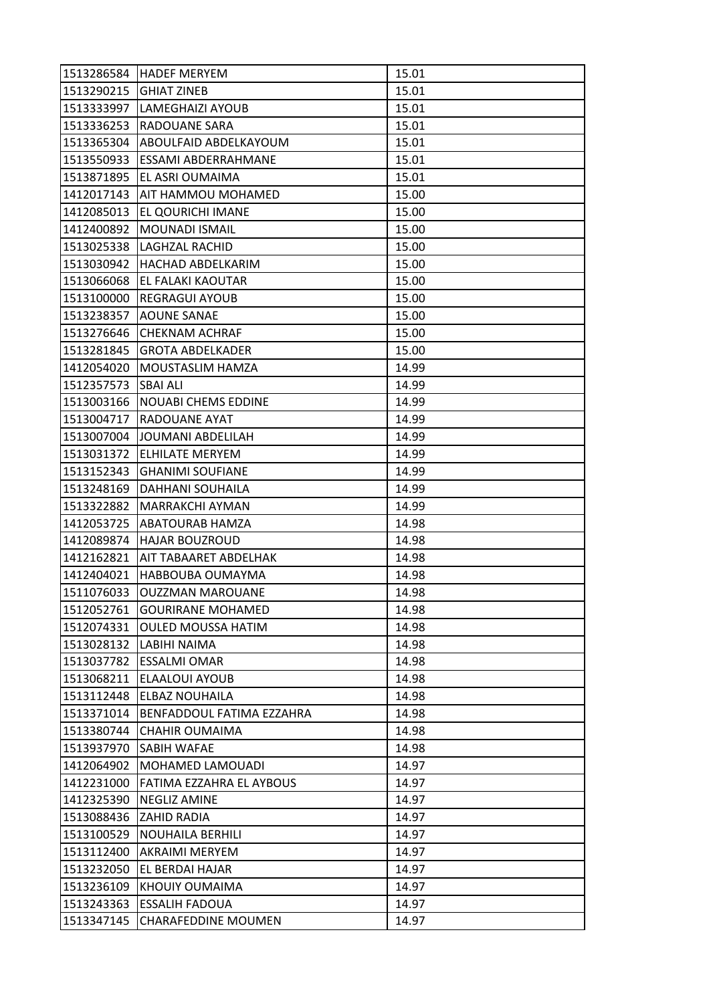| 1513286584 | <b>HADEF MERYEM</b>        | 15.01 |
|------------|----------------------------|-------|
| 1513290215 | <b>GHIAT ZINEB</b>         | 15.01 |
| 1513333997 | LAMEGHAIZI AYOUB           | 15.01 |
| 1513336253 | RADOUANE SARA              | 15.01 |
| 1513365304 | ABOULFAID ABDELKAYOUM      | 15.01 |
| 1513550933 | ESSAMI ABDERRAHMANE        | 15.01 |
| 1513871895 | EL ASRI OUMAIMA            | 15.01 |
| 1412017143 | AIT HAMMOU MOHAMED         | 15.00 |
| 1412085013 | EL QOURICHI IMANE          | 15.00 |
| 1412400892 | <b>MOUNADI ISMAIL</b>      | 15.00 |
| 1513025338 | LAGHZAL RACHID             | 15.00 |
| 1513030942 | <b>HACHAD ABDELKARIM</b>   | 15.00 |
| 1513066068 | EL FALAKI KAOUTAR          | 15.00 |
| 1513100000 | <b>REGRAGUI AYOUB</b>      | 15.00 |
| 1513238357 | <b>AOUNE SANAE</b>         | 15.00 |
| 1513276646 | <b>CHEKNAM ACHRAF</b>      | 15.00 |
| 1513281845 | <b>GROTA ABDELKADER</b>    | 15.00 |
| 1412054020 | MOUSTASLIM HAMZA           | 14.99 |
| 1512357573 | <b>SBAI ALI</b>            | 14.99 |
| 1513003166 | <b>NOUABI CHEMS EDDINE</b> | 14.99 |
| 1513004717 | <b>RADOUANE AYAT</b>       | 14.99 |
| 1513007004 | JOUMANI ABDELILAH          | 14.99 |
| 1513031372 | <b>ELHILATE MERYEM</b>     | 14.99 |
| 1513152343 | <b>GHANIMI SOUFIANE</b>    | 14.99 |
| 1513248169 | DAHHANI SOUHAILA           | 14.99 |
| 1513322882 | <b>MARRAKCHI AYMAN</b>     | 14.99 |
| 1412053725 | ABATOURAB HAMZA            | 14.98 |
| 1412089874 | <b>HAJAR BOUZROUD</b>      | 14.98 |
| 1412162821 | AIT TABAARET ABDELHAK      | 14.98 |
| 1412404021 | HABBOUBA OUMAYMA           | 14.98 |
| 1511076033 | <b>OUZZMAN MAROUANE</b>    | 14.98 |
| 1512052761 | <b>GOURIRANE MOHAMED</b>   | 14.98 |
| 1512074331 | <b>OULED MOUSSA HATIM</b>  | 14.98 |
| 1513028132 | LABIHI NAIMA               | 14.98 |
| 1513037782 | <b>ESSALMI OMAR</b>        | 14.98 |
| 1513068211 | ELAALOUI AYOUB             | 14.98 |
| 1513112448 | <b>ELBAZ NOUHAILA</b>      | 14.98 |
| 1513371014 | BENFADDOUL FATIMA EZZAHRA  | 14.98 |
| 1513380744 | CHAHIR OUMAIMA             | 14.98 |
| 1513937970 | <b>SABIH WAFAE</b>         | 14.98 |
| 1412064902 | MOHAMED LAMOUADI           | 14.97 |
| 1412231000 | FATIMA EZZAHRA EL AYBOUS   | 14.97 |
| 1412325390 | <b>NEGLIZ AMINE</b>        | 14.97 |
| 1513088436 | ZAHID RADIA                | 14.97 |
| 1513100529 | <b>NOUHAILA BERHILI</b>    | 14.97 |
| 1513112400 | AKRAIMI MERYEM             | 14.97 |
| 1513232050 | EL BERDAI HAJAR            | 14.97 |
| 1513236109 | KHOUIY OUMAIMA             | 14.97 |
| 1513243363 | <b>ESSALIH FADOUA</b>      | 14.97 |
| 1513347145 | <b>CHARAFEDDINE MOUMEN</b> | 14.97 |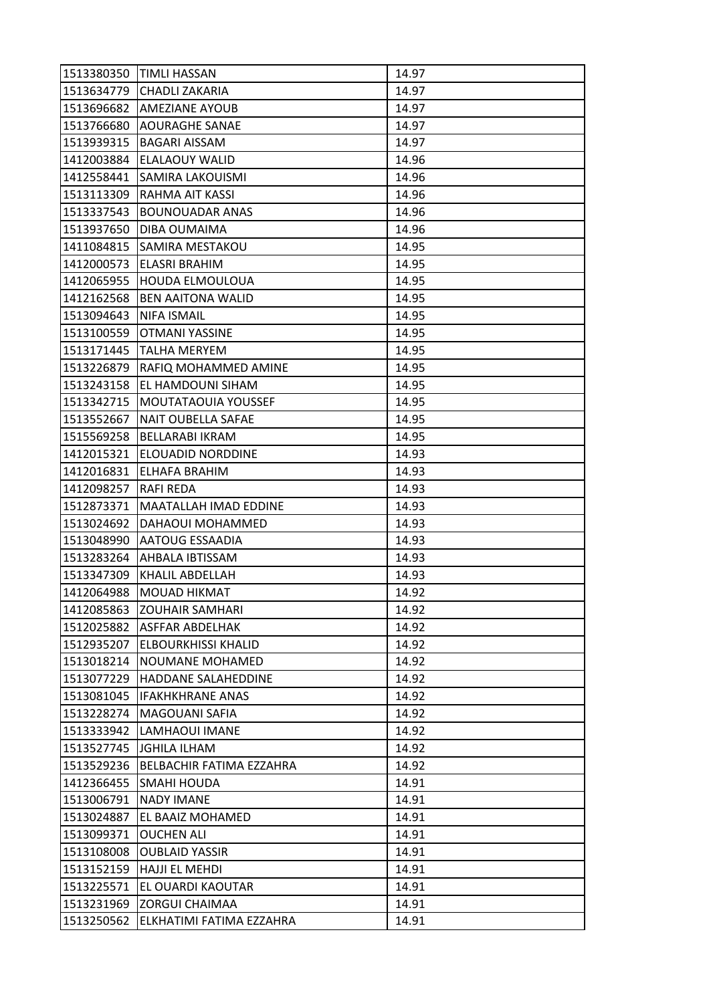| 1513380350 | <b>TIMLI HASSAN</b>          | 14.97 |
|------------|------------------------------|-------|
| 1513634779 | <b>CHADLI ZAKARIA</b>        | 14.97 |
| 1513696682 | <b>AMEZIANE AYOUB</b>        | 14.97 |
| 1513766680 | <b>AOURAGHE SANAE</b>        | 14.97 |
| 1513939315 | <b>BAGARI AISSAM</b>         | 14.97 |
| 1412003884 | ELALAOUY WALID               | 14.96 |
| 1412558441 | <b>SAMIRA LAKOUISMI</b>      | 14.96 |
| 1513113309 | RAHMA AIT KASSI              | 14.96 |
| 1513337543 | <b>BOUNOUADAR ANAS</b>       | 14.96 |
| 1513937650 | DIBA OUMAIMA                 | 14.96 |
| 1411084815 | <b>SAMIRA MESTAKOU</b>       | 14.95 |
| 1412000573 | ELASRI BRAHIM                | 14.95 |
| 1412065955 | <b>HOUDA ELMOULOUA</b>       | 14.95 |
| 1412162568 | <b>BEN AAITONA WALID</b>     | 14.95 |
| 1513094643 | <b>NIFA ISMAIL</b>           | 14.95 |
| 1513100559 | <b>OTMANI YASSINE</b>        | 14.95 |
| 1513171445 | <b>TALHA MERYEM</b>          | 14.95 |
| 1513226879 | RAFIQ MOHAMMED AMINE         | 14.95 |
| 1513243158 | <b>EL HAMDOUNI SIHAM</b>     | 14.95 |
| 1513342715 | MOUTATAOUIA YOUSSEF          | 14.95 |
| 1513552667 | <b>NAIT OUBELLA SAFAE</b>    | 14.95 |
| 1515569258 | <b>BELLARABI IKRAM</b>       | 14.95 |
| 1412015321 | ELOUADID NORDDINE            | 14.93 |
| 1412016831 | ELHAFA BRAHIM                | 14.93 |
| 1412098257 | RAFI REDA                    | 14.93 |
| 1512873371 | <b>MAATALLAH IMAD EDDINE</b> | 14.93 |
| 1513024692 | DAHAOUI MOHAMMED             | 14.93 |
| 1513048990 | <b>AATOUG ESSAADIA</b>       | 14.93 |
| 1513283264 | AHBALA IBTISSAM              | 14.93 |
| 1513347309 | KHALIL ABDELLAH              | 14.93 |
| 1412064988 | <b>MOUAD HIKMAT</b>          | 14.92 |
| 1412085863 | <b>ZOUHAIR SAMHARI</b>       | 14.92 |
| 1512025882 | <b>ASFFAR ABDELHAK</b>       | 14.92 |
| 1512935207 | ELBOURKHISSI KHALID          | 14.92 |
| 1513018214 | NOUMANE MOHAMED              | 14.92 |
| 1513077229 | <b>HADDANE SALAHEDDINE</b>   | 14.92 |
| 1513081045 | <b>IFAKHKHRANE ANAS</b>      | 14.92 |
| 1513228274 | <b>MAGOUANI SAFIA</b>        | 14.92 |
| 1513333942 | LAMHAOUI IMANE               | 14.92 |
| 1513527745 | <b>JGHILA ILHAM</b>          | 14.92 |
| 1513529236 | BELBACHIR FATIMA EZZAHRA     | 14.92 |
| 1412366455 | SMAHI HOUDA                  | 14.91 |
| 1513006791 | <b>NADY IMANE</b>            | 14.91 |
| 1513024887 | EL BAAIZ MOHAMED             | 14.91 |
| 1513099371 | <b>OUCHEN ALI</b>            | 14.91 |
| 1513108008 | <b>OUBLAID YASSIR</b>        | 14.91 |
| 1513152159 | <b>HAJJI EL MEHDI</b>        | 14.91 |
| 1513225571 | EL OUARDI KAOUTAR            | 14.91 |
| 1513231969 | <b>ZORGUI CHAIMAA</b>        | 14.91 |
| 1513250562 | ELKHATIMI FATIMA EZZAHRA     | 14.91 |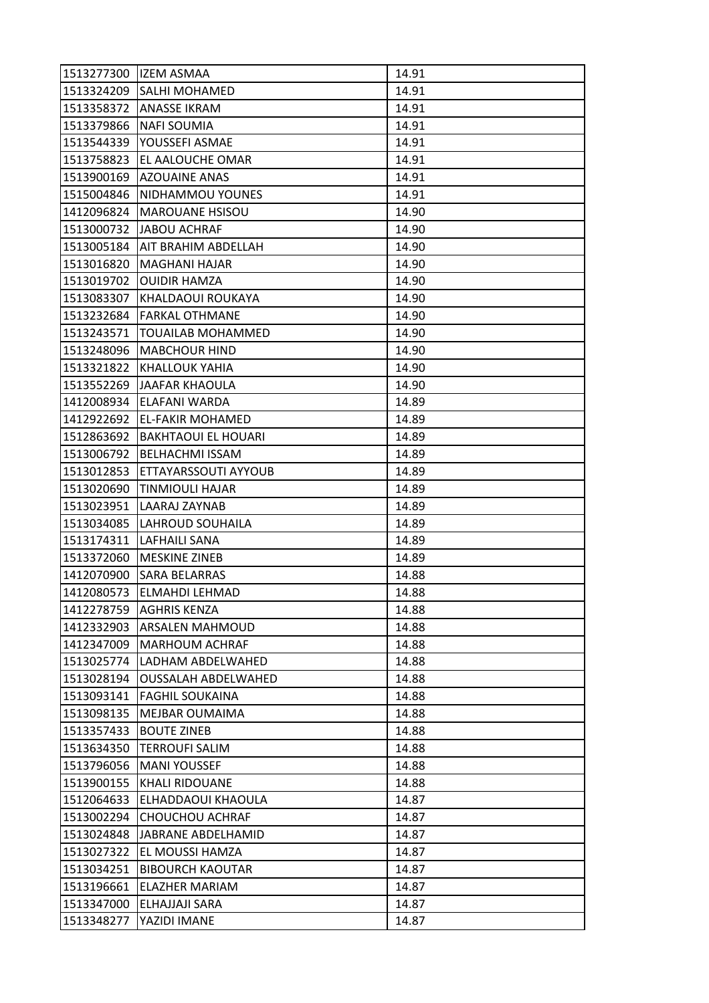| 1513277300 | <b>IZEM ASMAA</b>          | 14.91 |
|------------|----------------------------|-------|
| 1513324209 | <b>SALHI MOHAMED</b>       | 14.91 |
| 1513358372 | <b>ANASSE IKRAM</b>        | 14.91 |
| 1513379866 | <b>NAFI SOUMIA</b>         | 14.91 |
| 1513544339 | YOUSSEFI ASMAE             | 14.91 |
| 1513758823 | EL AALOUCHE OMAR           | 14.91 |
| 1513900169 | <b>AZOUAINE ANAS</b>       | 14.91 |
| 1515004846 | NIDHAMMOU YOUNES           | 14.91 |
| 1412096824 | <b>MAROUANE HSISOU</b>     | 14.90 |
| 1513000732 | <b>JABOU ACHRAF</b>        | 14.90 |
| 1513005184 | AIT BRAHIM ABDELLAH        | 14.90 |
| 1513016820 | <b>MAGHANI HAJAR</b>       | 14.90 |
| 1513019702 | <b>OUIDIR HAMZA</b>        | 14.90 |
| 1513083307 | KHALDAOUI ROUKAYA          | 14.90 |
| 1513232684 | <b>FARKAL OTHMANE</b>      | 14.90 |
| 1513243571 | <b>TOUAILAB MOHAMMED</b>   | 14.90 |
| 1513248096 | <b>MABCHOUR HIND</b>       | 14.90 |
| 1513321822 | KHALLOUK YAHIA             | 14.90 |
| 1513552269 | JAAFAR KHAOULA             | 14.90 |
| 1412008934 | ELAFANI WARDA              | 14.89 |
| 1412922692 | <b>EL-FAKIR MOHAMED</b>    | 14.89 |
| 1512863692 | <b>BAKHTAOUI EL HOUARI</b> | 14.89 |
| 1513006792 | <b>BELHACHMI ISSAM</b>     | 14.89 |
| 1513012853 | ETTAYARSSOUTI AYYOUB       | 14.89 |
| 1513020690 | TINMIOULI HAJAR            | 14.89 |
| 1513023951 | LAARAJ ZAYNAB              | 14.89 |
| 1513034085 | LAHROUD SOUHAILA           | 14.89 |
| 1513174311 | LAFHAILI SANA              | 14.89 |
| 1513372060 | <b>MESKINE ZINEB</b>       | 14.89 |
| 1412070900 | <b>SARA BELARRAS</b>       | 14.88 |
| 1412080573 | ELMAHDI LEHMAD             | 14.88 |
| 1412278759 | <b>AGHRIS KENZA</b>        | 14.88 |
| 1412332903 | <b>ARSALEN MAHMOUD</b>     | 14.88 |
| 1412347009 | MARHOUM ACHRAF             | 14.88 |
| 1513025774 | LADHAM ABDELWAHED          | 14.88 |
| 1513028194 | <b>OUSSALAH ABDELWAHED</b> | 14.88 |
| 1513093141 | <b>FAGHIL SOUKAINA</b>     | 14.88 |
| 1513098135 | MEJBAR OUMAIMA             | 14.88 |
| 1513357433 | <b>BOUTE ZINEB</b>         | 14.88 |
| 1513634350 | <b>TERROUFI SALIM</b>      | 14.88 |
| 1513796056 | <b>MANI YOUSSEF</b>        | 14.88 |
| 1513900155 | <b>KHALI RIDOUANE</b>      | 14.88 |
| 1512064633 | ELHADDAOUI KHAOULA         | 14.87 |
| 1513002294 | CHOUCHOU ACHRAF            | 14.87 |
| 1513024848 | JABRANE ABDELHAMID         | 14.87 |
| 1513027322 | EL MOUSSI HAMZA            | 14.87 |
| 1513034251 | <b>BIBOURCH KAOUTAR</b>    | 14.87 |
| 1513196661 | ELAZHER MARIAM             | 14.87 |
| 1513347000 | ELHAJJAJI SARA             | 14.87 |
| 1513348277 | YAZIDI IMANE               | 14.87 |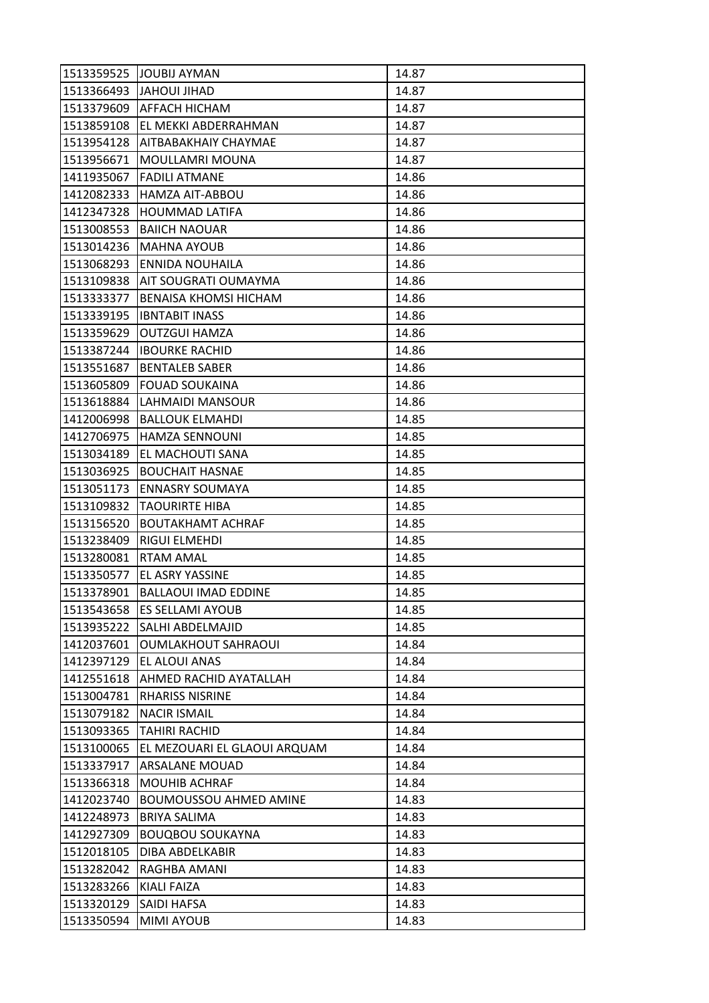| 1513359525 | JOUBIJ AYMAN                  | 14.87 |
|------------|-------------------------------|-------|
| 1513366493 | JAHOUI JIHAD                  | 14.87 |
| 1513379609 | <b>AFFACH HICHAM</b>          | 14.87 |
| 1513859108 | EL MEKKI ABDERRAHMAN          | 14.87 |
| 1513954128 | AITBABAKHAIY CHAYMAE          | 14.87 |
| 1513956671 | MOULLAMRI MOUNA               | 14.87 |
| 1411935067 | <b>FADILI ATMANE</b>          | 14.86 |
| 1412082333 | HAMZA AIT-ABBOU               | 14.86 |
| 1412347328 | <b>HOUMMAD LATIFA</b>         | 14.86 |
| 1513008553 | <b>BAIICH NAOUAR</b>          | 14.86 |
| 1513014236 | <b>MAHNA AYOUB</b>            | 14.86 |
| 1513068293 | <b>ENNIDA NOUHAILA</b>        | 14.86 |
| 1513109838 | AIT SOUGRATI OUMAYMA          | 14.86 |
| 1513333377 | BENAISA KHOMSI HICHAM         | 14.86 |
| 1513339195 | <b>IBNTABIT INASS</b>         | 14.86 |
| 1513359629 | <b>OUTZGUI HAMZA</b>          | 14.86 |
| 1513387244 | <b>IBOURKE RACHID</b>         | 14.86 |
| 1513551687 | <b>BENTALEB SABER</b>         | 14.86 |
| 1513605809 | <b>FOUAD SOUKAINA</b>         | 14.86 |
| 1513618884 | LAHMAIDI MANSOUR              | 14.86 |
| 1412006998 | <b>BALLOUK ELMAHDI</b>        | 14.85 |
| 1412706975 | <b>HAMZA SENNOUNI</b>         | 14.85 |
| 1513034189 | EL MACHOUTI SANA              | 14.85 |
| 1513036925 | <b>BOUCHAIT HASNAE</b>        | 14.85 |
| 1513051173 | <b>ENNASRY SOUMAYA</b>        | 14.85 |
| 1513109832 | <b>TAOURIRTE HIBA</b>         | 14.85 |
| 1513156520 | <b>BOUTAKHAMT ACHRAF</b>      | 14.85 |
| 1513238409 | RIGUI ELMEHDI                 | 14.85 |
| 1513280081 | <b>RTAM AMAL</b>              | 14.85 |
| 1513350577 | EL ASRY YASSINE               | 14.85 |
| 1513378901 | <b>BALLAOUI IMAD EDDINE</b>   | 14.85 |
| 1513543658 | <b>ES SELLAMI AYOUB</b>       | 14.85 |
| 1513935222 | <b>SALHI ABDELMAJID</b>       | 14.85 |
| 1412037601 | <b>OUMLAKHOUT SAHRAOUI</b>    | 14.84 |
| 1412397129 | EL ALOUI ANAS                 | 14.84 |
| 1412551618 | AHMED RACHID AYATALLAH        | 14.84 |
| 1513004781 | <b>RHARISS NISRINE</b>        | 14.84 |
| 1513079182 | <b>NACIR ISMAIL</b>           | 14.84 |
| 1513093365 | <b>TAHIRI RACHID</b>          | 14.84 |
| 1513100065 | EL MEZOUARI EL GLAOUI ARQUAM  | 14.84 |
| 1513337917 | <b>ARSALANE MOUAD</b>         | 14.84 |
| 1513366318 | <b>MOUHIB ACHRAF</b>          | 14.84 |
| 1412023740 | <b>BOUMOUSSOU AHMED AMINE</b> | 14.83 |
| 1412248973 | <b>BRIYA SALIMA</b>           | 14.83 |
| 1412927309 | <b>BOUQBOU SOUKAYNA</b>       | 14.83 |
| 1512018105 | DIBA ABDELKABIR               | 14.83 |
| 1513282042 | RAGHBA AMANI                  | 14.83 |
| 1513283266 | KIALI FAIZA                   | 14.83 |
| 1513320129 | SAIDI HAFSA                   | 14.83 |
| 1513350594 | MIMI AYOUB                    | 14.83 |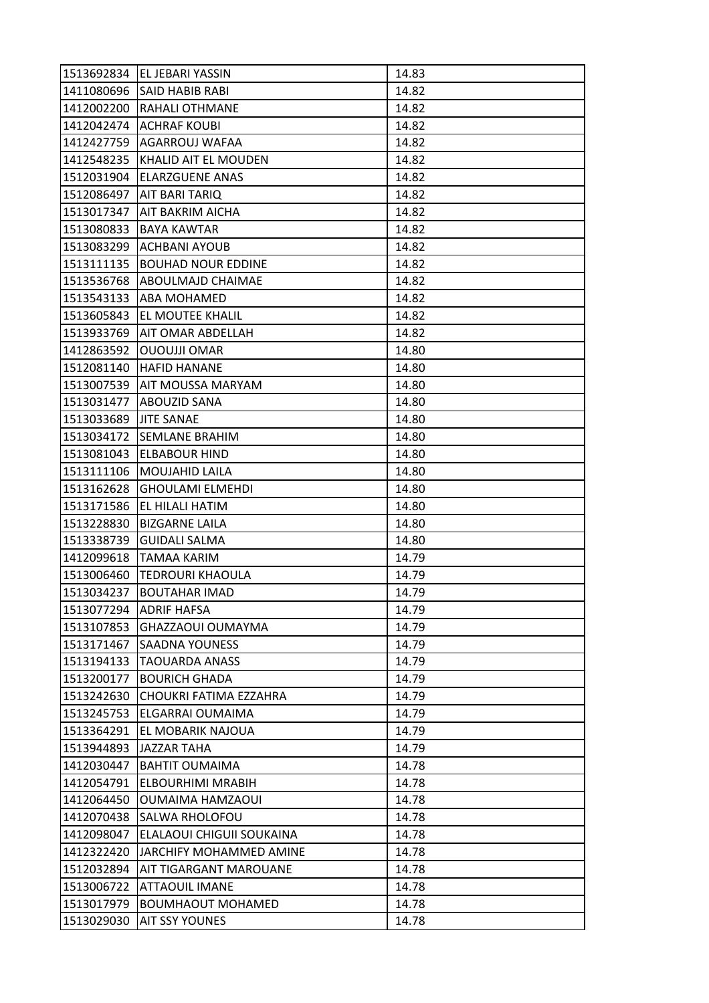| 1513692834 | EL JEBARI YASSIN               | 14.83 |
|------------|--------------------------------|-------|
| 1411080696 | <b>SAID HABIB RABI</b>         | 14.82 |
| 1412002200 | <b>RAHALI OTHMANE</b>          | 14.82 |
| 1412042474 | <b>ACHRAF KOUBI</b>            | 14.82 |
| 1412427759 | AGARROUJ WAFAA                 | 14.82 |
| 1412548235 | <b>KHALID AIT EL MOUDEN</b>    | 14.82 |
| 1512031904 | <b>ELARZGUENE ANAS</b>         | 14.82 |
| 1512086497 | AIT BARI TARIQ                 | 14.82 |
| 1513017347 | IAIT BAKRIM AICHA              | 14.82 |
| 1513080833 | BAYA KAWTAR                    | 14.82 |
| 1513083299 | <b>ACHBANI AYOUB</b>           | 14.82 |
| 1513111135 | <b>BOUHAD NOUR EDDINE</b>      | 14.82 |
| 1513536768 | ABOULMAJD CHAIMAE              | 14.82 |
| 1513543133 | <b>ABA MOHAMED</b>             | 14.82 |
| 1513605843 | EL MOUTEE KHALIL               | 14.82 |
|            | 1513933769   AIT OMAR ABDELLAH | 14.82 |
| 1412863592 | <b>OUOUJJI OMAR</b>            | 14.80 |
| 1512081140 | <b>HAFID HANANE</b>            | 14.80 |
| 1513007539 | <b>AIT MOUSSA MARYAM</b>       | 14.80 |
| 1513031477 | ABOUZID SANA                   | 14.80 |
| 1513033689 | <b>JITE SANAE</b>              | 14.80 |
| 1513034172 | <b>SEMLANE BRAHIM</b>          | 14.80 |
| 1513081043 | <b>ELBABOUR HIND</b>           | 14.80 |
| 1513111106 | MOUJAHID LAILA                 | 14.80 |
| 1513162628 | <b>GHOULAMI ELMEHDI</b>        | 14.80 |
| 1513171586 | EL HILALI HATIM                | 14.80 |
| 1513228830 | <b>BIZGARNE LAILA</b>          | 14.80 |
| 1513338739 | <b>GUIDALI SALMA</b>           | 14.80 |
| 1412099618 | <b>TAMAA KARIM</b>             | 14.79 |
| 1513006460 | <b>TEDROURI KHAOULA</b>        | 14.79 |
| 1513034237 | <b>BOUTAHAR IMAD</b>           | 14.79 |
| 1513077294 | <b>ADRIF HAFSA</b>             | 14.79 |
| 1513107853 | GHAZZAOUI OUMAYMA              | 14.79 |
| 1513171467 | SAADNA YOUNESS                 | 14.79 |
| 1513194133 | TAOUARDA ANASS                 | 14.79 |
| 1513200177 | <b>BOURICH GHADA</b>           | 14.79 |
| 1513242630 | CHOUKRI FATIMA EZZAHRA         | 14.79 |
| 1513245753 | ELGARRAI OUMAIMA               | 14.79 |
| 1513364291 | EL MOBARIK NAJOUA              | 14.79 |
| 1513944893 | <b>JAZZAR TAHA</b>             | 14.79 |
| 1412030447 | <b>BAHTIT OUMAIMA</b>          | 14.78 |
| 1412054791 | ELBOURHIMI MRABIH              | 14.78 |
| 1412064450 | <b>OUMAIMA HAMZAOUI</b>        | 14.78 |
| 1412070438 | <b>SALWA RHOLOFOU</b>          | 14.78 |
| 1412098047 | ELALAOUI CHIGUII SOUKAINA      | 14.78 |
| 1412322420 | JARCHIFY MOHAMMED AMINE        | 14.78 |
| 1512032894 | <b>AIT TIGARGANT MAROUANE</b>  | 14.78 |
| 1513006722 | <b>ATTAOUIL IMANE</b>          | 14.78 |
| 1513017979 | <b>BOUMHAOUT MOHAMED</b>       | 14.78 |
| 1513029030 | <b>AIT SSY YOUNES</b>          | 14.78 |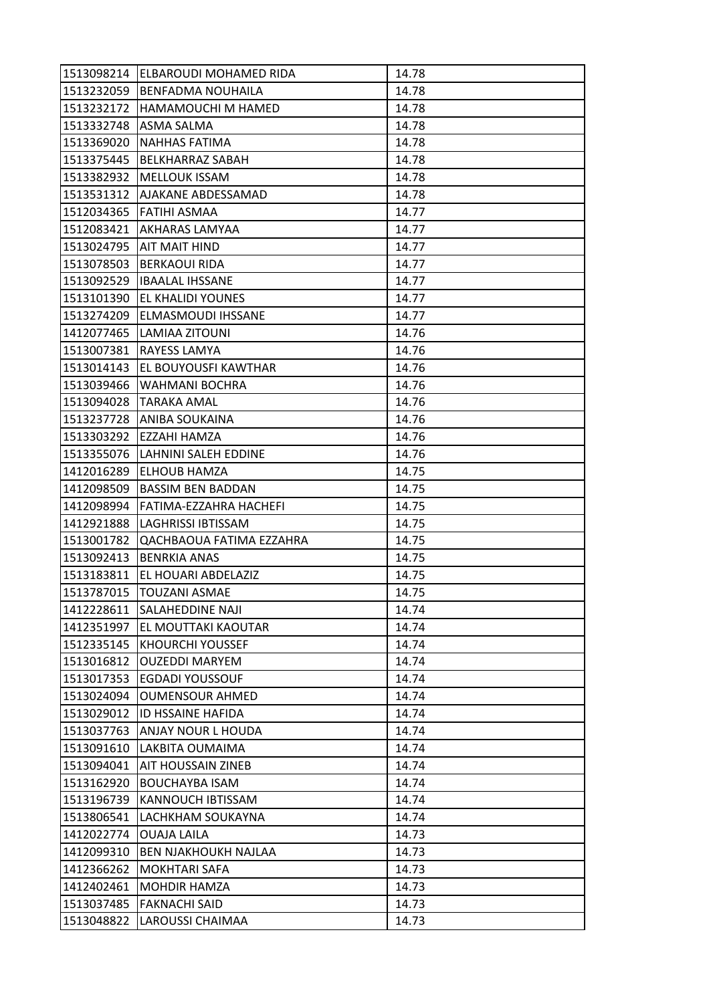| 1513098214 | ELBAROUDI MOHAMED RIDA      | 14.78 |
|------------|-----------------------------|-------|
| 1513232059 | <b>BENFADMA NOUHAILA</b>    | 14.78 |
| 1513232172 | <b>HAMAMOUCHI M HAMED</b>   | 14.78 |
| 1513332748 | ASMA SALMA                  | 14.78 |
| 1513369020 | <b>NAHHAS FATIMA</b>        | 14.78 |
| 1513375445 | <b>BELKHARRAZ SABAH</b>     | 14.78 |
| 1513382932 | <b>MELLOUK ISSAM</b>        | 14.78 |
| 1513531312 | AJAKANE ABDESSAMAD          | 14.78 |
|            | 1512034365 FATIHI ASMAA     | 14.77 |
| 1512083421 | IAKHARAS LAMYAA             | 14.77 |
|            | 1513024795 AIT MAIT HIND    | 14.77 |
| 1513078503 | <b>BERKAOUI RIDA</b>        | 14.77 |
| 1513092529 | <b>IBAALAL IHSSANE</b>      | 14.77 |
| 1513101390 | <b>EL KHALIDI YOUNES</b>    | 14.77 |
| 1513274209 | ELMASMOUDI IHSSANE          | 14.77 |
|            | 1412077465 LAMIAA ZITOUNI   | 14.76 |
| 1513007381 | <b>RAYESS LAMYA</b>         | 14.76 |
| 1513014143 | EL BOUYOUSFI KAWTHAR        | 14.76 |
| 1513039466 | <b>WAHMANI BOCHRA</b>       | 14.76 |
| 1513094028 | TARAKA AMAL                 | 14.76 |
|            | 1513237728 ANIBA SOUKAINA   | 14.76 |
| 1513303292 | EZZAHI HAMZA                | 14.76 |
| 1513355076 | LAHNINI SALEH EDDINE        | 14.76 |
| 1412016289 | <b>ELHOUB HAMZA</b>         | 14.75 |
| 1412098509 | <b>BASSIM BEN BADDAN</b>    | 14.75 |
| 1412098994 | FATIMA-EZZAHRA HACHEFI      | 14.75 |
| 1412921888 | <b>LAGHRISSI IBTISSAM</b>   | 14.75 |
| 1513001782 | QACHBAOUA FATIMA EZZAHRA    | 14.75 |
| 1513092413 | <b>BENRKIA ANAS</b>         | 14.75 |
| 1513183811 | EL HOUARI ABDELAZIZ         | 14.75 |
| 1513787015 | <b>TOUZANI ASMAE</b>        | 14.75 |
| 1412228611 | <b>SALAHEDDINE NAJI</b>     | 14.74 |
| 1412351997 | EL MOUTTAKI KAOUTAR         | 14.74 |
| 1512335145 | <b>KHOURCHI YOUSSEF</b>     | 14.74 |
| 1513016812 | <b>OUZEDDI MARYEM</b>       | 14.74 |
| 1513017353 | <b>EGDADI YOUSSOUF</b>      | 14.74 |
| 1513024094 | <b>OUMENSOUR AHMED</b>      | 14.74 |
| 1513029012 | <b>ID HSSAINE HAFIDA</b>    | 14.74 |
| 1513037763 | ANJAY NOUR L HOUDA          | 14.74 |
| 1513091610 | LAKBITA OUMAIMA             | 14.74 |
| 1513094041 | <b>AIT HOUSSAIN ZINEB</b>   | 14.74 |
| 1513162920 | <b>BOUCHAYBA ISAM</b>       | 14.74 |
| 1513196739 | KANNOUCH IBTISSAM           | 14.74 |
| 1513806541 | LACHKHAM SOUKAYNA           | 14.74 |
| 1412022774 | <b>OUAJA LAILA</b>          | 14.73 |
| 1412099310 | <b>BEN NJAKHOUKH NAJLAA</b> | 14.73 |
| 1412366262 | <b>MOKHTARI SAFA</b>        | 14.73 |
| 1412402461 | <b>MOHDIR HAMZA</b>         | 14.73 |
| 1513037485 | <b>FAKNACHI SAID</b>        | 14.73 |
| 1513048822 | LAROUSSI CHAIMAA            | 14.73 |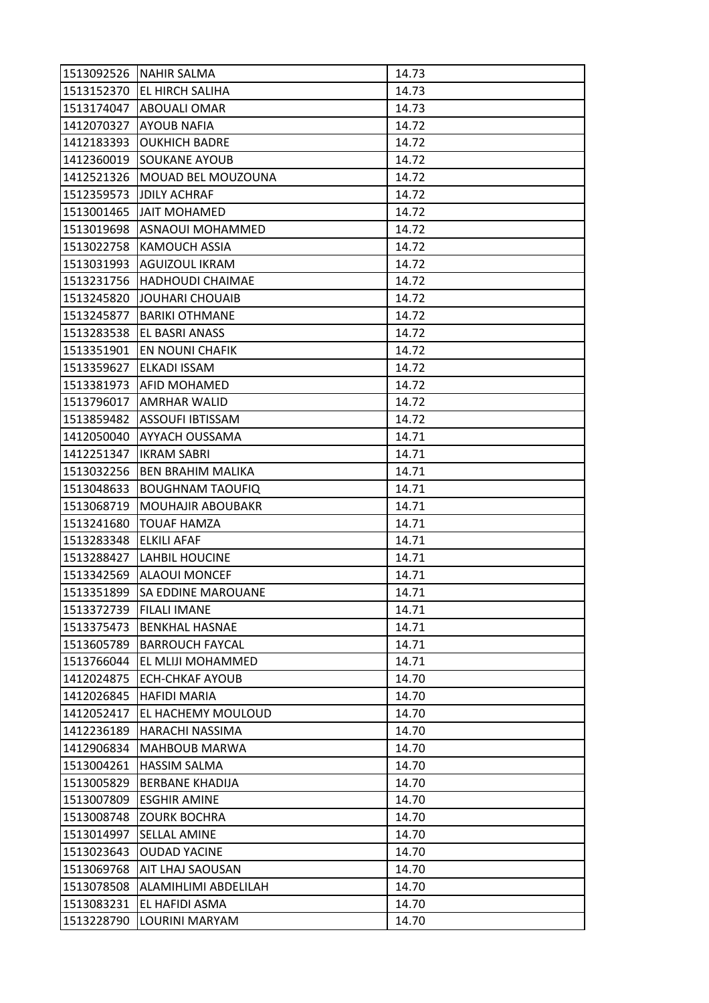| 1513092526 | <b>NAHIR SALMA</b>        | 14.73 |
|------------|---------------------------|-------|
| 1513152370 | <b>EL HIRCH SALIHA</b>    | 14.73 |
| 1513174047 | <b>ABOUALI OMAR</b>       | 14.73 |
| 1412070327 | <b>AYOUB NAFIA</b>        | 14.72 |
| 1412183393 | <b>OUKHICH BADRE</b>      | 14.72 |
| 1412360019 | <b>SOUKANE AYOUB</b>      | 14.72 |
| 1412521326 | MOUAD BEL MOUZOUNA        | 14.72 |
| 1512359573 | <b>JDILY ACHRAF</b>       | 14.72 |
| 1513001465 | <b>JAIT MOHAMED</b>       | 14.72 |
| 1513019698 | <b>ASNAOUI MOHAMMED</b>   | 14.72 |
| 1513022758 | <b>KAMOUCH ASSIA</b>      | 14.72 |
| 1513031993 | <b>AGUIZOUL IKRAM</b>     | 14.72 |
| 1513231756 | <b>HADHOUDI CHAIMAE</b>   | 14.72 |
| 1513245820 | JOUHARI CHOUAIB           | 14.72 |
| 1513245877 | <b>BARIKI OTHMANE</b>     | 14.72 |
| 1513283538 | EL BASRI ANASS            | 14.72 |
| 1513351901 | EN NOUNI CHAFIK           | 14.72 |
| 1513359627 | ELKADI ISSAM              | 14.72 |
| 1513381973 | <b>AFID MOHAMED</b>       | 14.72 |
| 1513796017 | AMRHAR WALID              | 14.72 |
| 1513859482 | <b>ASSOUFI IBTISSAM</b>   | 14.72 |
| 1412050040 | AYYACH OUSSAMA            | 14.71 |
| 1412251347 | <b>IKRAM SABRI</b>        | 14.71 |
| 1513032256 | <b>BEN BRAHIM MALIKA</b>  | 14.71 |
| 1513048633 | <b>BOUGHNAM TAOUFIQ</b>   | 14.71 |
| 1513068719 | <b>MOUHAJIR ABOUBAKR</b>  | 14.71 |
| 1513241680 | <b>TOUAF HAMZA</b>        | 14.71 |
| 1513283348 | <b>ELKILI AFAF</b>        | 14.71 |
| 1513288427 | LAHBIL HOUCINE            | 14.71 |
| 1513342569 | <b>ALAOUI MONCEF</b>      | 14.71 |
| 1513351899 | <b>SA EDDINE MAROUANE</b> | 14.71 |
| 1513372739 | <b>FILALI IMANE</b>       | 14.71 |
| 1513375473 | <b>BENKHAL HASNAE</b>     | 14.71 |
| 1513605789 | <b>BARROUCH FAYCAL</b>    | 14.71 |
| 1513766044 | EL MLIJI MOHAMMED         | 14.71 |
| 1412024875 | ECH-CHKAF AYOUB           | 14.70 |
| 1412026845 | <b>HAFIDI MARIA</b>       | 14.70 |
| 1412052417 | EL HACHEMY MOULOUD        | 14.70 |
| 1412236189 | HARACHI NASSIMA           | 14.70 |
| 1412906834 | <b>MAHBOUB MARWA</b>      | 14.70 |
| 1513004261 | <b>HASSIM SALMA</b>       | 14.70 |
| 1513005829 | <b>BERBANE KHADIJA</b>    | 14.70 |
| 1513007809 | <b>ESGHIR AMINE</b>       | 14.70 |
| 1513008748 | <b>ZOURK BOCHRA</b>       | 14.70 |
| 1513014997 | <b>SELLAL AMINE</b>       | 14.70 |
| 1513023643 | <b>OUDAD YACINE</b>       | 14.70 |
| 1513069768 | <b>AIT LHAJ SAOUSAN</b>   | 14.70 |
| 1513078508 | ALAMIHLIMI ABDELILAH      | 14.70 |
| 1513083231 | EL HAFIDI ASMA            | 14.70 |
| 1513228790 | LOURINI MARYAM            | 14.70 |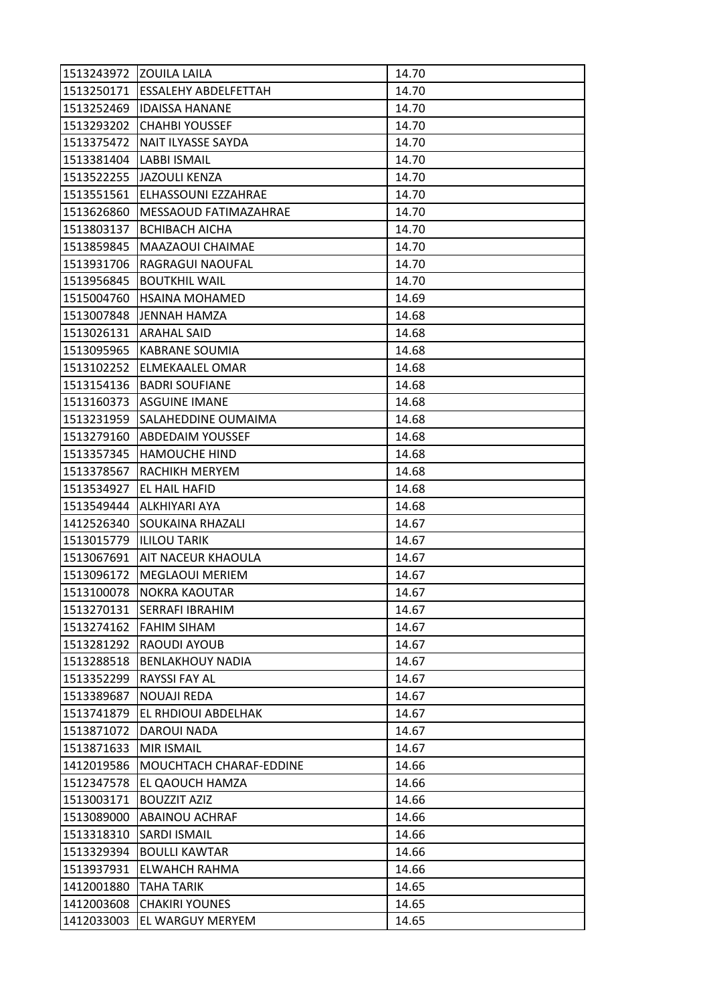|            | 1513243972 ZOUILA LAILA     | 14.70 |
|------------|-----------------------------|-------|
| 1513250171 | <b>ESSALEHY ABDELFETTAH</b> | 14.70 |
| 1513252469 | <b>IDAISSA HANANE</b>       | 14.70 |
| 1513293202 | <b>CHAHBI YOUSSEF</b>       | 14.70 |
| 1513375472 | NAIT ILYASSE SAYDA          | 14.70 |
| 1513381404 | <b>LABBI ISMAIL</b>         | 14.70 |
| 1513522255 | JAZOULI KENZA               | 14.70 |
| 1513551561 | ELHASSOUNI EZZAHRAE         | 14.70 |
| 1513626860 | MESSAOUD FATIMAZAHRAE       | 14.70 |
| 1513803137 | <b>BCHIBACH AICHA</b>       | 14.70 |
| 1513859845 | MAAZAOUI CHAIMAE            | 14.70 |
| 1513931706 | RAGRAGUI NAOUFAL            | 14.70 |
| 1513956845 | <b>BOUTKHIL WAIL</b>        | 14.70 |
| 1515004760 | <b>HSAINA MOHAMED</b>       | 14.69 |
| 1513007848 | JENNAH HAMZA                | 14.68 |
|            | 1513026131   ARAHAL SAID    | 14.68 |
| 1513095965 | <b>KABRANE SOUMIA</b>       | 14.68 |
| 1513102252 | ELMEKAALEL OMAR             | 14.68 |
| 1513154136 | <b>BADRI SOUFIANE</b>       | 14.68 |
| 1513160373 | <b>ASGUINE IMANE</b>        | 14.68 |
| 1513231959 | <b>SALAHEDDINE OUMAIMA</b>  | 14.68 |
| 1513279160 | <b>ABDEDAIM YOUSSEF</b>     | 14.68 |
| 1513357345 | <b>HAMOUCHE HIND</b>        | 14.68 |
| 1513378567 | <b>RACHIKH MERYEM</b>       | 14.68 |
| 1513534927 | EL HAIL HAFID               | 14.68 |
| 1513549444 | ALKHIYARI AYA               | 14.68 |
| 1412526340 | SOUKAINA RHAZALI            | 14.67 |
| 1513015779 | <b>ILILOU TARIK</b>         | 14.67 |
| 1513067691 | AIT NACEUR KHAOULA          | 14.67 |
| 1513096172 | <b>MEGLAOUI MERIEM</b>      | 14.67 |
| 1513100078 | <b>NOKRA KAOUTAR</b>        | 14.67 |
| 1513270131 | <b>SERRAFI IBRAHIM</b>      | 14.67 |
| 1513274162 | <b>FAHIM SIHAM</b>          | 14.67 |
| 1513281292 | RAOUDI AYOUB                | 14.67 |
| 1513288518 | <b>BENLAKHOUY NADIA</b>     | 14.67 |
| 1513352299 | RAYSSI FAY AL               | 14.67 |
| 1513389687 | <b>NOUAJI REDA</b>          | 14.67 |
| 1513741879 | EL RHDIOUI ABDELHAK         | 14.67 |
| 1513871072 | DAROUI NADA                 | 14.67 |
| 1513871633 | <b>MIR ISMAIL</b>           | 14.67 |
| 1412019586 | MOUCHTACH CHARAF-EDDINE     | 14.66 |
| 1512347578 | EL QAOUCH HAMZA             | 14.66 |
| 1513003171 | <b>BOUZZIT AZIZ</b>         | 14.66 |
| 1513089000 | ABAINOU ACHRAF              | 14.66 |
| 1513318310 | <b>SARDI ISMAIL</b>         | 14.66 |
| 1513329394 | <b>BOULLI KAWTAR</b>        | 14.66 |
| 1513937931 | <b>ELWAHCH RAHMA</b>        | 14.66 |
| 1412001880 | TAHA TARIK                  | 14.65 |
| 1412003608 | <b>CHAKIRI YOUNES</b>       | 14.65 |
| 1412033003 | EL WARGUY MERYEM            | 14.65 |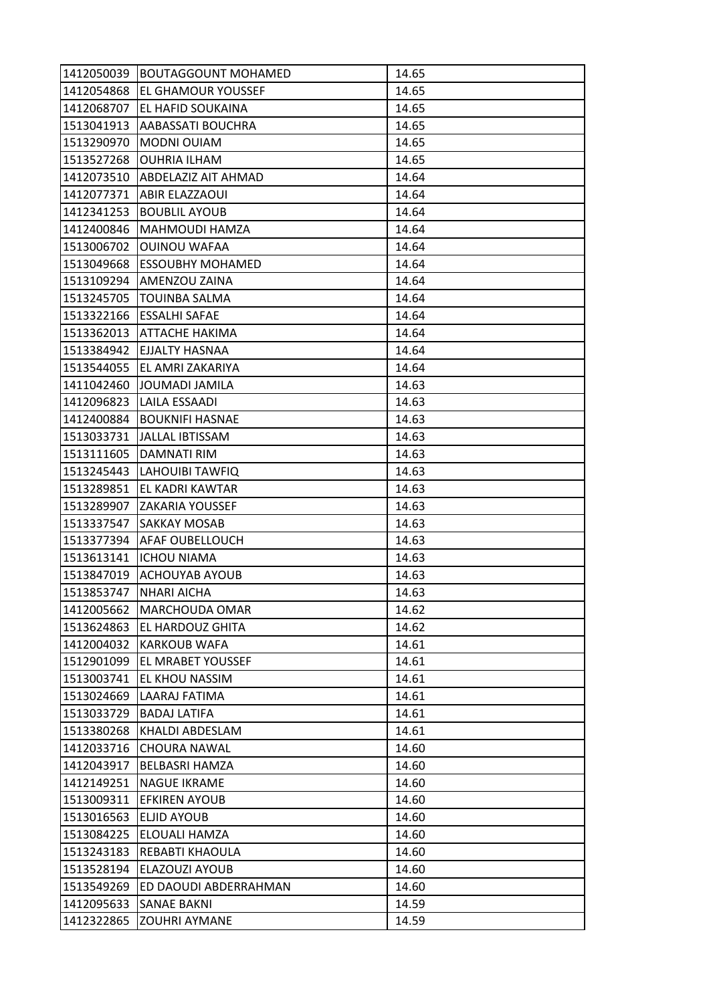| 1412050039 | <b>BOUTAGGOUNT MOHAMED</b> | 14.65 |
|------------|----------------------------|-------|
| 1412054868 | <b>EL GHAMOUR YOUSSEF</b>  | 14.65 |
| 1412068707 | EL HAFID SOUKAINA          | 14.65 |
| 1513041913 | AABASSATI BOUCHRA          | 14.65 |
| 1513290970 | MODNI OUIAM                | 14.65 |
| 1513527268 | <b>OUHRIA ILHAM</b>        | 14.65 |
| 1412073510 | <b>ABDELAZIZ AIT AHMAD</b> | 14.64 |
| 1412077371 | ABIR ELAZZAOUI             | 14.64 |
| 1412341253 | <b>BOUBLIL AYOUB</b>       | 14.64 |
| 1412400846 | MAHMOUDI HAMZA             | 14.64 |
| 1513006702 | <b>OUINOU WAFAA</b>        | 14.64 |
| 1513049668 | <b>ESSOUBHY MOHAMED</b>    | 14.64 |
| 1513109294 | AMENZOU ZAINA              | 14.64 |
| 1513245705 | <b>TOUINBA SALMA</b>       | 14.64 |
| 1513322166 | <b>ESSALHI SAFAE</b>       | 14.64 |
|            | 1513362013 ATTACHE HAKIMA  | 14.64 |
| 1513384942 | <b>EJJALTY HASNAA</b>      | 14.64 |
| 1513544055 | EL AMRI ZAKARIYA           | 14.64 |
| 1411042460 | JOUMADI JAMILA             | 14.63 |
| 1412096823 | LAILA ESSAADI              | 14.63 |
| 1412400884 | <b>BOUKNIFI HASNAE</b>     | 14.63 |
| 1513033731 | JALLAL IBTISSAM            | 14.63 |
| 1513111605 | DAMNATI RIM                | 14.63 |
| 1513245443 | LAHOUIBI TAWFIQ            | 14.63 |
| 1513289851 | EL KADRI KAWTAR            | 14.63 |
| 1513289907 | <b>ZAKARIA YOUSSEF</b>     | 14.63 |
| 1513337547 | <b>SAKKAY MOSAB</b>        | 14.63 |
| 1513377394 | <b>AFAF OUBELLOUCH</b>     | 14.63 |
| 1513613141 | <b>ICHOU NIAMA</b>         | 14.63 |
|            | 1513847019 ACHOUYAB AYOUB  | 14.63 |
| 1513853747 | <b>NHARI AICHA</b>         | 14.63 |
| 1412005662 | MARCHOUDA OMAR             | 14.62 |
| 1513624863 | <b>EL HARDOUZ GHITA</b>    | 14.62 |
| 1412004032 | <b>KARKOUB WAFA</b>        | 14.61 |
| 1512901099 | EL MRABET YOUSSEF          | 14.61 |
| 1513003741 | EL KHOU NASSIM             | 14.61 |
| 1513024669 | LAARAJ FATIMA              | 14.61 |
| 1513033729 | <b>BADAJ LATIFA</b>        | 14.61 |
| 1513380268 | KHALDI ABDESLAM            | 14.61 |
| 1412033716 | <b>CHOURA NAWAL</b>        | 14.60 |
| 1412043917 | BELBASRI HAMZA             | 14.60 |
| 1412149251 | <b>NAGUE IKRAME</b>        | 14.60 |
| 1513009311 | <b>EFKIREN AYOUB</b>       | 14.60 |
| 1513016563 | ELJID AYOUB                | 14.60 |
| 1513084225 | ELOUALI HAMZA              | 14.60 |
| 1513243183 | REBABTI KHAOULA            | 14.60 |
| 1513528194 | ELAZOUZI AYOUB             | 14.60 |
| 1513549269 | ED DAOUDI ABDERRAHMAN      | 14.60 |
| 1412095633 | <b>SANAE BAKNI</b>         | 14.59 |
| 1412322865 | <b>ZOUHRI AYMANE</b>       | 14.59 |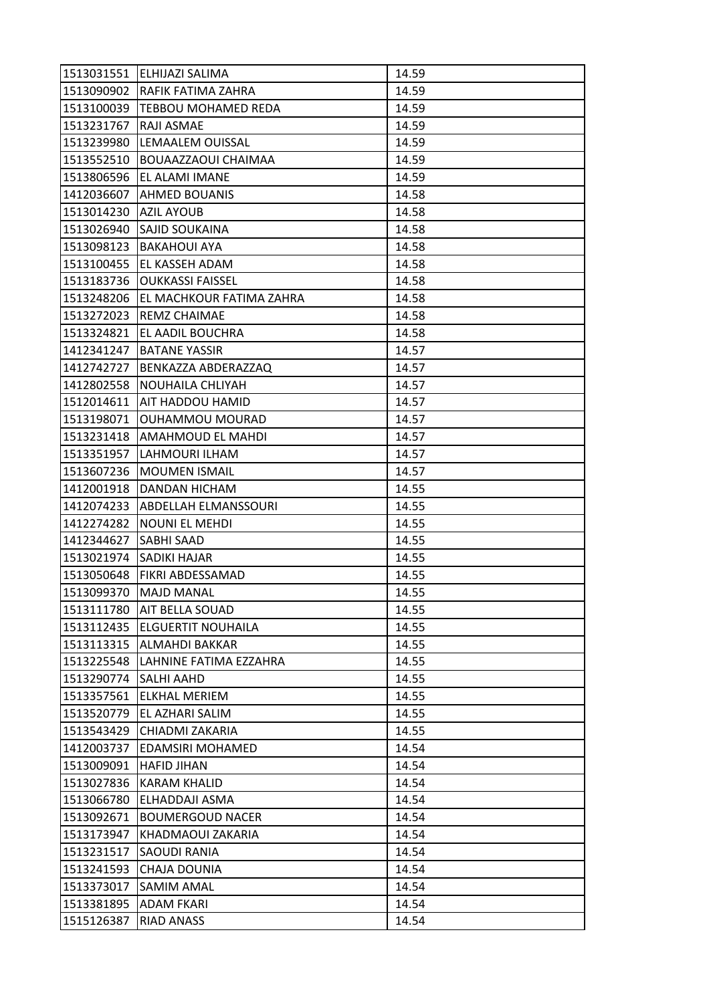| 1513031551 | <b>IELHIJAZI SALIMA</b>     | 14.59 |
|------------|-----------------------------|-------|
| 1513090902 | <b>RAFIK FATIMA ZAHRA</b>   | 14.59 |
| 1513100039 | TEBBOU MOHAMED REDA         | 14.59 |
| 1513231767 | RAJI ASMAE                  | 14.59 |
| 1513239980 | LEMAALEM OUISSAL            | 14.59 |
| 1513552510 | BOUAAZZAOUI CHAIMAA         | 14.59 |
| 1513806596 | EL ALAMI IMANE              | 14.59 |
| 1412036607 | AHMED BOUANIS               | 14.58 |
| 1513014230 | <b>AZIL AYOUB</b>           | 14.58 |
| 1513026940 | <b>SAJID SOUKAINA</b>       | 14.58 |
| 1513098123 | <b>BAKAHOUI AYA</b>         | 14.58 |
| 1513100455 | EL KASSEH ADAM              | 14.58 |
| 1513183736 | <b>OUKKASSI FAISSEL</b>     | 14.58 |
| 1513248206 | EL MACHKOUR FATIMA ZAHRA    | 14.58 |
| 1513272023 | <b>REMZ CHAIMAE</b>         | 14.58 |
| 1513324821 | EL AADIL BOUCHRA            | 14.58 |
| 1412341247 | <b>BATANE YASSIR</b>        | 14.57 |
| 1412742727 | BENKAZZA ABDERAZZAQ         | 14.57 |
| 1412802558 | NOUHAILA CHLIYAH            | 14.57 |
| 1512014611 | AIT HADDOU HAMID            | 14.57 |
| 1513198071 | <b>OUHAMMOU MOURAD</b>      | 14.57 |
| 1513231418 | AMAHMOUD EL MAHDI           | 14.57 |
| 1513351957 | LAHMOURI ILHAM              | 14.57 |
| 1513607236 | <b>MOUMEN ISMAIL</b>        | 14.57 |
| 1412001918 | <b>DANDAN HICHAM</b>        | 14.55 |
| 1412074233 | <b>ABDELLAH ELMANSSOURI</b> | 14.55 |
| 1412274282 | <b>NOUNI EL MEHDI</b>       | 14.55 |
| 1412344627 | <b>SABHI SAAD</b>           | 14.55 |
| 1513021974 | <b>SADIKI HAJAR</b>         | 14.55 |
| 1513050648 | <b>FIKRI ABDESSAMAD</b>     | 14.55 |
| 1513099370 | <b>MAJD MANAL</b>           | 14.55 |
| 1513111780 | <b>AIT BELLA SOUAD</b>      | 14.55 |
| 1513112435 | <b>ELGUERTIT NOUHAILA</b>   | 14.55 |
| 1513113315 | ALMAHDI BAKKAR              | 14.55 |
| 1513225548 | LAHNINE FATIMA EZZAHRA      | 14.55 |
| 1513290774 | <b>SALHI AAHD</b>           | 14.55 |
| 1513357561 | <b>ELKHAL MERIEM</b>        | 14.55 |
| 1513520779 | EL AZHARI SALIM             | 14.55 |
| 1513543429 | CHIADMI ZAKARIA             | 14.55 |
| 1412003737 | EDAMSIRI MOHAMED            | 14.54 |
| 1513009091 | <b>HAFID JIHAN</b>          | 14.54 |
| 1513027836 | <b>KARAM KHALID</b>         | 14.54 |
| 1513066780 | ELHADDAJI ASMA              | 14.54 |
| 1513092671 | <b>BOUMERGOUD NACER</b>     | 14.54 |
| 1513173947 | KHADMAOUI ZAKARIA           | 14.54 |
| 1513231517 | SAOUDI RANIA                | 14.54 |
| 1513241593 | <b>CHAJA DOUNIA</b>         | 14.54 |
| 1513373017 | <b>SAMIM AMAL</b>           | 14.54 |
| 1513381895 | <b>ADAM FKARI</b>           | 14.54 |
| 1515126387 | RIAD ANASS                  | 14.54 |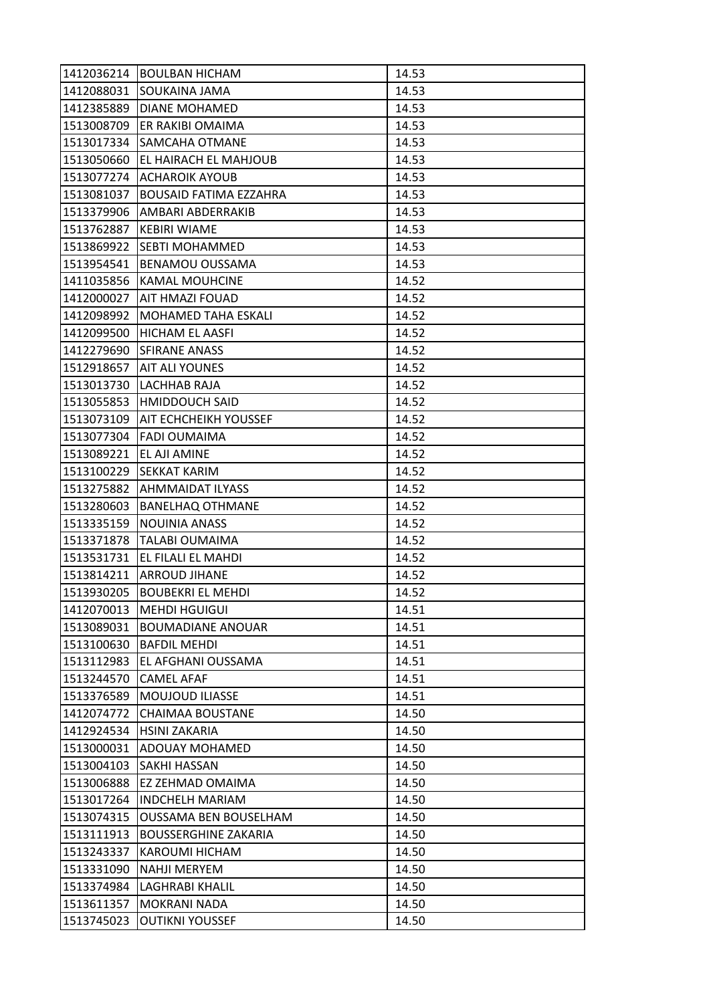| 1412036214 | <b>BOULBAN HICHAM</b>         | 14.53 |
|------------|-------------------------------|-------|
| 1412088031 | SOUKAINA JAMA                 | 14.53 |
| 1412385889 | DIANE MOHAMED                 | 14.53 |
| 1513008709 | ER RAKIBI OMAIMA              | 14.53 |
| 1513017334 | SAMCAHA OTMANE                | 14.53 |
| 1513050660 | EL HAIRACH EL MAHJOUB         | 14.53 |
| 1513077274 | <b>ACHAROIK AYOUB</b>         | 14.53 |
| 1513081037 | <b>BOUSAID FATIMA EZZAHRA</b> | 14.53 |
| 1513379906 | IAMBARI ABDERRAKIB            | 14.53 |
| 1513762887 | <b>KEBIRI WIAME</b>           | 14.53 |
|            | 1513869922 SEBTI MOHAMMED     | 14.53 |
| 1513954541 | <b>BENAMOU OUSSAMA</b>        | 14.53 |
| 1411035856 | <b>KAMAL MOUHCINE</b>         | 14.52 |
| 1412000027 | <b>AIT HMAZI FOUAD</b>        | 14.52 |
| 1412098992 | <b>MOHAMED TAHA ESKALI</b>    | 14.52 |
| 1412099500 | HICHAM EL AASFI               | 14.52 |
| 1412279690 | <b>SFIRANE ANASS</b>          | 14.52 |
| 1512918657 | AIT ALI YOUNES                | 14.52 |
| 1513013730 | <b>LACHHAB RAJA</b>           | 14.52 |
| 1513055853 | <b>HMIDDOUCH SAID</b>         | 14.52 |
| 1513073109 | <b>AIT ECHCHEIKH YOUSSEF</b>  | 14.52 |
| 1513077304 | <b>FADI OUMAIMA</b>           | 14.52 |
| 1513089221 | EL AJI AMINE                  | 14.52 |
| 1513100229 | <b>SEKKAT KARIM</b>           | 14.52 |
| 1513275882 | <b>AHMMAIDAT ILYASS</b>       | 14.52 |
| 1513280603 | <b>BANELHAQ OTHMANE</b>       | 14.52 |
| 1513335159 | <b>NOUINIA ANASS</b>          | 14.52 |
| 1513371878 | <b>TALABI OUMAIMA</b>         | 14.52 |
| 1513531731 | EL FILALI EL MAHDI            | 14.52 |
| 1513814211 | <b>LARROUD JIHANE</b>         | 14.52 |
| 1513930205 | <b>BOUBEKRI EL MEHDI</b>      | 14.52 |
| 1412070013 | <b>MEHDI HGUIGUI</b>          | 14.51 |
| 1513089031 | <b>BOUMADIANE ANOUAR</b>      | 14.51 |
| 1513100630 | <b>BAFDIL MEHDI</b>           | 14.51 |
| 1513112983 | EL AFGHANI OUSSAMA            | 14.51 |
| 1513244570 | <b>CAMEL AFAF</b>             | 14.51 |
| 1513376589 | <b>MOUJOUD ILIASSE</b>        | 14.51 |
| 1412074772 | <b>CHAIMAA BOUSTANE</b>       | 14.50 |
| 1412924534 | <b>HSINI ZAKARIA</b>          | 14.50 |
| 1513000031 | <b>ADOUAY MOHAMED</b>         | 14.50 |
| 1513004103 | <b>SAKHI HASSAN</b>           | 14.50 |
| 1513006888 | EZ ZEHMAD OMAIMA              | 14.50 |
| 1513017264 | <b>INDCHELH MARIAM</b>        | 14.50 |
| 1513074315 | <b>OUSSAMA BEN BOUSELHAM</b>  | 14.50 |
| 1513111913 | <b>BOUSSERGHINE ZAKARIA</b>   | 14.50 |
| 1513243337 | KAROUMI HICHAM                | 14.50 |
| 1513331090 | <b>NAHJI MERYEM</b>           | 14.50 |
| 1513374984 | LAGHRABI KHALIL               | 14.50 |
| 1513611357 | <b>MOKRANI NADA</b>           | 14.50 |
| 1513745023 | <b>OUTIKNI YOUSSEF</b>        | 14.50 |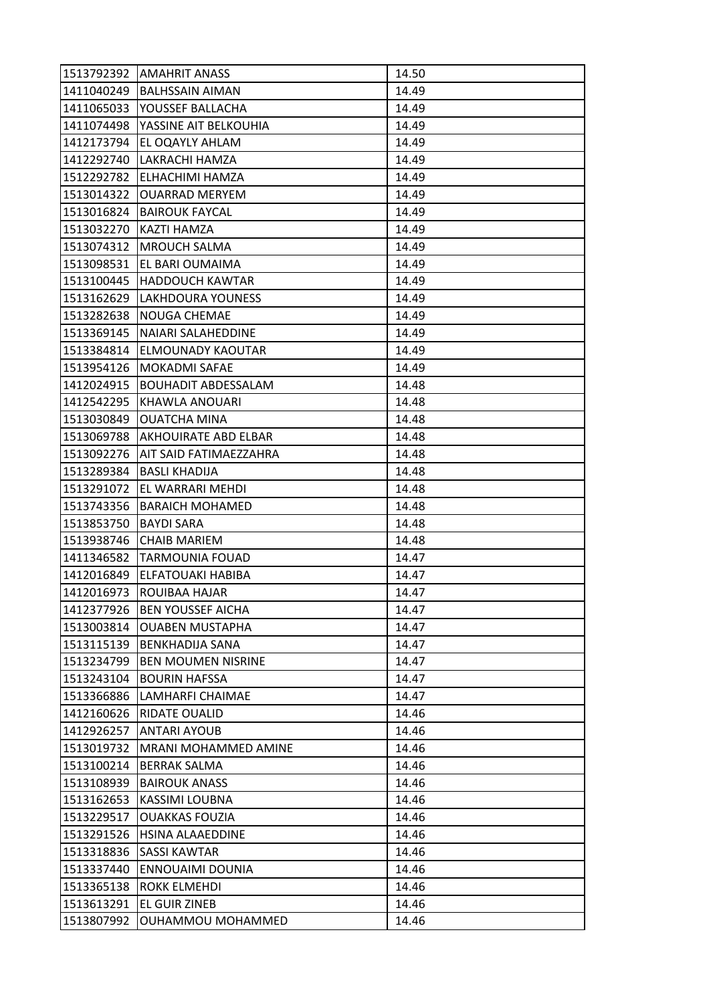| 1513792392 | <b>AMAHRIT ANASS</b>       | 14.50 |
|------------|----------------------------|-------|
| 1411040249 | <b>BALHSSAIN AIMAN</b>     | 14.49 |
| 1411065033 | YOUSSEF BALLACHA           | 14.49 |
| 1411074498 | YASSINE AIT BELKOUHIA      | 14.49 |
| 1412173794 | EL OQAYLY AHLAM            | 14.49 |
| 1412292740 | LAKRACHI HAMZA             | 14.49 |
| 1512292782 | ELHACHIMI HAMZA            | 14.49 |
| 1513014322 | <b>OUARRAD MERYEM</b>      | 14.49 |
| 1513016824 | <b>BAIROUK FAYCAL</b>      | 14.49 |
| 1513032270 | KAZTI HAMZA                | 14.49 |
| 1513074312 | <b>MROUCH SALMA</b>        | 14.49 |
| 1513098531 | EL BARI OUMAIMA            | 14.49 |
| 1513100445 | <b>HADDOUCH KAWTAR</b>     | 14.49 |
| 1513162629 | <b>LAKHDOURA YOUNESS</b>   | 14.49 |
| 1513282638 | <b>NOUGA CHEMAE</b>        | 14.49 |
| 1513369145 | NAIARI SALAHEDDINE         | 14.49 |
| 1513384814 | ELMOUNADY KAOUTAR          | 14.49 |
| 1513954126 | <b>MOKADMI SAFAE</b>       | 14.49 |
| 1412024915 | <b>BOUHADIT ABDESSALAM</b> | 14.48 |
| 1412542295 | KHAWLA ANOUARI             | 14.48 |
| 1513030849 | <b>OUATCHA MINA</b>        | 14.48 |
| 1513069788 | AKHOUIRATE ABD ELBAR       | 14.48 |
| 1513092276 | AIT SAID FATIMAEZZAHRA     | 14.48 |
| 1513289384 | <b>BASLI KHADIJA</b>       | 14.48 |
| 1513291072 | EL WARRARI MEHDI           | 14.48 |
| 1513743356 | <b>BARAICH MOHAMED</b>     | 14.48 |
| 1513853750 | <b>BAYDI SARA</b>          | 14.48 |
| 1513938746 | <b>CHAIB MARIEM</b>        | 14.48 |
| 1411346582 | <b>TARMOUNIA FOUAD</b>     | 14.47 |
| 1412016849 | ELFATOUAKI HABIBA          | 14.47 |
| 1412016973 | ROUIBAA HAJAR              | 14.47 |
| 1412377926 | <b>BEN YOUSSEF AICHA</b>   | 14.47 |
| 1513003814 | <b>OUABEN MUSTAPHA</b>     | 14.47 |
| 1513115139 | <b>BENKHADIJA SANA</b>     | 14.47 |
| 1513234799 | <b>BEN MOUMEN NISRINE</b>  | 14.47 |
| 1513243104 | <b>BOURIN HAFSSA</b>       | 14.47 |
| 1513366886 | LAMHARFI CHAIMAE           | 14.47 |
| 1412160626 | RIDATE OUALID              | 14.46 |
| 1412926257 | <b>ANTARI AYOUB</b>        | 14.46 |
| 1513019732 | MRANI MOHAMMED AMINE       | 14.46 |
| 1513100214 | <b>BERRAK SALMA</b>        | 14.46 |
| 1513108939 | <b>BAIROUK ANASS</b>       | 14.46 |
| 1513162653 | KASSIMI LOUBNA             | 14.46 |
| 1513229517 | <b>OUAKKAS FOUZIA</b>      | 14.46 |
| 1513291526 | HSINA ALAAEDDINE           | 14.46 |
| 1513318836 | <b>SASSI KAWTAR</b>        | 14.46 |
| 1513337440 | ENNOUAIMI DOUNIA           | 14.46 |
| 1513365138 | ROKK ELMEHDI               | 14.46 |
| 1513613291 | EL GUIR ZINEB              | 14.46 |
| 1513807992 | OUHAMMOU MOHAMMED          | 14.46 |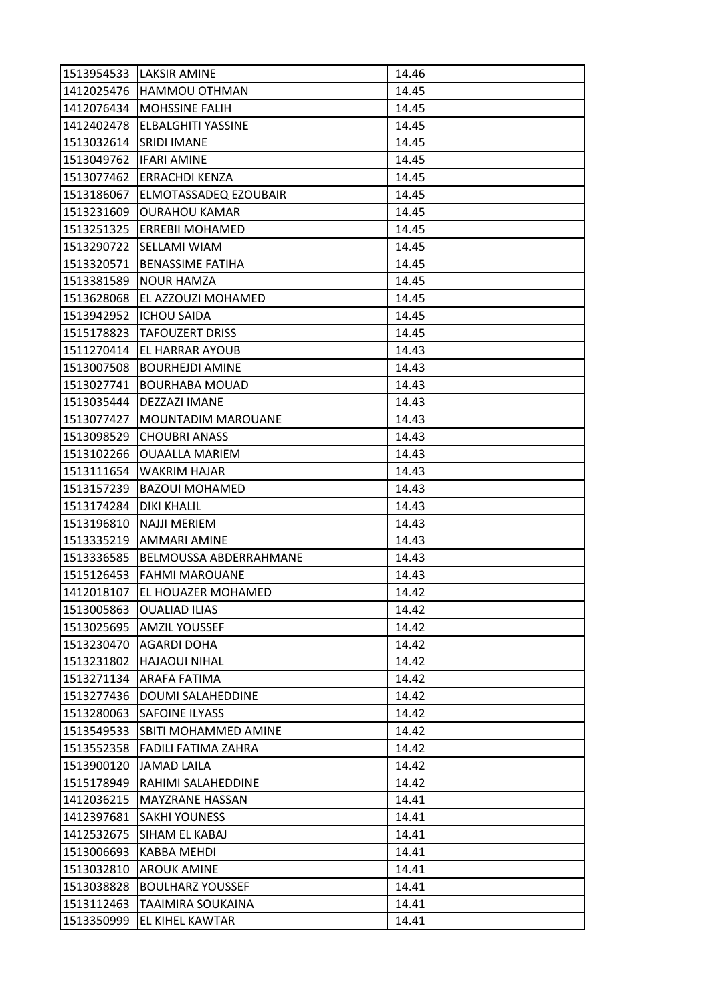| 1513954533 | <b>LAKSIR AMINE</b>          | 14.46 |
|------------|------------------------------|-------|
| 1412025476 | <b>HAMMOU OTHMAN</b>         | 14.45 |
| 1412076434 | <b>MOHSSINE FALIH</b>        | 14.45 |
| 1412402478 | <b>ELBALGHITI YASSINE</b>    | 14.45 |
| 1513032614 | <b>SRIDI IMANE</b>           | 14.45 |
| 1513049762 | <b>IFARI AMINE</b>           | 14.45 |
| 1513077462 | <b>ERRACHDI KENZA</b>        | 14.45 |
| 1513186067 | ELMOTASSADEQ EZOUBAIR        | 14.45 |
| 1513231609 | <b>OURAHOU KAMAR</b>         | 14.45 |
| 1513251325 | <b>ERREBII MOHAMED</b>       | 14.45 |
| 1513290722 | <b>SELLAMI WIAM</b>          | 14.45 |
| 1513320571 | <b>BENASSIME FATIHA</b>      | 14.45 |
| 1513381589 | <b>NOUR HAMZA</b>            | 14.45 |
| 1513628068 | EL AZZOUZI MOHAMED           | 14.45 |
| 1513942952 | <b>ICHOU SAIDA</b>           | 14.45 |
|            | 1515178823   TAFOUZERT DRISS | 14.45 |
| 1511270414 | <b>EL HARRAR AYOUB</b>       | 14.43 |
| 1513007508 | <b>BOURHEJDI AMINE</b>       | 14.43 |
| 1513027741 | <b>BOURHABA MOUAD</b>        | 14.43 |
| 1513035444 | DEZZAZI IMANE                | 14.43 |
| 1513077427 | MOUNTADIM MAROUANE           | 14.43 |
| 1513098529 | <b>CHOUBRI ANASS</b>         | 14.43 |
| 1513102266 | <b>OUAALLA MARIEM</b>        | 14.43 |
| 1513111654 | <b>WAKRIM HAJAR</b>          | 14.43 |
| 1513157239 | <b>BAZOUI MOHAMED</b>        | 14.43 |
|            |                              |       |
| 1513174284 | <b>DIKI KHALIL</b>           | 14.43 |
| 1513196810 | <b>NAJJI MERIEM</b>          | 14.43 |
| 1513335219 | <b>AMMARI AMINE</b>          | 14.43 |
| 1513336585 | BELMOUSSA ABDERRAHMANE       | 14.43 |
| 1515126453 | <b>FAHMI MAROUANE</b>        | 14.43 |
| 1412018107 | EL HOUAZER MOHAMED           | 14.42 |
| 1513005863 | <b>OUALIAD ILIAS</b>         | 14.42 |
| 1513025695 | <b>AMZIL YOUSSEF</b>         | 14.42 |
| 1513230470 | <b>AGARDI DOHA</b>           | 14.42 |
| 1513231802 | <b>HAJAOUI NIHAL</b>         | 14.42 |
| 1513271134 | ARAFA FATIMA                 | 14.42 |
| 1513277436 | <b>DOUMI SALAHEDDINE</b>     | 14.42 |
| 1513280063 | <b>SAFOINE ILYASS</b>        | 14.42 |
| 1513549533 | SBITI MOHAMMED AMINE         | 14.42 |
| 1513552358 | <b>FADILI FATIMA ZAHRA</b>   | 14.42 |
| 1513900120 | <b>JAMAD LAILA</b>           | 14.42 |
| 1515178949 | RAHIMI SALAHEDDINE           | 14.42 |
| 1412036215 | <b>MAYZRANE HASSAN</b>       | 14.41 |
| 1412397681 | <b>SAKHI YOUNESS</b>         | 14.41 |
| 1412532675 | SIHAM EL KABAJ               | 14.41 |
| 1513006693 | KABBA MEHDI                  | 14.41 |
| 1513032810 | <b>AROUK AMINE</b>           | 14.41 |
| 1513038828 | <b>BOULHARZ YOUSSEF</b>      | 14.41 |
| 1513112463 | TAAIMIRA SOUKAINA            | 14.41 |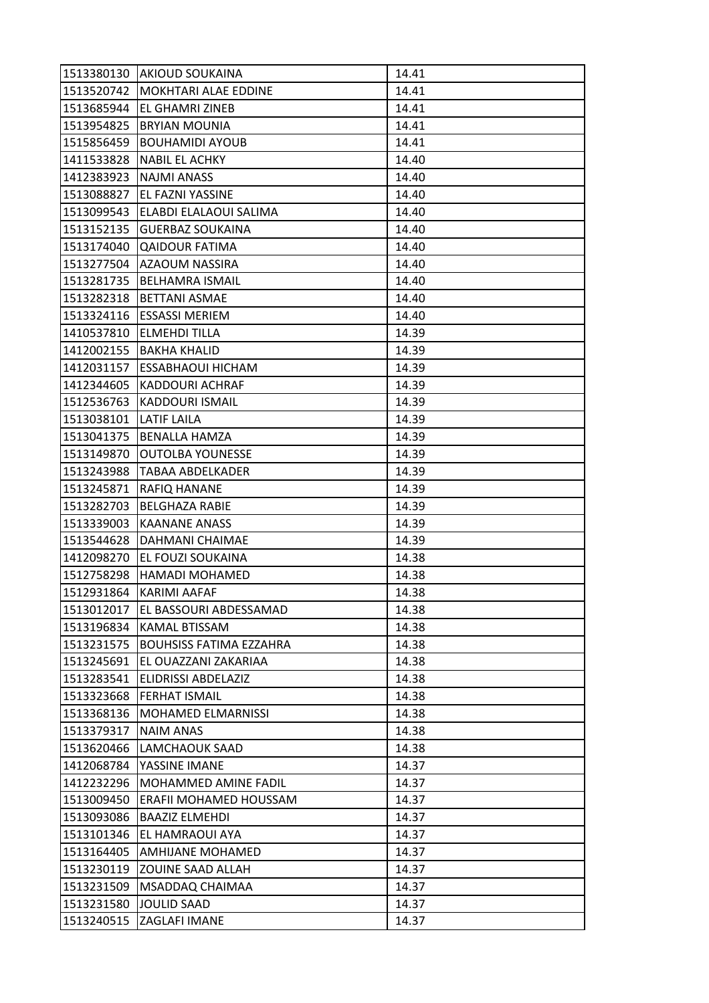| 1513380130 | <b>AKIOUD SOUKAINA</b>         | 14.41 |
|------------|--------------------------------|-------|
| 1513520742 | <b>MOKHTARI ALAE EDDINE</b>    | 14.41 |
| 1513685944 | EL GHAMRI ZINEB                | 14.41 |
| 1513954825 | <b>BRYIAN MOUNIA</b>           | 14.41 |
| 1515856459 | <b>BOUHAMIDI AYOUB</b>         | 14.41 |
| 1411533828 | <b>NABIL EL ACHKY</b>          | 14.40 |
| 1412383923 | <b>NAJMI ANASS</b>             | 14.40 |
| 1513088827 | EL FAZNI YASSINE               | 14.40 |
| 1513099543 | ELABDI ELALAOUI SALIMA         | 14.40 |
| 1513152135 | <b>GUERBAZ SOUKAINA</b>        | 14.40 |
| 1513174040 | <b>QAIDOUR FATIMA</b>          | 14.40 |
| 1513277504 | AZAOUM NASSIRA                 | 14.40 |
| 1513281735 | <b>BELHAMRA ISMAIL</b>         | 14.40 |
| 1513282318 | <b>BETTANI ASMAE</b>           | 14.40 |
| 1513324116 | <b>ESSASSI MERIEM</b>          | 14.40 |
| 1410537810 | <b>ELMEHDI TILLA</b>           | 14.39 |
| 1412002155 | <b>BAKHA KHALID</b>            | 14.39 |
| 1412031157 | <b>ESSABHAOUI HICHAM</b>       | 14.39 |
| 1412344605 | <b>KADDOURI ACHRAF</b>         | 14.39 |
| 1512536763 | <b>KADDOURI ISMAIL</b>         | 14.39 |
| 1513038101 | <b>LATIF LAILA</b>             | 14.39 |
| 1513041375 | <b>BENALLA HAMZA</b>           | 14.39 |
| 1513149870 | <b>OUTOLBA YOUNESSE</b>        | 14.39 |
| 1513243988 | TABAA ABDELKADER               | 14.39 |
| 1513245871 | RAFIQ HANANE                   | 14.39 |
| 1513282703 | <b>BELGHAZA RABIE</b>          | 14.39 |
| 1513339003 | <b>KAANANE ANASS</b>           | 14.39 |
| 1513544628 | DAHMANI CHAIMAE                | 14.39 |
| 1412098270 | <b>EL FOUZI SOUKAINA</b>       | 14.38 |
| 1512758298 | <b>HAMADI MOHAMED</b>          | 14.38 |
| 1512931864 | KARIMI AAFAF                   | 14.38 |
| 1513012017 | EL BASSOURI ABDESSAMAD         | 14.38 |
| 1513196834 | KAMAL BTISSAM                  | 14.38 |
| 1513231575 | <b>BOUHSISS FATIMA EZZAHRA</b> | 14.38 |
| 1513245691 | EL OUAZZANI ZAKARIAA           | 14.38 |
| 1513283541 | ELIDRISSI ABDELAZIZ            | 14.38 |
| 1513323668 | <b>FERHAT ISMAIL</b>           | 14.38 |
| 1513368136 | <b>MOHAMED ELMARNISSI</b>      | 14.38 |
| 1513379317 | NAIM ANAS                      | 14.38 |
| 1513620466 | LAMCHAOUK SAAD                 | 14.38 |
| 1412068784 | YASSINE IMANE                  | 14.37 |
| 1412232296 | MOHAMMED AMINE FADIL           | 14.37 |
| 1513009450 | ERAFII MOHAMED HOUSSAM         | 14.37 |
| 1513093086 | <b>BAAZIZ ELMEHDI</b>          | 14.37 |
| 1513101346 | EL HAMRAOUI AYA                | 14.37 |
| 1513164405 | <b>AMHIJANE MOHAMED</b>        | 14.37 |
| 1513230119 | <b>ZOUINE SAAD ALLAH</b>       | 14.37 |
| 1513231509 | MSADDAQ CHAIMAA                | 14.37 |
| 1513231580 | JOULID SAAD                    | 14.37 |
| 1513240515 | ZAGLAFI IMANE                  | 14.37 |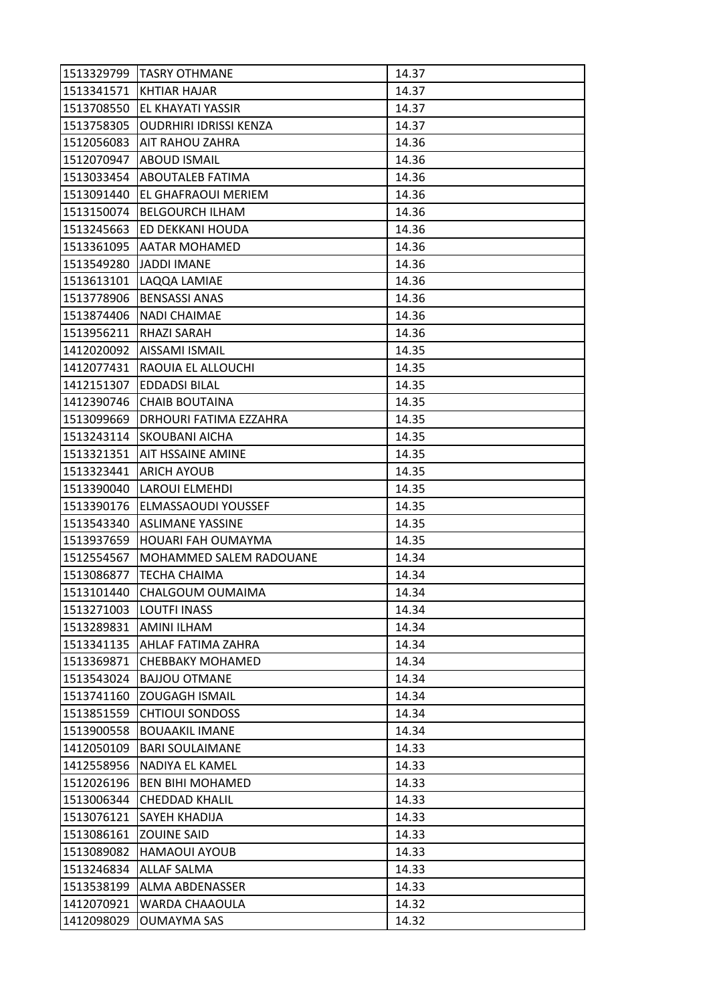| 1513329799 | <b>ITASRY OTHMANE</b>         | 14.37 |
|------------|-------------------------------|-------|
| 1513341571 | <b>KHTIAR HAJAR</b>           | 14.37 |
| 1513708550 | <b>EL KHAYATI YASSIR</b>      | 14.37 |
| 1513758305 | <b>OUDRHIRI IDRISSI KENZA</b> | 14.37 |
| 1512056083 | <b>AIT RAHOU ZAHRA</b>        | 14.36 |
| 1512070947 | <b>ABOUD ISMAIL</b>           | 14.36 |
| 1513033454 | <b>ABOUTALEB FATIMA</b>       | 14.36 |
| 1513091440 | EL GHAFRAOUI MERIEM           | 14.36 |
| 1513150074 | <b>BELGOURCH ILHAM</b>        | 14.36 |
| 1513245663 | ED DEKKANI HOUDA              | 14.36 |
| 1513361095 | <b>JAATAR MOHAMED</b>         | 14.36 |
| 1513549280 | JADDI IMANE                   | 14.36 |
| 1513613101 | LAQQA LAMIAE                  | 14.36 |
| 1513778906 | <b>BENSASSI ANAS</b>          | 14.36 |
| 1513874406 | <b>NADI CHAIMAE</b>           | 14.36 |
| 1513956211 | <b>RHAZI SARAH</b>            | 14.36 |
| 1412020092 | AISSAMI ISMAIL                | 14.35 |
| 1412077431 | RAOUIA EL ALLOUCHI            | 14.35 |
| 1412151307 | <b>EDDADSI BILAL</b>          | 14.35 |
| 1412390746 | <b>CHAIB BOUTAINA</b>         | 14.35 |
| 1513099669 | DRHOURI FATIMA EZZAHRA        | 14.35 |
| 1513243114 | <b>SKOUBANI AICHA</b>         | 14.35 |
| 1513321351 | <b>AIT HSSAINE AMINE</b>      | 14.35 |
| 1513323441 | <b>ARICH AYOUB</b>            | 14.35 |
| 1513390040 | LAROUI ELMEHDI                | 14.35 |
| 1513390176 | <b>ELMASSAOUDI YOUSSEF</b>    | 14.35 |
| 1513543340 | <b>ASLIMANE YASSINE</b>       | 14.35 |
| 1513937659 | HOUARI FAH OUMAYMA            | 14.35 |
| 1512554567 | MOHAMMED SALEM RADOUANE       | 14.34 |
| 1513086877 | TECHA CHAIMA                  | 14.34 |
| 1513101440 | CHALGOUM OUMAIMA              | 14.34 |
| 1513271003 | <b>LOUTFI INASS</b>           | 14.34 |
| 1513289831 | <b>AMINI ILHAM</b>            | 14.34 |
| 1513341135 | AHLAF FATIMA ZAHRA            | 14.34 |
| 1513369871 | <b>CHEBBAKY MOHAMED</b>       | 14.34 |
| 1513543024 | <b>BAJJOU OTMANE</b>          | 14.34 |
| 1513741160 | <b>ZOUGAGH ISMAIL</b>         | 14.34 |
| 1513851559 | <b>CHTIOUI SONDOSS</b>        | 14.34 |
| 1513900558 | <b>BOUAAKIL IMANE</b>         | 14.34 |
| 1412050109 | <b>BARI SOULAIMANE</b>        | 14.33 |
| 1412558956 | NADIYA EL KAMEL               | 14.33 |
| 1512026196 | <b>BEN BIHI MOHAMED</b>       | 14.33 |
| 1513006344 | <b>CHEDDAD KHALIL</b>         | 14.33 |
| 1513076121 | SAYEH KHADIJA                 | 14.33 |
| 1513086161 | <b>ZOUINE SAID</b>            | 14.33 |
| 1513089082 | <b>HAMAOUI AYOUB</b>          | 14.33 |
| 1513246834 | <b>ALLAF SALMA</b>            | 14.33 |
| 1513538199 | ALMA ABDENASSER               | 14.33 |
| 1412070921 | WARDA CHAAOULA                | 14.32 |
| 1412098029 | OUMAYMA SAS                   | 14.32 |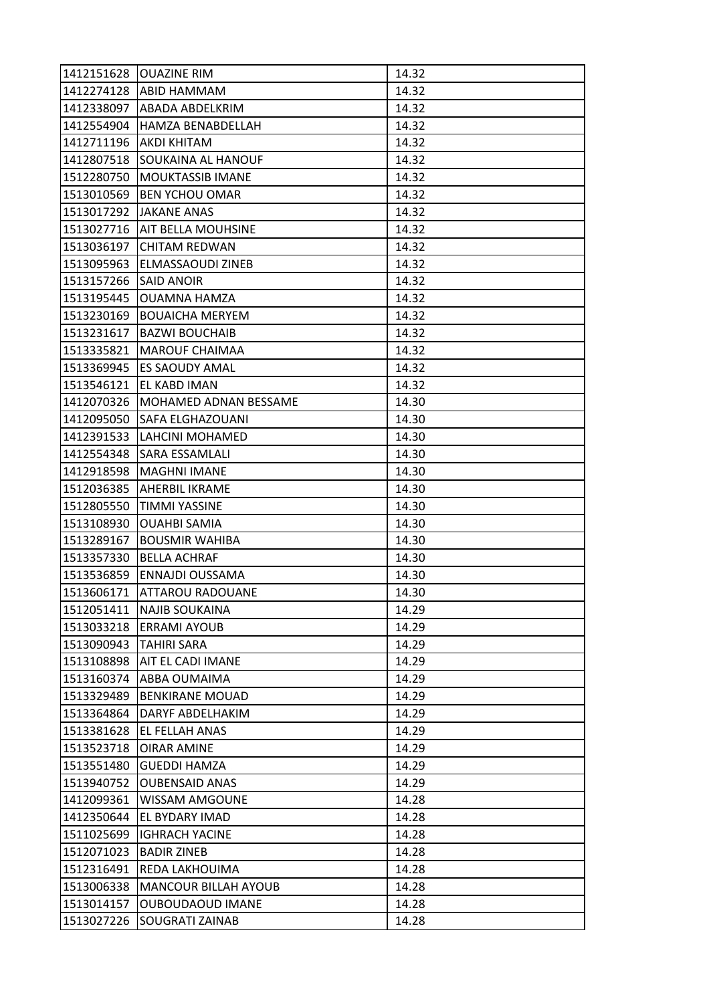| 1412151628 | <b>OUAZINE RIM</b>          | 14.32 |
|------------|-----------------------------|-------|
| 1412274128 | <b>ABID HAMMAM</b>          | 14.32 |
| 1412338097 | <b>ABADA ABDELKRIM</b>      | 14.32 |
| 1412554904 | <b>HAMZA BENABDELLAH</b>    | 14.32 |
| 1412711196 | IAKDI KHITAM                | 14.32 |
| 1412807518 | <b>SOUKAINA AL HANOUF</b>   | 14.32 |
| 1512280750 | <b>MOUKTASSIB IMANE</b>     | 14.32 |
| 1513010569 | <b>BEN YCHOU OMAR</b>       | 14.32 |
| 1513017292 | <b>JAKANE ANAS</b>          | 14.32 |
| 1513027716 | <b>AIT BELLA MOUHSINE</b>   | 14.32 |
| 1513036197 | <b>CHITAM REDWAN</b>        | 14.32 |
| 1513095963 | ELMASSAOUDI ZINEB           | 14.32 |
| 1513157266 | <b>SAID ANOIR</b>           | 14.32 |
| 1513195445 | <b>OUAMNA HAMZA</b>         | 14.32 |
| 1513230169 | <b>BOUAICHA MERYEM</b>      | 14.32 |
| 1513231617 | <b>BAZWI BOUCHAIB</b>       | 14.32 |
| 1513335821 | <b>MAROUF CHAIMAA</b>       | 14.32 |
| 1513369945 | <b>ES SAOUDY AMAL</b>       | 14.32 |
| 1513546121 | EL KABD IMAN                | 14.32 |
| 1412070326 | MOHAMED ADNAN BESSAME       | 14.30 |
| 1412095050 | <b>SAFA ELGHAZOUANI</b>     | 14.30 |
| 1412391533 | LAHCINI MOHAMED             | 14.30 |
| 1412554348 | <b>SARA ESSAMLALI</b>       | 14.30 |
| 1412918598 | <b>MAGHNI IMANE</b>         | 14.30 |
| 1512036385 | <b>AHERBIL IKRAME</b>       | 14.30 |
| 1512805550 | <b>TIMMI YASSINE</b>        | 14.30 |
| 1513108930 | <b>OUAHBI SAMIA</b>         | 14.30 |
| 1513289167 | <b>BOUSMIR WAHIBA</b>       | 14.30 |
| 1513357330 | <b>BELLA ACHRAF</b>         | 14.30 |
| 1513536859 | ENNAJDI OUSSAMA             | 14.30 |
| 1513606171 | <b>ATTAROU RADOUANE</b>     | 14.30 |
| 1512051411 | <b>NAJIB SOUKAINA</b>       | 14.29 |
| 1513033218 | <b>ERRAMI AYOUB</b>         | 14.29 |
| 1513090943 | <b>TAHIRI SARA</b>          | 14.29 |
| 1513108898 | <b>AIT EL CADI IMANE</b>    | 14.29 |
| 1513160374 | <b>ABBA OUMAIMA</b>         | 14.29 |
| 1513329489 | <b>BENKIRANE MOUAD</b>      | 14.29 |
| 1513364864 | DARYF ABDELHAKIM            | 14.29 |
| 1513381628 | EL FELLAH ANAS              | 14.29 |
| 1513523718 | <b>OIRAR AMINE</b>          | 14.29 |
| 1513551480 | <b>GUEDDI HAMZA</b>         | 14.29 |
| 1513940752 | <b>OUBENSAID ANAS</b>       | 14.29 |
| 1412099361 | <b>WISSAM AMGOUNE</b>       | 14.28 |
| 1412350644 | EL BYDARY IMAD              | 14.28 |
| 1511025699 | <b>IGHRACH YACINE</b>       | 14.28 |
| 1512071023 | <b>BADIR ZINEB</b>          | 14.28 |
| 1512316491 | REDA LAKHOUIMA              | 14.28 |
| 1513006338 | <b>MANCOUR BILLAH AYOUB</b> | 14.28 |
| 1513014157 | OUBOUDAOUD IMANE            | 14.28 |
| 1513027226 | SOUGRATI ZAINAB             | 14.28 |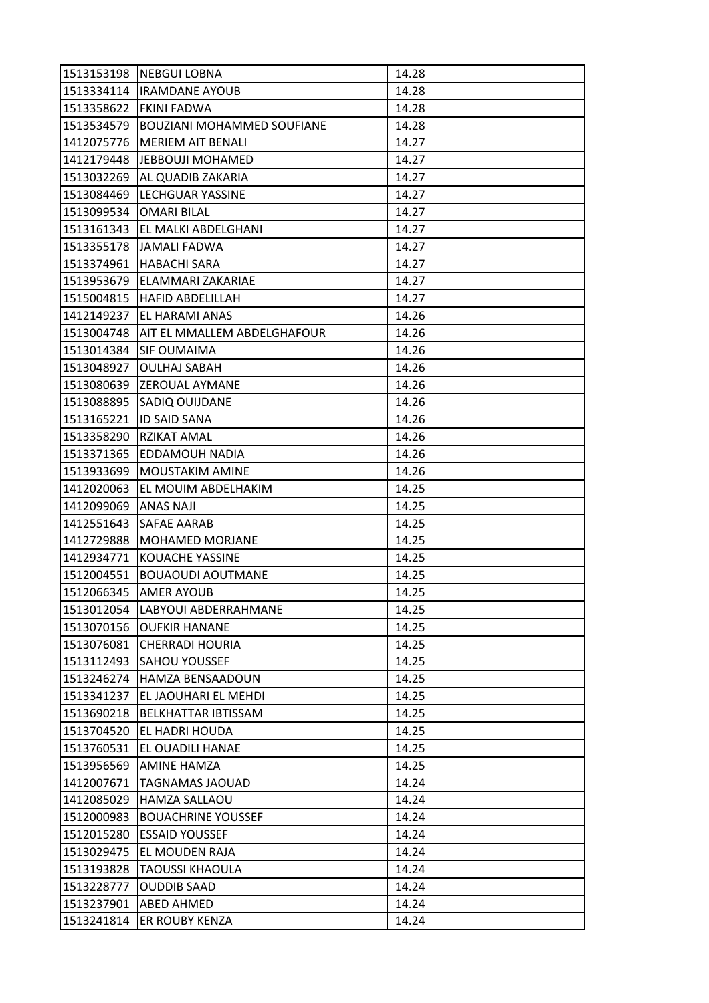| 1513153198 | <b>INEBGUI LOBNA</b>                     | 14.28 |
|------------|------------------------------------------|-------|
| 1513334114 | <b>IRAMDANE AYOUB</b>                    | 14.28 |
| 1513358622 | <b>FKINI FADWA</b>                       | 14.28 |
| 1513534579 | <b>BOUZIANI MOHAMMED SOUFIANE</b>        | 14.28 |
| 1412075776 | <b>MERIEM AIT BENALI</b>                 | 14.27 |
| 1412179448 | JEBBOUJI MOHAMED                         | 14.27 |
| 1513032269 | <b>JAL QUADIB ZAKARIA</b>                | 14.27 |
| 1513084469 | LECHGUAR YASSINE                         | 14.27 |
| 1513099534 | <b>OMARI BILAL</b>                       | 14.27 |
| 1513161343 | EL MALKI ABDELGHANI                      | 14.27 |
|            | 1513355178 JAMALI FADWA                  | 14.27 |
| 1513374961 | <b>HABACHI SARA</b>                      | 14.27 |
| 1513953679 | ELAMMARI ZAKARIAE                        | 14.27 |
| 1515004815 | <b>HAFID ABDELILLAH</b>                  | 14.27 |
| 1412149237 | EL HARAMI ANAS                           | 14.26 |
|            | 1513004748   AIT EL MMALLEM ABDELGHAFOUR | 14.26 |
| 1513014384 | <b>SIF OUMAIMA</b>                       | 14.26 |
| 1513048927 | <b>OULHAJ SABAH</b>                      | 14.26 |
| 1513080639 | <b>ZEROUAL AYMANE</b>                    | 14.26 |
| 1513088895 | <b>SADIQ OUIJDANE</b>                    | 14.26 |
| 1513165221 | <b>ID SAID SANA</b>                      | 14.26 |
| 1513358290 | <b>RZIKAT AMAL</b>                       | 14.26 |
| 1513371365 | EDDAMOUH NADIA                           | 14.26 |
| 1513933699 | <b>MOUSTAKIM AMINE</b>                   | 14.26 |
| 1412020063 | EL MOUIM ABDELHAKIM                      | 14.25 |
| 1412099069 | <b>ANAS NAJI</b>                         | 14.25 |
| 1412551643 | SAFAE AARAB                              | 14.25 |
| 1412729888 | <b>MOHAMED MORJANE</b>                   | 14.25 |
| 1412934771 | <b>KOUACHE YASSINE</b>                   | 14.25 |
| 1512004551 | <b>BOUAOUDI AOUTMANE</b>                 | 14.25 |
| 1512066345 | <b>AMER AYOUB</b>                        | 14.25 |
| 1513012054 | LABYOUI ABDERRAHMANE                     | 14.25 |
| 1513070156 | <b>OUFKIR HANANE</b>                     | 14.25 |
| 1513076081 | <b>CHERRADI HOURIA</b>                   | 14.25 |
| 1513112493 | <b>SAHOU YOUSSEF</b>                     | 14.25 |
| 1513246274 | <b>HAMZA BENSAADOUN</b>                  | 14.25 |
| 1513341237 | EL JAOUHARI EL MEHDI                     | 14.25 |
| 1513690218 | <b>BELKHATTAR IBTISSAM</b>               | 14.25 |
| 1513704520 | EL HADRI HOUDA                           | 14.25 |
| 1513760531 | EL OUADILI HANAE                         | 14.25 |
| 1513956569 | <b>AMINE HAMZA</b>                       | 14.25 |
| 1412007671 | TAGNAMAS JAOUAD                          | 14.24 |
| 1412085029 | <b>HAMZA SALLAOU</b>                     | 14.24 |
| 1512000983 | <b>BOUACHRINE YOUSSEF</b>                | 14.24 |
| 1512015280 | <b>ESSAID YOUSSEF</b>                    | 14.24 |
| 1513029475 | EL MOUDEN RAJA                           | 14.24 |
| 1513193828 | <b>TAOUSSI KHAOULA</b>                   | 14.24 |
| 1513228777 | <b>OUDDIB SAAD</b>                       | 14.24 |
| 1513237901 | <b>ABED AHMED</b>                        | 14.24 |
| 1513241814 | ER ROUBY KENZA                           | 14.24 |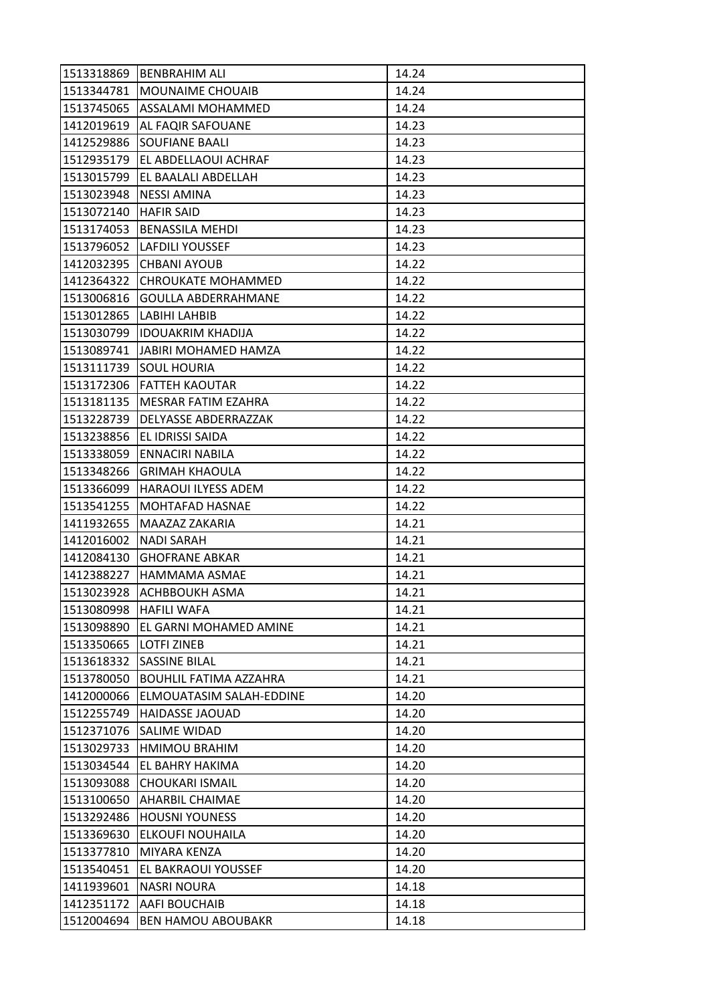| 1513318869 | <b>BENBRAHIM ALI</b>           | 14.24 |
|------------|--------------------------------|-------|
|            | 1513344781   MOUNAIME CHOUAIB  | 14.24 |
|            | 1513745065   ASSALAMI MOHAMMED | 14.24 |
| 1412019619 | AL FAQIR SAFOUANE              | 14.23 |
| 1412529886 | <b>SOUFIANE BAALI</b>          | 14.23 |
| 1512935179 | EL ABDELLAOUI ACHRAF           | 14.23 |
| 1513015799 | <b>EL BAALALI ABDELLAH</b>     | 14.23 |
| 1513023948 | <b>NESSI AMINA</b>             | 14.23 |
| 1513072140 | <b>HAFIR SAID</b>              | 14.23 |
| 1513174053 | <b>BENASSILA MEHDI</b>         | 14.23 |
|            | 1513796052 LAFDILI YOUSSEF     | 14.23 |
| 1412032395 | <b>CHBANI AYOUB</b>            | 14.22 |
| 1412364322 | CHROUKATE MOHAMMED             | 14.22 |
| 1513006816 | <b>GOULLA ABDERRAHMANE</b>     | 14.22 |
| 1513012865 | LABIHI LAHBIB                  | 14.22 |
|            | 1513030799  IDOUAKRIM KHADIJA  | 14.22 |
| 1513089741 | <b>JABIRI MOHAMED HAMZA</b>    | 14.22 |
| 1513111739 | <b>SOUL HOURIA</b>             | 14.22 |
| 1513172306 | FATTEH KAOUTAR                 | 14.22 |
| 1513181135 | MESRAR FATIM EZAHRA            | 14.22 |
| 1513228739 | <b>DELYASSE ABDERRAZZAK</b>    | 14.22 |
| 1513238856 | EL IDRISSI SAIDA               | 14.22 |
| 1513338059 | <b>ENNACIRI NABILA</b>         | 14.22 |
| 1513348266 | <b>GRIMAH KHAOULA</b>          | 14.22 |
| 1513366099 | <b>HARAOUI ILYESS ADEM</b>     | 14.22 |
| 1513541255 | <b>MOHTAFAD HASNAE</b>         | 14.22 |
| 1411932655 | MAAZAZ ZAKARIA                 | 14.21 |
| 1412016002 | <b>NADI SARAH</b>              | 14.21 |
| 1412084130 | <b>GHOFRANE ABKAR</b>          | 14.21 |
| 1412388227 | HAMMAMA ASMAE                  | 14.21 |
| 1513023928 | <b>ACHBBOUKH ASMA</b>          | 14.21 |
| 1513080998 | <b>HAFILI WAFA</b>             | 14.21 |
| 1513098890 | EL GARNI MOHAMED AMINE         | 14.21 |
| 1513350665 | <b>LOTFI ZINEB</b>             | 14.21 |
| 1513618332 | <b>SASSINE BILAL</b>           | 14.21 |
| 1513780050 | <b>BOUHLIL FATIMA AZZAHRA</b>  | 14.21 |
| 1412000066 | ELMOUATASIM SALAH-EDDINE       | 14.20 |
| 1512255749 | <b>HAIDASSE JAOUAD</b>         | 14.20 |
| 1512371076 | SALIME WIDAD                   | 14.20 |
| 1513029733 | <b>HMIMOU BRAHIM</b>           | 14.20 |
| 1513034544 | EL BAHRY HAKIMA                | 14.20 |
| 1513093088 | <b>CHOUKARI ISMAIL</b>         | 14.20 |
| 1513100650 | <b>AHARBIL CHAIMAE</b>         | 14.20 |
| 1513292486 | <b>HOUSNI YOUNESS</b>          | 14.20 |
| 1513369630 | <b>ELKOUFI NOUHAILA</b>        | 14.20 |
| 1513377810 | MIYARA KENZA                   | 14.20 |
| 1513540451 | EL BAKRAOUI YOUSSEF            | 14.20 |
| 1411939601 | <b>NASRI NOURA</b>             | 14.18 |
| 1412351172 | AAFI BOUCHAIB                  | 14.18 |
| 1512004694 | <b>BEN HAMOU ABOUBAKR</b>      | 14.18 |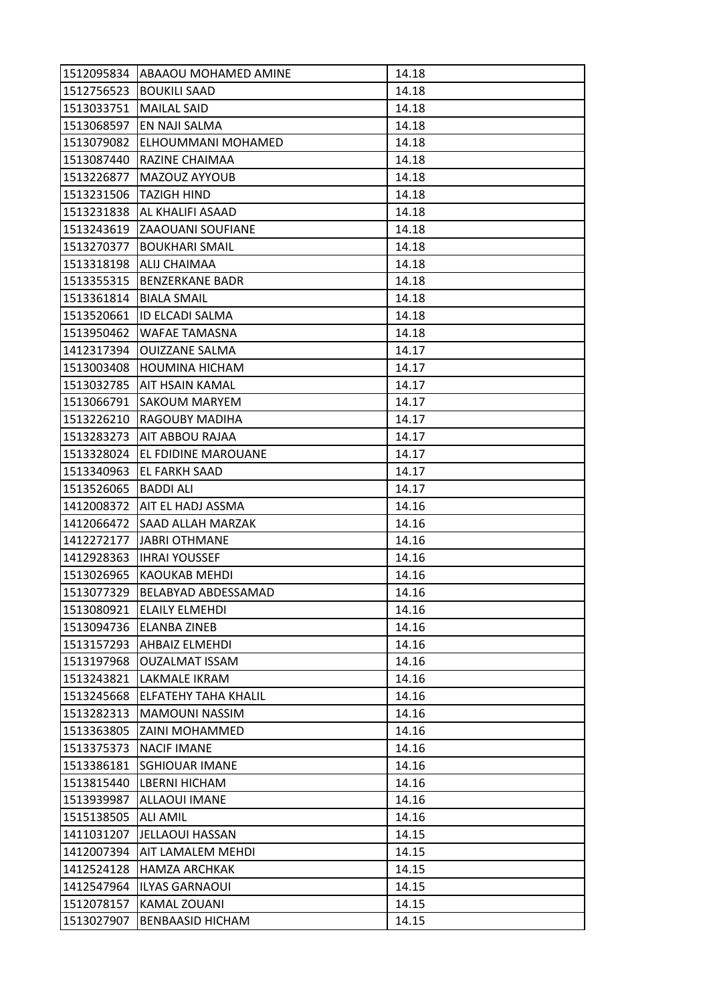| 1512095834 | ABAAOU MOHAMED AMINE           | 14.18 |
|------------|--------------------------------|-------|
| 1512756523 | <b>BOUKILI SAAD</b>            | 14.18 |
| 1513033751 | <b>MAILAL SAID</b>             | 14.18 |
| 1513068597 | EN NAJI SALMA                  | 14.18 |
| 1513079082 | ELHOUMMANI MOHAMED             | 14.18 |
| 1513087440 | RAZINE CHAIMAA                 | 14.18 |
| 1513226877 | MAZOUZ AYYOUB                  | 14.18 |
| 1513231506 | <b>TAZIGH HIND</b>             | 14.18 |
| 1513231838 | <b>AL KHALIFI ASAAD</b>        | 14.18 |
| 1513243619 | ZAAOUANI SOUFIANE              | 14.18 |
| 1513270377 | <b>BOUKHARI SMAIL</b>          | 14.18 |
| 1513318198 | ALIJ CHAIMAA                   | 14.18 |
| 1513355315 | <b>BENZERKANE BADR</b>         | 14.18 |
| 1513361814 | <b>BIALA SMAIL</b>             | 14.18 |
| 1513520661 | <b>ID ELCADI SALMA</b>         | 14.18 |
| 1513950462 | <b>WAFAE TAMASNA</b>           | 14.18 |
| 1412317394 | <b>OUIZZANE SALMA</b>          | 14.17 |
| 1513003408 | <b>HOUMINA HICHAM</b>          | 14.17 |
| 1513032785 | AIT HSAIN KAMAL                | 14.17 |
| 1513066791 | <b>SAKOUM MARYEM</b>           | 14.17 |
| 1513226210 | <b>RAGOUBY MADIHA</b>          | 14.17 |
| 1513283273 | AIT ABBOU RAJAA                | 14.17 |
| 1513328024 | EL FDIDINE MAROUANE            | 14.17 |
| 1513340963 | IEL FARKH SAAD                 | 14.17 |
| 1513526065 | <b>BADDI ALI</b>               | 14.17 |
|            | 1412008372   AIT EL HADJ ASSMA | 14.16 |
| 1412066472 | SAAD ALLAH MARZAK              | 14.16 |
| 1412272177 | JABRI OTHMANE                  | 14.16 |
| 1412928363 | <b>IHRAI YOUSSEF</b>           | 14.16 |
| 1513026965 | <b>KAOUKAB MEHDI</b>           | 14.16 |
| 1513077329 | BELABYAD ABDESSAMAD            | 14.16 |
| 1513080921 | <b>ELAILY ELMEHDI</b>          | 14.16 |
| 1513094736 | <b>ELANBA ZINEB</b>            | 14.16 |
| 1513157293 | <b>AHBAIZ ELMEHDI</b>          | 14.16 |
| 1513197968 | <b>OUZALMAT ISSAM</b>          | 14.16 |
| 1513243821 | LAKMALE IKRAM                  | 14.16 |
| 1513245668 | <b>ELFATEHY TAHA KHALIL</b>    | 14.16 |
| 1513282313 | <b>MAMOUNI NASSIM</b>          | 14.16 |
| 1513363805 | ZAINI MOHAMMED                 | 14.16 |
| 1513375373 | <b>NACIF IMANE</b>             | 14.16 |
| 1513386181 | <b>SGHIOUAR IMANE</b>          | 14.16 |
| 1513815440 | <b>LBERNI HICHAM</b>           | 14.16 |
| 1513939987 | <b>ALLAOUI IMANE</b>           | 14.16 |
| 1515138505 | <b>ALI AMIL</b>                | 14.16 |
| 1411031207 | JELLAOUI HASSAN                | 14.15 |
| 1412007394 | AIT LAMALEM MEHDI              | 14.15 |
| 1412524128 | <b>HAMZA ARCHKAK</b>           | 14.15 |
| 1412547964 | <b>ILYAS GARNAOUI</b>          | 14.15 |
| 1512078157 | <b>KAMAL ZOUANI</b>            | 14.15 |
| 1513027907 | <b>BENBAASID HICHAM</b>        | 14.15 |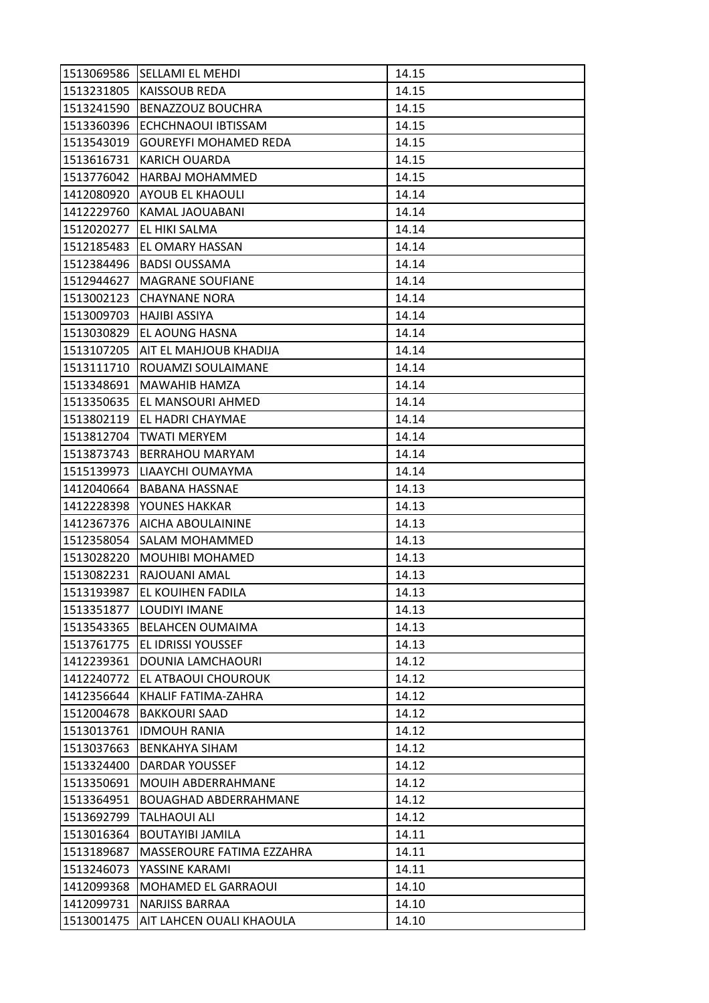| 1513069586 | <b>SELLAMI EL MEHDI</b>      | 14.15 |
|------------|------------------------------|-------|
| 1513231805 | <b>KAISSOUB REDA</b>         | 14.15 |
| 1513241590 | <b>BENAZZOUZ BOUCHRA</b>     | 14.15 |
| 1513360396 | ECHCHNAOUI IBTISSAM          | 14.15 |
| 1513543019 | <b>GOUREYFI MOHAMED REDA</b> | 14.15 |
| 1513616731 | KARICH OUARDA                | 14.15 |
| 1513776042 | <b>HARBAJ MOHAMMED</b>       | 14.15 |
| 1412080920 | <b>AYOUB EL KHAOULI</b>      | 14.14 |
| 1412229760 | KAMAL JAOUABANI              | 14.14 |
| 1512020277 | EL HIKI SALMA                | 14.14 |
| 1512185483 | <b>EL OMARY HASSAN</b>       | 14.14 |
| 1512384496 | <b>BADSI OUSSAMA</b>         | 14.14 |
| 1512944627 | <b>MAGRANE SOUFIANE</b>      | 14.14 |
| 1513002123 | <b>CHAYNANE NORA</b>         | 14.14 |
| 1513009703 | <b>HAJIBI ASSIYA</b>         | 14.14 |
| 1513030829 | EL AOUNG HASNA               | 14.14 |
| 1513107205 | AIT EL MAHJOUB KHADIJA       | 14.14 |
| 1513111710 | ROUAMZI SOULAIMANE           | 14.14 |
| 1513348691 | <b>MAWAHIB HAMZA</b>         | 14.14 |
| 1513350635 | EL MANSOURI AHMED            | 14.14 |
| 1513802119 | EL HADRI CHAYMAE             | 14.14 |
| 1513812704 | <b>TWATI MERYEM</b>          | 14.14 |
| 1513873743 | <b>BERRAHOU MARYAM</b>       | 14.14 |
| 1515139973 | LIAAYCHI OUMAYMA             | 14.14 |
| 1412040664 | <b>BABANA HASSNAE</b>        | 14.13 |
| 1412228398 | YOUNES HAKKAR                | 14.13 |
| 1412367376 | AICHA ABOULAININE            | 14.13 |
| 1512358054 | <b>SALAM MOHAMMED</b>        | 14.13 |
| 1513028220 | <b>MOUHIBI MOHAMED</b>       | 14.13 |
| 1513082231 | RAJOUANI AMAL                | 14.13 |
| 1513193987 | <b>EL KOUIHEN FADILA</b>     | 14.13 |
| 1513351877 | LOUDIYI IMANE                | 14.13 |
| 1513543365 | <b>BELAHCEN OUMAIMA</b>      | 14.13 |
| 1513761775 | <b>EL IDRISSI YOUSSEF</b>    | 14.13 |
| 1412239361 | <b>DOUNIA LAMCHAOURI</b>     | 14.12 |
| 1412240772 | EL ATBAOUI CHOUROUK          | 14.12 |
| 1412356644 | KHALIF FATIMA-ZAHRA          | 14.12 |
| 1512004678 | <b>BAKKOURI SAAD</b>         | 14.12 |
| 1513013761 | <b>IDMOUH RANIA</b>          | 14.12 |
| 1513037663 | <b>BENKAHYA SIHAM</b>        | 14.12 |
| 1513324400 | DARDAR YOUSSEF               | 14.12 |
| 1513350691 | MOUIH ABDERRAHMANE           | 14.12 |
| 1513364951 | <b>BOUAGHAD ABDERRAHMANE</b> | 14.12 |
| 1513692799 | <b>TALHAOUI ALI</b>          | 14.12 |
| 1513016364 | <b>BOUTAYIBI JAMILA</b>      | 14.11 |
| 1513189687 | MASSEROURE FATIMA EZZAHRA    | 14.11 |
| 1513246073 | YASSINE KARAMI               | 14.11 |
| 1412099368 | <b>MOHAMED EL GARRAOUI</b>   | 14.10 |
| 1412099731 | <b>NARJISS BARRAA</b>        | 14.10 |
| 1513001475 | AIT LAHCEN OUALI KHAOULA     | 14.10 |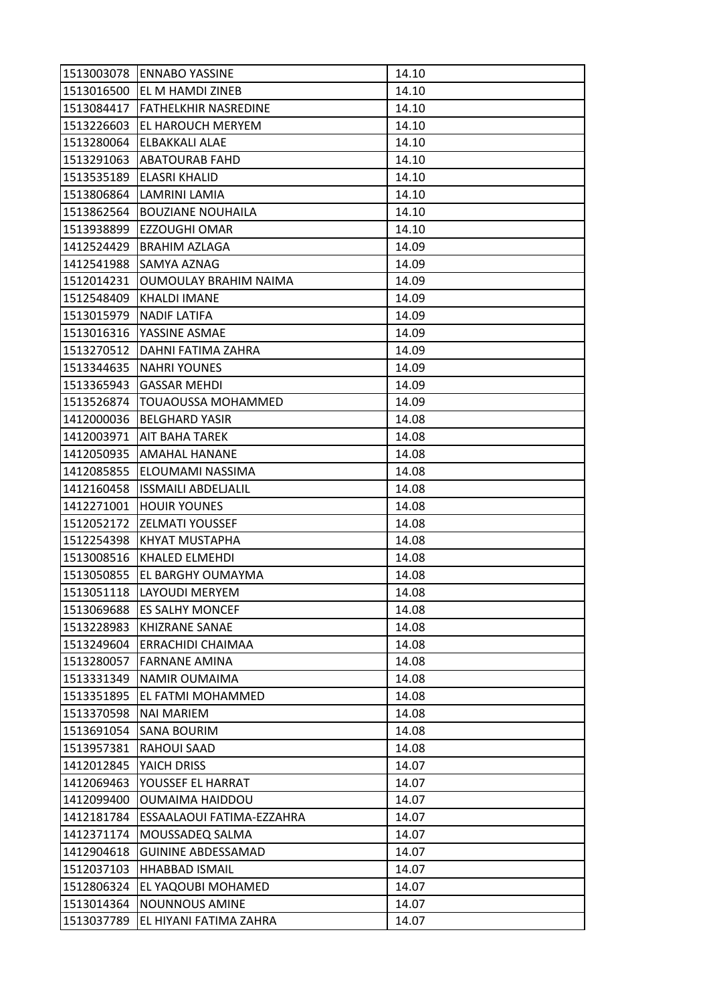| 1513003078 | <b>ENNABO YASSINE</b>       | 14.10 |
|------------|-----------------------------|-------|
| 1513016500 | <b>EL M HAMDI ZINEB</b>     | 14.10 |
| 1513084417 | <b>FATHELKHIR NASREDINE</b> | 14.10 |
| 1513226603 | EL HAROUCH MERYEM           | 14.10 |
| 1513280064 | <b>ELBAKKALI ALAE</b>       | 14.10 |
|            | 1513291063   ABATOURAB FAHD | 14.10 |
| 1513535189 | <b>ELASRI KHALID</b>        | 14.10 |
| 1513806864 | LAMRINI LAMIA               | 14.10 |
| 1513862564 | <b>BOUZIANE NOUHAILA</b>    | 14.10 |
| 1513938899 | EZZOUGHI OMAR               | 14.10 |
| 1412524429 | <b>BRAHIM AZLAGA</b>        | 14.09 |
| 1412541988 | SAMYA AZNAG                 | 14.09 |
| 1512014231 | OUMOULAY BRAHIM NAIMA       | 14.09 |
| 1512548409 | <b>KHALDI IMANE</b>         | 14.09 |
| 1513015979 | <b>NADIF LATIFA</b>         | 14.09 |
| 1513016316 | YASSINE ASMAE               | 14.09 |
| 1513270512 | DAHNI FATIMA ZAHRA          | 14.09 |
| 1513344635 | <b>NAHRI YOUNES</b>         | 14.09 |
| 1513365943 | <b>GASSAR MEHDI</b>         | 14.09 |
| 1513526874 | <b>TOUAOUSSA MOHAMMED</b>   | 14.09 |
| 1412000036 | <b>BELGHARD YASIR</b>       | 14.08 |
| 1412003971 | AIT BAHA TAREK              | 14.08 |
| 1412050935 | AMAHAL HANANE               | 14.08 |
| 1412085855 | ELOUMAMI NASSIMA            | 14.08 |
| 1412160458 | <b>ISSMAILI ABDELJALIL</b>  | 14.08 |
| 1412271001 | <b>HOUIR YOUNES</b>         | 14.08 |
| 1512052172 | <b>ZELMATI YOUSSEF</b>      | 14.08 |
| 1512254398 | KHYAT MUSTAPHA              | 14.08 |
| 1513008516 | <b>KHALED ELMEHDI</b>       | 14.08 |
| 1513050855 | EL BARGHY OUMAYMA           | 14.08 |
| 1513051118 | LAYOUDI MERYEM              | 14.08 |
| 1513069688 | <b>ES SALHY MONCEF</b>      | 14.08 |
| 1513228983 | <b>KHIZRANE SANAE</b>       | 14.08 |
| 1513249604 | ERRACHIDI CHAIMAA           | 14.08 |
| 1513280057 | <b>FARNANE AMINA</b>        | 14.08 |
| 1513331349 | <b>NAMIR OUMAIMA</b>        | 14.08 |
| 1513351895 | EL FATMI MOHAMMED           | 14.08 |
| 1513370598 | <b>NAI MARIEM</b>           | 14.08 |
| 1513691054 | SANA BOURIM                 | 14.08 |
| 1513957381 | RAHOUI SAAD                 | 14.08 |
| 1412012845 | YAICH DRISS                 | 14.07 |
| 1412069463 | YOUSSEF EL HARRAT           | 14.07 |
| 1412099400 | OUMAIMA HAIDDOU             | 14.07 |
| 1412181784 | ESSAALAOUI FATIMA-EZZAHRA   | 14.07 |
| 1412371174 | MOUSSADEQ SALMA             | 14.07 |
| 1412904618 | <b>GUININE ABDESSAMAD</b>   | 14.07 |
| 1512037103 | <b>HHABBAD ISMAIL</b>       | 14.07 |
| 1512806324 | EL YAQOUBI MOHAMED          | 14.07 |
| 1513014364 | <b>NOUNNOUS AMINE</b>       | 14.07 |
| 1513037789 | EL HIYANI FATIMA ZAHRA      | 14.07 |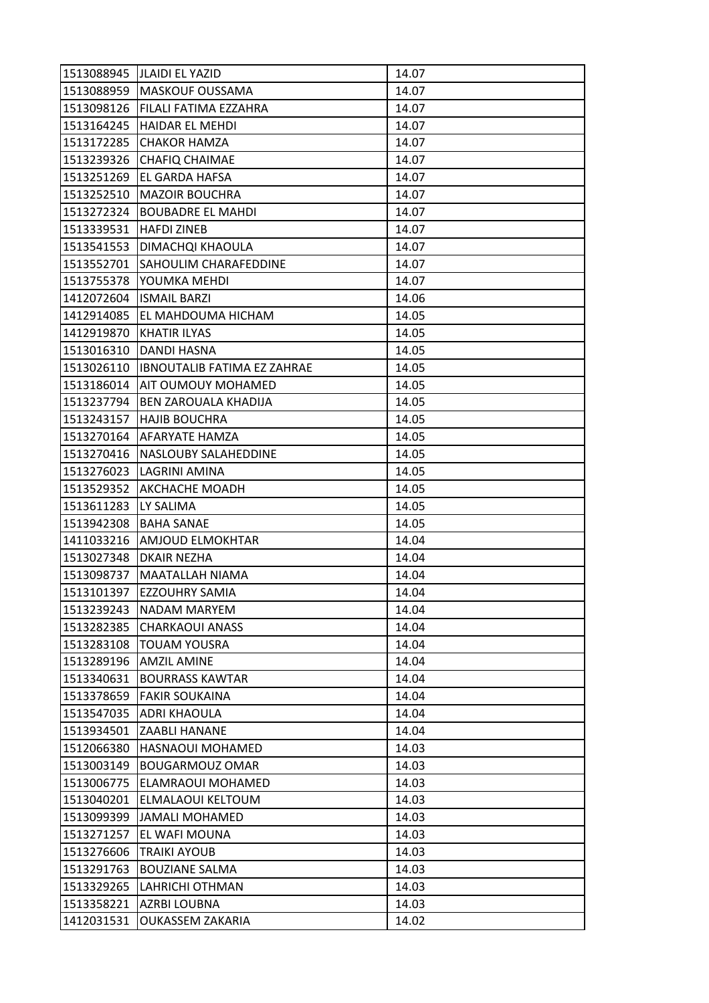| 1513088945 | <b>JLAIDI EL YAZID</b>             | 14.07 |
|------------|------------------------------------|-------|
|            | 1513088959   MASKOUF OUSSAMA       | 14.07 |
| 1513098126 | FILALI FATIMA EZZAHRA              | 14.07 |
| 1513164245 | HAIDAR EL MEHDI                    | 14.07 |
| 1513172285 | <b>CHAKOR HAMZA</b>                | 14.07 |
| 1513239326 | <b>CHAFIQ CHAIMAE</b>              | 14.07 |
| 1513251269 | <b>EL GARDA HAFSA</b>              | 14.07 |
| 1513252510 | <b>MAZOIR BOUCHRA</b>              | 14.07 |
| 1513272324 | <b>BOUBADRE EL MAHDI</b>           | 14.07 |
| 1513339531 | <b>HAFDI ZINEB</b>                 | 14.07 |
| 1513541553 | DIMACHQI KHAOULA                   | 14.07 |
| 1513552701 | <b>SAHOULIM CHARAFEDDINE</b>       | 14.07 |
| 1513755378 | YOUMKA MEHDI                       | 14.07 |
| 1412072604 | <b>ISMAIL BARZI</b>                | 14.06 |
| 1412914085 | EL MAHDOUMA HICHAM                 | 14.05 |
| 1412919870 | <b>KHATIR ILYAS</b>                | 14.05 |
| 1513016310 | <b>DANDI HASNA</b>                 | 14.05 |
| 1513026110 | <b>IBNOUTALIB FATIMA EZ ZAHRAE</b> | 14.05 |
| 1513186014 | <b>AIT OUMOUY MOHAMED</b>          | 14.05 |
| 1513237794 | BEN ZAROUALA KHADIJA               | 14.05 |
| 1513243157 | <b>HAJIB BOUCHRA</b>               | 14.05 |
| 1513270164 | AFARYATE HAMZA                     | 14.05 |
| 1513270416 | NASLOUBY SALAHEDDINE               | 14.05 |
| 1513276023 | LAGRINI AMINA                      | 14.05 |
| 1513529352 | <b>AKCHACHE MOADH</b>              | 14.05 |
| 1513611283 | LY SALIMA                          | 14.05 |
| 1513942308 | <b>BAHA SANAE</b>                  | 14.05 |
| 1411033216 | <b>AMJOUD ELMOKHTAR</b>            | 14.04 |
| 1513027348 | <b>DKAIR NEZHA</b>                 | 14.04 |
| 1513098737 | MAATALLAH NIAMA                    | 14.04 |
| 1513101397 | <b>EZZOUHRY SAMIA</b>              | 14.04 |
| 1513239243 | NADAM MARYEM                       | 14.04 |
| 1513282385 | <b>CHARKAOUI ANASS</b>             | 14.04 |
| 1513283108 | <b>TOUAM YOUSRA</b>                | 14.04 |
| 1513289196 | <b>AMZIL AMINE</b>                 | 14.04 |
| 1513340631 | <b>BOURRASS KAWTAR</b>             | 14.04 |
| 1513378659 | <b>FAKIR SOUKAINA</b>              | 14.04 |
| 1513547035 | <b>ADRI KHAOULA</b>                | 14.04 |
| 1513934501 | <b>ZAABLI HANANE</b>               | 14.04 |
| 1512066380 | HASNAOUI MOHAMED                   | 14.03 |
| 1513003149 | <b>BOUGARMOUZ OMAR</b>             | 14.03 |
| 1513006775 | ELAMRAOUI MOHAMED                  | 14.03 |
| 1513040201 | ELMALAOUI KELTOUM                  | 14.03 |
| 1513099399 | JAMALI MOHAMED                     | 14.03 |
| 1513271257 | EL WAFI MOUNA                      | 14.03 |
| 1513276606 | <b>TRAIKI AYOUB</b>                | 14.03 |
| 1513291763 | <b>BOUZIANE SALMA</b>              | 14.03 |
| 1513329265 | LAHRICHI OTHMAN                    | 14.03 |
| 1513358221 | <b>AZRBI LOUBNA</b>                | 14.03 |
| 1412031531 | <b>OUKASSEM ZAKARIA</b>            | 14.02 |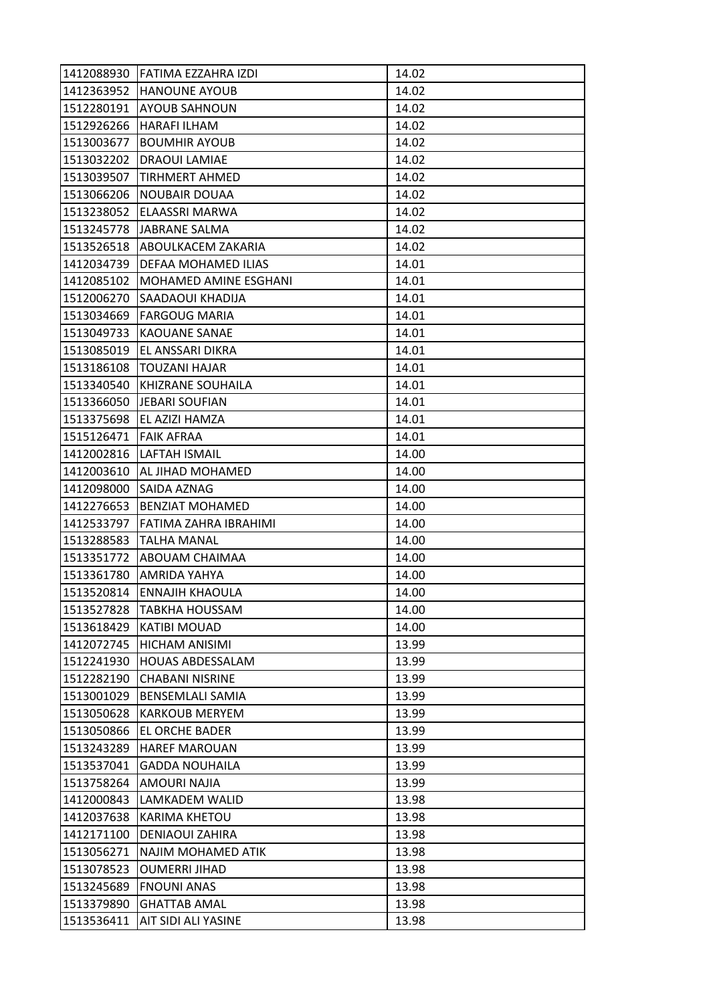| 1412088930 | IFATIMA EZZAHRA IZDI         | 14.02 |
|------------|------------------------------|-------|
| 1412363952 | <b>HANOUNE AYOUB</b>         | 14.02 |
| 1512280191 | <b>AYOUB SAHNOUN</b>         | 14.02 |
| 1512926266 | HARAFI ILHAM                 | 14.02 |
| 1513003677 | <b>BOUMHIR AYOUB</b>         | 14.02 |
| 1513032202 | DRAOUI LAMIAE                | 14.02 |
| 1513039507 | <b>TIRHMERT AHMED</b>        | 14.02 |
| 1513066206 | <b>NOUBAIR DOUAA</b>         | 14.02 |
| 1513238052 | ELAASSRI MARWA               | 14.02 |
| 1513245778 | JABRANE SALMA                | 14.02 |
| 1513526518 | ABOULKACEM ZAKARIA           | 14.02 |
| 1412034739 | DEFAA MOHAMED ILIAS          | 14.01 |
| 1412085102 | <b>MOHAMED AMINE ESGHANI</b> | 14.01 |
| 1512006270 | <b>SAADAOUI KHADIJA</b>      | 14.01 |
| 1513034669 | <b>FARGOUG MARIA</b>         | 14.01 |
| 1513049733 | <b>KAOUANE SANAE</b>         | 14.01 |
| 1513085019 | EL ANSSARI DIKRA             | 14.01 |
| 1513186108 | <b>TOUZANI HAJAR</b>         | 14.01 |
| 1513340540 | KHIZRANE SOUHAILA            | 14.01 |
| 1513366050 | <b>JEBARI SOUFIAN</b>        | 14.01 |
| 1513375698 | EL AZIZI HAMZA               | 14.01 |
| 1515126471 | <b>FAIK AFRAA</b>            | 14.01 |
| 1412002816 | LAFTAH ISMAIL                | 14.00 |
| 1412003610 | AL JIHAD MOHAMED             | 14.00 |
| 1412098000 | SAIDA AZNAG                  | 14.00 |
| 1412276653 | <b>BENZIAT MOHAMED</b>       | 14.00 |
| 1412533797 | FATIMA ZAHRA IBRAHIMI        | 14.00 |
| 1513288583 | <b>TALHA MANAL</b>           | 14.00 |
| 1513351772 | ABOUAM CHAIMAA               | 14.00 |
| 1513361780 | AMRIDA YAHYA                 | 14.00 |
| 1513520814 | <b>ENNAJIH KHAOULA</b>       | 14.00 |
| 1513527828 | <b>TABKHA HOUSSAM</b>        | 14.00 |
| 1513618429 | <b>KATIBI MOUAD</b>          | 14.00 |
| 1412072745 | HICHAM ANISIMI               | 13.99 |
| 1512241930 | <b>HOUAS ABDESSALAM</b>      | 13.99 |
| 1512282190 | <b>CHABANI NISRINE</b>       | 13.99 |
| 1513001029 | <b>BENSEMLALI SAMIA</b>      | 13.99 |
| 1513050628 | <b>KARKOUB MERYEM</b>        | 13.99 |
| 1513050866 | EL ORCHE BADER               | 13.99 |
| 1513243289 | <b>HAREF MAROUAN</b>         | 13.99 |
| 1513537041 | <b>GADDA NOUHAILA</b>        | 13.99 |
| 1513758264 | AMOURI NAJIA                 | 13.99 |
| 1412000843 | LAMKADEM WALID               | 13.98 |
| 1412037638 | KARIMA KHETOU                | 13.98 |
| 1412171100 | <b>DENIAOUI ZAHIRA</b>       | 13.98 |
| 1513056271 | NAJIM MOHAMED ATIK           | 13.98 |
| 1513078523 | <b>OUMERRI JIHAD</b>         | 13.98 |
| 1513245689 | <b>FNOUNI ANAS</b>           | 13.98 |
| 1513379890 | <b>GHATTAB AMAL</b>          | 13.98 |
| 1513536411 | AIT SIDI ALI YASINE          | 13.98 |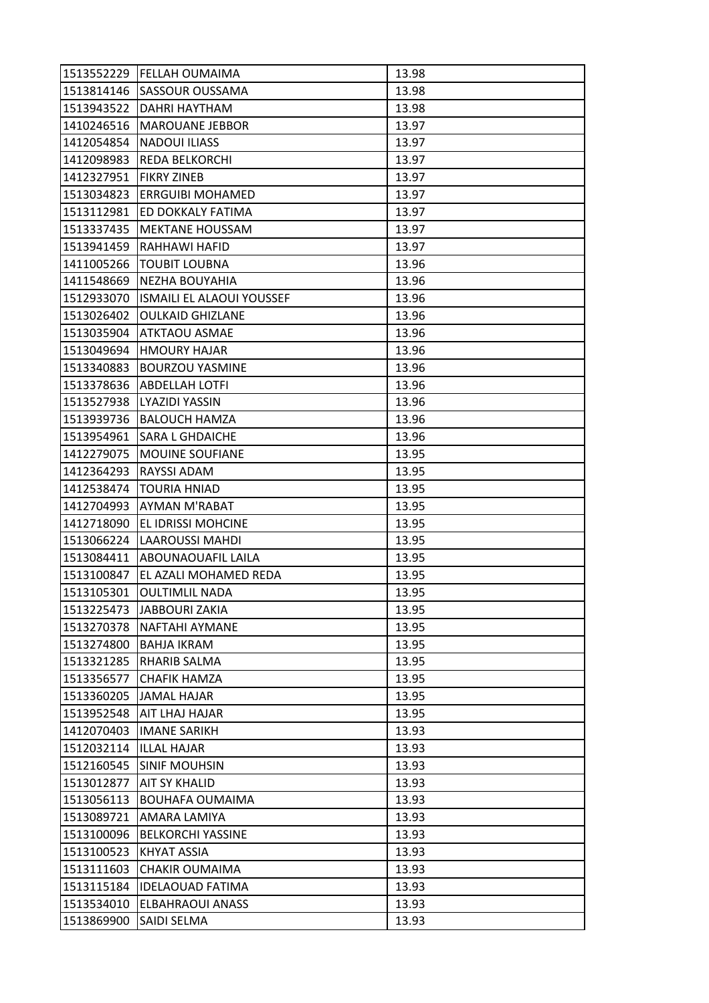| <b>SASSOUR OUSSAMA</b><br>13.98<br>DAHRI HAYTHAM<br>13.98<br><b>MAROUANE JEBBOR</b><br>13.97<br><b>NADOUI ILIASS</b><br>13.97<br>1412098983<br>13.97<br>REDA BELKORCHI<br><b>FIKRY ZINEB</b><br>13.97<br>13.97<br>1513034823<br><b>ERRGUIBI MOHAMED</b><br>ED DOKKALY FATIMA<br>13.97<br>13.97<br><b>MEKTANE HOUSSAM</b><br>13.97<br>RAHHAWI HAFID<br>13.96<br><b>TOUBIT LOUBNA</b><br>1411548669<br>13.96<br>NEZHA BOUYAHIA<br>1512933070<br><b>ISMAILI EL ALAOUI YOUSSEF</b><br>13.96<br>13.96<br>1513026402<br><b>OULKAID GHIZLANE</b><br><b>JATKTAOU ASMAE</b><br>13.96<br>13.96<br><b>HMOURY HAJAR</b><br><b>BOURZOU YASMINE</b><br>13.96<br>13.96<br><b>ABDELLAH LOTFI</b><br>13.96<br>1513527938<br>LYAZIDI YASSIN<br><b>BALOUCH HAMZA</b><br>13.96<br>13.96<br>1513954961<br>SARA L GHDAICHE<br>1412279075<br><b>MOUINE SOUFIANE</b><br>13.95<br>RAYSSI ADAM<br>13.95<br>13.95<br>1412538474<br><b>TOURIA HNIAD</b><br><b>AYMAN M'RABAT</b><br>1412704993<br>13.95<br>1412718090<br>EL IDRISSI MOHCINE<br>13.95<br><b>LAAROUSSI MAHDI</b><br>13.95<br><b>ABOUNAOUAFIL LAILA</b><br>13.95<br>EL AZALI MOHAMED REDA<br>13.95<br>1513105301<br><b>OULTIMLIL NADA</b><br>13.95<br>1513225473<br><b>JABBOURI ZAKIA</b><br>13.95<br>13.95<br><b>NAFTAHI AYMANE</b><br>1513274800<br><b>BAHJA IKRAM</b><br>13.95<br>RHARIB SALMA<br>13.95<br>1513356577<br><b>CHAFIK HAMZA</b><br>13.95<br>JAMAL HAJAR<br>13.95<br>13.95<br>1513952548<br>AIT LHAJ HAJAR<br>1412070403<br><b>IMANE SARIKH</b><br>13.93<br>1512032114<br><b>ILLAL HAJAR</b><br>13.93<br><b>SINIF MOUHSIN</b><br>1512160545<br>13.93<br><b>AIT SY KHALID</b><br>13.93<br>1513056113<br><b>BOUHAFA OUMAIMA</b><br>13.93<br>1513089721<br>13.93<br>AMARA LAMIYA<br>1513100096<br><b>BELKORCHI YASSINE</b><br>13.93<br>1513100523<br><b>KHYAT ASSIA</b><br>13.93<br><b>CHAKIR OUMAIMA</b><br>13.93<br>13.93<br>1513115184<br><b>IDELAOUAD FATIMA</b><br>1513534010<br><b>ELBAHRAOUI ANASS</b><br>13.93<br>1513869900<br>SAIDI SELMA<br>13.93 | 1513552229 | <b>FELLAH OUMAIMA</b> | 13.98 |
|----------------------------------------------------------------------------------------------------------------------------------------------------------------------------------------------------------------------------------------------------------------------------------------------------------------------------------------------------------------------------------------------------------------------------------------------------------------------------------------------------------------------------------------------------------------------------------------------------------------------------------------------------------------------------------------------------------------------------------------------------------------------------------------------------------------------------------------------------------------------------------------------------------------------------------------------------------------------------------------------------------------------------------------------------------------------------------------------------------------------------------------------------------------------------------------------------------------------------------------------------------------------------------------------------------------------------------------------------------------------------------------------------------------------------------------------------------------------------------------------------------------------------------------------------------------------------------------------------------------------------------------------------------------------------------------------------------------------------------------------------------------------------------------------------------------------------------------------------------------------------------------------------------------------------------------------------------------------------------------------------------|------------|-----------------------|-------|
|                                                                                                                                                                                                                                                                                                                                                                                                                                                                                                                                                                                                                                                                                                                                                                                                                                                                                                                                                                                                                                                                                                                                                                                                                                                                                                                                                                                                                                                                                                                                                                                                                                                                                                                                                                                                                                                                                                                                                                                                          | 1513814146 |                       |       |
|                                                                                                                                                                                                                                                                                                                                                                                                                                                                                                                                                                                                                                                                                                                                                                                                                                                                                                                                                                                                                                                                                                                                                                                                                                                                                                                                                                                                                                                                                                                                                                                                                                                                                                                                                                                                                                                                                                                                                                                                          | 1513943522 |                       |       |
|                                                                                                                                                                                                                                                                                                                                                                                                                                                                                                                                                                                                                                                                                                                                                                                                                                                                                                                                                                                                                                                                                                                                                                                                                                                                                                                                                                                                                                                                                                                                                                                                                                                                                                                                                                                                                                                                                                                                                                                                          | 1410246516 |                       |       |
|                                                                                                                                                                                                                                                                                                                                                                                                                                                                                                                                                                                                                                                                                                                                                                                                                                                                                                                                                                                                                                                                                                                                                                                                                                                                                                                                                                                                                                                                                                                                                                                                                                                                                                                                                                                                                                                                                                                                                                                                          | 1412054854 |                       |       |
|                                                                                                                                                                                                                                                                                                                                                                                                                                                                                                                                                                                                                                                                                                                                                                                                                                                                                                                                                                                                                                                                                                                                                                                                                                                                                                                                                                                                                                                                                                                                                                                                                                                                                                                                                                                                                                                                                                                                                                                                          |            |                       |       |
|                                                                                                                                                                                                                                                                                                                                                                                                                                                                                                                                                                                                                                                                                                                                                                                                                                                                                                                                                                                                                                                                                                                                                                                                                                                                                                                                                                                                                                                                                                                                                                                                                                                                                                                                                                                                                                                                                                                                                                                                          | 1412327951 |                       |       |
|                                                                                                                                                                                                                                                                                                                                                                                                                                                                                                                                                                                                                                                                                                                                                                                                                                                                                                                                                                                                                                                                                                                                                                                                                                                                                                                                                                                                                                                                                                                                                                                                                                                                                                                                                                                                                                                                                                                                                                                                          |            |                       |       |
|                                                                                                                                                                                                                                                                                                                                                                                                                                                                                                                                                                                                                                                                                                                                                                                                                                                                                                                                                                                                                                                                                                                                                                                                                                                                                                                                                                                                                                                                                                                                                                                                                                                                                                                                                                                                                                                                                                                                                                                                          | 1513112981 |                       |       |
|                                                                                                                                                                                                                                                                                                                                                                                                                                                                                                                                                                                                                                                                                                                                                                                                                                                                                                                                                                                                                                                                                                                                                                                                                                                                                                                                                                                                                                                                                                                                                                                                                                                                                                                                                                                                                                                                                                                                                                                                          | 1513337435 |                       |       |
|                                                                                                                                                                                                                                                                                                                                                                                                                                                                                                                                                                                                                                                                                                                                                                                                                                                                                                                                                                                                                                                                                                                                                                                                                                                                                                                                                                                                                                                                                                                                                                                                                                                                                                                                                                                                                                                                                                                                                                                                          | 1513941459 |                       |       |
|                                                                                                                                                                                                                                                                                                                                                                                                                                                                                                                                                                                                                                                                                                                                                                                                                                                                                                                                                                                                                                                                                                                                                                                                                                                                                                                                                                                                                                                                                                                                                                                                                                                                                                                                                                                                                                                                                                                                                                                                          | 1411005266 |                       |       |
|                                                                                                                                                                                                                                                                                                                                                                                                                                                                                                                                                                                                                                                                                                                                                                                                                                                                                                                                                                                                                                                                                                                                                                                                                                                                                                                                                                                                                                                                                                                                                                                                                                                                                                                                                                                                                                                                                                                                                                                                          |            |                       |       |
|                                                                                                                                                                                                                                                                                                                                                                                                                                                                                                                                                                                                                                                                                                                                                                                                                                                                                                                                                                                                                                                                                                                                                                                                                                                                                                                                                                                                                                                                                                                                                                                                                                                                                                                                                                                                                                                                                                                                                                                                          |            |                       |       |
|                                                                                                                                                                                                                                                                                                                                                                                                                                                                                                                                                                                                                                                                                                                                                                                                                                                                                                                                                                                                                                                                                                                                                                                                                                                                                                                                                                                                                                                                                                                                                                                                                                                                                                                                                                                                                                                                                                                                                                                                          |            |                       |       |
|                                                                                                                                                                                                                                                                                                                                                                                                                                                                                                                                                                                                                                                                                                                                                                                                                                                                                                                                                                                                                                                                                                                                                                                                                                                                                                                                                                                                                                                                                                                                                                                                                                                                                                                                                                                                                                                                                                                                                                                                          | 1513035904 |                       |       |
|                                                                                                                                                                                                                                                                                                                                                                                                                                                                                                                                                                                                                                                                                                                                                                                                                                                                                                                                                                                                                                                                                                                                                                                                                                                                                                                                                                                                                                                                                                                                                                                                                                                                                                                                                                                                                                                                                                                                                                                                          | 1513049694 |                       |       |
|                                                                                                                                                                                                                                                                                                                                                                                                                                                                                                                                                                                                                                                                                                                                                                                                                                                                                                                                                                                                                                                                                                                                                                                                                                                                                                                                                                                                                                                                                                                                                                                                                                                                                                                                                                                                                                                                                                                                                                                                          | 1513340883 |                       |       |
|                                                                                                                                                                                                                                                                                                                                                                                                                                                                                                                                                                                                                                                                                                                                                                                                                                                                                                                                                                                                                                                                                                                                                                                                                                                                                                                                                                                                                                                                                                                                                                                                                                                                                                                                                                                                                                                                                                                                                                                                          | 1513378636 |                       |       |
|                                                                                                                                                                                                                                                                                                                                                                                                                                                                                                                                                                                                                                                                                                                                                                                                                                                                                                                                                                                                                                                                                                                                                                                                                                                                                                                                                                                                                                                                                                                                                                                                                                                                                                                                                                                                                                                                                                                                                                                                          |            |                       |       |
|                                                                                                                                                                                                                                                                                                                                                                                                                                                                                                                                                                                                                                                                                                                                                                                                                                                                                                                                                                                                                                                                                                                                                                                                                                                                                                                                                                                                                                                                                                                                                                                                                                                                                                                                                                                                                                                                                                                                                                                                          | 1513939736 |                       |       |
|                                                                                                                                                                                                                                                                                                                                                                                                                                                                                                                                                                                                                                                                                                                                                                                                                                                                                                                                                                                                                                                                                                                                                                                                                                                                                                                                                                                                                                                                                                                                                                                                                                                                                                                                                                                                                                                                                                                                                                                                          |            |                       |       |
|                                                                                                                                                                                                                                                                                                                                                                                                                                                                                                                                                                                                                                                                                                                                                                                                                                                                                                                                                                                                                                                                                                                                                                                                                                                                                                                                                                                                                                                                                                                                                                                                                                                                                                                                                                                                                                                                                                                                                                                                          |            |                       |       |
|                                                                                                                                                                                                                                                                                                                                                                                                                                                                                                                                                                                                                                                                                                                                                                                                                                                                                                                                                                                                                                                                                                                                                                                                                                                                                                                                                                                                                                                                                                                                                                                                                                                                                                                                                                                                                                                                                                                                                                                                          | 1412364293 |                       |       |
|                                                                                                                                                                                                                                                                                                                                                                                                                                                                                                                                                                                                                                                                                                                                                                                                                                                                                                                                                                                                                                                                                                                                                                                                                                                                                                                                                                                                                                                                                                                                                                                                                                                                                                                                                                                                                                                                                                                                                                                                          |            |                       |       |
|                                                                                                                                                                                                                                                                                                                                                                                                                                                                                                                                                                                                                                                                                                                                                                                                                                                                                                                                                                                                                                                                                                                                                                                                                                                                                                                                                                                                                                                                                                                                                                                                                                                                                                                                                                                                                                                                                                                                                                                                          |            |                       |       |
|                                                                                                                                                                                                                                                                                                                                                                                                                                                                                                                                                                                                                                                                                                                                                                                                                                                                                                                                                                                                                                                                                                                                                                                                                                                                                                                                                                                                                                                                                                                                                                                                                                                                                                                                                                                                                                                                                                                                                                                                          |            |                       |       |
|                                                                                                                                                                                                                                                                                                                                                                                                                                                                                                                                                                                                                                                                                                                                                                                                                                                                                                                                                                                                                                                                                                                                                                                                                                                                                                                                                                                                                                                                                                                                                                                                                                                                                                                                                                                                                                                                                                                                                                                                          | 1513066224 |                       |       |
|                                                                                                                                                                                                                                                                                                                                                                                                                                                                                                                                                                                                                                                                                                                                                                                                                                                                                                                                                                                                                                                                                                                                                                                                                                                                                                                                                                                                                                                                                                                                                                                                                                                                                                                                                                                                                                                                                                                                                                                                          | 1513084411 |                       |       |
|                                                                                                                                                                                                                                                                                                                                                                                                                                                                                                                                                                                                                                                                                                                                                                                                                                                                                                                                                                                                                                                                                                                                                                                                                                                                                                                                                                                                                                                                                                                                                                                                                                                                                                                                                                                                                                                                                                                                                                                                          | 1513100847 |                       |       |
|                                                                                                                                                                                                                                                                                                                                                                                                                                                                                                                                                                                                                                                                                                                                                                                                                                                                                                                                                                                                                                                                                                                                                                                                                                                                                                                                                                                                                                                                                                                                                                                                                                                                                                                                                                                                                                                                                                                                                                                                          |            |                       |       |
|                                                                                                                                                                                                                                                                                                                                                                                                                                                                                                                                                                                                                                                                                                                                                                                                                                                                                                                                                                                                                                                                                                                                                                                                                                                                                                                                                                                                                                                                                                                                                                                                                                                                                                                                                                                                                                                                                                                                                                                                          |            |                       |       |
|                                                                                                                                                                                                                                                                                                                                                                                                                                                                                                                                                                                                                                                                                                                                                                                                                                                                                                                                                                                                                                                                                                                                                                                                                                                                                                                                                                                                                                                                                                                                                                                                                                                                                                                                                                                                                                                                                                                                                                                                          | 1513270378 |                       |       |
|                                                                                                                                                                                                                                                                                                                                                                                                                                                                                                                                                                                                                                                                                                                                                                                                                                                                                                                                                                                                                                                                                                                                                                                                                                                                                                                                                                                                                                                                                                                                                                                                                                                                                                                                                                                                                                                                                                                                                                                                          |            |                       |       |
|                                                                                                                                                                                                                                                                                                                                                                                                                                                                                                                                                                                                                                                                                                                                                                                                                                                                                                                                                                                                                                                                                                                                                                                                                                                                                                                                                                                                                                                                                                                                                                                                                                                                                                                                                                                                                                                                                                                                                                                                          | 1513321285 |                       |       |
|                                                                                                                                                                                                                                                                                                                                                                                                                                                                                                                                                                                                                                                                                                                                                                                                                                                                                                                                                                                                                                                                                                                                                                                                                                                                                                                                                                                                                                                                                                                                                                                                                                                                                                                                                                                                                                                                                                                                                                                                          |            |                       |       |
|                                                                                                                                                                                                                                                                                                                                                                                                                                                                                                                                                                                                                                                                                                                                                                                                                                                                                                                                                                                                                                                                                                                                                                                                                                                                                                                                                                                                                                                                                                                                                                                                                                                                                                                                                                                                                                                                                                                                                                                                          | 1513360205 |                       |       |
|                                                                                                                                                                                                                                                                                                                                                                                                                                                                                                                                                                                                                                                                                                                                                                                                                                                                                                                                                                                                                                                                                                                                                                                                                                                                                                                                                                                                                                                                                                                                                                                                                                                                                                                                                                                                                                                                                                                                                                                                          |            |                       |       |
|                                                                                                                                                                                                                                                                                                                                                                                                                                                                                                                                                                                                                                                                                                                                                                                                                                                                                                                                                                                                                                                                                                                                                                                                                                                                                                                                                                                                                                                                                                                                                                                                                                                                                                                                                                                                                                                                                                                                                                                                          |            |                       |       |
|                                                                                                                                                                                                                                                                                                                                                                                                                                                                                                                                                                                                                                                                                                                                                                                                                                                                                                                                                                                                                                                                                                                                                                                                                                                                                                                                                                                                                                                                                                                                                                                                                                                                                                                                                                                                                                                                                                                                                                                                          |            |                       |       |
|                                                                                                                                                                                                                                                                                                                                                                                                                                                                                                                                                                                                                                                                                                                                                                                                                                                                                                                                                                                                                                                                                                                                                                                                                                                                                                                                                                                                                                                                                                                                                                                                                                                                                                                                                                                                                                                                                                                                                                                                          |            |                       |       |
|                                                                                                                                                                                                                                                                                                                                                                                                                                                                                                                                                                                                                                                                                                                                                                                                                                                                                                                                                                                                                                                                                                                                                                                                                                                                                                                                                                                                                                                                                                                                                                                                                                                                                                                                                                                                                                                                                                                                                                                                          | 1513012877 |                       |       |
|                                                                                                                                                                                                                                                                                                                                                                                                                                                                                                                                                                                                                                                                                                                                                                                                                                                                                                                                                                                                                                                                                                                                                                                                                                                                                                                                                                                                                                                                                                                                                                                                                                                                                                                                                                                                                                                                                                                                                                                                          |            |                       |       |
|                                                                                                                                                                                                                                                                                                                                                                                                                                                                                                                                                                                                                                                                                                                                                                                                                                                                                                                                                                                                                                                                                                                                                                                                                                                                                                                                                                                                                                                                                                                                                                                                                                                                                                                                                                                                                                                                                                                                                                                                          |            |                       |       |
|                                                                                                                                                                                                                                                                                                                                                                                                                                                                                                                                                                                                                                                                                                                                                                                                                                                                                                                                                                                                                                                                                                                                                                                                                                                                                                                                                                                                                                                                                                                                                                                                                                                                                                                                                                                                                                                                                                                                                                                                          |            |                       |       |
|                                                                                                                                                                                                                                                                                                                                                                                                                                                                                                                                                                                                                                                                                                                                                                                                                                                                                                                                                                                                                                                                                                                                                                                                                                                                                                                                                                                                                                                                                                                                                                                                                                                                                                                                                                                                                                                                                                                                                                                                          |            |                       |       |
|                                                                                                                                                                                                                                                                                                                                                                                                                                                                                                                                                                                                                                                                                                                                                                                                                                                                                                                                                                                                                                                                                                                                                                                                                                                                                                                                                                                                                                                                                                                                                                                                                                                                                                                                                                                                                                                                                                                                                                                                          | 1513111603 |                       |       |
|                                                                                                                                                                                                                                                                                                                                                                                                                                                                                                                                                                                                                                                                                                                                                                                                                                                                                                                                                                                                                                                                                                                                                                                                                                                                                                                                                                                                                                                                                                                                                                                                                                                                                                                                                                                                                                                                                                                                                                                                          |            |                       |       |
|                                                                                                                                                                                                                                                                                                                                                                                                                                                                                                                                                                                                                                                                                                                                                                                                                                                                                                                                                                                                                                                                                                                                                                                                                                                                                                                                                                                                                                                                                                                                                                                                                                                                                                                                                                                                                                                                                                                                                                                                          |            |                       |       |
|                                                                                                                                                                                                                                                                                                                                                                                                                                                                                                                                                                                                                                                                                                                                                                                                                                                                                                                                                                                                                                                                                                                                                                                                                                                                                                                                                                                                                                                                                                                                                                                                                                                                                                                                                                                                                                                                                                                                                                                                          |            |                       |       |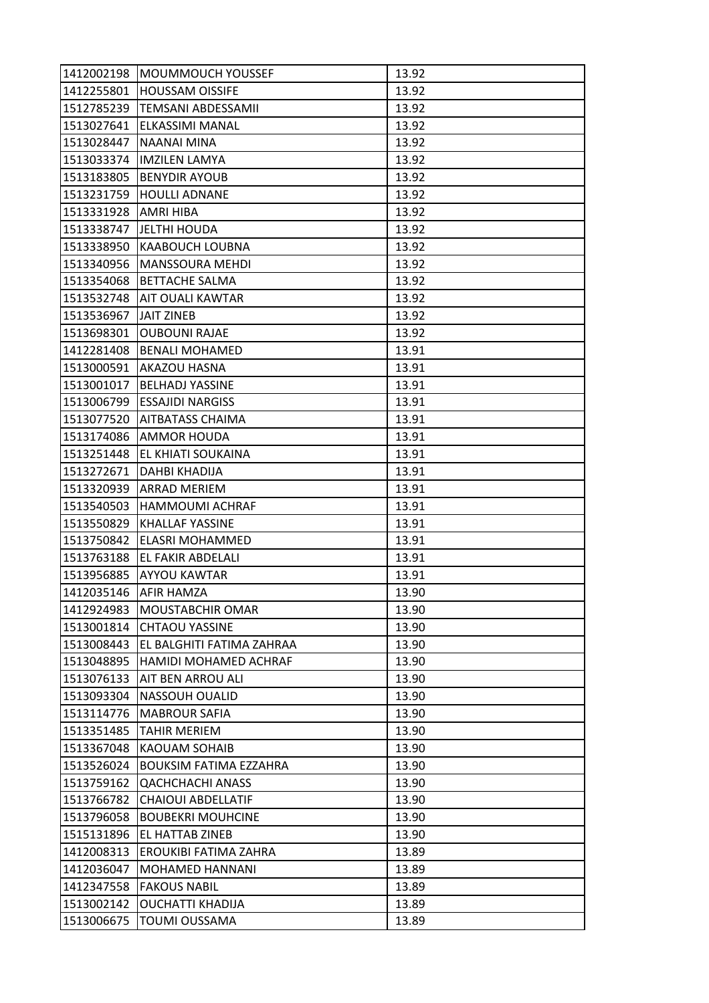| 1412002198 | <b>MOUMMOUCH YOUSSEF</b>      | 13.92 |
|------------|-------------------------------|-------|
| 1412255801 | <b>HOUSSAM OISSIFE</b>        | 13.92 |
| 1512785239 | <b>TEMSANI ABDESSAMII</b>     | 13.92 |
| 1513027641 | ELKASSIMI MANAL               | 13.92 |
| 1513028447 | NAANAI MINA                   | 13.92 |
| 1513033374 | <b>IMZILEN LAMYA</b>          | 13.92 |
| 1513183805 | <b>BENYDIR AYOUB</b>          | 13.92 |
| 1513231759 | <b>HOULLI ADNANE</b>          | 13.92 |
| 1513331928 | <b>AMRI HIBA</b>              | 13.92 |
| 1513338747 | JELTHI HOUDA                  | 13.92 |
| 1513338950 | <b>KAABOUCH LOUBNA</b>        | 13.92 |
| 1513340956 | <b>MANSSOURA MEHDI</b>        | 13.92 |
| 1513354068 | <b>BETTACHE SALMA</b>         | 13.92 |
| 1513532748 | <b>AIT OUALI KAWTAR</b>       | 13.92 |
| 1513536967 | <b>JAIT ZINEB</b>             | 13.92 |
| 1513698301 | <b>OUBOUNI RAJAE</b>          | 13.92 |
| 1412281408 | <b>BENALI MOHAMED</b>         | 13.91 |
| 1513000591 | AKAZOU HASNA                  | 13.91 |
| 1513001017 | <b>BELHADJ YASSINE</b>        | 13.91 |
| 1513006799 | <b>ESSAJIDI NARGISS</b>       | 13.91 |
| 1513077520 | <b>AITBATASS CHAIMA</b>       | 13.91 |
| 1513174086 | <b>AMMOR HOUDA</b>            | 13.91 |
| 1513251448 | EL KHIATI SOUKAINA            | 13.91 |
| 1513272671 | DAHBI KHADIJA                 | 13.91 |
| 1513320939 | ARRAD MERIEM                  | 13.91 |
| 1513540503 | HAMMOUMI ACHRAF               | 13.91 |
| 1513550829 | <b>KHALLAF YASSINE</b>        | 13.91 |
| 1513750842 | ELASRI MOHAMMED               | 13.91 |
| 1513763188 | EL FAKIR ABDELALI             | 13.91 |
| 1513956885 | <b>AYYOU KAWTAR</b>           | 13.91 |
| 1412035146 | <b>AFIR HAMZA</b>             | 13.90 |
| 1412924983 | <b>MOUSTABCHIR OMAR</b>       | 13.90 |
| 1513001814 | <b>CHTAOU YASSINE</b>         | 13.90 |
| 1513008443 | EL BALGHITI FATIMA ZAHRAA     | 13.90 |
| 1513048895 | HAMIDI MOHAMED ACHRAF         | 13.90 |
| 1513076133 | <b>AIT BEN ARROU ALI</b>      | 13.90 |
| 1513093304 | <b>NASSOUH OUALID</b>         | 13.90 |
| 1513114776 | <b>MABROUR SAFIA</b>          | 13.90 |
| 1513351485 | <b>TAHIR MERIEM</b>           | 13.90 |
| 1513367048 | <b>KAOUAM SOHAIB</b>          | 13.90 |
| 1513526024 | <b>BOUKSIM FATIMA EZZAHRA</b> | 13.90 |
| 1513759162 | <b>QACHCHACHI ANASS</b>       | 13.90 |
| 1513766782 | <b>CHAIOUI ABDELLATIF</b>     | 13.90 |
| 1513796058 | <b>BOUBEKRI MOUHCINE</b>      | 13.90 |
| 1515131896 | EL HATTAB ZINEB               | 13.90 |
| 1412008313 | EROUKIBI FATIMA ZAHRA         | 13.89 |
| 1412036047 | MOHAMED HANNANI               | 13.89 |
| 1412347558 | <b>FAKOUS NABIL</b>           | 13.89 |
| 1513002142 | OUCHATTI KHADIJA              | 13.89 |
| 1513006675 | <b>TOUMI OUSSAMA</b>          | 13.89 |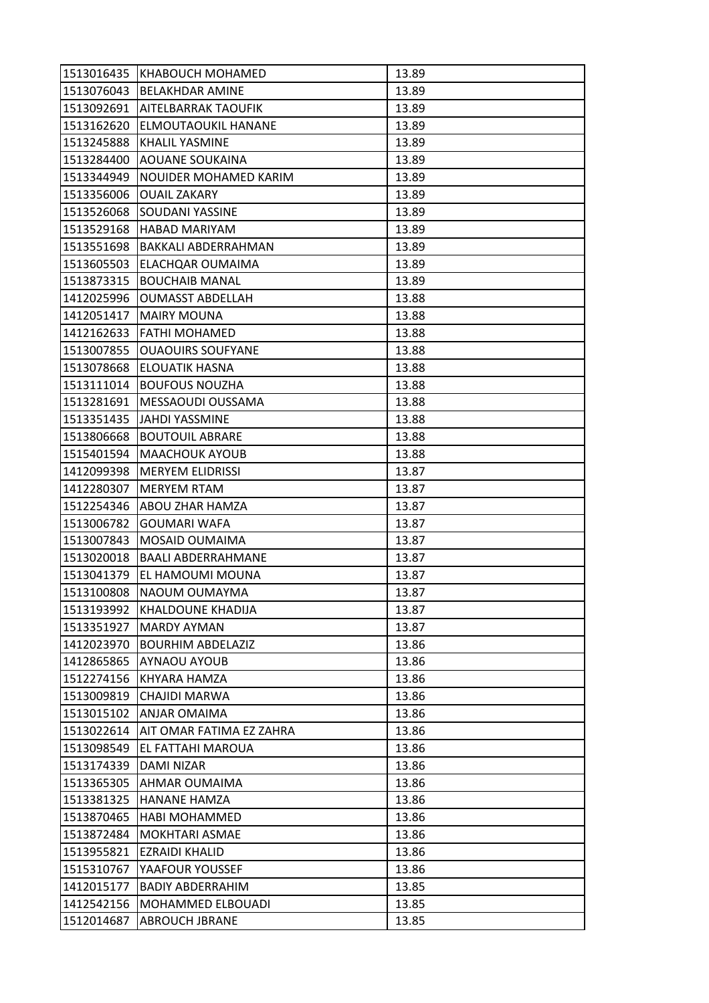| 1513016435 | KHABOUCH MOHAMED           | 13.89 |
|------------|----------------------------|-------|
| 1513076043 | <b>BELAKHDAR AMINE</b>     | 13.89 |
| 1513092691 | <b>AITELBARRAK TAOUFIK</b> | 13.89 |
| 1513162620 | ELMOUTAOUKIL HANANE        | 13.89 |
| 1513245888 | <b>KHALIL YASMINE</b>      | 13.89 |
| 1513284400 | <b>AOUANE SOUKAINA</b>     | 13.89 |
| 1513344949 | NOUIDER MOHAMED KARIM      | 13.89 |
| 1513356006 | <b>OUAIL ZAKARY</b>        | 13.89 |
| 1513526068 | <b>SOUDANI YASSINE</b>     | 13.89 |
| 1513529168 | <b>HABAD MARIYAM</b>       | 13.89 |
| 1513551698 | BAKKALI ABDERRAHMAN        | 13.89 |
| 1513605503 | ELACHQAR OUMAIMA           | 13.89 |
| 1513873315 | <b>BOUCHAIB MANAL</b>      | 13.89 |
| 1412025996 | <b>OUMASST ABDELLAH</b>    | 13.88 |
| 1412051417 | <b>MAIRY MOUNA</b>         | 13.88 |
| 1412162633 | <b>FATHI MOHAMED</b>       | 13.88 |
| 1513007855 | <b>OUAOUIRS SOUFYANE</b>   | 13.88 |
| 1513078668 | <b>ELOUATIK HASNA</b>      | 13.88 |
| 1513111014 | <b>BOUFOUS NOUZHA</b>      | 13.88 |
| 1513281691 | MESSAOUDI OUSSAMA          | 13.88 |
| 1513351435 | JAHDI YASSMINE             | 13.88 |
| 1513806668 | <b>BOUTOUIL ABRARE</b>     | 13.88 |
| 1515401594 | <b>MAACHOUK AYOUB</b>      | 13.88 |
| 1412099398 | <b>MERYEM ELIDRISSI</b>    | 13.87 |
| 1412280307 | <b>MERYEM RTAM</b>         | 13.87 |
| 1512254346 | <b>ABOU ZHAR HAMZA</b>     | 13.87 |
| 1513006782 | <b>GOUMARI WAFA</b>        | 13.87 |
| 1513007843 | MOSAID OUMAIMA             | 13.87 |
| 1513020018 | <b>BAALI ABDERRAHMANE</b>  | 13.87 |
| 1513041379 | EL HAMOUMI MOUNA           | 13.87 |
| 1513100808 | NAOUM OUMAYMA              | 13.87 |
| 1513193992 | <b>KHALDOUNE KHADIJA</b>   | 13.87 |
| 1513351927 | <b>MARDY AYMAN</b>         | 13.87 |
| 1412023970 | <b>BOURHIM ABDELAZIZ</b>   | 13.86 |
| 1412865865 | <b>AYNAOU AYOUB</b>        | 13.86 |
| 1512274156 | KHYARA HAMZA               | 13.86 |
| 1513009819 | CHAJIDI MARWA              | 13.86 |
| 1513015102 | <b>ANJAR OMAIMA</b>        | 13.86 |
| 1513022614 | AIT OMAR FATIMA EZ ZAHRA   | 13.86 |
| 1513098549 | EL FATTAHI MAROUA          | 13.86 |
| 1513174339 | <b>DAMI NIZAR</b>          | 13.86 |
| 1513365305 | <b>AHMAR OUMAIMA</b>       | 13.86 |
| 1513381325 | <b>HANANE HAMZA</b>        | 13.86 |
| 1513870465 | <b>HABI MOHAMMED</b>       | 13.86 |
| 1513872484 | <b>MOKHTARI ASMAE</b>      | 13.86 |
| 1513955821 | EZRAIDI KHALID             | 13.86 |
| 1515310767 | YAAFOUR YOUSSEF            | 13.86 |
| 1412015177 | <b>BADIY ABDERRAHIM</b>    | 13.85 |
| 1412542156 | MOHAMMED ELBOUADI          | 13.85 |
| 1512014687 | <b>ABROUCH JBRANE</b>      | 13.85 |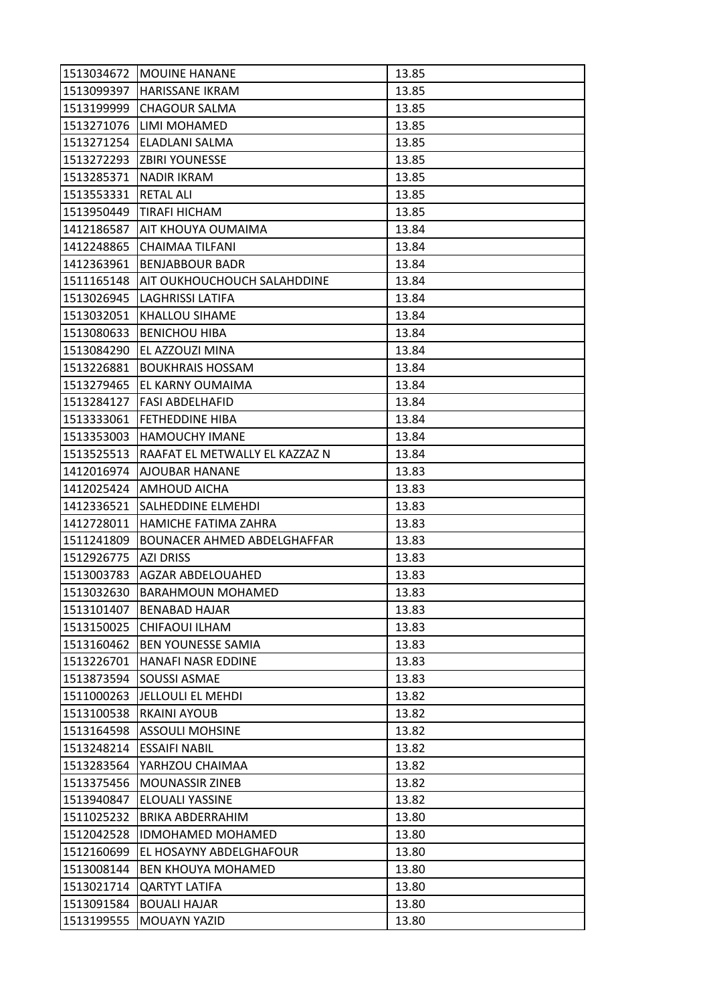| 1513034672 | <b>MOUINE HANANE</b>               | 13.85 |
|------------|------------------------------------|-------|
| 1513099397 | <b>HARISSANE IKRAM</b>             | 13.85 |
| 1513199999 | <b>CHAGOUR SALMA</b>               | 13.85 |
| 1513271076 | LIMI MOHAMED                       | 13.85 |
| 1513271254 | ELADLANI SALMA                     | 13.85 |
| 1513272293 | <b>ZBIRI YOUNESSE</b>              | 13.85 |
| 1513285371 | <b>NADIR IKRAM</b>                 | 13.85 |
| 1513553331 | <b>RETAL ALI</b>                   | 13.85 |
| 1513950449 | TIRAFI HICHAM                      | 13.85 |
| 1412186587 | AIT KHOUYA OUMAIMA                 | 13.84 |
| 1412248865 | CHAIMAA TILFANI                    | 13.84 |
| 1412363961 | <b>BENJABBOUR BADR</b>             | 13.84 |
| 1511165148 | AIT OUKHOUCHOUCH SALAHDDINE        | 13.84 |
| 1513026945 | <b>LAGHRISSI LATIFA</b>            | 13.84 |
| 1513032051 | <b>KHALLOU SIHAME</b>              | 13.84 |
| 1513080633 | <b>BENICHOU HIBA</b>               | 13.84 |
| 1513084290 | EL AZZOUZI MINA                    | 13.84 |
| 1513226881 | <b>BOUKHRAIS HOSSAM</b>            | 13.84 |
| 1513279465 | EL KARNY OUMAIMA                   | 13.84 |
| 1513284127 | <b>FASI ABDELHAFID</b>             | 13.84 |
| 1513333061 | <b>FETHEDDINE HIBA</b>             | 13.84 |
| 1513353003 | <b>HAMOUCHY IMANE</b>              | 13.84 |
| 1513525513 | RAAFAT EL METWALLY EL KAZZAZ N     | 13.84 |
| 1412016974 | <b>AJOUBAR HANANE</b>              | 13.83 |
| 1412025424 | AMHOUD AICHA                       | 13.83 |
| 1412336521 | SALHEDDINE ELMEHDI                 | 13.83 |
| 1412728011 | HAMICHE FATIMA ZAHRA               | 13.83 |
| 1511241809 | <b>BOUNACER AHMED ABDELGHAFFAR</b> | 13.83 |
| 1512926775 | <b>AZI DRISS</b>                   | 13.83 |
| 1513003783 | AGZAR ABDELOUAHED                  | 13.83 |
| 1513032630 | <b>BARAHMOUN MOHAMED</b>           | 13.83 |
| 1513101407 | <b>BENABAD HAJAR</b>               | 13.83 |
| 1513150025 | CHIFAOUI ILHAM                     | 13.83 |
| 1513160462 | <b>BEN YOUNESSE SAMIA</b>          | 13.83 |
| 1513226701 | HANAFI NASR EDDINE                 | 13.83 |
| 1513873594 | <b>SOUSSI ASMAE</b>                | 13.83 |
| 1511000263 | JELLOULI EL MEHDI                  | 13.82 |
| 1513100538 | <b>RKAINI AYOUB</b>                | 13.82 |
| 1513164598 | <b>ASSOULI MOHSINE</b>             | 13.82 |
| 1513248214 | <b>ESSAIFI NABIL</b>               | 13.82 |
| 1513283564 | YARHZOU CHAIMAA                    | 13.82 |
| 1513375456 | <b>MOUNASSIR ZINEB</b>             | 13.82 |
| 1513940847 | <b>ELOUALI YASSINE</b>             | 13.82 |
| 1511025232 | BRIKA ABDERRAHIM                   | 13.80 |
| 1512042528 | <b>IDMOHAMED MOHAMED</b>           | 13.80 |
| 1512160699 | EL HOSAYNY ABDELGHAFOUR            | 13.80 |
| 1513008144 | <b>BEN KHOUYA MOHAMED</b>          | 13.80 |
| 1513021714 | <b>QARTYT LATIFA</b>               | 13.80 |
| 1513091584 | <b>BOUALI HAJAR</b>                | 13.80 |
| 1513199555 | MOUAYN YAZID                       | 13.80 |
|            |                                    |       |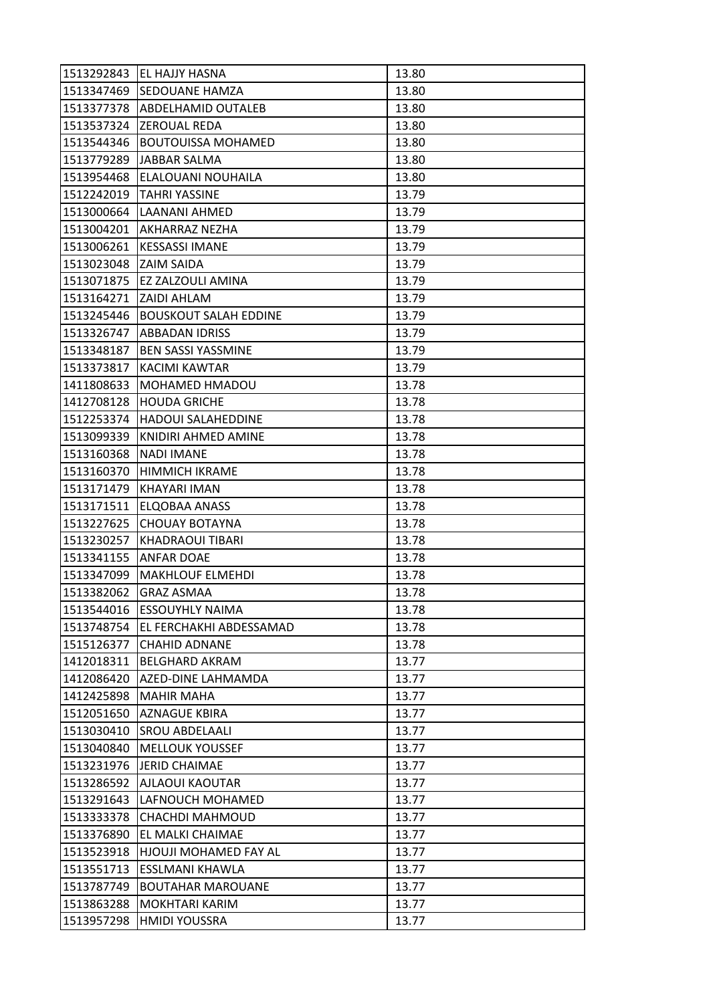| 1513292843 | <b>EL HAJJY HASNA</b>          | 13.80 |
|------------|--------------------------------|-------|
| 1513347469 | <b>SEDOUANE HAMZA</b>          | 13.80 |
| 1513377378 | <b>ABDELHAMID OUTALEB</b>      | 13.80 |
| 1513537324 | <b>ZEROUAL REDA</b>            | 13.80 |
| 1513544346 | <b>BOUTOUISSA MOHAMED</b>      | 13.80 |
|            | 1513779289 JJABBAR SALMA       | 13.80 |
| 1513954468 | <b>ELALOUANI NOUHAILA</b>      | 13.80 |
| 1512242019 | <b>TAHRI YASSINE</b>           | 13.79 |
| 1513000664 | LAANANI AHMED                  | 13.79 |
| 1513004201 | AKHARRAZ NEZHA                 | 13.79 |
| 1513006261 | <b>KESSASSI IMANE</b>          | 13.79 |
| 1513023048 | <b>ZAIM SAIDA</b>              | 13.79 |
| 1513071875 | EZ ZALZOULI AMINA              | 13.79 |
| 1513164271 | <b>ZAIDI AHLAM</b>             | 13.79 |
| 1513245446 | <b>BOUSKOUT SALAH EDDINE</b>   | 13.79 |
|            | 1513326747  ABBADAN IDRISS     | 13.79 |
| 1513348187 | <b>BEN SASSI YASSMINE</b>      | 13.79 |
| 1513373817 | KACIMI KAWTAR                  | 13.79 |
| 1411808633 | <b>MOHAMED HMADOU</b>          | 13.78 |
| 1412708128 | <b>HOUDA GRICHE</b>            | 13.78 |
| 1512253374 | <b>HADOUI SALAHEDDINE</b>      | 13.78 |
| 1513099339 | KNIDIRI AHMED AMINE            | 13.78 |
| 1513160368 | <b>NADI IMANE</b>              | 13.78 |
| 1513160370 | <b>HIMMICH IKRAME</b>          | 13.78 |
| 1513171479 | KHAYARI IMAN                   | 13.78 |
| 1513171511 | ELQOBAA ANASS                  | 13.78 |
| 1513227625 | <b>CHOUAY BOTAYNA</b>          | 13.78 |
| 1513230257 | <b>KHADRAOUI TIBARI</b>        | 13.78 |
| 1513341155 | <b>ANFAR DOAE</b>              | 13.78 |
| 1513347099 | <b>MAKHLOUF ELMEHDI</b>        | 13.78 |
| 1513382062 | <b>GRAZ ASMAA</b>              | 13.78 |
| 1513544016 | <b>ESSOUYHLY NAIMA</b>         | 13.78 |
| 1513748754 | <b>EL FERCHAKHI ABDESSAMAD</b> | 13.78 |
| 1515126377 | <b>CHAHID ADNANE</b>           | 13.78 |
| 1412018311 | <b>BELGHARD AKRAM</b>          | 13.77 |
| 1412086420 | AZED-DINE LAHMAMDA             | 13.77 |
| 1412425898 | <b>MAHIR MAHA</b>              | 13.77 |
| 1512051650 | <b>AZNAGUE KBIRA</b>           | 13.77 |
| 1513030410 | <b>SROU ABDELAALI</b>          | 13.77 |
| 1513040840 | <b>MELLOUK YOUSSEF</b>         | 13.77 |
| 1513231976 | LIERID CHAIMAE                 | 13.77 |
| 1513286592 | <b>AJLAOUI KAOUTAR</b>         | 13.77 |
| 1513291643 | LAFNOUCH MOHAMED               | 13.77 |
| 1513333378 | CHACHDI MAHMOUD                | 13.77 |
| 1513376890 | EL MALKI CHAIMAE               | 13.77 |
| 1513523918 | <b>HJOUJI MOHAMED FAY AL</b>   | 13.77 |
| 1513551713 | <b>ESSLMANI KHAWLA</b>         | 13.77 |
| 1513787749 | <b>BOUTAHAR MAROUANE</b>       | 13.77 |
| 1513863288 | <b>MOKHTARI KARIM</b>          | 13.77 |
| 1513957298 | <b>HMIDI YOUSSRA</b>           | 13.77 |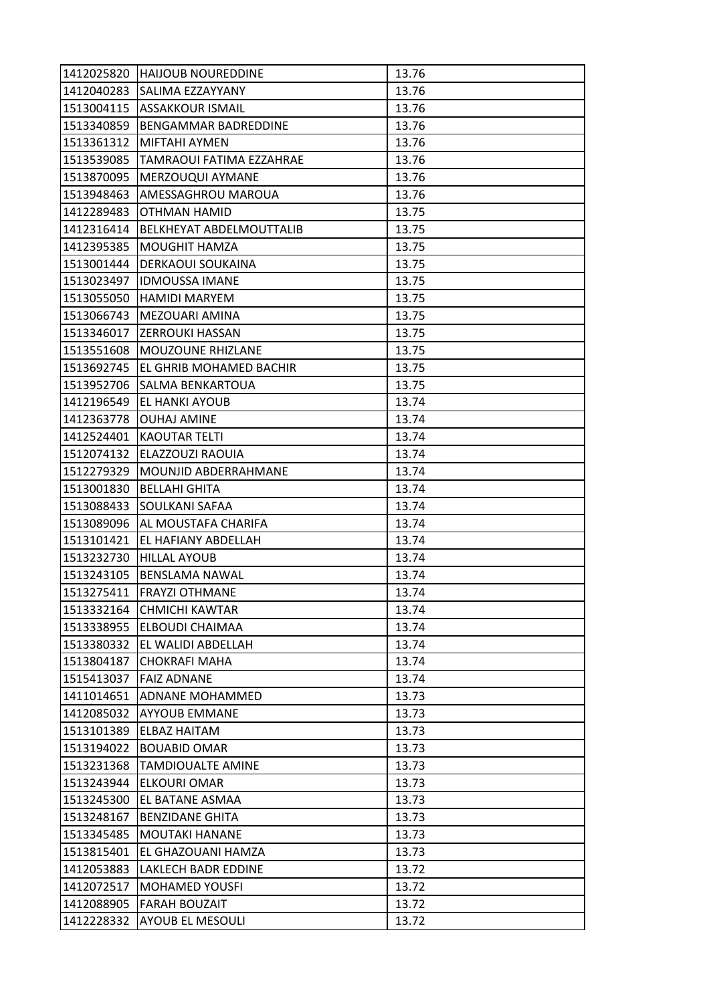| 1412025820 | <b>HAIJOUB NOUREDDINE</b>       | 13.76 |
|------------|---------------------------------|-------|
| 1412040283 | <b>SALIMA EZZAYYANY</b>         | 13.76 |
|            | 1513004115   ASSAKKOUR ISMAIL   | 13.76 |
| 1513340859 | BENGAMMAR BADREDDINE            | 13.76 |
| 1513361312 | MIFTAHI AYMEN                   | 13.76 |
| 1513539085 | TAMRAOUI FATIMA EZZAHRAE        | 13.76 |
| 1513870095 | MERZOUQUI AYMANE                | 13.76 |
| 1513948463 | AMESSAGHROU MAROUA              | 13.76 |
| 1412289483 | OTHMAN HAMID                    | 13.75 |
| 1412316414 | <b>BELKHEYAT ABDELMOUTTALIB</b> | 13.75 |
| 1412395385 | MOUGHIT HAMZA                   | 13.75 |
| 1513001444 | <b>DERKAOUI SOUKAINA</b>        | 13.75 |
| 1513023497 | <b>IDMOUSSA IMANE</b>           | 13.75 |
| 1513055050 | <b>HAMIDI MARYEM</b>            | 13.75 |
| 1513066743 | MEZOUARI AMINA                  | 13.75 |
|            | 1513346017 ZERROUKI HASSAN      | 13.75 |
| 1513551608 | <b>MOUZOUNE RHIZLANE</b>        | 13.75 |
| 1513692745 | EL GHRIB MOHAMED BACHIR         | 13.75 |
| 1513952706 | SALMA BENKARTOUA                | 13.75 |
| 1412196549 | EL HANKI AYOUB                  | 13.74 |
| 1412363778 | <b>OUHAJ AMINE</b>              | 13.74 |
| 1412524401 | <b>KAOUTAR TELTI</b>            | 13.74 |
| 1512074132 | ELAZZOUZI RAOUIA                | 13.74 |
| 1512279329 | MOUNJID ABDERRAHMANE            | 13.74 |
| 1513001830 | <b>BELLAHI GHITA</b>            | 13.74 |
| 1513088433 | <b>SOULKANI SAFAA</b>           | 13.74 |
| 1513089096 | AL MOUSTAFA CHARIFA             | 13.74 |
| 1513101421 | EL HAFIANY ABDELLAH             | 13.74 |
| 1513232730 | <b>HILLAL AYOUB</b>             | 13.74 |
| 1513243105 | <b>BENSLAMA NAWAL</b>           | 13.74 |
| 1513275411 | <b>FRAYZI OTHMANE</b>           | 13.74 |
| 1513332164 | <b>CHMICHI KAWTAR</b>           | 13.74 |
| 1513338955 | <b>ELBOUDI CHAIMAA</b>          | 13.74 |
| 1513380332 | EL WALIDI ABDELLAH              | 13.74 |
| 1513804187 | <b>CHOKRAFI MAHA</b>            | 13.74 |
| 1515413037 | <b>FAIZ ADNANE</b>              | 13.74 |
| 1411014651 | <b>ADNANE MOHAMMED</b>          | 13.73 |
| 1412085032 | <b>AYYOUB EMMANE</b>            | 13.73 |
| 1513101389 | <b>ELBAZ HAITAM</b>             | 13.73 |
| 1513194022 | <b>BOUABID OMAR</b>             | 13.73 |
| 1513231368 | <b>TAMDIOUALTE AMINE</b>        | 13.73 |
| 1513243944 | ELKOURI OMAR                    | 13.73 |
| 1513245300 | EL BATANE ASMAA                 | 13.73 |
| 1513248167 | <b>BENZIDANE GHITA</b>          | 13.73 |
| 1513345485 | <b>MOUTAKI HANANE</b>           | 13.73 |
| 1513815401 | EL GHAZOUANI HAMZA              | 13.73 |
| 1412053883 | LAKLECH BADR EDDINE             | 13.72 |
| 1412072517 | <b>MOHAMED YOUSFI</b>           | 13.72 |
| 1412088905 | <b>FARAH BOUZAIT</b>            | 13.72 |
| 1412228332 | <b>AYOUB EL MESOULI</b>         | 13.72 |
|            |                                 |       |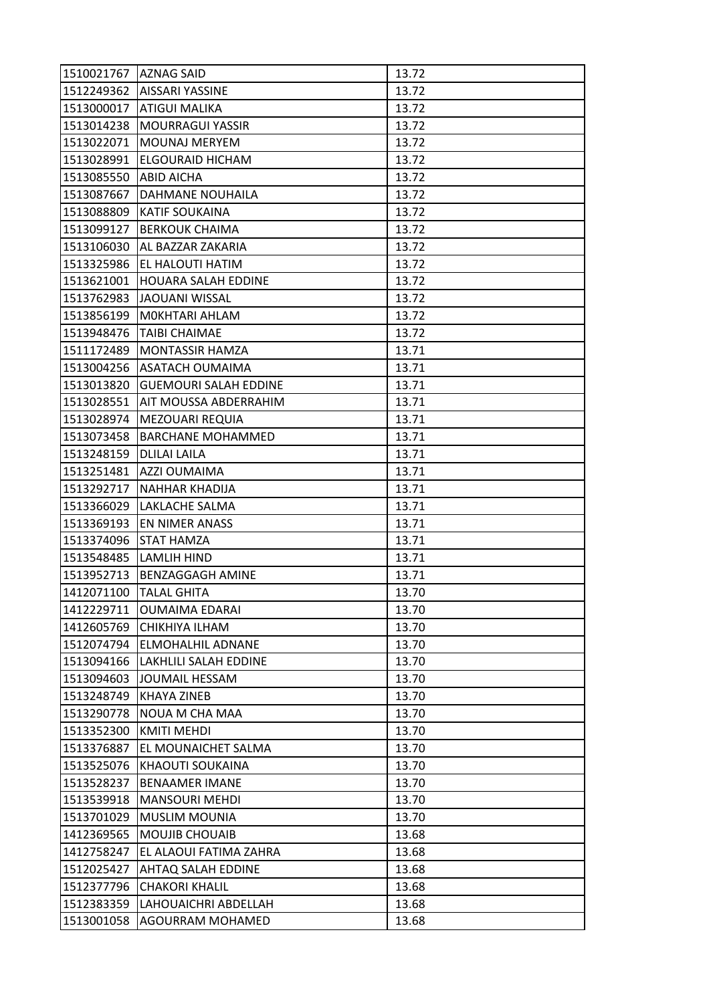| 1510021767 | <b>AZNAG SAID</b>            | 13.72 |
|------------|------------------------------|-------|
| 1512249362 | <b>AISSARI YASSINE</b>       | 13.72 |
| 1513000017 | <b>ATIGUI MALIKA</b>         | 13.72 |
| 1513014238 | <b>MOURRAGUI YASSIR</b>      | 13.72 |
| 1513022071 | <b>MOUNAJ MERYEM</b>         | 13.72 |
| 1513028991 | ELGOURAID HICHAM             | 13.72 |
| 1513085550 | <b>ABID AICHA</b>            | 13.72 |
| 1513087667 | DAHMANE NOUHAILA             | 13.72 |
| 1513088809 | <b>KATIF SOUKAINA</b>        | 13.72 |
| 1513099127 | <b>BERKOUK CHAIMA</b>        | 13.72 |
| 1513106030 | AL BAZZAR ZAKARIA            | 13.72 |
| 1513325986 | EL HALOUTI HATIM             | 13.72 |
| 1513621001 | <b>HOUARA SALAH EDDINE</b>   | 13.72 |
| 1513762983 | JAOUANI WISSAL               | 13.72 |
| 1513856199 | MOKHTARI AHLAM               | 13.72 |
| 1513948476 | TAIBI CHAIMAE                | 13.72 |
| 1511172489 | MONTASSIR HAMZA              | 13.71 |
| 1513004256 | ASATACH OUMAIMA              | 13.71 |
| 1513013820 | <b>GUEMOURI SALAH EDDINE</b> | 13.71 |
| 1513028551 | AIT MOUSSA ABDERRAHIM        | 13.71 |
| 1513028974 | <b>MEZOUARI REQUIA</b>       | 13.71 |
| 1513073458 | <b>BARCHANE MOHAMMED</b>     | 13.71 |
| 1513248159 | <b>DLILAI LAILA</b>          | 13.71 |
| 1513251481 | AZZI OUMAIMA                 | 13.71 |
| 1513292717 | NAHHAR KHADIJA               | 13.71 |
| 1513366029 | <b>LAKLACHE SALMA</b>        | 13.71 |
| 1513369193 | EN NIMER ANASS               | 13.71 |
| 1513374096 | <b>STAT HAMZA</b>            | 13.71 |
| 1513548485 | LAMLIH HIND                  | 13.71 |
| 1513952713 | <b>BENZAGGAGH AMINE</b>      | 13.71 |
| 1412071100 | <b>TALAL GHITA</b>           | 13.70 |
| 1412229711 | <b>OUMAIMA EDARAI</b>        | 13.70 |
| 1412605769 | CHIKHIYA ILHAM               | 13.70 |
| 1512074794 | ELMOHALHIL ADNANE            | 13.70 |
| 1513094166 | LAKHLILI SALAH EDDINE        | 13.70 |
| 1513094603 | JOUMAIL HESSAM               | 13.70 |
| 1513248749 | <b>KHAYA ZINEB</b>           | 13.70 |
| 1513290778 | NOUA M CHA MAA               | 13.70 |
| 1513352300 | KMITI MEHDI                  | 13.70 |
| 1513376887 | EL MOUNAICHET SALMA          | 13.70 |
| 1513525076 | KHAOUTI SOUKAINA             | 13.70 |
| 1513528237 | <b>BENAAMER IMANE</b>        | 13.70 |
| 1513539918 | <b>MANSOURI MEHDI</b>        | 13.70 |
| 1513701029 | <b>MUSLIM MOUNIA</b>         | 13.70 |
| 1412369565 | MOUJIB CHOUAIB               | 13.68 |
| 1412758247 | EL ALAOUI FATIMA ZAHRA       | 13.68 |
| 1512025427 | <b>AHTAQ SALAH EDDINE</b>    | 13.68 |
| 1512377796 | <b>CHAKORI KHALIL</b>        | 13.68 |
| 1512383359 | LAHOUAICHRI ABDELLAH         | 13.68 |
| 1513001058 | AGOURRAM MOHAMED             | 13.68 |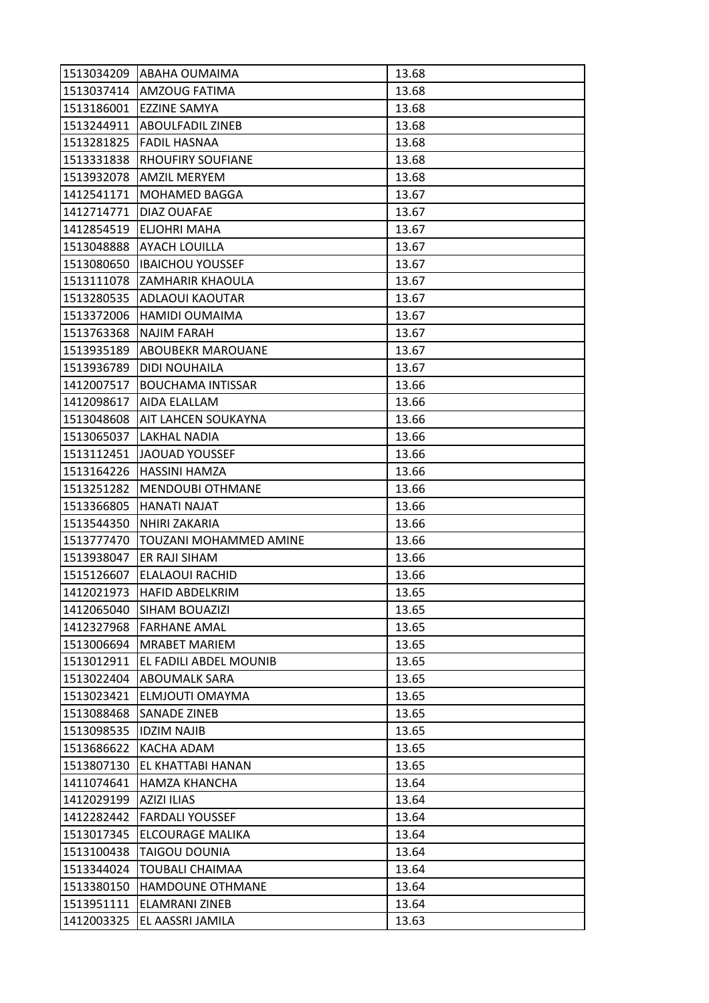|            | 1513034209 ABAHA OUMAIMA   | 13.68 |
|------------|----------------------------|-------|
|            | 1513037414 AMZOUG FATIMA   | 13.68 |
| 1513186001 | EZZINE SAMYA               | 13.68 |
| 1513244911 | <b>ABOULFADIL ZINEB</b>    | 13.68 |
| 1513281825 | <b>FADIL HASNAA</b>        | 13.68 |
| 1513331838 | <b>RHOUFIRY SOUFIANE</b>   | 13.68 |
| 1513932078 | <b>AMZIL MERYEM</b>        | 13.68 |
| 1412541171 | <b>MOHAMED BAGGA</b>       | 13.67 |
| 1412714771 | DIAZ OUAFAE                | 13.67 |
| 1412854519 | ELJOHRI MAHA               | 13.67 |
| 1513048888 | <b>AYACH LOUILLA</b>       | 13.67 |
| 1513080650 | <b>IBAICHOU YOUSSEF</b>    | 13.67 |
| 1513111078 | ZAMHARIR KHAOULA           | 13.67 |
| 1513280535 | <b>ADLAOUI KAOUTAR</b>     | 13.67 |
| 1513372006 | <b>HAMIDI OUMAIMA</b>      | 13.67 |
| 1513763368 | <b>NAJIM FARAH</b>         | 13.67 |
| 1513935189 | <b>ABOUBEKR MAROUANE</b>   | 13.67 |
| 1513936789 | <b>DIDI NOUHAILA</b>       | 13.67 |
| 1412007517 | <b>BOUCHAMA INTISSAR</b>   | 13.66 |
| 1412098617 | AIDA ELALLAM               | 13.66 |
| 1513048608 | <b>AIT LAHCEN SOUKAYNA</b> | 13.66 |
| 1513065037 | <b>LAKHAL NADIA</b>        | 13.66 |
| 1513112451 | <b>JAOUAD YOUSSEF</b>      | 13.66 |
| 1513164226 | <b>HASSINI HAMZA</b>       | 13.66 |
| 1513251282 | <b>MENDOUBI OTHMANE</b>    | 13.66 |
| 1513366805 | <b>HANATI NAJAT</b>        | 13.66 |
| 1513544350 | NHIRI ZAKARIA              | 13.66 |
| 1513777470 | TOUZANI MOHAMMED AMINE     | 13.66 |
| 1513938047 | ER RAJI SIHAM              | 13.66 |
| 1515126607 | ELALAOUI RACHID            | 13.66 |
| 1412021973 | <b>HAFID ABDELKRIM</b>     | 13.65 |
| 1412065040 | SIHAM BOUAZIZI             | 13.65 |
| 1412327968 | <b>FARHANE AMAL</b>        | 13.65 |
| 1513006694 | <b>MRABET MARIEM</b>       | 13.65 |
| 1513012911 | EL FADILI ABDEL MOUNIB     | 13.65 |
| 1513022404 | <b>ABOUMALK SARA</b>       | 13.65 |
| 1513023421 | ELMJOUTI OMAYMA            | 13.65 |
| 1513088468 | <b>SANADE ZINEB</b>        | 13.65 |
| 1513098535 | <b>IDZIM NAJIB</b>         | 13.65 |
| 1513686622 | KACHA ADAM                 | 13.65 |
| 1513807130 | EL KHATTABI HANAN          | 13.65 |
| 1411074641 | <b>HAMZA KHANCHA</b>       | 13.64 |
| 1412029199 | <b>AZIZI ILIAS</b>         | 13.64 |
| 1412282442 | <b>FARDALI YOUSSEF</b>     | 13.64 |
| 1513017345 | <b>ELCOURAGE MALIKA</b>    | 13.64 |
| 1513100438 | <b>TAIGOU DOUNIA</b>       | 13.64 |
| 1513344024 | <b>TOUBALI CHAIMAA</b>     | 13.64 |
| 1513380150 | <b>HAMDOUNE OTHMANE</b>    | 13.64 |
| 1513951111 | <b>ELAMRANI ZINEB</b>      | 13.64 |
| 1412003325 | EL AASSRI JAMILA           | 13.63 |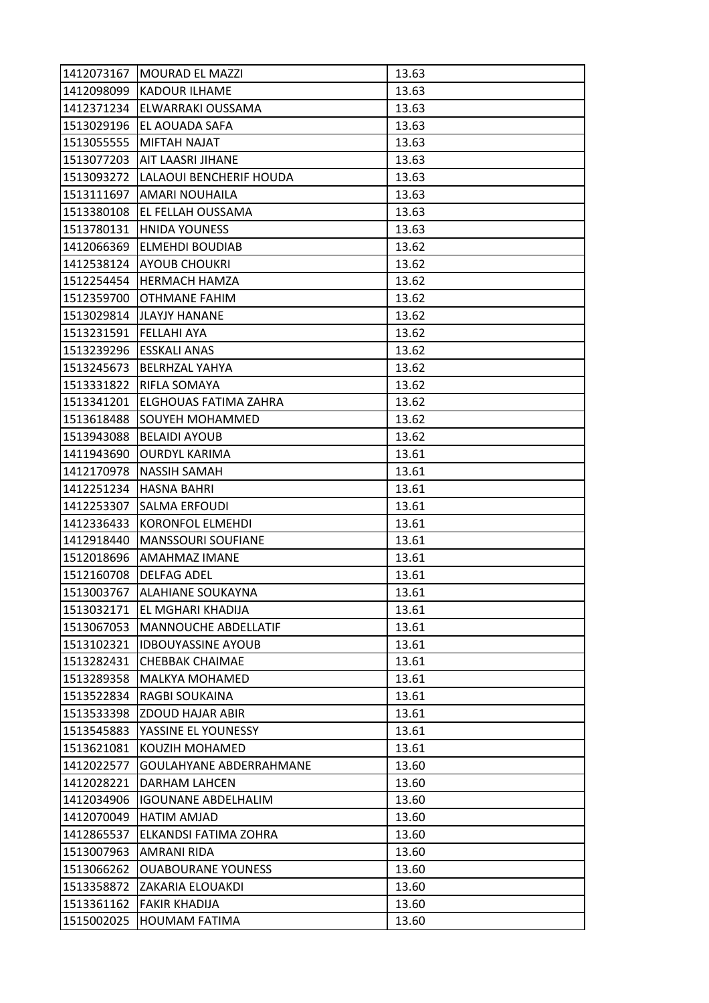| 1412073167 | <b>MOURAD EL MAZZI</b>         | 13.63 |
|------------|--------------------------------|-------|
| 1412098099 | <b>KADOUR ILHAME</b>           | 13.63 |
| 1412371234 | ELWARRAKI OUSSAMA              | 13.63 |
| 1513029196 | EL AOUADA SAFA                 | 13.63 |
| 1513055555 | MIFTAH NAJAT                   | 13.63 |
| 1513077203 | AIT LAASRI JIHANE              | 13.63 |
| 1513093272 | <b>LALAOUI BENCHERIF HOUDA</b> | 13.63 |
| 1513111697 | <b>AMARI NOUHAILA</b>          | 13.63 |
|            | 1513380108   EL FELLAH OUSSAMA | 13.63 |
| 1513780131 | <b>HNIDA YOUNESS</b>           | 13.63 |
| 1412066369 | <b>ELMEHDI BOUDIAB</b>         | 13.62 |
| 1412538124 | <b>AYOUB CHOUKRI</b>           | 13.62 |
| 1512254454 | <b>HERMACH HAMZA</b>           | 13.62 |
| 1512359700 | <b>OTHMANE FAHIM</b>           | 13.62 |
| 1513029814 | IJLAYJY HANANE                 | 13.62 |
| 1513231591 | <b>FELLAHI AYA</b>             | 13.62 |
| 1513239296 | ESSKALI ANAS                   | 13.62 |
| 1513245673 | <b>BELRHZAL YAHYA</b>          | 13.62 |
| 1513331822 | <b>RIFLA SOMAYA</b>            | 13.62 |
| 1513341201 | ELGHOUAS FATIMA ZAHRA          | 13.62 |
| 1513618488 | SOUYEH MOHAMMED                | 13.62 |
| 1513943088 | <b>BELAIDI AYOUB</b>           | 13.62 |
| 1411943690 | <b>OURDYL KARIMA</b>           | 13.61 |
| 1412170978 | <b>NASSIH SAMAH</b>            | 13.61 |
| 1412251234 | <b>HASNA BAHRI</b>             | 13.61 |
| 1412253307 | <b>SALMA ERFOUDI</b>           | 13.61 |
| 1412336433 | <b>KORONFOL ELMEHDI</b>        | 13.61 |
| 1412918440 | <b>MANSSOURI SOUFIANE</b>      | 13.61 |
| 1512018696 | <b>AMAHMAZ IMANE</b>           | 13.61 |
| 1512160708 | <b>DELFAG ADEL</b>             | 13.61 |
| 1513003767 | ALAHIANE SOUKAYNA              | 13.61 |
| 1513032171 | EL MGHARI KHADIJA              | 13.61 |
| 1513067053 | <b>MANNOUCHE ABDELLATIF</b>    | 13.61 |
| 1513102321 | <b>IDBOUYASSINE AYOUB</b>      | 13.61 |
| 1513282431 | <b>CHEBBAK CHAIMAE</b>         | 13.61 |
| 1513289358 | MALKYA MOHAMED                 | 13.61 |
| 1513522834 | RAGBI SOUKAINA                 | 13.61 |
| 1513533398 | <b>ZDOUD HAJAR ABIR</b>        | 13.61 |
| 1513545883 | YASSINE EL YOUNESSY            | 13.61 |
| 1513621081 | KOUZIH MOHAMED                 | 13.61 |
| 1412022577 | <b>GOULAHYANE ABDERRAHMANE</b> | 13.60 |
| 1412028221 | DARHAM LAHCEN                  | 13.60 |
| 1412034906 | <b>IGOUNANE ABDELHALIM</b>     | 13.60 |
| 1412070049 | HATIM AMJAD                    | 13.60 |
| 1412865537 | ELKANDSI FATIMA ZOHRA          | 13.60 |
| 1513007963 | AMRANI RIDA                    | 13.60 |
| 1513066262 | <b>OUABOURANE YOUNESS</b>      | 13.60 |
| 1513358872 | ZAKARIA ELOUAKDI               | 13.60 |
| 1513361162 | <b>FAKIR KHADIJA</b>           | 13.60 |
| 1515002025 | <b>HOUMAM FATIMA</b>           | 13.60 |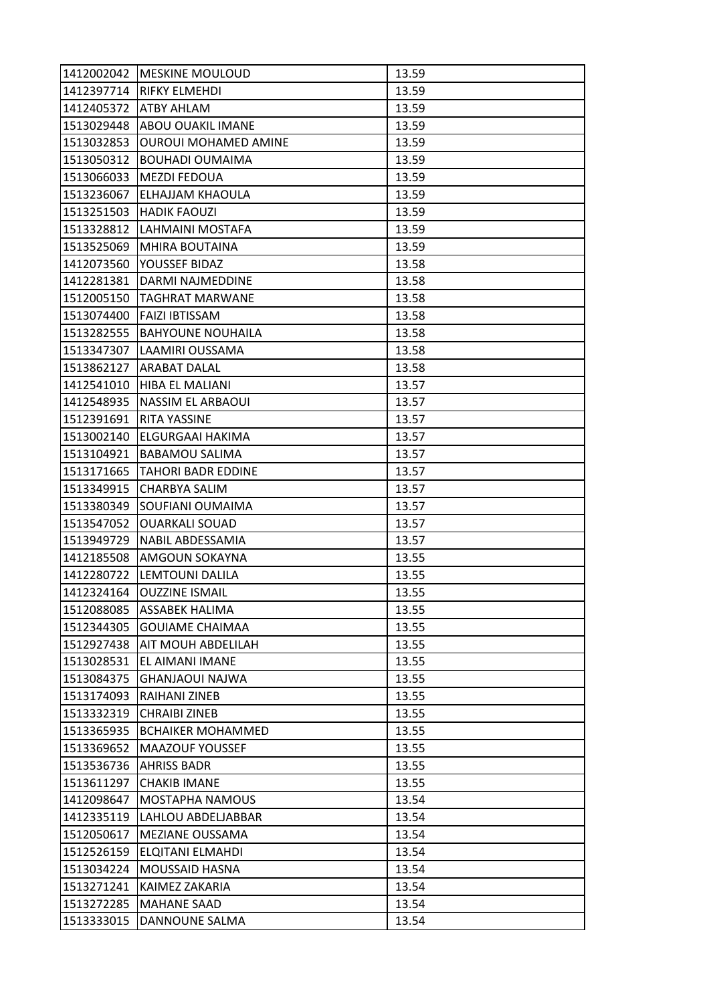| 1412002042 | <b>IMESKINE MOULOUD</b>     | 13.59 |
|------------|-----------------------------|-------|
|            | 1412397714   RIFKY ELMEHDI  | 13.59 |
| 1412405372 | <b>ATBY AHLAM</b>           | 13.59 |
| 1513029448 | <b>ABOU OUAKIL IMANE</b>    | 13.59 |
| 1513032853 | <b>OUROUI MOHAMED AMINE</b> | 13.59 |
| 1513050312 | <b>BOUHADI OUMAIMA</b>      | 13.59 |
| 1513066033 | MEZDI FEDOUA                | 13.59 |
| 1513236067 | ELHAJJAM KHAOULA            | 13.59 |
| 1513251503 | <b>HADIK FAOUZI</b>         | 13.59 |
| 1513328812 | LAHMAINI MOSTAFA            | 13.59 |
| 1513525069 | <b>MHIRA BOUTAINA</b>       | 13.59 |
| 1412073560 | YOUSSEF BIDAZ               | 13.58 |
| 1412281381 | DARMI NAJMEDDINE            | 13.58 |
| 1512005150 | <b>TAGHRAT MARWANE</b>      | 13.58 |
| 1513074400 | <b>FAIZI IBTISSAM</b>       | 13.58 |
| 1513282555 | <b>BAHYOUNE NOUHAILA</b>    | 13.58 |
| 1513347307 | LAAMIRI OUSSAMA             | 13.58 |
| 1513862127 | <b>ARABAT DALAL</b>         | 13.58 |
| 1412541010 | <b>HIBA EL MALIANI</b>      | 13.57 |
| 1412548935 | <b>NASSIM EL ARBAOUI</b>    | 13.57 |
| 1512391691 | <b>RITA YASSINE</b>         | 13.57 |
| 1513002140 | ELGURGAAI HAKIMA            | 13.57 |
| 1513104921 | <b>BABAMOU SALIMA</b>       | 13.57 |
| 1513171665 | <b>TAHORI BADR EDDINE</b>   | 13.57 |
| 1513349915 | CHARBYA SALIM               | 13.57 |
| 1513380349 | SOUFIANI OUMAIMA            | 13.57 |
| 1513547052 | <b>OUARKALI SOUAD</b>       | 13.57 |
| 1513949729 | <b>NABIL ABDESSAMIA</b>     | 13.57 |
| 1412185508 | AMGOUN SOKAYNA              | 13.55 |
| 1412280722 | LEMTOUNI DALILA             | 13.55 |
| 1412324164 | <b>OUZZINE ISMAIL</b>       | 13.55 |
| 1512088085 | <b>ASSABEK HALIMA</b>       | 13.55 |
| 1512344305 | <b>GOUIAME CHAIMAA</b>      | 13.55 |
| 1512927438 | AIT MOUH ABDELILAH          | 13.55 |
| 1513028531 | EL AIMANI IMANE             | 13.55 |
| 1513084375 | <b>GHANJAOUI NAJWA</b>      | 13.55 |
| 1513174093 | RAIHANI ZINEB               | 13.55 |
| 1513332319 | <b>CHRAIBI ZINEB</b>        | 13.55 |
| 1513365935 | <b>BCHAIKER MOHAMMED</b>    | 13.55 |
| 1513369652 | <b>MAAZOUF YOUSSEF</b>      | 13.55 |
| 1513536736 | <b>AHRISS BADR</b>          | 13.55 |
| 1513611297 | <b>CHAKIB IMANE</b>         | 13.55 |
| 1412098647 | MOSTAPHA NAMOUS             | 13.54 |
| 1412335119 | LAHLOU ABDELJABBAR          | 13.54 |
| 1512050617 | MEZIANE OUSSAMA             | 13.54 |
| 1512526159 | ELQITANI ELMAHDI            | 13.54 |
| 1513034224 | <b>MOUSSAID HASNA</b>       | 13.54 |
| 1513271241 | KAIMEZ ZAKARIA              | 13.54 |
| 1513272285 | <b>MAHANE SAAD</b>          | 13.54 |
| 1513333015 | DANNOUNE SALMA              | 13.54 |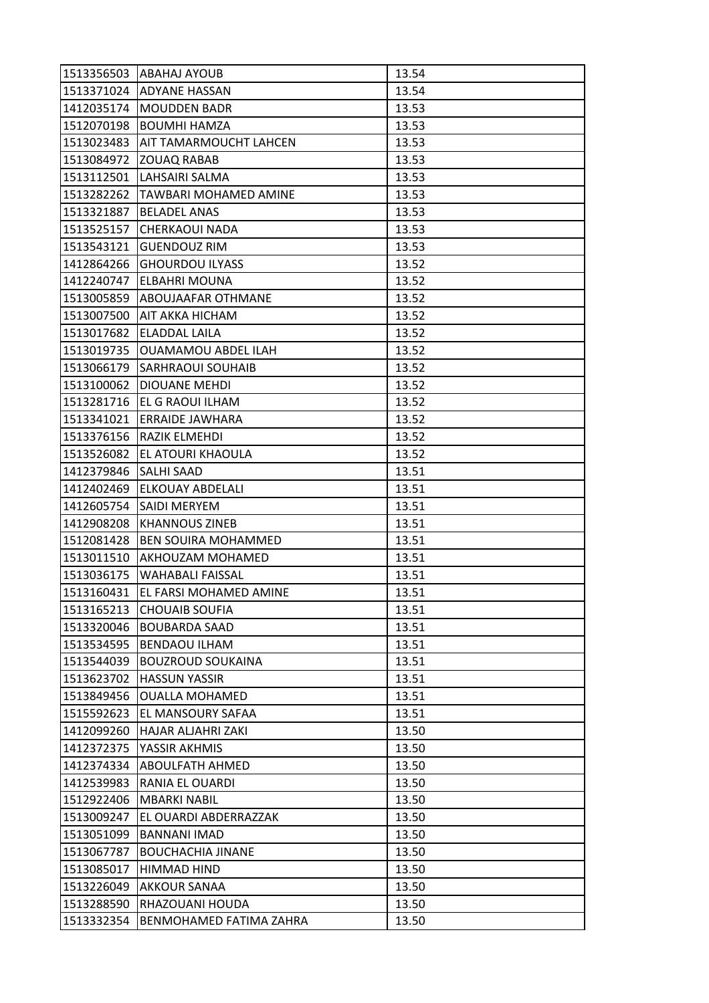| 1513356503 | <b>ABAHAJ AYOUB</b>           | 13.54 |
|------------|-------------------------------|-------|
|            | 1513371024 ADYANE HASSAN      | 13.54 |
| 1412035174 | <b>MOUDDEN BADR</b>           | 13.53 |
| 1512070198 | <b>BOUMHI HAMZA</b>           | 13.53 |
| 1513023483 | <b>AIT TAMARMOUCHT LAHCEN</b> | 13.53 |
| 1513084972 | <b>ZOUAQ RABAB</b>            | 13.53 |
| 1513112501 | LAHSAIRI SALMA                | 13.53 |
| 1513282262 | TAWBARI MOHAMED AMINE         | 13.53 |
| 1513321887 | <b>BELADEL ANAS</b>           | 13.53 |
| 1513525157 | <b>CHERKAOUI NADA</b>         | 13.53 |
| 1513543121 | <b>GUENDOUZ RIM</b>           | 13.53 |
| 1412864266 | <b>GHOURDOU ILYASS</b>        | 13.52 |
| 1412240747 | <b>ELBAHRI MOUNA</b>          | 13.52 |
| 1513005859 | <b>ABOUJAAFAR OTHMANE</b>     | 13.52 |
| 1513007500 | AIT AKKA HICHAM               | 13.52 |
| 1513017682 | ELADDAL LAILA                 | 13.52 |
| 1513019735 | <b>OUAMAMOU ABDEL ILAH</b>    | 13.52 |
| 1513066179 | <b>SARHRAOUI SOUHAIB</b>      | 13.52 |
| 1513100062 | <b>DIOUANE MEHDI</b>          | 13.52 |
| 1513281716 | EL G RAOUI ILHAM              | 13.52 |
| 1513341021 | <b>ERRAIDE JAWHARA</b>        | 13.52 |
| 1513376156 | RAZIK ELMEHDI                 | 13.52 |
| 1513526082 | EL ATOURI KHAOULA             | 13.52 |
| 1412379846 | <b>SALHI SAAD</b>             | 13.51 |
| 1412402469 | ELKOUAY ABDELALI              | 13.51 |
| 1412605754 | SAIDI MERYEM                  | 13.51 |
| 1412908208 | <b>KHANNOUS ZINEB</b>         | 13.51 |
| 1512081428 | <b>BEN SOUIRA MOHAMMED</b>    | 13.51 |
| 1513011510 | AKHOUZAM MOHAMED              | 13.51 |
| 1513036175 | WAHABALI FAISSAL              | 13.51 |
| 1513160431 | EL FARSI MOHAMED AMINE        | 13.51 |
| 1513165213 | <b>CHOUAIB SOUFIA</b>         | 13.51 |
| 1513320046 | <b>BOUBARDA SAAD</b>          | 13.51 |
| 1513534595 | <b>BENDAOU ILHAM</b>          | 13.51 |
| 1513544039 | <b>BOUZROUD SOUKAINA</b>      | 13.51 |
| 1513623702 | <b>HASSUN YASSIR</b>          | 13.51 |
| 1513849456 | <b>OUALLA MOHAMED</b>         | 13.51 |
| 1515592623 | EL MANSOURY SAFAA             | 13.51 |
| 1412099260 | HAJAR ALJAHRI ZAKI            | 13.50 |
| 1412372375 | YASSIR AKHMIS                 | 13.50 |
| 1412374334 | ABOULFATH AHMED               | 13.50 |
| 1412539983 | RANIA EL OUARDI               | 13.50 |
| 1512922406 | <b>MBARKI NABIL</b>           | 13.50 |
| 1513009247 | EL OUARDI ABDERRAZZAK         | 13.50 |
| 1513051099 | <b>BANNANI IMAD</b>           | 13.50 |
| 1513067787 | <b>BOUCHACHIA JINANE</b>      | 13.50 |
| 1513085017 | HIMMAD HIND                   | 13.50 |
| 1513226049 | <b>AKKOUR SANAA</b>           | 13.50 |
| 1513288590 | RHAZOUANI HOUDA               | 13.50 |
| 1513332354 | BENMOHAMED FATIMA ZAHRA       | 13.50 |
|            |                               |       |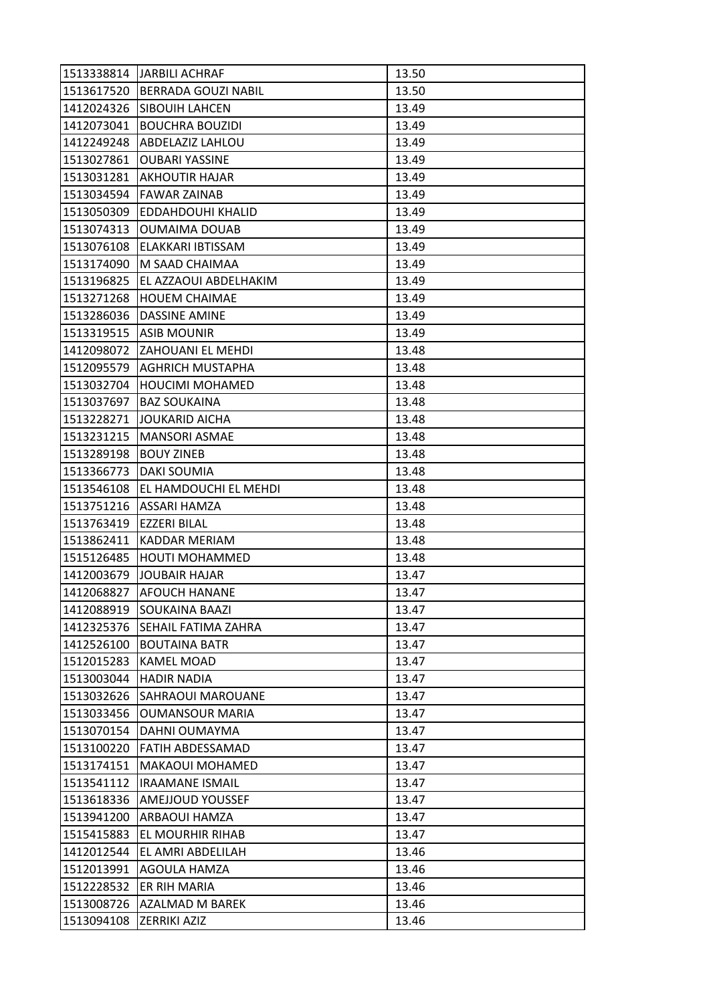| 1513338814 | <b>JARBILI ACHRAF</b>      | 13.50 |
|------------|----------------------------|-------|
| 1513617520 | <b>BERRADA GOUZI NABIL</b> | 13.50 |
| 1412024326 | <b>SIBOUIH LAHCEN</b>      | 13.49 |
| 1412073041 | <b>BOUCHRA BOUZIDI</b>     | 13.49 |
| 1412249248 | <b>ABDELAZIZ LAHLOU</b>    | 13.49 |
| 1513027861 | <b>OUBARI YASSINE</b>      | 13.49 |
| 1513031281 | AKHOUTIR HAJAR             | 13.49 |
| 1513034594 | <b>FAWAR ZAINAB</b>        | 13.49 |
| 1513050309 | <b>EDDAHDOUHI KHALID</b>   | 13.49 |
| 1513074313 | <b>OUMAIMA DOUAB</b>       | 13.49 |
| 1513076108 | ELAKKARI IBTISSAM          | 13.49 |
| 1513174090 | M SAAD CHAIMAA             | 13.49 |
| 1513196825 | EL AZZAOUI ABDELHAKIM      | 13.49 |
| 1513271268 | <b>HOUEM CHAIMAE</b>       | 13.49 |
| 1513286036 | <b>DASSINE AMINE</b>       | 13.49 |
|            | 1513319515   ASIB MOUNIR   | 13.49 |
| 1412098072 | <b>ZAHOUANI EL MEHDI</b>   | 13.48 |
| 1512095579 | <b>AGHRICH MUSTAPHA</b>    | 13.48 |
| 1513032704 | HOUCIMI MOHAMED            | 13.48 |
| 1513037697 | <b>BAZ SOUKAINA</b>        | 13.48 |
| 1513228271 | JOUKARID AICHA             | 13.48 |
| 1513231215 | <b>MANSORI ASMAE</b>       | 13.48 |
| 1513289198 | <b>BOUY ZINEB</b>          | 13.48 |
| 1513366773 | DAKI SOUMIA                | 13.48 |
| 1513546108 | EL HAMDOUCHI EL MEHDI      | 13.48 |
| 1513751216 | ASSARI HAMZA               | 13.48 |
| 1513763419 | <b>EZZERI BILAL</b>        | 13.48 |
| 1513862411 | <b>KADDAR MERIAM</b>       | 13.48 |
| 1515126485 | <b>HOUTI MOHAMMED</b>      | 13.48 |
| 1412003679 | <b>JOUBAIR HAJAR</b>       | 13.47 |
| 1412068827 | <b>AFOUCH HANANE</b>       | 13.47 |
| 1412088919 | <b>SOUKAINA BAAZI</b>      | 13.47 |
| 1412325376 | SEHAIL FATIMA ZAHRA        | 13.47 |
| 1412526100 | <b>BOUTAINA BATR</b>       | 13.47 |
| 1512015283 | <b>KAMEL MOAD</b>          | 13.47 |
| 1513003044 | <b>HADIR NADIA</b>         | 13.47 |
| 1513032626 | <b>SAHRAOUI MAROUANE</b>   | 13.47 |
| 1513033456 | <b>OUMANSOUR MARIA</b>     | 13.47 |
| 1513070154 | DAHNI OUMAYMA              | 13.47 |
| 1513100220 | <b>FATIH ABDESSAMAD</b>    | 13.47 |
| 1513174151 | <b>MAKAOUI MOHAMED</b>     | 13.47 |
| 1513541112 | <b>IRAAMANE ISMAIL</b>     | 13.47 |
| 1513618336 | <b>AMEJJOUD YOUSSEF</b>    | 13.47 |
| 1513941200 | ARBAOUI HAMZA              | 13.47 |
| 1515415883 | EL MOURHIR RIHAB           | 13.47 |
| 1412012544 | EL AMRI ABDELILAH          | 13.46 |
| 1512013991 | <b>AGOULA HAMZA</b>        | 13.46 |
| 1512228532 | ER RIH MARIA               | 13.46 |
| 1513008726 | AZALMAD M BAREK            | 13.46 |
| 1513094108 | ZERRIKI AZIZ               | 13.46 |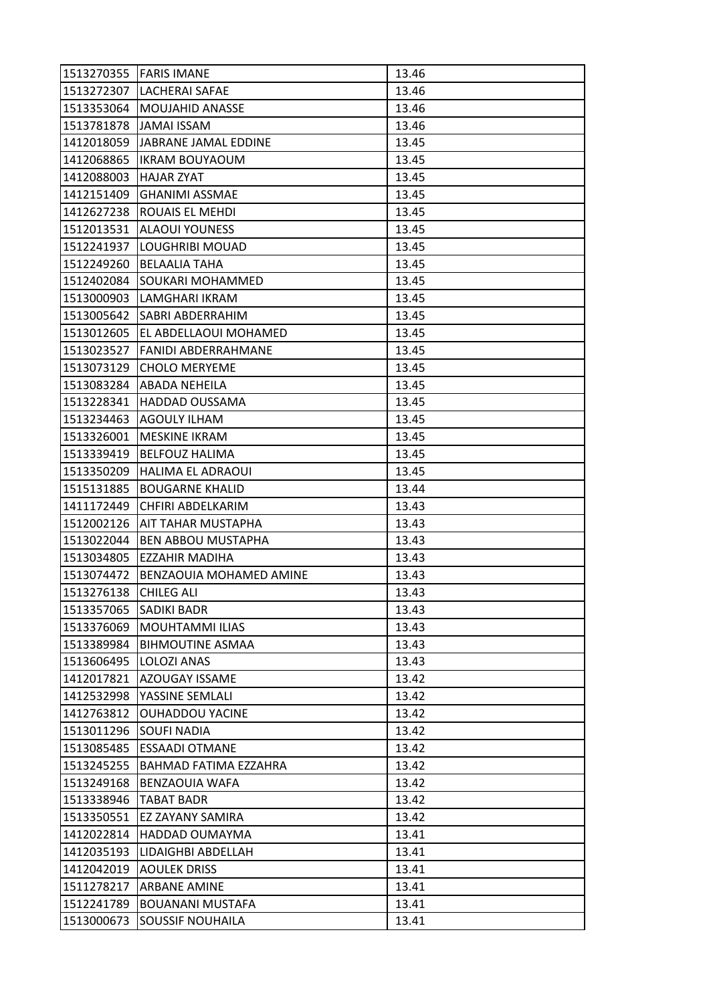| 1513270355 | <b>FARIS IMANE</b>                 | 13.46 |
|------------|------------------------------------|-------|
|            | 1513272307   LACHERAI SAFAE        | 13.46 |
| 1513353064 | <b>MOUJAHID ANASSE</b>             | 13.46 |
| 1513781878 | <b>JAMAI ISSAM</b>                 | 13.46 |
| 1412018059 | IJABRANE JAMAL EDDINE              | 13.45 |
| 1412068865 | <b>IKRAM BOUYAOUM</b>              | 13.45 |
| 1412088003 | <b>HAJAR ZYAT</b>                  | 13.45 |
| 1412151409 | <b>GHANIMI ASSMAE</b>              | 13.45 |
| 1412627238 | <b>ROUAIS EL MEHDI</b>             | 13.45 |
| 1512013531 | <b>ALAOUI YOUNESS</b>              | 13.45 |
| 1512241937 | LOUGHRIBI MOUAD                    | 13.45 |
| 1512249260 | <b>BELAALIA TAHA</b>               | 13.45 |
| 1512402084 | SOUKARI MOHAMMED                   | 13.45 |
| 1513000903 | LAMGHARI IKRAM                     | 13.45 |
| 1513005642 | <b>SABRI ABDERRAHIM</b>            | 13.45 |
|            | 1513012605   EL ABDELLAOUI MOHAMED | 13.45 |
| 1513023527 | lFANIDI ABDERRAHMANE               | 13.45 |
| 1513073129 | <b>CHOLO MERYEME</b>               | 13.45 |
| 1513083284 | <b>ABADA NEHEILA</b>               | 13.45 |
| 1513228341 | <b>HADDAD OUSSAMA</b>              | 13.45 |
| 1513234463 | <b>AGOULY ILHAM</b>                | 13.45 |
| 1513326001 | MESKINE IKRAM                      | 13.45 |
| 1513339419 | <b>BELFOUZ HALIMA</b>              | 13.45 |
| 1513350209 | HALIMA EL ADRAOUI                  | 13.45 |
| 1515131885 | <b>BOUGARNE KHALID</b>             | 13.44 |
| 1411172449 | CHFIRI ABDELKARIM                  | 13.43 |
| 1512002126 | AIT TAHAR MUSTAPHA                 | 13.43 |
| 1513022044 | <b>BEN ABBOU MUSTAPHA</b>          | 13.43 |
| 1513034805 | EZZAHIR MADIHA                     | 13.43 |
| 1513074472 | BENZAOUIA MOHAMED AMINE            | 13.43 |
| 1513276138 | <b>CHILEG ALI</b>                  | 13.43 |
| 1513357065 | <b>SADIKI BADR</b>                 | 13.43 |
| 1513376069 | <b>MOUHTAMMI ILIAS</b>             | 13.43 |
| 1513389984 | <b>BIHMOUTINE ASMAA</b>            | 13.43 |
| 1513606495 | LOLOZI ANAS                        | 13.43 |
| 1412017821 | <b>AZOUGAY ISSAME</b>              | 13.42 |
| 1412532998 | YASSINE SEMLALI                    | 13.42 |
| 1412763812 | <b>OUHADDOU YACINE</b>             | 13.42 |
| 1513011296 | <b>SOUFI NADIA</b>                 | 13.42 |
| 1513085485 | <b>ESSAADI OTMANE</b>              | 13.42 |
| 1513245255 | BAHMAD FATIMA EZZAHRA              | 13.42 |
| 1513249168 | BENZAOUIA WAFA                     | 13.42 |
| 1513338946 | <b>TABAT BADR</b>                  | 13.42 |
| 1513350551 | EZ ZAYANY SAMIRA                   | 13.42 |
| 1412022814 | HADDAD OUMAYMA                     | 13.41 |
| 1412035193 | LIDAIGHBI ABDELLAH                 | 13.41 |
| 1412042019 | <b>AOULEK DRISS</b>                | 13.41 |
| 1511278217 | <b>ARBANE AMINE</b>                | 13.41 |
| 1512241789 | <b>BOUANANI MUSTAFA</b>            | 13.41 |
| 1513000673 | SOUSSIF NOUHAILA                   | 13.41 |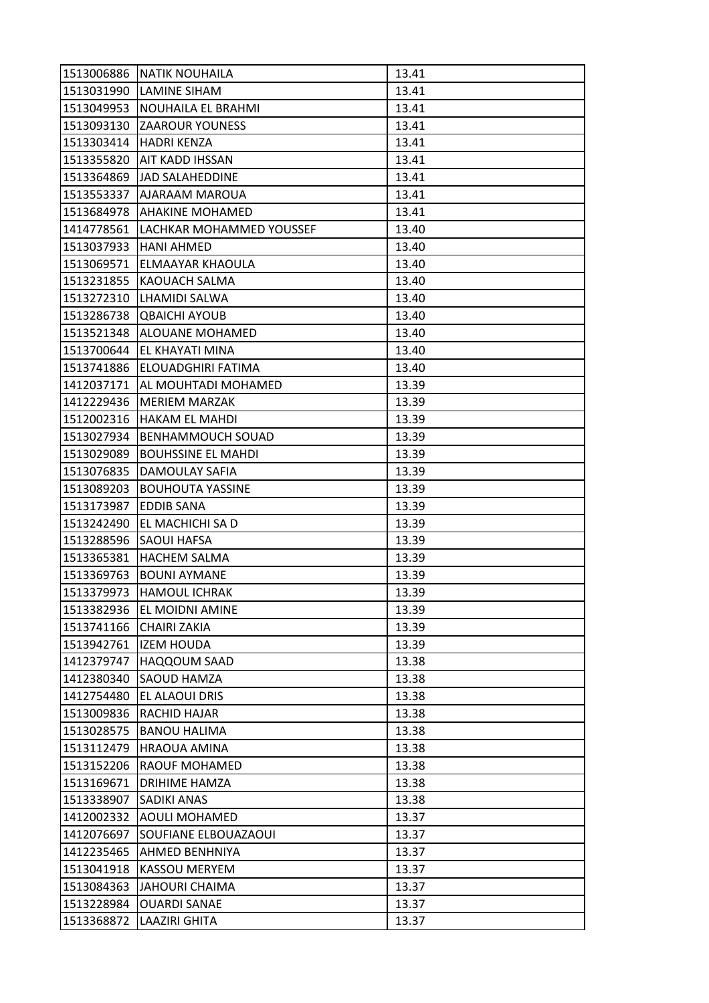| 1513006886 | <b>NATIK NOUHAILA</b>        | 13.41 |
|------------|------------------------------|-------|
| 1513031990 | <b>LAMINE SIHAM</b>          | 13.41 |
| 1513049953 | NOUHAILA EL BRAHMI           | 13.41 |
| 1513093130 | <b>ZAAROUR YOUNESS</b>       | 13.41 |
| 1513303414 | <b>HADRI KENZA</b>           | 13.41 |
| 1513355820 | AIT KADD IHSSAN              | 13.41 |
| 1513364869 | JAD SALAHEDDINE              | 13.41 |
| 1513553337 | AJARAAM MAROUA               | 13.41 |
| 1513684978 | <b>AHAKINE MOHAMED</b>       | 13.41 |
| 1414778561 | LACHKAR MOHAMMED YOUSSEF     | 13.40 |
| 1513037933 | <b>HANI AHMED</b>            | 13.40 |
| 1513069571 | ELMAAYAR KHAOULA             | 13.40 |
| 1513231855 | KAOUACH SALMA                | 13.40 |
| 1513272310 | <b>LHAMIDI SALWA</b>         | 13.40 |
| 1513286738 | <b>QBAICHI AYOUB</b>         | 13.40 |
|            | 1513521348   ALOUANE MOHAMED | 13.40 |
| 1513700644 | EL KHAYATI MINA              | 13.40 |
| 1513741886 | ELOUADGHIRI FATIMA           | 13.40 |
| 1412037171 | <b>AL MOUHTADI MOHAMED</b>   | 13.39 |
| 1412229436 | <b>MERIEM MARZAK</b>         | 13.39 |
| 1512002316 | <b>HAKAM EL MAHDI</b>        | 13.39 |
| 1513027934 | BENHAMMOUCH SOUAD            | 13.39 |
| 1513029089 | <b>BOUHSSINE EL MAHDI</b>    | 13.39 |
| 1513076835 | DAMOULAY SAFIA               | 13.39 |
| 1513089203 | <b>BOUHOUTA YASSINE</b>      | 13.39 |
| 1513173987 | <b>EDDIB SANA</b>            | 13.39 |
| 1513242490 | EL MACHICHI SA D             | 13.39 |
| 1513288596 | <b>SAOUI HAFSA</b>           | 13.39 |
| 1513365381 | <b>HACHEM SALMA</b>          | 13.39 |
| 1513369763 | <b>BOUNI AYMANE</b>          | 13.39 |
| 1513379973 | <b>HAMOUL ICHRAK</b>         | 13.39 |
| 1513382936 | EL MOIDNI AMINE              | 13.39 |
| 1513741166 | <b>CHAIRI ZAKIA</b>          | 13.39 |
| 1513942761 | <b>IZEM HOUDA</b>            | 13.39 |
| 1412379747 | HAQQOUM SAAD                 | 13.38 |
| 1412380340 | <b>SAOUD HAMZA</b>           | 13.38 |
| 1412754480 | EL ALAOUI DRIS               | 13.38 |
| 1513009836 | RACHID HAJAR                 | 13.38 |
| 1513028575 | <b>BANOU HALIMA</b>          | 13.38 |
| 1513112479 | <b>HRAOUA AMINA</b>          | 13.38 |
| 1513152206 | <b>RAOUF MOHAMED</b>         | 13.38 |
| 1513169671 | DRIHIME HAMZA                | 13.38 |
| 1513338907 | <b>SADIKI ANAS</b>           | 13.38 |
| 1412002332 | <b>AOULI MOHAMED</b>         | 13.37 |
| 1412076697 | SOUFIANE ELBOUAZAOUI         | 13.37 |
| 1412235465 | AHMED BENHNIYA               | 13.37 |
| 1513041918 | <b>KASSOU MERYEM</b>         | 13.37 |
| 1513084363 | <b>JAHOURI CHAIMA</b>        | 13.37 |
| 1513228984 | <b>OUARDI SANAE</b>          | 13.37 |
| 1513368872 | <b>LAAZIRI GHITA</b>         | 13.37 |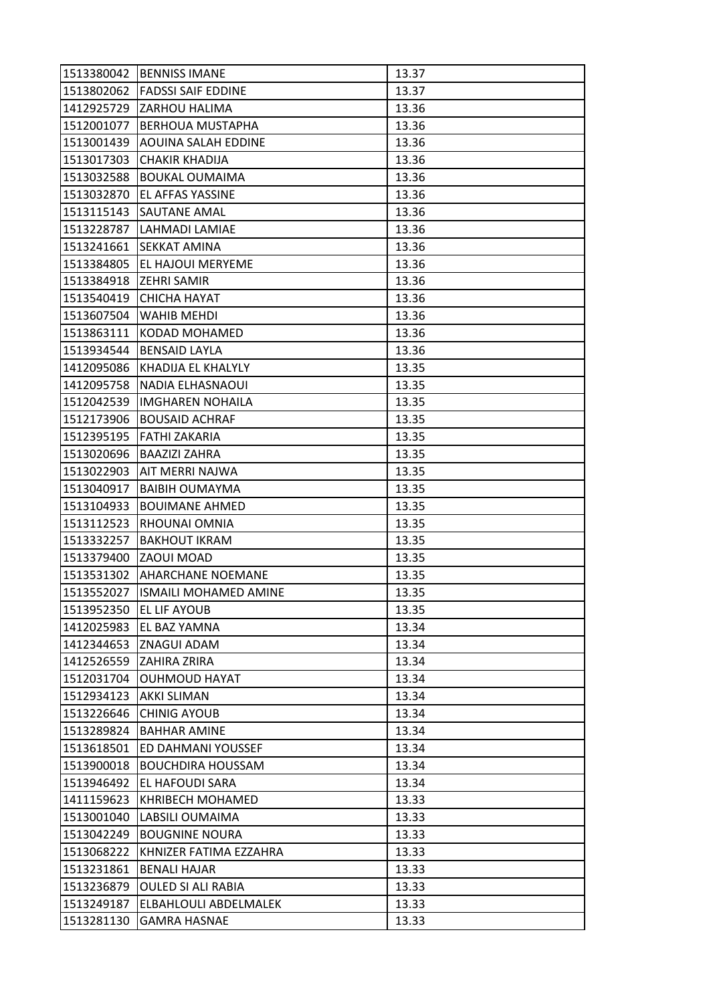| 1513380042 | <b>BENNISS IMANE</b>         | 13.37 |
|------------|------------------------------|-------|
| 1513802062 | <b>FADSSI SAIF EDDINE</b>    | 13.37 |
| 1412925729 | <b>ZARHOU HALIMA</b>         | 13.36 |
| 1512001077 | <b>BERHOUA MUSTAPHA</b>      | 13.36 |
| 1513001439 | <b>AOUINA SALAH EDDINE</b>   | 13.36 |
| 1513017303 | <b>CHAKIR KHADIJA</b>        | 13.36 |
| 1513032588 | <b>BOUKAL OUMAIMA</b>        | 13.36 |
| 1513032870 | EL AFFAS YASSINE             | 13.36 |
| 1513115143 | lSAUTANE AMAL                | 13.36 |
| 1513228787 | LAHMADI LAMIAE               | 13.36 |
| 1513241661 | <b>SEKKAT AMINA</b>          | 13.36 |
| 1513384805 | EL HAJOUI MERYEME            | 13.36 |
| 1513384918 | <b>ZEHRI SAMIR</b>           | 13.36 |
| 1513540419 | <b>CHICHA HAYAT</b>          | 13.36 |
| 1513607504 | <b>WAHIB MEHDI</b>           | 13.36 |
| 1513863111 | KODAD MOHAMED                | 13.36 |
| 1513934544 | <b>BENSAID LAYLA</b>         | 13.36 |
| 1412095086 | KHADIJA EL KHALYLY           | 13.35 |
| 1412095758 | NADIA ELHASNAOUI             | 13.35 |
| 1512042539 | <b>IMGHAREN NOHAILA</b>      | 13.35 |
| 1512173906 | <b>BOUSAID ACHRAF</b>        | 13.35 |
| 1512395195 | <b>FATHI ZAKARIA</b>         | 13.35 |
| 1513020696 | <b>BAAZIZI ZAHRA</b>         | 13.35 |
| 1513022903 | AIT MERRI NAJWA              | 13.35 |
| 1513040917 | <b>BAIBIH OUMAYMA</b>        | 13.35 |
| 1513104933 | <b>BOUIMANE AHMED</b>        | 13.35 |
| 1513112523 | RHOUNAI OMNIA                | 13.35 |
| 1513332257 | <b>BAKHOUT IKRAM</b>         | 13.35 |
| 1513379400 | ZAOUI MOAD                   | 13.35 |
| 1513531302 | <b>AHARCHANE NOEMANE</b>     | 13.35 |
| 1513552027 | <b>ISMAILI MOHAMED AMINE</b> | 13.35 |
| 1513952350 | <b>EL LIF AYOUB</b>          | 13.35 |
| 1412025983 | <b>EL BAZ YAMNA</b>          | 13.34 |
| 1412344653 | ZNAGUI ADAM                  | 13.34 |
| 1412526559 | <b>ZAHIRA ZRIRA</b>          | 13.34 |
| 1512031704 | <b>OUHMOUD HAYAT</b>         | 13.34 |
| 1512934123 | <b>AKKI SLIMAN</b>           | 13.34 |
| 1513226646 | <b>CHINIG AYOUB</b>          | 13.34 |
| 1513289824 | <b>BAHHAR AMINE</b>          | 13.34 |
| 1513618501 | ED DAHMANI YOUSSEF           | 13.34 |
| 1513900018 | <b>BOUCHDIRA HOUSSAM</b>     | 13.34 |
| 1513946492 | EL HAFOUDI SARA              | 13.34 |
| 1411159623 | <b>KHRIBECH MOHAMED</b>      | 13.33 |
| 1513001040 | LABSILI OUMAIMA              | 13.33 |
| 1513042249 | <b>BOUGNINE NOURA</b>        | 13.33 |
| 1513068222 | KHNIZER FATIMA EZZAHRA       | 13.33 |
| 1513231861 | <b>BENALI HAJAR</b>          | 13.33 |
| 1513236879 | <b>OULED SI ALI RABIA</b>    | 13.33 |
| 1513249187 | ELBAHLOULI ABDELMALEK        | 13.33 |
| 1513281130 | <b>GAMRA HASNAE</b>          | 13.33 |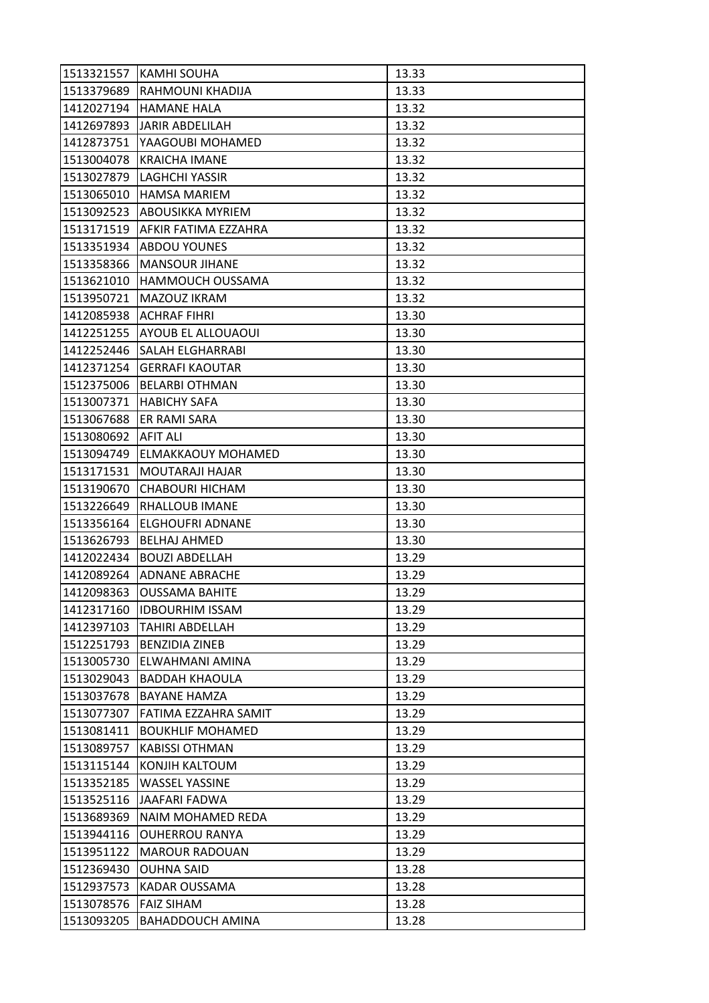| 1513321557 | <b>KAMHI SOUHA</b>            | 13.33 |
|------------|-------------------------------|-------|
| 1513379689 | RAHMOUNI KHADIJA              | 13.33 |
| 1412027194 | HAMANE HALA                   | 13.32 |
| 1412697893 | <b>JARIR ABDELILAH</b>        | 13.32 |
| 1412873751 | YAAGOUBI MOHAMED              | 13.32 |
| 1513004078 | <b>KRAICHA IMANE</b>          | 13.32 |
| 1513027879 | <b>LAGHCHI YASSIR</b>         | 13.32 |
| 1513065010 | <b>HAMSA MARIEM</b>           | 13.32 |
| 1513092523 | <b>ABOUSIKKA MYRIEM</b>       | 13.32 |
| 1513171519 | AFKIR FATIMA EZZAHRA          | 13.32 |
| 1513351934 | <b>ABDOU YOUNES</b>           | 13.32 |
| 1513358366 | <b>MANSOUR JIHANE</b>         | 13.32 |
| 1513621010 | <b>HAMMOUCH OUSSAMA</b>       | 13.32 |
| 1513950721 | MAZOUZ IKRAM                  | 13.32 |
| 1412085938 | ACHRAF FIHRI                  | 13.30 |
|            | 1412251255 AYOUB EL ALLOUAOUI | 13.30 |
| 1412252446 | ISALAH ELGHARRABI             | 13.30 |
| 1412371254 | <b>GERRAFI KAOUTAR</b>        | 13.30 |
| 1512375006 | <b>BELARBI OTHMAN</b>         | 13.30 |
| 1513007371 | <b>HABICHY SAFA</b>           | 13.30 |
| 1513067688 | <b>ER RAMI SARA</b>           | 13.30 |
| 1513080692 | <b>AFIT ALI</b>               | 13.30 |
| 1513094749 | ELMAKKAOUY MOHAMED            | 13.30 |
| 1513171531 | MOUTARAJI HAJAR               | 13.30 |
| 1513190670 | <b>CHABOURI HICHAM</b>        | 13.30 |
| 1513226649 | <b>RHALLOUB IMANE</b>         | 13.30 |
| 1513356164 | <b>ELGHOUFRI ADNANE</b>       | 13.30 |
| 1513626793 | <b>BELHAJ AHMED</b>           | 13.30 |
| 1412022434 | <b>BOUZI ABDELLAH</b>         | 13.29 |
| 1412089264 | ADNANE ABRACHE                | 13.29 |
| 1412098363 | <b>OUSSAMA BAHITE</b>         | 13.29 |
| 1412317160 | <b>IDBOURHIM ISSAM</b>        | 13.29 |
| 1412397103 | <b>TAHIRI ABDELLAH</b>        | 13.29 |
| 1512251793 | <b>BENZIDIA ZINEB</b>         | 13.29 |
| 1513005730 | ELWAHMANI AMINA               | 13.29 |
| 1513029043 | <b>BADDAH KHAOULA</b>         | 13.29 |
| 1513037678 | <b>BAYANE HAMZA</b>           | 13.29 |
| 1513077307 | FATIMA EZZAHRA SAMIT          | 13.29 |
| 1513081411 | <b>BOUKHLIF MOHAMED</b>       | 13.29 |
| 1513089757 | <b>KABISSI OTHMAN</b>         | 13.29 |
| 1513115144 | KONJIH KALTOUM                | 13.29 |
| 1513352185 | WASSEL YASSINE                | 13.29 |
| 1513525116 | JAAFARI FADWA                 | 13.29 |
| 1513689369 | NAIM MOHAMED REDA             | 13.29 |
| 1513944116 | <b>OUHERROU RANYA</b>         | 13.29 |
| 1513951122 | <b>MAROUR RADOUAN</b>         | 13.29 |
| 1512369430 | <b>OUHNA SAID</b>             | 13.28 |
| 1512937573 | KADAR OUSSAMA                 | 13.28 |
| 1513078576 | <b>FAIZ SIHAM</b>             | 13.28 |
| 1513093205 | <b>BAHADDOUCH AMINA</b>       | 13.28 |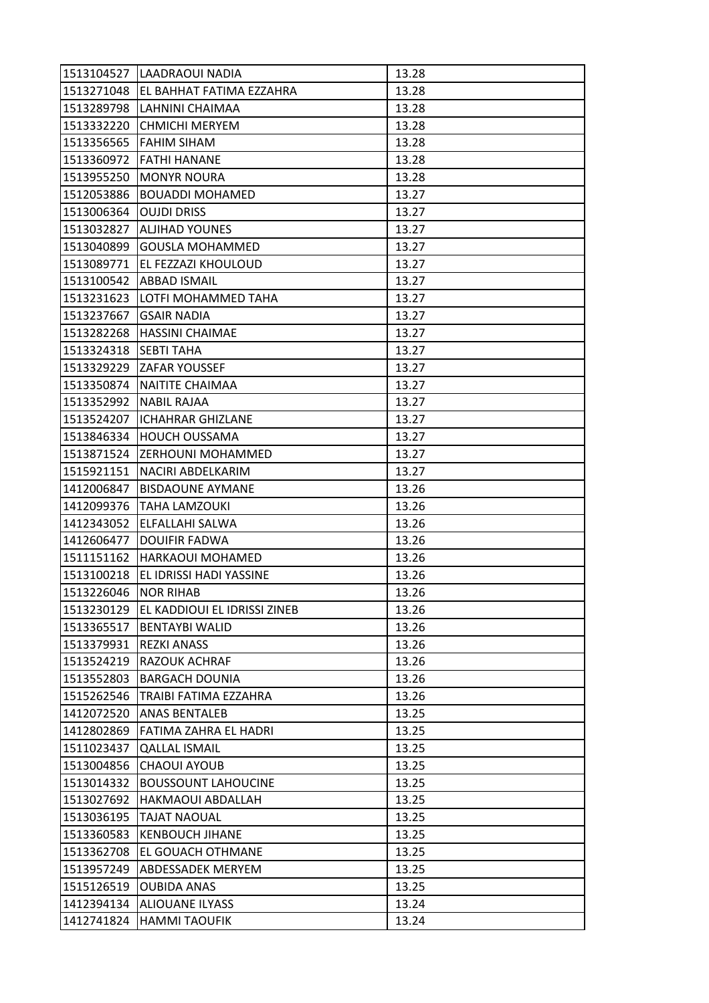| 1513104527 | ILAADRAOUI NADIA                    | 13.28 |
|------------|-------------------------------------|-------|
|            | 1513271048 EL BAHHAT FATIMA EZZAHRA | 13.28 |
| 1513289798 | LAHNINI CHAIMAA                     | 13.28 |
| 1513332220 | <b>CHMICHI MERYEM</b>               | 13.28 |
| 1513356565 | <b>FAHIM SIHAM</b>                  | 13.28 |
| 1513360972 | <b>FATHI HANANE</b>                 | 13.28 |
| 1513955250 | <b>MONYR NOURA</b>                  | 13.28 |
| 1512053886 | <b>BOUADDI MOHAMED</b>              | 13.27 |
| 1513006364 | <b>OUJDI DRISS</b>                  | 13.27 |
| 1513032827 | ALJIHAD YOUNES                      | 13.27 |
| 1513040899 | <b>GOUSLA MOHAMMED</b>              | 13.27 |
| 1513089771 | EL FEZZAZI KHOULOUD                 | 13.27 |
| 1513100542 | ABBAD ISMAIL                        | 13.27 |
| 1513231623 | LOTFI MOHAMMED TAHA                 | 13.27 |
| 1513237667 | <b>GSAIR NADIA</b>                  | 13.27 |
|            | 1513282268   HASSINI CHAIMAE        | 13.27 |
| 1513324318 | <b>SEBTI TAHA</b>                   | 13.27 |
| 1513329229 | <b>ZAFAR YOUSSEF</b>                | 13.27 |
| 1513350874 | NAITITE CHAIMAA                     | 13.27 |
| 1513352992 | <b>NABIL RAJAA</b>                  | 13.27 |
| 1513524207 | <b>ICHAHRAR GHIZLANE</b>            | 13.27 |
| 1513846334 | <b>HOUCH OUSSAMA</b>                | 13.27 |
| 1513871524 | <b>ZERHOUNI MOHAMMED</b>            | 13.27 |
| 1515921151 | NACIRI ABDELKARIM                   | 13.27 |
| 1412006847 | <b>BISDAOUNE AYMANE</b>             | 13.26 |
| 1412099376 | <b>TAHA LAMZOUKI</b>                | 13.26 |
| 1412343052 | ELFALLAHI SALWA                     | 13.26 |
| 1412606477 | <b>DOUIFIR FADWA</b>                | 13.26 |
| 1511151162 | <b>HARKAOUI MOHAMED</b>             | 13.26 |
| 1513100218 | EL IDRISSI HADI YASSINE             | 13.26 |
| 1513226046 | <b>NOR RIHAB</b>                    | 13.26 |
| 1513230129 | EL KADDIOUI EL IDRISSI ZINEB        | 13.26 |
| 1513365517 | <b>BENTAYBI WALID</b>               | 13.26 |
| 1513379931 | <b>REZKI ANASS</b>                  | 13.26 |
| 1513524219 | RAZOUK ACHRAF                       | 13.26 |
| 1513552803 | <b>BARGACH DOUNIA</b>               | 13.26 |
| 1515262546 | TRAIBI FATIMA EZZAHRA               | 13.26 |
| 1412072520 | <b>ANAS BENTALEB</b>                | 13.25 |
| 1412802869 | FATIMA ZAHRA EL HADRI               | 13.25 |
| 1511023437 | <b>QALLAL ISMAIL</b>                | 13.25 |
| 1513004856 | <b>CHAOUI AYOUB</b>                 | 13.25 |
| 1513014332 | <b>BOUSSOUNT LAHOUCINE</b>          | 13.25 |
| 1513027692 | <b>HAKMAOUI ABDALLAH</b>            | 13.25 |
| 1513036195 | TAJAT NAOUAL                        | 13.25 |
| 1513360583 | <b>KENBOUCH JIHANE</b>              | 13.25 |
| 1513362708 | EL GOUACH OTHMANE                   | 13.25 |
| 1513957249 | <b>ABDESSADEK MERYEM</b>            | 13.25 |
| 1515126519 | <b>OUBIDA ANAS</b>                  | 13.25 |
| 1412394134 | <b>ALIOUANE ILYASS</b>              | 13.24 |
| 1412741824 | <b>HAMMI TAOUFIK</b>                | 13.24 |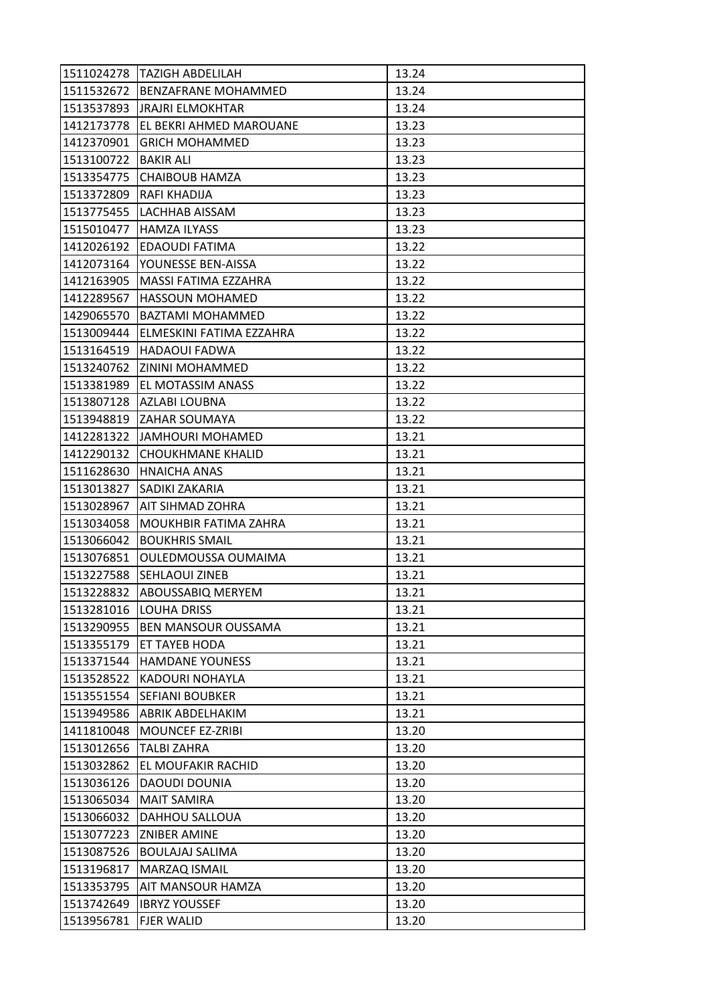| 1511024278 | ITAZIGH ABDELILAH                   | 13.24 |
|------------|-------------------------------------|-------|
| 1511532672 | <b>BENZAFRANE MOHAMMED</b>          | 13.24 |
| 1513537893 | <b>JRAJRI ELMOKHTAR</b>             | 13.24 |
| 1412173778 | EL BEKRI AHMED MAROUANE             | 13.23 |
| 1412370901 | <b>GRICH MOHAMMED</b>               | 13.23 |
| 1513100722 | <b>BAKIR ALI</b>                    | 13.23 |
| 1513354775 | <b>CHAIBOUB HAMZA</b>               | 13.23 |
| 1513372809 | RAFI KHADIJA                        | 13.23 |
| 1513775455 | LACHHAB AISSAM                      | 13.23 |
| 1515010477 | <b>HAMZA ILYASS</b>                 | 13.23 |
| 1412026192 | <b>EDAOUDI FATIMA</b>               | 13.22 |
| 1412073164 | YOUNESSE BEN-AISSA                  | 13.22 |
| 1412163905 | MASSI FATIMA EZZAHRA                | 13.22 |
| 1412289567 | <b>HASSOUN MOHAMED</b>              | 13.22 |
| 1429065570 | <b>BAZTAMI MOHAMMED</b>             | 13.22 |
|            | 1513009444 ELMESKINI FATIMA EZZAHRA | 13.22 |
| 1513164519 | <b>HADAOUI FADWA</b>                | 13.22 |
| 1513240762 | ZININI MOHAMMED                     | 13.22 |
| 1513381989 | <b>EL MOTASSIM ANASS</b>            | 13.22 |
| 1513807128 | AZLABI LOUBNA                       | 13.22 |
|            | 1513948819 ZAHAR SOUMAYA            | 13.22 |
| 1412281322 | JAMHOURI MOHAMED                    | 13.21 |
| 1412290132 | CHOUKHMANE KHALID                   | 13.21 |
| 1511628630 | <b>HNAICHA ANAS</b>                 | 13.21 |
| 1513013827 | SADIKI ZAKARIA                      | 13.21 |
| 1513028967 | AIT SIHMAD ZOHRA                    | 13.21 |
| 1513034058 | MOUKHBIR FATIMA ZAHRA               | 13.21 |
| 1513066042 | <b>BOUKHRIS SMAIL</b>               | 13.21 |
| 1513076851 | OULEDMOUSSA OUMAIMA                 | 13.21 |
| 1513227588 | <b>SEHLAOUI ZINEB</b>               | 13.21 |
| 1513228832 | <b>ABOUSSABIQ MERYEM</b>            | 13.21 |
| 1513281016 | <b>LOUHA DRISS</b>                  | 13.21 |
| 1513290955 | <b>BEN MANSOUR OUSSAMA</b>          | 13.21 |
| 1513355179 | ET TAYEB HODA                       | 13.21 |
| 1513371544 | <b>HAMDANE YOUNESS</b>              | 13.21 |
| 1513528522 | KADOURI NOHAYLA                     | 13.21 |
| 1513551554 | <b>SEFIANI BOUBKER</b>              | 13.21 |
| 1513949586 | ABRIK ABDELHAKIM                    | 13.21 |
| 1411810048 | <b>MOUNCEF EZ-ZRIBI</b>             | 13.20 |
| 1513012656 | <b>TALBI ZAHRA</b>                  | 13.20 |
| 1513032862 | EL MOUFAKIR RACHID                  | 13.20 |
| 1513036126 | DAOUDI DOUNIA                       | 13.20 |
| 1513065034 | <b>MAIT SAMIRA</b>                  | 13.20 |
| 1513066032 | DAHHOU SALLOUA                      | 13.20 |
| 1513077223 | <b>ZNIBER AMINE</b>                 | 13.20 |
| 1513087526 | <b>BOULAJAJ SALIMA</b>              | 13.20 |
| 1513196817 | MARZAQ ISMAIL                       | 13.20 |
| 1513353795 | AIT MANSOUR HAMZA                   | 13.20 |
| 1513742649 | <b>IBRYZ YOUSSEF</b>                | 13.20 |
| 1513956781 | <b>FJER WALID</b>                   | 13.20 |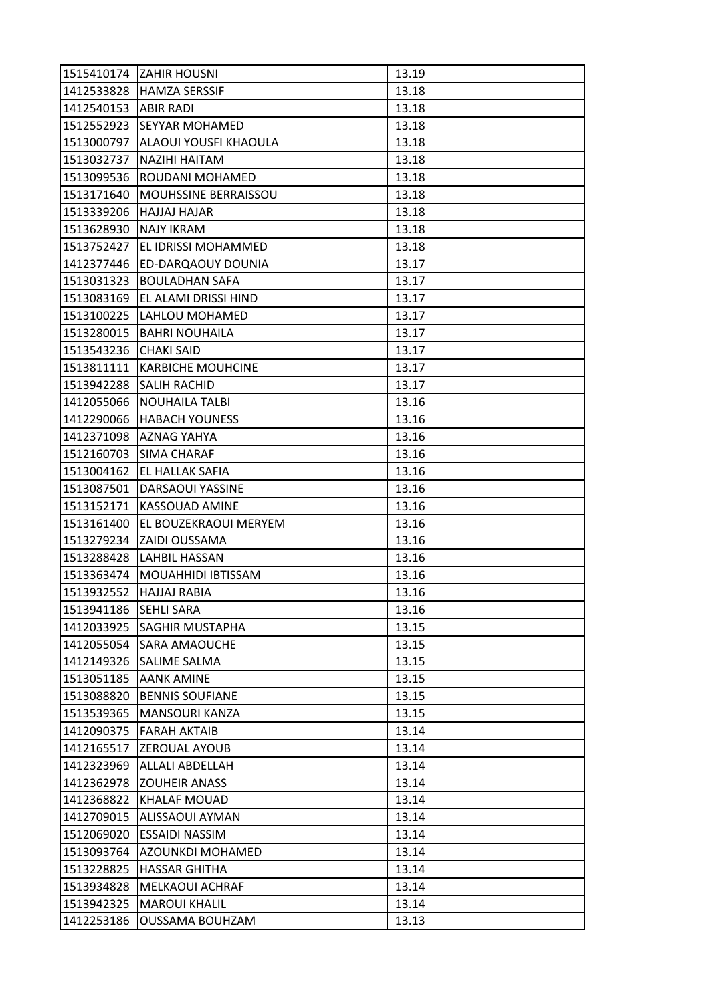|            | 1515410174 ZAHIR HOUSNI      | 13.19 |
|------------|------------------------------|-------|
|            | 1412533828 HAMZA SERSSIF     | 13.18 |
| 1412540153 | <b>ABIR RADI</b>             | 13.18 |
| 1512552923 | <b>SEYYAR MOHAMED</b>        | 13.18 |
| 1513000797 | <b>ALAOUI YOUSFI KHAOULA</b> | 13.18 |
| 1513032737 | <b>NAZIHI HAITAM</b>         | 13.18 |
| 1513099536 | ROUDANI MOHAMED              | 13.18 |
| 1513171640 | <b>MOUHSSINE BERRAISSOU</b>  | 13.18 |
| 1513339206 | HAJJAJ HAJAR                 | 13.18 |
| 1513628930 | <b>NAJY IKRAM</b>            | 13.18 |
| 1513752427 | EL IDRISSI MOHAMMED          | 13.18 |
| 1412377446 | <b>ED-DARQAOUY DOUNIA</b>    | 13.17 |
| 1513031323 | <b>BOULADHAN SAFA</b>        | 13.17 |
| 1513083169 | EL ALAMI DRISSI HIND         | 13.17 |
| 1513100225 | LAHLOU MOHAMED               | 13.17 |
| 1513280015 | <b>BAHRI NOUHAILA</b>        | 13.17 |
| 1513543236 | <b>CHAKI SAID</b>            | 13.17 |
| 1513811111 | <b>KARBICHE MOUHCINE</b>     | 13.17 |
| 1513942288 | <b>SALIH RACHID</b>          | 13.17 |
| 1412055066 | <b>NOUHAILA TALBI</b>        | 13.16 |
| 1412290066 | <b>HABACH YOUNESS</b>        | 13.16 |
| 1412371098 | AZNAG YAHYA                  | 13.16 |
| 1512160703 | <b>SIMA CHARAF</b>           | 13.16 |
| 1513004162 | <b>EL HALLAK SAFIA</b>       | 13.16 |
| 1513087501 | DARSAOUI YASSINE             | 13.16 |
| 1513152171 | <b>KASSOUAD AMINE</b>        | 13.16 |
| 1513161400 | EL BOUZEKRAOUI MERYEM        | 13.16 |
| 1513279234 | ZAIDI OUSSAMA                | 13.16 |
| 1513288428 | <b>LAHBIL HASSAN</b>         | 13.16 |
| 1513363474 | MOUAHHIDI IBTISSAM           | 13.16 |
| 1513932552 | <b>HAJJAJ RABIA</b>          | 13.16 |
| 1513941186 | <b>SEHLI SARA</b>            | 13.16 |
| 1412033925 | <b>SAGHIR MUSTAPHA</b>       | 13.15 |
| 1412055054 | <b>SARA AMAOUCHE</b>         | 13.15 |
| 1412149326 | <b>SALIME SALMA</b>          | 13.15 |
| 1513051185 | <b>AANK AMINE</b>            | 13.15 |
| 1513088820 | <b>BENNIS SOUFIANE</b>       | 13.15 |
| 1513539365 | MANSOURI KANZA               | 13.15 |
| 1412090375 | <b>FARAH AKTAIB</b>          | 13.14 |
| 1412165517 | ZEROUAL AYOUB                | 13.14 |
| 1412323969 | <b>ALLALI ABDELLAH</b>       | 13.14 |
| 1412362978 | <b>ZOUHEIR ANASS</b>         | 13.14 |
| 1412368822 | <b>KHALAF MOUAD</b>          | 13.14 |
| 1412709015 | ALISSAOUI AYMAN              | 13.14 |
| 1512069020 | <b>ESSAIDI NASSIM</b>        | 13.14 |
| 1513093764 | AZOUNKDI MOHAMED             | 13.14 |
| 1513228825 | <b>HASSAR GHITHA</b>         | 13.14 |
| 1513934828 | MELKAOUI ACHRAF              | 13.14 |
| 1513942325 | <b>MAROUI KHALIL</b>         | 13.14 |
| 1412253186 | <b>OUSSAMA BOUHZAM</b>       | 13.13 |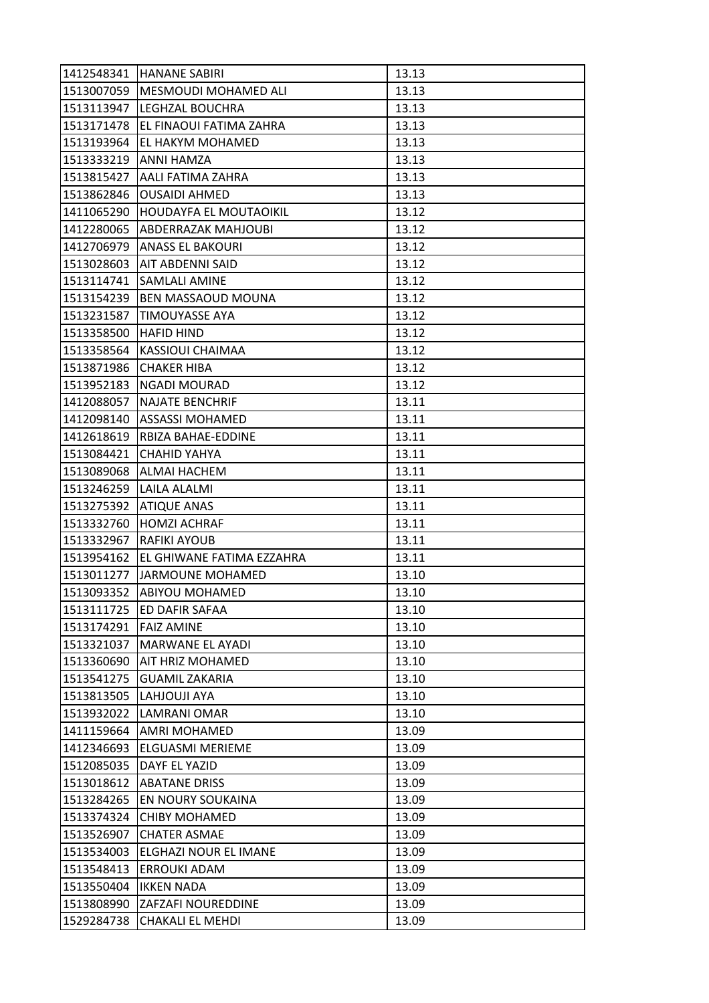| 1412548341 | <b>HANANE SABIRI</b>        | 13.13 |
|------------|-----------------------------|-------|
| 1513007059 | MESMOUDI MOHAMED ALI        | 13.13 |
| 1513113947 | LEGHZAL BOUCHRA             | 13.13 |
| 1513171478 | EL FINAOUI FATIMA ZAHRA     | 13.13 |
| 1513193964 | <b>EL HAKYM MOHAMED</b>     | 13.13 |
|            | 1513333219 ANNI HAMZA       | 13.13 |
| 1513815427 | <b>AALI FATIMA ZAHRA</b>    | 13.13 |
| 1513862846 | <b>OUSAIDI AHMED</b>        | 13.13 |
| 1411065290 | HOUDAYFA EL MOUTAOIKIL      | 13.12 |
| 1412280065 | ABDERRAZAK MAHJOUBI         | 13.12 |
| 1412706979 | <b>ANASS EL BAKOURI</b>     | 13.12 |
| 1513028603 | AIT ABDENNI SAID            | 13.12 |
| 1513114741 | SAMLALI AMINE               | 13.12 |
| 1513154239 | <b>BEN MASSAOUD MOUNA</b>   | 13.12 |
| 1513231587 | TIMOUYASSE AYA              | 13.12 |
| 1513358500 | <b>HAFID HIND</b>           | 13.12 |
| 1513358564 | KASSIOUI CHAIMAA            | 13.12 |
| 1513871986 | <b>CHAKER HIBA</b>          | 13.12 |
| 1513952183 | <b>NGADI MOURAD</b>         | 13.12 |
| 1412088057 | <b>NAJATE BENCHRIF</b>      | 13.11 |
| 1412098140 | <b>ASSASSI MOHAMED</b>      | 13.11 |
| 1412618619 | RBIZA BAHAE-EDDINE          | 13.11 |
| 1513084421 | CHAHID YAHYA                | 13.11 |
| 1513089068 | <b>ALMAI HACHEM</b>         | 13.11 |
| 1513246259 | LAILA ALALMI                | 13.11 |
| 1513275392 | <b>ATIQUE ANAS</b>          | 13.11 |
| 1513332760 | <b>HOMZI ACHRAF</b>         | 13.11 |
| 1513332967 | <b>RAFIKI AYOUB</b>         | 13.11 |
| 1513954162 | IEL GHIWANE FATIMA EZZAHRA  | 13.11 |
|            | 1513011277 JARMOUNE MOHAMED | 13.10 |
| 1513093352 | ABIYOU MOHAMED              | 13.10 |
| 1513111725 | ED DAFIR SAFAA              | 13.10 |
| 1513174291 | <b>FAIZ AMINE</b>           | 13.10 |
| 1513321037 | MARWANE EL AYADI            | 13.10 |
| 1513360690 | AIT HRIZ MOHAMED            | 13.10 |
| 1513541275 | <b>GUAMIL ZAKARIA</b>       | 13.10 |
| 1513813505 | LAHJOUJI AYA                | 13.10 |
| 1513932022 | LAMRANI OMAR                | 13.10 |
| 1411159664 | AMRI MOHAMED                | 13.09 |
| 1412346693 | ELGUASMI MERIEME            | 13.09 |
| 1512085035 | DAYF EL YAZID               | 13.09 |
| 1513018612 | <b>ABATANE DRISS</b>        | 13.09 |
| 1513284265 | EN NOURY SOUKAINA           | 13.09 |
| 1513374324 | <b>CHIBY MOHAMED</b>        | 13.09 |
| 1513526907 | <b>CHATER ASMAE</b>         | 13.09 |
| 1513534003 | ELGHAZI NOUR EL IMANE       | 13.09 |
| 1513548413 | <b>ERROUKI ADAM</b>         | 13.09 |
| 1513550404 | <b>IKKEN NADA</b>           | 13.09 |
| 1513808990 | <b>ZAFZAFI NOUREDDINE</b>   | 13.09 |
| 1529284738 | <b>CHAKALI EL MEHDI</b>     | 13.09 |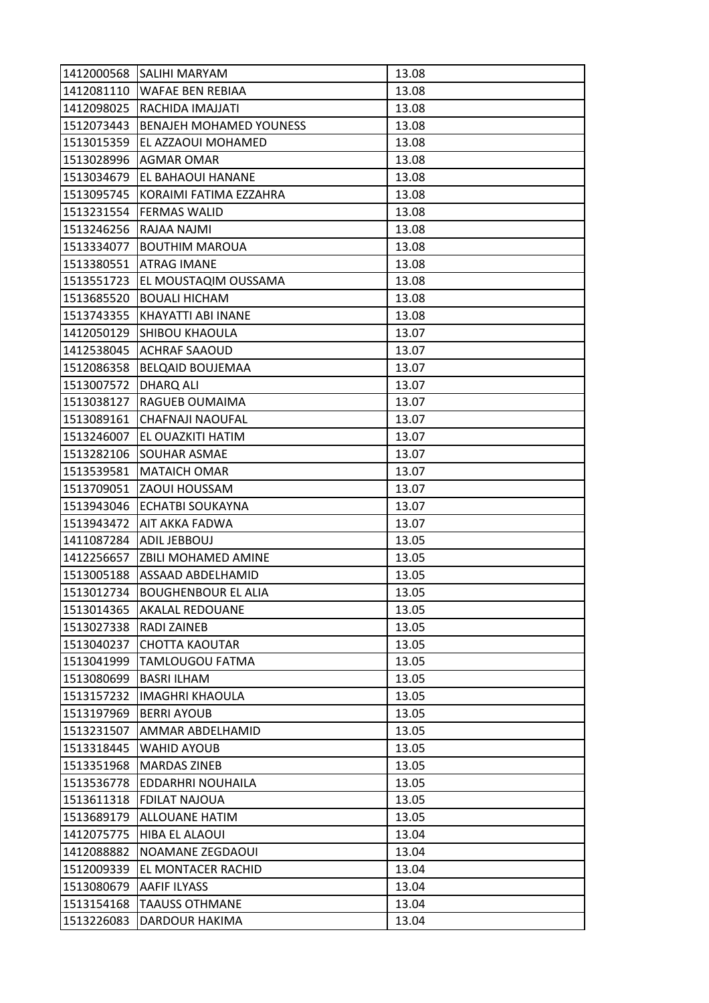| 1412000568 | <b>SALIHI MARYAM</b>           | 13.08 |
|------------|--------------------------------|-------|
| 1412081110 | <b>WAFAE BEN REBIAA</b>        | 13.08 |
| 1412098025 | RACHIDA IMAJJATI               | 13.08 |
| 1512073443 | <b>BENAJEH MOHAMED YOUNESS</b> | 13.08 |
| 1513015359 | EL AZZAOUI MOHAMED             | 13.08 |
| 1513028996 | AGMAR OMAR                     | 13.08 |
| 1513034679 | <b>EL BAHAOUI HANANE</b>       | 13.08 |
| 1513095745 | KORAIMI FATIMA EZZAHRA         | 13.08 |
| 1513231554 | <b>FERMAS WALID</b>            | 13.08 |
| 1513246256 | RAJAA NAJMI                    | 13.08 |
| 1513334077 | <b>BOUTHIM MAROUA</b>          | 13.08 |
| 1513380551 | <b>ATRAG IMANE</b>             | 13.08 |
| 1513551723 | EL MOUSTAQIM OUSSAMA           | 13.08 |
| 1513685520 | <b>BOUALI HICHAM</b>           | 13.08 |
| 1513743355 | KHAYATTI ABI INANE             | 13.08 |
| 1412050129 | <b>SHIBOU KHAOULA</b>          | 13.07 |
| 1412538045 | <b>ACHRAF SAAOUD</b>           | 13.07 |
| 1512086358 | <b>BELQAID BOUJEMAA</b>        | 13.07 |
| 1513007572 | DHARQ ALI                      | 13.07 |
| 1513038127 | RAGUEB OUMAIMA                 | 13.07 |
| 1513089161 | CHAFNAJI NAOUFAL               | 13.07 |
| 1513246007 | EL OUAZKITI HATIM              | 13.07 |
| 1513282106 | <b>SOUHAR ASMAE</b>            | 13.07 |
| 1513539581 | <b>MATAICH OMAR</b>            | 13.07 |
| 1513709051 | ZAOUI HOUSSAM                  | 13.07 |
| 1513943046 | <b>ECHATBI SOUKAYNA</b>        | 13.07 |
| 1513943472 | AIT AKKA FADWA                 | 13.07 |
| 1411087284 | ADIL JEBBOUJ                   | 13.05 |
| 1412256657 | <b>ZBILI MOHAMED AMINE</b>     | 13.05 |
| 1513005188 | ASSAAD ABDELHAMID              | 13.05 |
| 1513012734 | <b>BOUGHENBOUR EL ALIA</b>     | 13.05 |
| 1513014365 | <b>AKALAL REDOUANE</b>         | 13.05 |
| 1513027338 | <b>RADI ZAINEB</b>             | 13.05 |
| 1513040237 | <b>CHOTTA KAOUTAR</b>          | 13.05 |
| 1513041999 | TAMLOUGOU FATMA                | 13.05 |
| 1513080699 | <b>BASRI ILHAM</b>             | 13.05 |
| 1513157232 | <b>IMAGHRI KHAOULA</b>         | 13.05 |
| 1513197969 | <b>BERRI AYOUB</b>             | 13.05 |
| 1513231507 | AMMAR ABDELHAMID               | 13.05 |
| 1513318445 | <b>WAHID AYOUB</b>             | 13.05 |
| 1513351968 | <b>MARDAS ZINEB</b>            | 13.05 |
| 1513536778 | EDDARHRI NOUHAILA              | 13.05 |
| 1513611318 | <b>FDILAT NAJOUA</b>           | 13.05 |
| 1513689179 | <b>ALLOUANE HATIM</b>          | 13.05 |
| 1412075775 | HIBA EL ALAOUI                 | 13.04 |
| 1412088882 | NOAMANE ZEGDAOUI               | 13.04 |
| 1512009339 | EL MONTACER RACHID             | 13.04 |
| 1513080679 | AAFIF ILYASS                   | 13.04 |
| 1513154168 | <b>TAAUSS OTHMANE</b>          | 13.04 |
| 1513226083 | DARDOUR HAKIMA                 | 13.04 |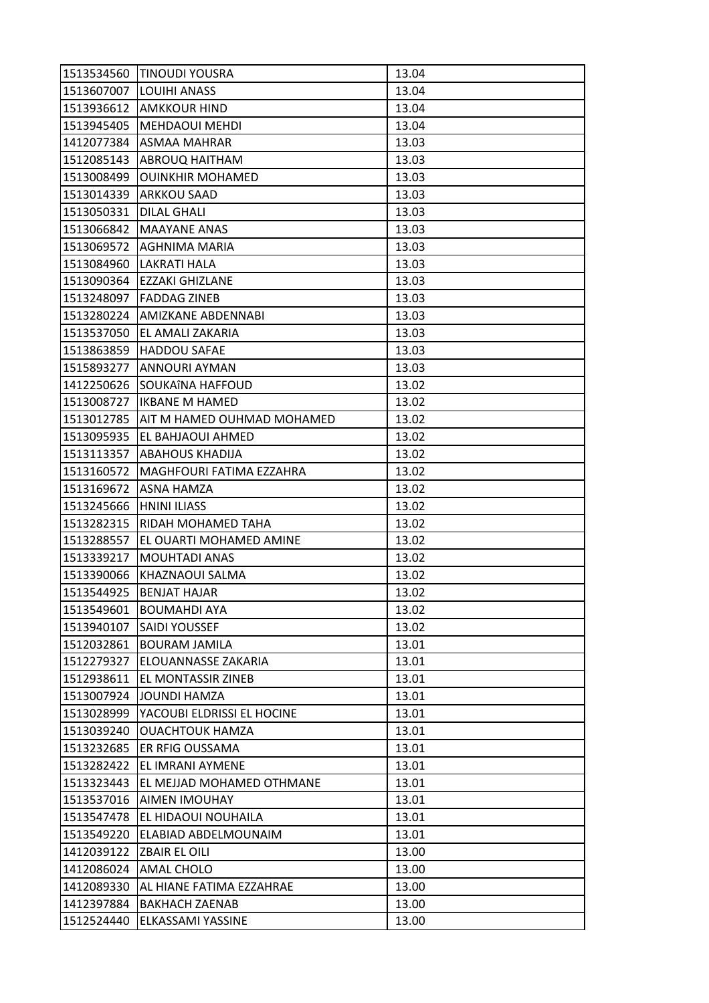| 1513534560 | <b>TINOUDI YOUSRA</b>             | 13.04 |
|------------|-----------------------------------|-------|
| 1513607007 | <b>LOUIHI ANASS</b>               | 13.04 |
| 1513936612 | <b>AMKKOUR HIND</b>               | 13.04 |
| 1513945405 | <b>MEHDAOUI MEHDI</b>             | 13.04 |
| 1412077384 | <b>ASMAA MAHRAR</b>               | 13.03 |
| 1512085143 | ABROUQ HAITHAM                    | 13.03 |
| 1513008499 | <b>OUINKHIR MOHAMED</b>           | 13.03 |
| 1513014339 | <b>ARKKOU SAAD</b>                | 13.03 |
| 1513050331 | <b>DILAL GHALI</b>                | 13.03 |
| 1513066842 | <b>MAAYANE ANAS</b>               | 13.03 |
| 1513069572 | AGHNIMA MARIA                     | 13.03 |
| 1513084960 | <b>LAKRATI HALA</b>               | 13.03 |
| 1513090364 | EZZAKI GHIZLANE                   | 13.03 |
| 1513248097 | <b>FADDAG ZINEB</b>               | 13.03 |
| 1513280224 | AMIZKANE ABDENNABI                | 13.03 |
| 1513537050 | EL AMALI ZAKARIA                  | 13.03 |
| 1513863859 | <b>HADDOU SAFAE</b>               | 13.03 |
| 1515893277 | ANNOURI AYMAN                     | 13.03 |
| 1412250626 | SOUKAÎNA HAFFOUD                  | 13.02 |
| 1513008727 | IKBANE M HAMED                    | 13.02 |
| 1513012785 | <b>AIT M HAMED OUHMAD MOHAMED</b> | 13.02 |
| 1513095935 | EL BAHJAOUI AHMED                 | 13.02 |
| 1513113357 | <b>ABAHOUS KHADIJA</b>            | 13.02 |
| 1513160572 | MAGHFOURI FATIMA EZZAHRA          | 13.02 |
| 1513169672 | ASNA HAMZA                        | 13.02 |
| 1513245666 | <b>HNINI ILIASS</b>               | 13.02 |
| 1513282315 | RIDAH MOHAMED TAHA                | 13.02 |
| 1513288557 | EL OUARTI MOHAMED AMINE           | 13.02 |
| 1513339217 | <b>MOUHTADI ANAS</b>              | 13.02 |
| 1513390066 | KHAZNAOUI SALMA                   | 13.02 |
| 1513544925 | <b>BENJAT HAJAR</b>               | 13.02 |
| 1513549601 | <b>BOUMAHDI AYA</b>               | 13.02 |
| 1513940107 | <b>SAIDI YOUSSEF</b>              | 13.02 |
| 1512032861 | <b>BOURAM JAMILA</b>              | 13.01 |
| 1512279327 | ELOUANNASSE ZAKARIA               | 13.01 |
| 1512938611 | EL MONTASSIR ZINEB                | 13.01 |
| 1513007924 | <b>JOUNDI HAMZA</b>               | 13.01 |
| 1513028999 | YACOUBI ELDRISSI EL HOCINE        | 13.01 |
| 1513039240 | <b>OUACHTOUK HAMZA</b>            | 13.01 |
| 1513232685 | ER RFIG OUSSAMA                   | 13.01 |
| 1513282422 | EL IMRANI AYMENE                  | 13.01 |
| 1513323443 | EL MEJJAD MOHAMED OTHMANE         | 13.01 |
| 1513537016 | <b>AIMEN IMOUHAY</b>              | 13.01 |
| 1513547478 | EL HIDAOUI NOUHAILA               | 13.01 |
| 1513549220 | ELABIAD ABDELMOUNAIM              | 13.01 |
| 1412039122 | <b>ZBAIR EL OILI</b>              | 13.00 |
| 1412086024 | <b>AMAL CHOLO</b>                 | 13.00 |
| 1412089330 | AL HIANE FATIMA EZZAHRAE          | 13.00 |
| 1412397884 | <b>BAKHACH ZAENAB</b>             | 13.00 |
| 1512524440 | ELKASSAMI YASSINE                 | 13.00 |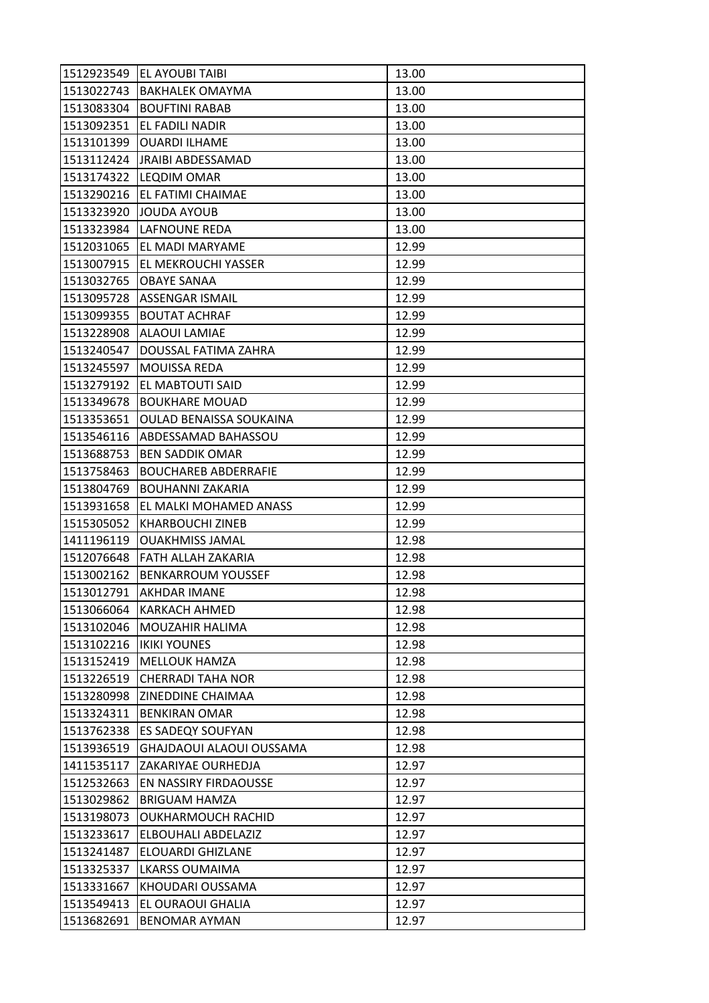| 1512923549 | <b>EL AYOUBI TAIBI</b>        | 13.00 |
|------------|-------------------------------|-------|
| 1513022743 | <b>BAKHALEK OMAYMA</b>        | 13.00 |
| 1513083304 | <b>BOUFTINI RABAB</b>         | 13.00 |
| 1513092351 | EL FADILI NADIR               | 13.00 |
| 1513101399 | <b>OUARDI ILHAME</b>          | 13.00 |
|            | 1513112424  JRAIBI ABDESSAMAD | 13.00 |
| 1513174322 | <b>LEQDIM OMAR</b>            | 13.00 |
| 1513290216 | EL FATIMI CHAIMAE             | 13.00 |
| 1513323920 | JOUDA AYOUB                   | 13.00 |
| 1513323984 | lLAFNOUNE REDA                | 13.00 |
| 1512031065 | EL MADI MARYAME               | 12.99 |
| 1513007915 | <b>EL MEKROUCHI YASSER</b>    | 12.99 |
| 1513032765 | <b>OBAYE SANAA</b>            | 12.99 |
| 1513095728 | <b>ASSENGAR ISMAIL</b>        | 12.99 |
| 1513099355 | <b>BOUTAT ACHRAF</b>          | 12.99 |
|            | 1513228908 ALAOUI LAMIAE      | 12.99 |
| 1513240547 | DOUSSAL FATIMA ZAHRA          | 12.99 |
| 1513245597 | MOUISSA REDA                  | 12.99 |
| 1513279192 | EL MABTOUTI SAID              | 12.99 |
| 1513349678 | <b>BOUKHARE MOUAD</b>         | 12.99 |
| 1513353651 | OULAD BENAISSA SOUKAINA       | 12.99 |
| 1513546116 | ABDESSAMAD BAHASSOU           | 12.99 |
| 1513688753 | <b>BEN SADDIK OMAR</b>        | 12.99 |
| 1513758463 | <b>BOUCHAREB ABDERRAFIE</b>   | 12.99 |
| 1513804769 | <b>BOUHANNI ZAKARIA</b>       | 12.99 |
| 1513931658 | EL MALKI MOHAMED ANASS        | 12.99 |
| 1515305052 | <b>KHARBOUCHI ZINEB</b>       | 12.99 |
| 1411196119 | <b>OUAKHMISS JAMAL</b>        | 12.98 |
| 1512076648 | <b>FATH ALLAH ZAKARIA</b>     | 12.98 |
| 1513002162 | <b>BENKARROUM YOUSSEF</b>     | 12.98 |
| 1513012791 | AKHDAR IMANE                  | 12.98 |
| 1513066064 | <b>KARKACH AHMED</b>          | 12.98 |
| 1513102046 | <b>MOUZAHIR HALIMA</b>        | 12.98 |
| 1513102216 | <b>IKIKI YOUNES</b>           | 12.98 |
| 1513152419 | <b>MELLOUK HAMZA</b>          | 12.98 |
| 1513226519 | <b>CHERRADI TAHA NOR</b>      | 12.98 |
| 1513280998 | <b>ZINEDDINE CHAIMAA</b>      | 12.98 |
| 1513324311 | <b>BENKIRAN OMAR</b>          | 12.98 |
| 1513762338 | <b>ES SADEQY SOUFYAN</b>      | 12.98 |
| 1513936519 | GHAJDAOUI ALAOUI OUSSAMA      | 12.98 |
| 1411535117 | ZAKARIYAE OURHEDJA            | 12.97 |
| 1512532663 | EN NASSIRY FIRDAOUSSE         | 12.97 |
| 1513029862 | <b>BRIGUAM HAMZA</b>          | 12.97 |
| 1513198073 | <b>OUKHARMOUCH RACHID</b>     | 12.97 |
| 1513233617 | ELBOUHALI ABDELAZIZ           | 12.97 |
| 1513241487 | ELOUARDI GHIZLANE             | 12.97 |
| 1513325337 | <b>LKARSS OUMAIMA</b>         | 12.97 |
| 1513331667 | KHOUDARI OUSSAMA              | 12.97 |
| 1513549413 | EL OURAOUI GHALIA             | 12.97 |
| 1513682691 | <b>BENOMAR AYMAN</b>          | 12.97 |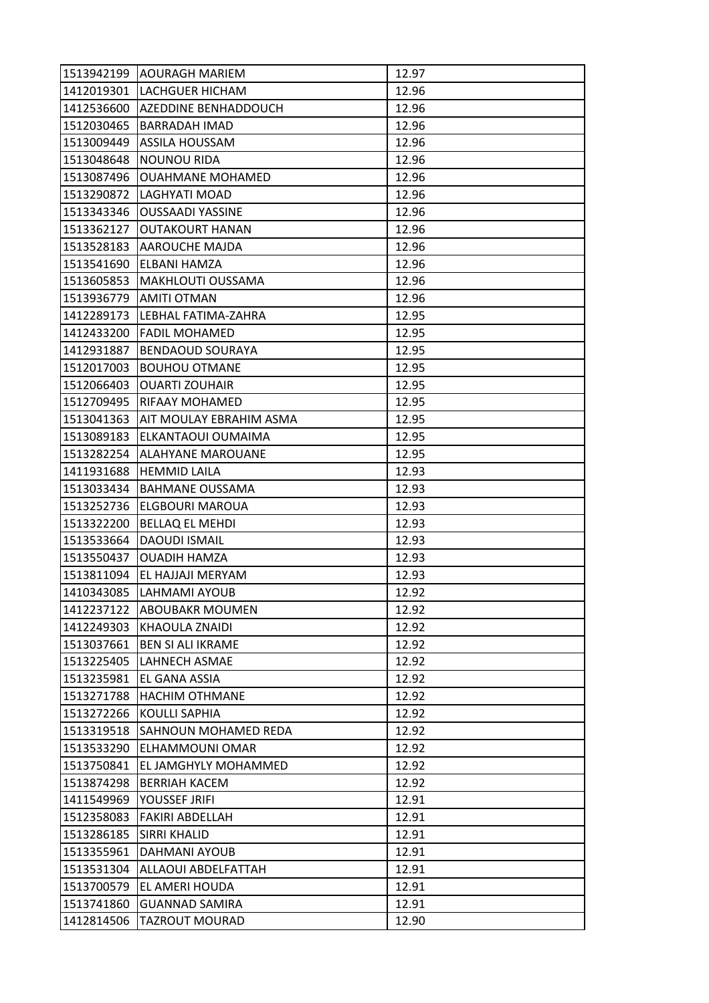| 1513942199 | <b>IAOURAGH MARIEM</b>     | 12.97 |
|------------|----------------------------|-------|
|            | 1412019301 LACHGUER HICHAM | 12.96 |
| 1412536600 | AZEDDINE BENHADDOUCH       | 12.96 |
| 1512030465 | <b>BARRADAH IMAD</b>       | 12.96 |
| 1513009449 | <b>ASSILA HOUSSAM</b>      | 12.96 |
| 1513048648 | <b>NOUNOU RIDA</b>         | 12.96 |
| 1513087496 | <b>OUAHMANE MOHAMED</b>    | 12.96 |
| 1513290872 | LAGHYATI MOAD              | 12.96 |
| 1513343346 | <b>OUSSAADI YASSINE</b>    | 12.96 |
| 1513362127 | <b>OUTAKOURT HANAN</b>     | 12.96 |
|            | 1513528183 AAROUCHE MAJDA  | 12.96 |
| 1513541690 | ELBANI HAMZA               | 12.96 |
| 1513605853 | <b>MAKHLOUTI OUSSAMA</b>   | 12.96 |
| 1513936779 | <b>AMITI OTMAN</b>         | 12.96 |
| 1412289173 | LEBHAL FATIMA-ZAHRA        | 12.95 |
| 1412433200 | <b>FADIL MOHAMED</b>       | 12.95 |
| 1412931887 | <b>BENDAOUD SOURAYA</b>    | 12.95 |
| 1512017003 | <b>BOUHOU OTMANE</b>       | 12.95 |
| 1512066403 | <b>OUARTI ZOUHAIR</b>      | 12.95 |
| 1512709495 | <b>RIFAAY MOHAMED</b>      | 12.95 |
| 1513041363 | AIT MOULAY EBRAHIM ASMA    | 12.95 |
| 1513089183 | ELKANTAOUI OUMAIMA         | 12.95 |
| 1513282254 | ALAHYANE MAROUANE          | 12.95 |
| 1411931688 | <b>HEMMID LAILA</b>        | 12.93 |
| 1513033434 | <b>BAHMANE OUSSAMA</b>     | 12.93 |
| 1513252736 | <b>ELGBOURI MAROUA</b>     | 12.93 |
| 1513322200 | <b>BELLAQ EL MEHDI</b>     | 12.93 |
| 1513533664 | <b>DAOUDI ISMAIL</b>       | 12.93 |
| 1513550437 | <b>OUADIH HAMZA</b>        | 12.93 |
| 1513811094 | EL HAJJAJI MERYAM          | 12.93 |
| 1410343085 | LAHMAMI AYOUB              | 12.92 |
| 1412237122 | <b>ABOUBAKR MOUMEN</b>     | 12.92 |
| 1412249303 | <b>KHAOULA ZNAIDI</b>      | 12.92 |
| 1513037661 | <b>BEN SI ALI IKRAME</b>   | 12.92 |
| 1513225405 | LAHNECH ASMAE              | 12.92 |
| 1513235981 | EL GANA ASSIA              | 12.92 |
| 1513271788 | <b>HACHIM OTHMANE</b>      | 12.92 |
| 1513272266 | <b>KOULLI SAPHIA</b>       | 12.92 |
| 1513319518 | SAHNOUN MOHAMED REDA       | 12.92 |
| 1513533290 | ELHAMMOUNI OMAR            | 12.92 |
| 1513750841 | EL JAMGHYLY MOHAMMED       | 12.92 |
| 1513874298 | <b>BERRIAH KACEM</b>       | 12.92 |
| 1411549969 | YOUSSEF JRIFI              | 12.91 |
| 1512358083 | FAKIRI ABDELLAH            | 12.91 |
| 1513286185 | <b>SIRRI KHALID</b>        | 12.91 |
| 1513355961 | DAHMANI AYOUB              | 12.91 |
| 1513531304 | ALLAOUI ABDELFATTAH        | 12.91 |
| 1513700579 | EL AMERI HOUDA             | 12.91 |
| 1513741860 | <b>GUANNAD SAMIRA</b>      | 12.91 |
| 1412814506 | <b>TAZROUT MOURAD</b>      | 12.90 |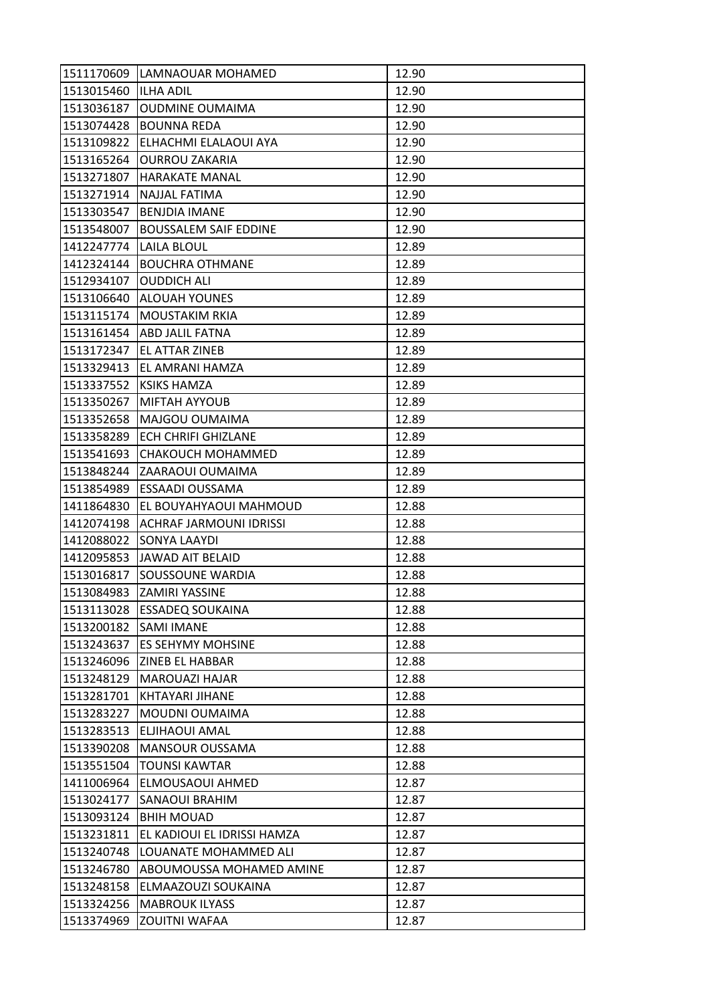| 1511170609 | LAMNAOUAR MOHAMED              | 12.90 |
|------------|--------------------------------|-------|
| 1513015460 | <b>ILHA ADIL</b>               | 12.90 |
| 1513036187 | <b>OUDMINE OUMAIMA</b>         | 12.90 |
| 1513074428 | <b>BOUNNA REDA</b>             | 12.90 |
| 1513109822 | ELHACHMI ELALAOUI AYA          | 12.90 |
| 1513165264 | <b>OURROU ZAKARIA</b>          | 12.90 |
| 1513271807 | <b>HARAKATE MANAL</b>          | 12.90 |
| 1513271914 | NAJJAL FATIMA                  | 12.90 |
| 1513303547 | <b>BENJDIA IMANE</b>           | 12.90 |
| 1513548007 | <b>BOUSSALEM SAIF EDDINE</b>   | 12.90 |
| 1412247774 | LAILA BLOUL                    | 12.89 |
| 1412324144 | <b>BOUCHRA OTHMANE</b>         | 12.89 |
| 1512934107 | <b>OUDDICH ALI</b>             | 12.89 |
| 1513106640 | <b>ALOUAH YOUNES</b>           | 12.89 |
| 1513115174 | <b>MOUSTAKIM RKIA</b>          | 12.89 |
|            | 1513161454 ABD JALIL FATNA     | 12.89 |
| 1513172347 | EL ATTAR ZINEB                 | 12.89 |
| 1513329413 | EL AMRANI HAMZA                | 12.89 |
| 1513337552 | <b>KSIKS HAMZA</b>             | 12.89 |
| 1513350267 | <b>MIFTAH AYYOUB</b>           | 12.89 |
| 1513352658 | MAJGOU OUMAIMA                 | 12.89 |
| 1513358289 | ECH CHRIFI GHIZLANE            | 12.89 |
| 1513541693 | CHAKOUCH MOHAMMED              | 12.89 |
| 1513848244 | ZAARAOUI OUMAIMA               | 12.89 |
| 1513854989 | ESSAADI OUSSAMA                | 12.89 |
| 1411864830 | EL BOUYAHYAOUI MAHMOUD         | 12.88 |
| 1412074198 | <b>ACHRAF JARMOUNI IDRISSI</b> | 12.88 |
| 1412088022 | <b>SONYA LAAYDI</b>            | 12.88 |
| 1412095853 | JAWAD AIT BELAID               | 12.88 |
| 1513016817 | SOUSSOUNE WARDIA               | 12.88 |
| 1513084983 | ZAMIRI YASSINE                 | 12.88 |
| 1513113028 | <b>ESSADEQ SOUKAINA</b>        | 12.88 |
| 1513200182 | <b>SAMI IMANE</b>              | 12.88 |
| 1513243637 | ES SEHYMY MOHSINE              | 12.88 |
| 1513246096 | <b>ZINEB EL HABBAR</b>         | 12.88 |
| 1513248129 | <b>MAROUAZI HAJAR</b>          | 12.88 |
| 1513281701 | KHTAYARI JIHANE                | 12.88 |
| 1513283227 | MOUDNI OUMAIMA                 | 12.88 |
| 1513283513 | ELJIHAOUI AMAL                 | 12.88 |
| 1513390208 | <b>MANSOUR OUSSAMA</b>         | 12.88 |
| 1513551504 | <b>TOUNSI KAWTAR</b>           | 12.88 |
| 1411006964 | ELMOUSAOUI AHMED               | 12.87 |
| 1513024177 | <b>SANAOUI BRAHIM</b>          | 12.87 |
| 1513093124 | <b>BHIH MOUAD</b>              | 12.87 |
| 1513231811 | EL KADIOUI EL IDRISSI HAMZA    | 12.87 |
| 1513240748 | LOUANATE MOHAMMED ALI          | 12.87 |
| 1513246780 | ABOUMOUSSA MOHAMED AMINE       | 12.87 |
| 1513248158 | ELMAAZOUZI SOUKAINA            | 12.87 |
| 1513324256 | <b>MABROUK ILYASS</b>          | 12.87 |
| 1513374969 | <b>ZOUITNI WAFAA</b>           | 12.87 |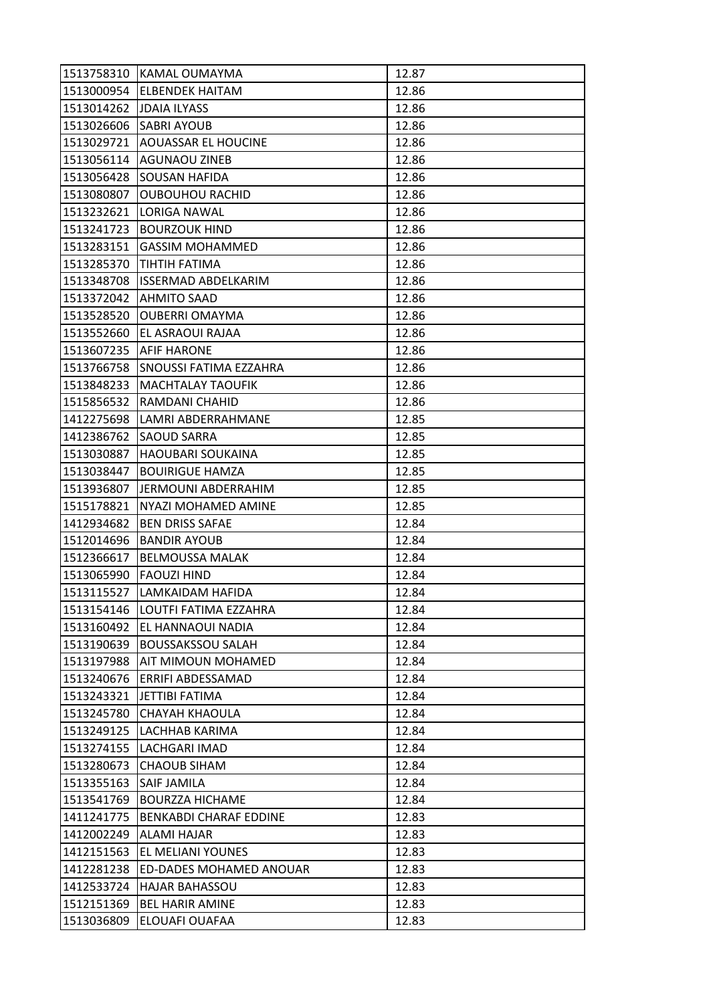| 1513758310               | IKAMAL OUMAYMA                | 12.87 |
|--------------------------|-------------------------------|-------|
|                          | 1513000954 ELBENDEK HAITAM    | 12.86 |
| 1513014262 JJDAIA ILYASS |                               | 12.86 |
| 1513026606               | <b>SABRI AYOUB</b>            | 12.86 |
| 1513029721               | <b>AOUASSAR EL HOUCINE</b>    | 12.86 |
| 1513056114               | <b>AGUNAOU ZINEB</b>          | 12.86 |
| 1513056428               | <b>SOUSAN HAFIDA</b>          | 12.86 |
| 1513080807               | <b>OUBOUHOU RACHID</b>        | 12.86 |
| 1513232621               | <b>LORIGA NAWAL</b>           | 12.86 |
| 1513241723               | <b>BOURZOUK HIND</b>          | 12.86 |
| 1513283151               | <b>GASSIM MOHAMMED</b>        | 12.86 |
| 1513285370               | <b>TIHTIH FATIMA</b>          | 12.86 |
| 1513348708               | <b>ISSERMAD ABDELKARIM</b>    | 12.86 |
| 1513372042               | <b>AHMITO SAAD</b>            | 12.86 |
| 1513528520               | <b>OUBERRI OMAYMA</b>         | 12.86 |
|                          | 1513552660 EL ASRAOUI RAJAA   | 12.86 |
| 1513607235               | AFIF HARONE                   | 12.86 |
| 1513766758               | <b>SNOUSSI FATIMA EZZAHRA</b> | 12.86 |
| 1513848233               | <b>MACHTALAY TAOUFIK</b>      | 12.86 |
| 1515856532               | RAMDANI CHAHID                | 12.86 |
| 1412275698               | LAMRI ABDERRAHMANE            | 12.85 |
| 1412386762               | <b>SAOUD SARRA</b>            | 12.85 |
| 1513030887               | <b>HAOUBARI SOUKAINA</b>      | 12.85 |
| 1513038447               | <b>BOUIRIGUE HAMZA</b>        | 12.85 |
| 1513936807               | IJERMOUNI ABDERRAHIM-         | 12.85 |
| 1515178821               | NYAZI MOHAMED AMINE           | 12.85 |
| 1412934682               | <b>BEN DRISS SAFAE</b>        | 12.84 |
| 1512014696               | <b>BANDIR AYOUB</b>           | 12.84 |
| 1512366617               | <b>BELMOUSSA MALAK</b>        | 12.84 |
| 1513065990               | <b>FAOUZI HIND</b>            | 12.84 |
| 1513115527               | LAMKAIDAM HAFIDA              | 12.84 |
| 1513154146               | LOUTFI FATIMA EZZAHRA         | 12.84 |
| 1513160492               | <b>EL HANNAOUI NADIA</b>      | 12.84 |
| 1513190639               | <b>BOUSSAKSSOU SALAH</b>      | 12.84 |
| 1513197988               | AIT MIMOUN MOHAMED            | 12.84 |
| 1513240676               | ERRIFI ABDESSAMAD             | 12.84 |
| 1513243321               | JETTIBI FATIMA                | 12.84 |
| 1513245780               | <b>CHAYAH KHAOULA</b>         | 12.84 |
| 1513249125               | LACHHAB KARIMA                | 12.84 |
| 1513274155               | LACHGARI IMAD                 | 12.84 |
| 1513280673               | <b>CHAOUB SIHAM</b>           | 12.84 |
| 1513355163               | <b>SAIF JAMILA</b>            | 12.84 |
| 1513541769               | <b>BOURZZA HICHAME</b>        | 12.84 |
| 1411241775               | <b>BENKABDI CHARAF EDDINE</b> | 12.83 |
| 1412002249               | <b>ALAMI HAJAR</b>            | 12.83 |
| 1412151563               | EL MELIANI YOUNES             | 12.83 |
| 1412281238               | ED-DADES MOHAMED ANOUAR       | 12.83 |
| 1412533724               | <b>HAJAR BAHASSOU</b>         | 12.83 |
| 1512151369               | <b>BEL HARIR AMINE</b>        | 12.83 |
| 1513036809               | ELOUAFI OUAFAA                | 12.83 |
|                          |                               |       |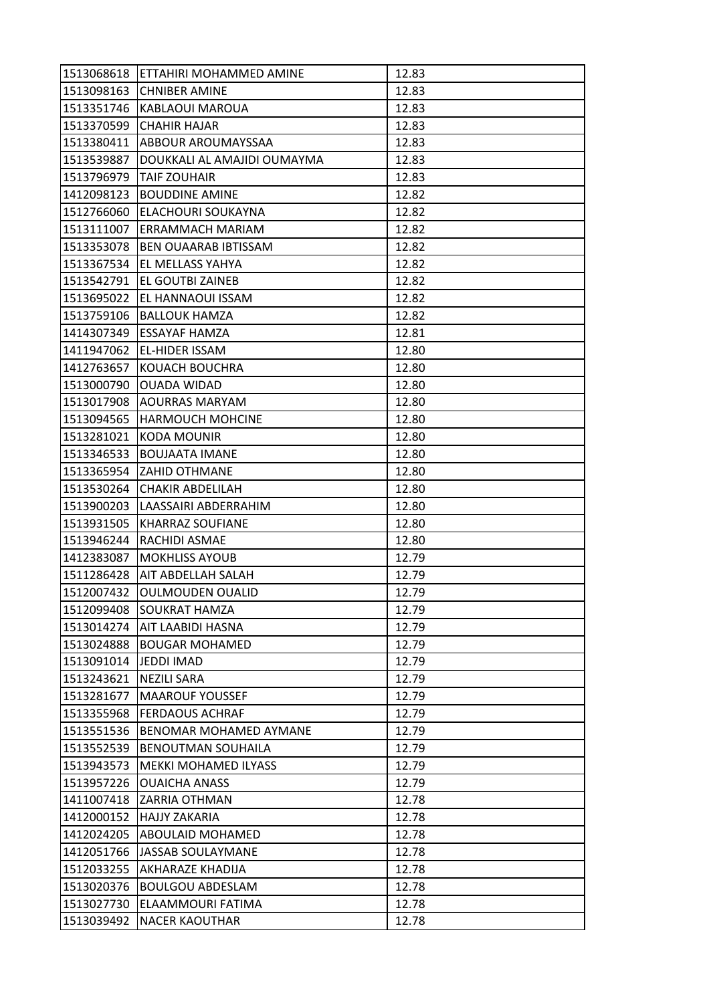| 1513068618 | ETTAHIRI MOHAMMED AMINE     | 12.83 |
|------------|-----------------------------|-------|
| 1513098163 | <b>CHNIBER AMINE</b>        | 12.83 |
| 1513351746 | KABLAOUI MAROUA             | 12.83 |
| 1513370599 | <b>CHAHIR HAJAR</b>         | 12.83 |
| 1513380411 | ABBOUR AROUMAYSSAA          | 12.83 |
| 1513539887 | DOUKKALI AL AMAJIDI OUMAYMA | 12.83 |
| 1513796979 | <b>TAIF ZOUHAIR</b>         | 12.83 |
| 1412098123 | <b>BOUDDINE AMINE</b>       | 12.82 |
| 1512766060 | ELACHOURI SOUKAYNA          | 12.82 |
| 1513111007 | ERRAMMACH MARIAM            | 12.82 |
| 1513353078 | <b>BEN OUAARAB IBTISSAM</b> | 12.82 |
| 1513367534 | EL MELLASS YAHYA            | 12.82 |
| 1513542791 | EL GOUTBI ZAINEB            | 12.82 |
| 1513695022 | EL HANNAOUI ISSAM           | 12.82 |
| 1513759106 | <b>BALLOUK HAMZA</b>        | 12.82 |
| 1414307349 | <b>ESSAYAF HAMZA</b>        | 12.81 |
| 1411947062 | <b>EL-HIDER ISSAM</b>       | 12.80 |
| 1412763657 | KOUACH BOUCHRA              | 12.80 |
| 1513000790 | <b>OUADA WIDAD</b>          | 12.80 |
| 1513017908 | AOURRAS MARYAM              | 12.80 |
| 1513094565 | <b>HARMOUCH MOHCINE</b>     | 12.80 |
| 1513281021 | <b>KODA MOUNIR</b>          | 12.80 |
| 1513346533 | <b>BOUJAATA IMANE</b>       | 12.80 |
| 1513365954 | <b>ZAHID OTHMANE</b>        | 12.80 |
| 1513530264 | <b>CHAKIR ABDELILAH</b>     | 12.80 |
| 1513900203 | LAASSAIRI ABDERRAHIM        | 12.80 |
| 1513931505 | <b>KHARRAZ SOUFIANE</b>     | 12.80 |
| 1513946244 | RACHIDI ASMAE               | 12.80 |
| 1412383087 | <b>MOKHLISS AYOUB</b>       | 12.79 |
| 1511286428 | <b>AIT ABDELLAH SALAH</b>   | 12.79 |
| 1512007432 | <b>OULMOUDEN OUALID</b>     | 12.79 |
| 1512099408 | <b>SOUKRAT HAMZA</b>        | 12.79 |
| 1513014274 | <b>AIT LAABIDI HASNA</b>    | 12.79 |
| 1513024888 | <b>BOUGAR MOHAMED</b>       | 12.79 |
| 1513091014 | <b>JEDDI IMAD</b>           | 12.79 |
| 1513243621 | <b>NEZILI SARA</b>          | 12.79 |
| 1513281677 | <b>MAAROUF YOUSSEF</b>      | 12.79 |
| 1513355968 | <b>FERDAOUS ACHRAF</b>      | 12.79 |
| 1513551536 | BENOMAR MOHAMED AYMANE      | 12.79 |
| 1513552539 | <b>BENOUTMAN SOUHAILA</b>   | 12.79 |
| 1513943573 | <b>MEKKI MOHAMED ILYASS</b> | 12.79 |
| 1513957226 | <b>OUAICHA ANASS</b>        | 12.79 |
| 1411007418 | <b>ZARRIA OTHMAN</b>        | 12.78 |
| 1412000152 | <b>HAJJY ZAKARIA</b>        | 12.78 |
| 1412024205 | <b>ABOULAID MOHAMED</b>     | 12.78 |
| 1412051766 | <b>JASSAB SOULAYMANE</b>    | 12.78 |
| 1512033255 | AKHARAZE KHADIJA            | 12.78 |
| 1513020376 | <b>BOULGOU ABDESLAM</b>     | 12.78 |
| 1513027730 | ELAAMMOURI FATIMA           | 12.78 |
| 1513039492 | <b>NACER KAOUTHAR</b>       | 12.78 |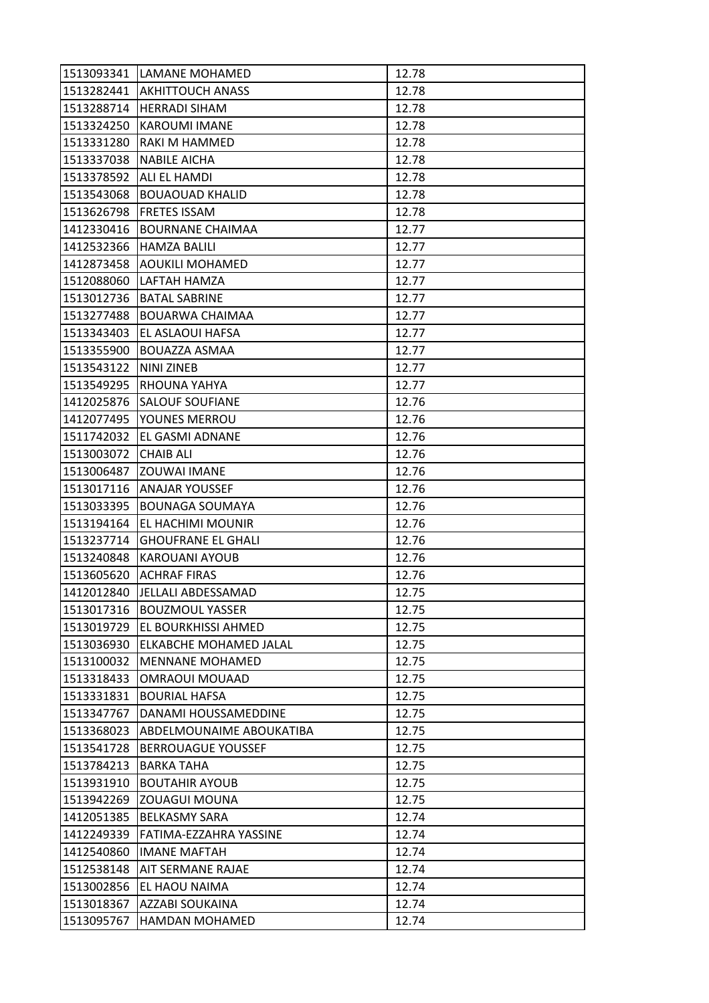| 1513282441 AKHITTOUCH ANASS<br>12.78<br><b>HERRADI SIHAM</b><br>12.78<br><b>KAROUMI IMANE</b><br>12.78<br>RAKI M HAMMED<br>12.78<br><b>NABILE AICHA</b><br>12.78<br><b>ALI EL HAMDI</b><br>12.78<br>1513543068<br><b>BOUAOUAD KHALID</b><br>12.78<br><b>FRETES ISSAM</b><br>12.78<br>12.77<br><b>BOURNANE CHAIMAA</b><br><b>HAMZA BALILI</b><br>12.77<br>12.77<br><b>AOUKILI MOHAMED</b><br>1512088060<br>LAFTAH HAMZA<br>12.77<br>1513012736<br><b>BATAL SABRINE</b><br>12.77<br>BOUARWA CHAIMAA<br>12.77<br>EL ASLAOUI HAFSA<br>12.77<br><b>BOUAZZA ASMAA</b><br>12.77<br>NINI ZINEB<br>12.77<br>12.77<br><b>RHOUNA YAHYA</b><br><b>SALOUF SOUFIANE</b><br>12.76<br>YOUNES MERROU<br>12.76<br>EL GASMI ADNANE<br>12.76<br><b>CHAIB ALI</b><br>12.76<br><b>ZOUWAI IMANE</b><br>12.76<br><b>ANAJAR YOUSSEF</b><br>12.76<br><b>BOUNAGA SOUMAYA</b><br>12.76<br>EL HACHIMI MOUNIR<br>12.76<br><b>GHOUFRANE EL GHALI</b><br>12.76<br>12.76<br><b>KAROUANI AYOUB</b><br>12.76<br><b>ACHRAF FIRAS</b><br>JELLALI ABDESSAMAD<br>12.75<br>1412012840<br>1513017316<br><b>BOUZMOUL YASSER</b><br>12.75<br><b>EL BOURKHISSI AHMED</b><br>12.75<br>ELKABCHE MOHAMED JALAL<br>12.75<br><b>MENNANE MOHAMED</b><br>12.75<br>12.75<br>1513318433<br><b>OMRAOUI MOUAAD</b><br><b>BOURIAL HAFSA</b><br>12.75<br>12.75<br>DANAMI HOUSSAMEDDINE<br>1513368023<br>ABDELMOUNAIME ABOUKATIBA<br>12.75<br>1513541728<br><b>BERROUAGUE YOUSSEF</b><br>12.75<br>1513784213<br><b>BARKA TAHA</b><br>12.75<br>12.75<br><b>BOUTAHIR AYOUB</b><br>12.75<br>ZOUAGUI MOUNA<br>1412051385<br><b>BELKASMY SARA</b><br>12.74<br>1412249339<br>FATIMA-EZZAHRA YASSINE<br>12.74<br>1412540860<br><b>IMANE MAFTAH</b><br>12.74<br><b>AIT SERMANE RAJAE</b><br>12.74<br>EL HAOU NAIMA<br>12.74<br>1513002856<br>1513018367<br>AZZABI SOUKAINA<br>12.74<br>1513095767<br><b>HAMDAN MOHAMED</b><br>12.74 |            | 1513093341 LAMANE MOHAMED | 12.78 |
|-------------------------------------------------------------------------------------------------------------------------------------------------------------------------------------------------------------------------------------------------------------------------------------------------------------------------------------------------------------------------------------------------------------------------------------------------------------------------------------------------------------------------------------------------------------------------------------------------------------------------------------------------------------------------------------------------------------------------------------------------------------------------------------------------------------------------------------------------------------------------------------------------------------------------------------------------------------------------------------------------------------------------------------------------------------------------------------------------------------------------------------------------------------------------------------------------------------------------------------------------------------------------------------------------------------------------------------------------------------------------------------------------------------------------------------------------------------------------------------------------------------------------------------------------------------------------------------------------------------------------------------------------------------------------------------------------------------------------------------------------------------------------------------------------------------------------------------------------------------------|------------|---------------------------|-------|
|                                                                                                                                                                                                                                                                                                                                                                                                                                                                                                                                                                                                                                                                                                                                                                                                                                                                                                                                                                                                                                                                                                                                                                                                                                                                                                                                                                                                                                                                                                                                                                                                                                                                                                                                                                                                                                                                   |            |                           |       |
|                                                                                                                                                                                                                                                                                                                                                                                                                                                                                                                                                                                                                                                                                                                                                                                                                                                                                                                                                                                                                                                                                                                                                                                                                                                                                                                                                                                                                                                                                                                                                                                                                                                                                                                                                                                                                                                                   | 1513288714 |                           |       |
|                                                                                                                                                                                                                                                                                                                                                                                                                                                                                                                                                                                                                                                                                                                                                                                                                                                                                                                                                                                                                                                                                                                                                                                                                                                                                                                                                                                                                                                                                                                                                                                                                                                                                                                                                                                                                                                                   | 1513324250 |                           |       |
|                                                                                                                                                                                                                                                                                                                                                                                                                                                                                                                                                                                                                                                                                                                                                                                                                                                                                                                                                                                                                                                                                                                                                                                                                                                                                                                                                                                                                                                                                                                                                                                                                                                                                                                                                                                                                                                                   | 1513331280 |                           |       |
|                                                                                                                                                                                                                                                                                                                                                                                                                                                                                                                                                                                                                                                                                                                                                                                                                                                                                                                                                                                                                                                                                                                                                                                                                                                                                                                                                                                                                                                                                                                                                                                                                                                                                                                                                                                                                                                                   | 1513337038 |                           |       |
|                                                                                                                                                                                                                                                                                                                                                                                                                                                                                                                                                                                                                                                                                                                                                                                                                                                                                                                                                                                                                                                                                                                                                                                                                                                                                                                                                                                                                                                                                                                                                                                                                                                                                                                                                                                                                                                                   | 1513378592 |                           |       |
|                                                                                                                                                                                                                                                                                                                                                                                                                                                                                                                                                                                                                                                                                                                                                                                                                                                                                                                                                                                                                                                                                                                                                                                                                                                                                                                                                                                                                                                                                                                                                                                                                                                                                                                                                                                                                                                                   |            |                           |       |
|                                                                                                                                                                                                                                                                                                                                                                                                                                                                                                                                                                                                                                                                                                                                                                                                                                                                                                                                                                                                                                                                                                                                                                                                                                                                                                                                                                                                                                                                                                                                                                                                                                                                                                                                                                                                                                                                   | 1513626798 |                           |       |
|                                                                                                                                                                                                                                                                                                                                                                                                                                                                                                                                                                                                                                                                                                                                                                                                                                                                                                                                                                                                                                                                                                                                                                                                                                                                                                                                                                                                                                                                                                                                                                                                                                                                                                                                                                                                                                                                   | 1412330416 |                           |       |
|                                                                                                                                                                                                                                                                                                                                                                                                                                                                                                                                                                                                                                                                                                                                                                                                                                                                                                                                                                                                                                                                                                                                                                                                                                                                                                                                                                                                                                                                                                                                                                                                                                                                                                                                                                                                                                                                   | 1412532366 |                           |       |
|                                                                                                                                                                                                                                                                                                                                                                                                                                                                                                                                                                                                                                                                                                                                                                                                                                                                                                                                                                                                                                                                                                                                                                                                                                                                                                                                                                                                                                                                                                                                                                                                                                                                                                                                                                                                                                                                   | 1412873458 |                           |       |
|                                                                                                                                                                                                                                                                                                                                                                                                                                                                                                                                                                                                                                                                                                                                                                                                                                                                                                                                                                                                                                                                                                                                                                                                                                                                                                                                                                                                                                                                                                                                                                                                                                                                                                                                                                                                                                                                   |            |                           |       |
|                                                                                                                                                                                                                                                                                                                                                                                                                                                                                                                                                                                                                                                                                                                                                                                                                                                                                                                                                                                                                                                                                                                                                                                                                                                                                                                                                                                                                                                                                                                                                                                                                                                                                                                                                                                                                                                                   |            |                           |       |
|                                                                                                                                                                                                                                                                                                                                                                                                                                                                                                                                                                                                                                                                                                                                                                                                                                                                                                                                                                                                                                                                                                                                                                                                                                                                                                                                                                                                                                                                                                                                                                                                                                                                                                                                                                                                                                                                   | 1513277488 |                           |       |
|                                                                                                                                                                                                                                                                                                                                                                                                                                                                                                                                                                                                                                                                                                                                                                                                                                                                                                                                                                                                                                                                                                                                                                                                                                                                                                                                                                                                                                                                                                                                                                                                                                                                                                                                                                                                                                                                   | 1513343403 |                           |       |
|                                                                                                                                                                                                                                                                                                                                                                                                                                                                                                                                                                                                                                                                                                                                                                                                                                                                                                                                                                                                                                                                                                                                                                                                                                                                                                                                                                                                                                                                                                                                                                                                                                                                                                                                                                                                                                                                   | 1513355900 |                           |       |
|                                                                                                                                                                                                                                                                                                                                                                                                                                                                                                                                                                                                                                                                                                                                                                                                                                                                                                                                                                                                                                                                                                                                                                                                                                                                                                                                                                                                                                                                                                                                                                                                                                                                                                                                                                                                                                                                   | 1513543122 |                           |       |
|                                                                                                                                                                                                                                                                                                                                                                                                                                                                                                                                                                                                                                                                                                                                                                                                                                                                                                                                                                                                                                                                                                                                                                                                                                                                                                                                                                                                                                                                                                                                                                                                                                                                                                                                                                                                                                                                   | 1513549295 |                           |       |
|                                                                                                                                                                                                                                                                                                                                                                                                                                                                                                                                                                                                                                                                                                                                                                                                                                                                                                                                                                                                                                                                                                                                                                                                                                                                                                                                                                                                                                                                                                                                                                                                                                                                                                                                                                                                                                                                   | 1412025876 |                           |       |
|                                                                                                                                                                                                                                                                                                                                                                                                                                                                                                                                                                                                                                                                                                                                                                                                                                                                                                                                                                                                                                                                                                                                                                                                                                                                                                                                                                                                                                                                                                                                                                                                                                                                                                                                                                                                                                                                   | 1412077495 |                           |       |
|                                                                                                                                                                                                                                                                                                                                                                                                                                                                                                                                                                                                                                                                                                                                                                                                                                                                                                                                                                                                                                                                                                                                                                                                                                                                                                                                                                                                                                                                                                                                                                                                                                                                                                                                                                                                                                                                   | 1511742032 |                           |       |
|                                                                                                                                                                                                                                                                                                                                                                                                                                                                                                                                                                                                                                                                                                                                                                                                                                                                                                                                                                                                                                                                                                                                                                                                                                                                                                                                                                                                                                                                                                                                                                                                                                                                                                                                                                                                                                                                   | 1513003072 |                           |       |
|                                                                                                                                                                                                                                                                                                                                                                                                                                                                                                                                                                                                                                                                                                                                                                                                                                                                                                                                                                                                                                                                                                                                                                                                                                                                                                                                                                                                                                                                                                                                                                                                                                                                                                                                                                                                                                                                   | 1513006487 |                           |       |
|                                                                                                                                                                                                                                                                                                                                                                                                                                                                                                                                                                                                                                                                                                                                                                                                                                                                                                                                                                                                                                                                                                                                                                                                                                                                                                                                                                                                                                                                                                                                                                                                                                                                                                                                                                                                                                                                   | 1513017116 |                           |       |
|                                                                                                                                                                                                                                                                                                                                                                                                                                                                                                                                                                                                                                                                                                                                                                                                                                                                                                                                                                                                                                                                                                                                                                                                                                                                                                                                                                                                                                                                                                                                                                                                                                                                                                                                                                                                                                                                   | 1513033395 |                           |       |
|                                                                                                                                                                                                                                                                                                                                                                                                                                                                                                                                                                                                                                                                                                                                                                                                                                                                                                                                                                                                                                                                                                                                                                                                                                                                                                                                                                                                                                                                                                                                                                                                                                                                                                                                                                                                                                                                   | 1513194164 |                           |       |
|                                                                                                                                                                                                                                                                                                                                                                                                                                                                                                                                                                                                                                                                                                                                                                                                                                                                                                                                                                                                                                                                                                                                                                                                                                                                                                                                                                                                                                                                                                                                                                                                                                                                                                                                                                                                                                                                   | 1513237714 |                           |       |
|                                                                                                                                                                                                                                                                                                                                                                                                                                                                                                                                                                                                                                                                                                                                                                                                                                                                                                                                                                                                                                                                                                                                                                                                                                                                                                                                                                                                                                                                                                                                                                                                                                                                                                                                                                                                                                                                   | 1513240848 |                           |       |
|                                                                                                                                                                                                                                                                                                                                                                                                                                                                                                                                                                                                                                                                                                                                                                                                                                                                                                                                                                                                                                                                                                                                                                                                                                                                                                                                                                                                                                                                                                                                                                                                                                                                                                                                                                                                                                                                   | 1513605620 |                           |       |
|                                                                                                                                                                                                                                                                                                                                                                                                                                                                                                                                                                                                                                                                                                                                                                                                                                                                                                                                                                                                                                                                                                                                                                                                                                                                                                                                                                                                                                                                                                                                                                                                                                                                                                                                                                                                                                                                   |            |                           |       |
|                                                                                                                                                                                                                                                                                                                                                                                                                                                                                                                                                                                                                                                                                                                                                                                                                                                                                                                                                                                                                                                                                                                                                                                                                                                                                                                                                                                                                                                                                                                                                                                                                                                                                                                                                                                                                                                                   |            |                           |       |
|                                                                                                                                                                                                                                                                                                                                                                                                                                                                                                                                                                                                                                                                                                                                                                                                                                                                                                                                                                                                                                                                                                                                                                                                                                                                                                                                                                                                                                                                                                                                                                                                                                                                                                                                                                                                                                                                   | 1513019729 |                           |       |
|                                                                                                                                                                                                                                                                                                                                                                                                                                                                                                                                                                                                                                                                                                                                                                                                                                                                                                                                                                                                                                                                                                                                                                                                                                                                                                                                                                                                                                                                                                                                                                                                                                                                                                                                                                                                                                                                   | 1513036930 |                           |       |
|                                                                                                                                                                                                                                                                                                                                                                                                                                                                                                                                                                                                                                                                                                                                                                                                                                                                                                                                                                                                                                                                                                                                                                                                                                                                                                                                                                                                                                                                                                                                                                                                                                                                                                                                                                                                                                                                   | 1513100032 |                           |       |
|                                                                                                                                                                                                                                                                                                                                                                                                                                                                                                                                                                                                                                                                                                                                                                                                                                                                                                                                                                                                                                                                                                                                                                                                                                                                                                                                                                                                                                                                                                                                                                                                                                                                                                                                                                                                                                                                   |            |                           |       |
|                                                                                                                                                                                                                                                                                                                                                                                                                                                                                                                                                                                                                                                                                                                                                                                                                                                                                                                                                                                                                                                                                                                                                                                                                                                                                                                                                                                                                                                                                                                                                                                                                                                                                                                                                                                                                                                                   | 1513331831 |                           |       |
|                                                                                                                                                                                                                                                                                                                                                                                                                                                                                                                                                                                                                                                                                                                                                                                                                                                                                                                                                                                                                                                                                                                                                                                                                                                                                                                                                                                                                                                                                                                                                                                                                                                                                                                                                                                                                                                                   | 1513347767 |                           |       |
|                                                                                                                                                                                                                                                                                                                                                                                                                                                                                                                                                                                                                                                                                                                                                                                                                                                                                                                                                                                                                                                                                                                                                                                                                                                                                                                                                                                                                                                                                                                                                                                                                                                                                                                                                                                                                                                                   |            |                           |       |
|                                                                                                                                                                                                                                                                                                                                                                                                                                                                                                                                                                                                                                                                                                                                                                                                                                                                                                                                                                                                                                                                                                                                                                                                                                                                                                                                                                                                                                                                                                                                                                                                                                                                                                                                                                                                                                                                   |            |                           |       |
|                                                                                                                                                                                                                                                                                                                                                                                                                                                                                                                                                                                                                                                                                                                                                                                                                                                                                                                                                                                                                                                                                                                                                                                                                                                                                                                                                                                                                                                                                                                                                                                                                                                                                                                                                                                                                                                                   |            |                           |       |
|                                                                                                                                                                                                                                                                                                                                                                                                                                                                                                                                                                                                                                                                                                                                                                                                                                                                                                                                                                                                                                                                                                                                                                                                                                                                                                                                                                                                                                                                                                                                                                                                                                                                                                                                                                                                                                                                   | 1513931910 |                           |       |
|                                                                                                                                                                                                                                                                                                                                                                                                                                                                                                                                                                                                                                                                                                                                                                                                                                                                                                                                                                                                                                                                                                                                                                                                                                                                                                                                                                                                                                                                                                                                                                                                                                                                                                                                                                                                                                                                   | 1513942269 |                           |       |
|                                                                                                                                                                                                                                                                                                                                                                                                                                                                                                                                                                                                                                                                                                                                                                                                                                                                                                                                                                                                                                                                                                                                                                                                                                                                                                                                                                                                                                                                                                                                                                                                                                                                                                                                                                                                                                                                   |            |                           |       |
|                                                                                                                                                                                                                                                                                                                                                                                                                                                                                                                                                                                                                                                                                                                                                                                                                                                                                                                                                                                                                                                                                                                                                                                                                                                                                                                                                                                                                                                                                                                                                                                                                                                                                                                                                                                                                                                                   |            |                           |       |
|                                                                                                                                                                                                                                                                                                                                                                                                                                                                                                                                                                                                                                                                                                                                                                                                                                                                                                                                                                                                                                                                                                                                                                                                                                                                                                                                                                                                                                                                                                                                                                                                                                                                                                                                                                                                                                                                   |            |                           |       |
|                                                                                                                                                                                                                                                                                                                                                                                                                                                                                                                                                                                                                                                                                                                                                                                                                                                                                                                                                                                                                                                                                                                                                                                                                                                                                                                                                                                                                                                                                                                                                                                                                                                                                                                                                                                                                                                                   | 1512538148 |                           |       |
|                                                                                                                                                                                                                                                                                                                                                                                                                                                                                                                                                                                                                                                                                                                                                                                                                                                                                                                                                                                                                                                                                                                                                                                                                                                                                                                                                                                                                                                                                                                                                                                                                                                                                                                                                                                                                                                                   |            |                           |       |
|                                                                                                                                                                                                                                                                                                                                                                                                                                                                                                                                                                                                                                                                                                                                                                                                                                                                                                                                                                                                                                                                                                                                                                                                                                                                                                                                                                                                                                                                                                                                                                                                                                                                                                                                                                                                                                                                   |            |                           |       |
|                                                                                                                                                                                                                                                                                                                                                                                                                                                                                                                                                                                                                                                                                                                                                                                                                                                                                                                                                                                                                                                                                                                                                                                                                                                                                                                                                                                                                                                                                                                                                                                                                                                                                                                                                                                                                                                                   |            |                           |       |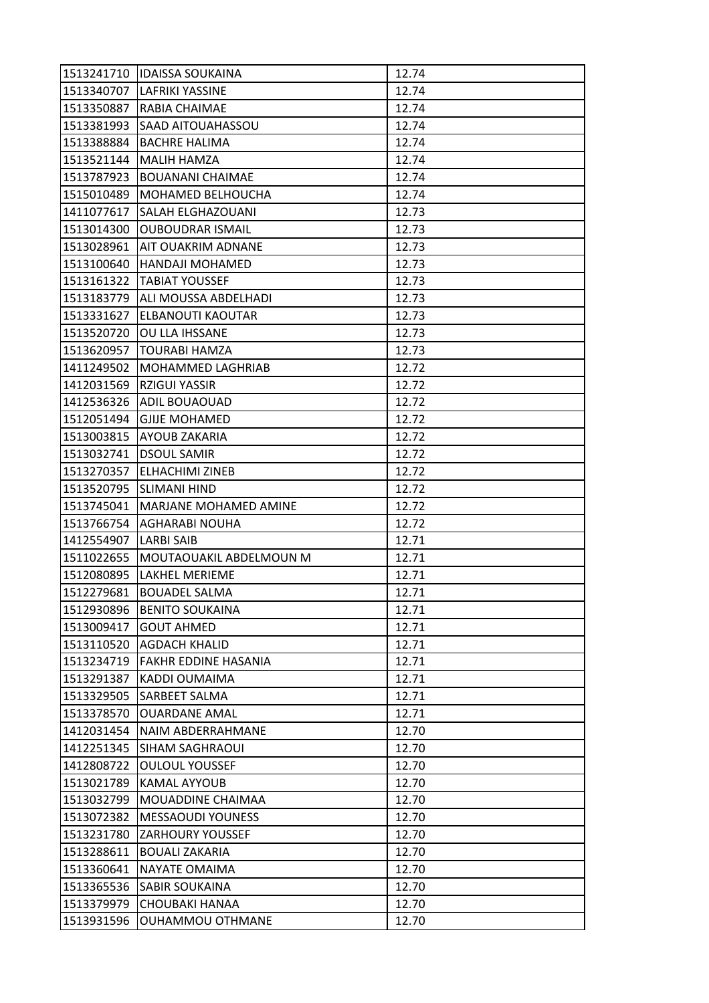| 1513241710 | <b>IDAISSA SOUKAINA</b>      | 12.74 |
|------------|------------------------------|-------|
| 1513340707 | <b>LAFRIKI YASSINE</b>       | 12.74 |
| 1513350887 | RABIA CHAIMAE                | 12.74 |
| 1513381993 | SAAD AITOUAHASSOU            | 12.74 |
| 1513388884 | <b>BACHRE HALIMA</b>         | 12.74 |
| 1513521144 | <b>MALIH HAMZA</b>           | 12.74 |
| 1513787923 | <b>BOUANANI CHAIMAE</b>      | 12.74 |
| 1515010489 | MOHAMED BELHOUCHA            | 12.74 |
| 1411077617 | <b>SALAH ELGHAZOUANI</b>     | 12.73 |
| 1513014300 | <b>OUBOUDRAR ISMAIL</b>      | 12.73 |
| 1513028961 | <b>AIT OUAKRIM ADNANE</b>    | 12.73 |
| 1513100640 | <b>HANDAJI MOHAMED</b>       | 12.73 |
| 1513161322 | <b>TABIAT YOUSSEF</b>        | 12.73 |
| 1513183779 | <b>ALI MOUSSA ABDELHADI</b>  | 12.73 |
| 1513331627 | ELBANOUTI KAOUTAR            | 12.73 |
| 1513520720 | OU LLA IHSSANE               | 12.73 |
| 1513620957 | <b>TOURABI HAMZA</b>         | 12.73 |
| 1411249502 | <b>MOHAMMED LAGHRIAB</b>     | 12.72 |
| 1412031569 | <b>RZIGUI YASSIR</b>         | 12.72 |
| 1412536326 | <b>ADIL BOUAOUAD</b>         | 12.72 |
| 1512051494 | <b>GJIJE MOHAMED</b>         | 12.72 |
| 1513003815 | <b>AYOUB ZAKARIA</b>         | 12.72 |
| 1513032741 | <b>DSOUL SAMIR</b>           | 12.72 |
| 1513270357 | <b>ELHACHIMI ZINEB</b>       | 12.72 |
| 1513520795 | ISLIMANI HIND                | 12.72 |
| 1513745041 | <b>MARJANE MOHAMED AMINE</b> | 12.72 |
| 1513766754 | AGHARABI NOUHA               | 12.72 |
| 1412554907 | <b>LARBI SAIB</b>            | 12.71 |
| 1511022655 | MOUTAOUAKIL ABDELMOUN M      | 12.71 |
| 1512080895 | LAKHEL MERIEME               | 12.71 |
| 1512279681 | <b>BOUADEL SALMA</b>         | 12.71 |
| 1512930896 | <b>BENITO SOUKAINA</b>       | 12.71 |
| 1513009417 | <b>GOUT AHMED</b>            | 12.71 |
| 1513110520 | <b>AGDACH KHALID</b>         | 12.71 |
| 1513234719 | <b>FAKHR EDDINE HASANIA</b>  | 12.71 |
| 1513291387 | KADDI OUMAIMA                | 12.71 |
| 1513329505 | SARBEET SALMA                | 12.71 |
| 1513378570 | <b>OUARDANE AMAL</b>         | 12.71 |
| 1412031454 | NAIM ABDERRAHMANE            | 12.70 |
| 1412251345 | <b>SIHAM SAGHRAOUI</b>       | 12.70 |
| 1412808722 | <b>OULOUL YOUSSEF</b>        | 12.70 |
| 1513021789 | KAMAL AYYOUB                 | 12.70 |
| 1513032799 | MOUADDINE CHAIMAA            | 12.70 |
| 1513072382 | <b>MESSAOUDI YOUNESS</b>     | 12.70 |
| 1513231780 | <b>ZARHOURY YOUSSEF</b>      | 12.70 |
| 1513288611 | <b>BOUALI ZAKARIA</b>        | 12.70 |
| 1513360641 | <b>NAYATE OMAIMA</b>         | 12.70 |
| 1513365536 | <b>SABIR SOUKAINA</b>        | 12.70 |
| 1513379979 | CHOUBAKI HANAA               | 12.70 |
| 1513931596 | <b>OUHAMMOU OTHMANE</b>      | 12.70 |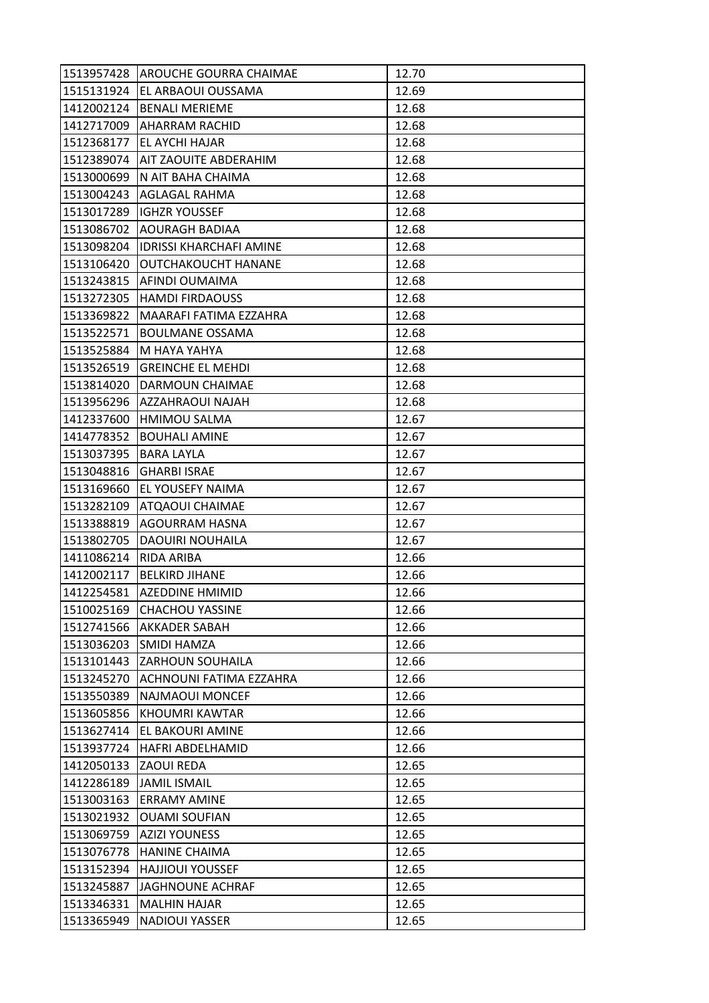| 1513957428 | <b>AROUCHE GOURRA CHAIMAE</b>  | 12.70 |
|------------|--------------------------------|-------|
| 1515131924 | <b>EL ARBAOUI OUSSAMA</b>      | 12.69 |
| 1412002124 | <b>BENALI MERIEME</b>          | 12.68 |
| 1412717009 | <b>AHARRAM RACHID</b>          | 12.68 |
| 1512368177 | IEL AYCHI HAJAR                | 12.68 |
| 1512389074 | <b>AIT ZAOUITE ABDERAHIM</b>   | 12.68 |
| 1513000699 | N AIT BAHA CHAIMA              | 12.68 |
| 1513004243 | <b>AGLAGAL RAHMA</b>           | 12.68 |
| 1513017289 | <b>IGHZR YOUSSEF</b>           | 12.68 |
| 1513086702 | <b>AOURAGH BADIAA</b>          | 12.68 |
| 1513098204 | <b>IDRISSI KHARCHAFI AMINE</b> | 12.68 |
| 1513106420 | <b>OUTCHAKOUCHT HANANE</b>     | 12.68 |
| 1513243815 | AFINDI OUMAIMA                 | 12.68 |
| 1513272305 | <b>HAMDI FIRDAOUSS</b>         | 12.68 |
| 1513369822 | MAARAFI FATIMA EZZAHRA         | 12.68 |
| 1513522571 | <b>BOULMANE OSSAMA</b>         | 12.68 |
| 1513525884 | M HAYA YAHYA                   | 12.68 |
| 1513526519 | <b>GREINCHE EL MEHDI</b>       | 12.68 |
| 1513814020 | DARMOUN CHAIMAE                | 12.68 |
| 1513956296 | AZZAHRAOUI NAJAH               | 12.68 |
| 1412337600 | <b>HMIMOU SALMA</b>            | 12.67 |
| 1414778352 | <b>BOUHALI AMINE</b>           | 12.67 |
| 1513037395 | <b>BARA LAYLA</b>              | 12.67 |
| 1513048816 | <b>GHARBI ISRAE</b>            | 12.67 |
| 1513169660 | EL YOUSEFY NAIMA               | 12.67 |
| 1513282109 | ATQAOUI CHAIMAE                | 12.67 |
| 1513388819 | AGOURRAM HASNA                 | 12.67 |
| 1513802705 | <b>DAOUIRI NOUHAILA</b>        | 12.67 |
| 1411086214 | RIDA ARIBA                     | 12.66 |
| 1412002117 | <b>BELKIRD JIHANE</b>          | 12.66 |
| 1412254581 | <b>AZEDDINE HMIMID</b>         | 12.66 |
| 1510025169 | <b>CHACHOU YASSINE</b>         | 12.66 |
| 1512741566 | <b>AKKADER SABAH</b>           | 12.66 |
| 1513036203 | SMIDI HAMZA                    | 12.66 |
| 1513101443 | <b>ZARHOUN SOUHAILA</b>        | 12.66 |
| 1513245270 | ACHNOUNI FATIMA EZZAHRA        | 12.66 |
| 1513550389 | NAJMAOUI MONCEF                | 12.66 |
| 1513605856 | KHOUMRI KAWTAR                 | 12.66 |
| 1513627414 | EL BAKOURI AMINE               | 12.66 |
| 1513937724 | <b>HAFRI ABDELHAMID</b>        | 12.66 |
| 1412050133 | ZAOUI REDA                     | 12.65 |
| 1412286189 | <b>JAMIL ISMAIL</b>            | 12.65 |
| 1513003163 | <b>ERRAMY AMINE</b>            | 12.65 |
| 1513021932 | <b>OUAMI SOUFIAN</b>           | 12.65 |
| 1513069759 | <b>AZIZI YOUNESS</b>           | 12.65 |
| 1513076778 | <b>HANINE CHAIMA</b>           | 12.65 |
| 1513152394 | <b>HAJJIOUI YOUSSEF</b>        | 12.65 |
| 1513245887 | JAGHNOUNE ACHRAF               | 12.65 |
| 1513346331 | <b>MALHIN HAJAR</b>            | 12.65 |
| 1513365949 | <b>NADIOUI YASSER</b>          | 12.65 |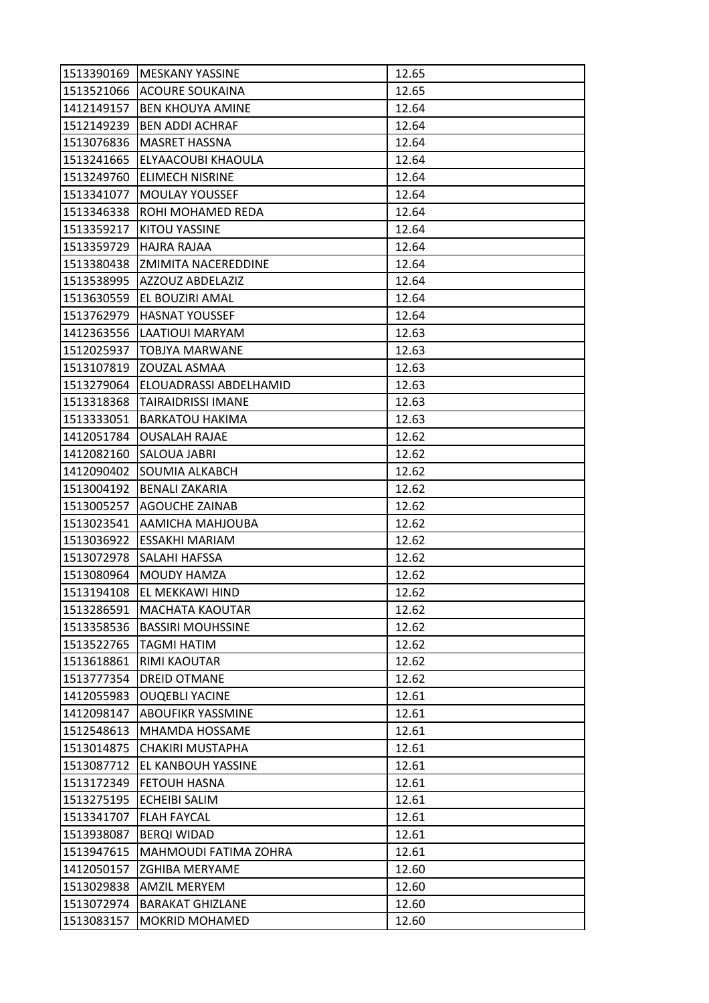| 1513390169 | <b>MESKANY YASSINE</b>       | 12.65 |
|------------|------------------------------|-------|
| 1513521066 | <b>ACOURE SOUKAINA</b>       | 12.65 |
| 1412149157 | <b>BEN KHOUYA AMINE</b>      | 12.64 |
| 1512149239 | <b>BEN ADDI ACHRAF</b>       | 12.64 |
| 1513076836 | <b>MASRET HASSNA</b>         | 12.64 |
| 1513241665 | ELYAACOUBI KHAOULA           | 12.64 |
| 1513249760 | <b>ELIMECH NISRINE</b>       | 12.64 |
| 1513341077 | <b>MOULAY YOUSSEF</b>        | 12.64 |
| 1513346338 | ROHI MOHAMED REDA            | 12.64 |
| 1513359217 | <b>KITOU YASSINE</b>         | 12.64 |
| 1513359729 | HAJRA RAJAA                  | 12.64 |
| 1513380438 | <b>ZMIMITA NACEREDDINE</b>   | 12.64 |
| 1513538995 | AZZOUZ ABDELAZIZ             | 12.64 |
| 1513630559 | EL BOUZIRI AMAL              | 12.64 |
| 1513762979 | <b>HASNAT YOUSSEF</b>        | 12.64 |
| 1412363556 | LAATIOUI MARYAM              | 12.63 |
| 1512025937 | <b>TOBJYA MARWANE</b>        | 12.63 |
| 1513107819 | ZOUZAL ASMAA                 | 12.63 |
| 1513279064 | ELOUADRASSI ABDELHAMID       | 12.63 |
| 1513318368 | TAIRAIDRISSI IMANE           | 12.63 |
| 1513333051 | <b>BARKATOU HAKIMA</b>       | 12.63 |
| 1412051784 | <b>OUSALAH RAJAE</b>         | 12.62 |
| 1412082160 | <b>SALOUA JABRI</b>          | 12.62 |
| 1412090402 | <b>SOUMIA ALKABCH</b>        | 12.62 |
| 1513004192 | <b>BENALI ZAKARIA</b>        | 12.62 |
| 1513005257 | <b>AGOUCHE ZAINAB</b>        | 12.62 |
| 1513023541 | AAMICHA MAHJOUBA             | 12.62 |
| 1513036922 | <b>ESSAKHI MARIAM</b>        | 12.62 |
| 1513072978 | <b>SALAHI HAFSSA</b>         | 12.62 |
| 1513080964 | <b>MOUDY HAMZA</b>           | 12.62 |
| 1513194108 | EL MEKKAWI HIND              | 12.62 |
| 1513286591 | <b>MACHATA KAOUTAR</b>       | 12.62 |
| 1513358536 | <b>BASSIRI MOUHSSINE</b>     | 12.62 |
| 1513522765 | <b>TAGMI HATIM</b>           | 12.62 |
| 1513618861 | RIMI KAOUTAR                 | 12.62 |
| 1513777354 | <b>DREID OTMANE</b>          | 12.62 |
| 1412055983 | <b>OUQEBLI YACINE</b>        | 12.61 |
| 1412098147 | <b>ABOUFIKR YASSMINE</b>     | 12.61 |
| 1512548613 | MHAMDA HOSSAME               | 12.61 |
| 1513014875 | CHAKIRI MUSTAPHA             | 12.61 |
| 1513087712 | IEL KANBOUH YASSINE          | 12.61 |
| 1513172349 | <b>FETOUH HASNA</b>          | 12.61 |
| 1513275195 | <b>ECHEIBI SALIM</b>         | 12.61 |
| 1513341707 | <b>FLAH FAYCAL</b>           | 12.61 |
| 1513938087 | <b>BERQI WIDAD</b>           | 12.61 |
| 1513947615 | <b>MAHMOUDI FATIMA ZOHRA</b> | 12.61 |
| 1412050157 | <b>ZGHIBA MERYAME</b>        | 12.60 |
| 1513029838 | <b>AMZIL MERYEM</b>          | 12.60 |
| 1513072974 | <b>BARAKAT GHIZLANE</b>      | 12.60 |
| 1513083157 | <b>MOKRID MOHAMED</b>        | 12.60 |
|            |                              |       |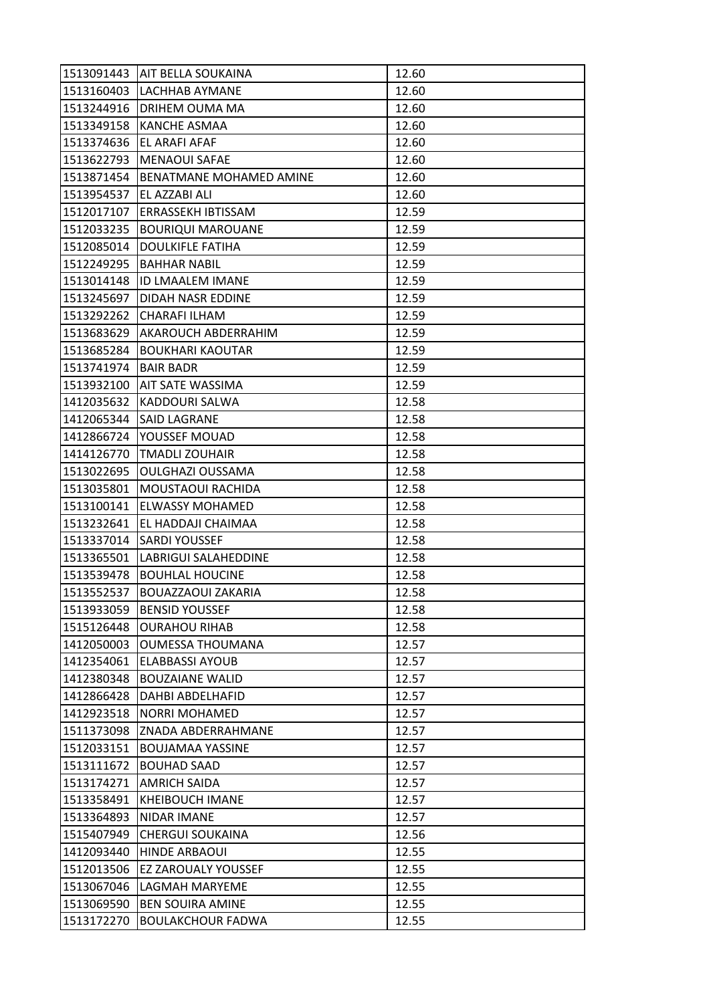| 1513091443 | <b>AIT BELLA SOUKAINA</b>      | 12.60 |
|------------|--------------------------------|-------|
| 1513160403 | <b>LACHHAB AYMANE</b>          | 12.60 |
| 1513244916 | DRIHEM OUMA MA                 | 12.60 |
| 1513349158 | <b>KANCHE ASMAA</b>            | 12.60 |
| 1513374636 | EL ARAFI AFAF                  | 12.60 |
| 1513622793 | <b>MENAOUI SAFAE</b>           | 12.60 |
| 1513871454 | <b>BENATMANE MOHAMED AMINE</b> | 12.60 |
| 1513954537 | EL AZZABI ALI                  | 12.60 |
| 1512017107 | <b>ERRASSEKH IBTISSAM</b>      | 12.59 |
| 1512033235 | <b>BOURIQUI MAROUANE</b>       | 12.59 |
| 1512085014 | <b>DOULKIFLE FATIHA</b>        | 12.59 |
| 1512249295 | <b>BAHHAR NABIL</b>            | 12.59 |
| 1513014148 | <b>ID LMAALEM IMANE</b>        | 12.59 |
| 1513245697 | DIDAH NASR EDDINE              | 12.59 |
| 1513292262 | CHARAFI ILHAM                  | 12.59 |
| 1513683629 | AKAROUCH ABDERRAHIM            | 12.59 |
| 1513685284 | <b>BOUKHARI KAOUTAR</b>        | 12.59 |
| 1513741974 | <b>BAIR BADR</b>               | 12.59 |
| 1513932100 | <b>AIT SATE WASSIMA</b>        | 12.59 |
| 1412035632 | KADDOURI SALWA                 | 12.58 |
| 1412065344 | <b>SAID LAGRANE</b>            | 12.58 |
| 1412866724 | YOUSSEF MOUAD                  | 12.58 |
| 1414126770 | <b>TMADLI ZOUHAIR</b>          | 12.58 |
| 1513022695 | <b>OULGHAZI OUSSAMA</b>        | 12.58 |
| 1513035801 | MOUSTAOUI RACHIDA              | 12.58 |
| 1513100141 | <b>ELWASSY MOHAMED</b>         | 12.58 |
| 1513232641 | EL HADDAJI CHAIMAA             | 12.58 |
| 1513337014 | <b>SARDI YOUSSEF</b>           | 12.58 |
| 1513365501 | LABRIGUI SALAHEDDINE           | 12.58 |
| 1513539478 | <b>BOUHLAL HOUCINE</b>         | 12.58 |
| 1513552537 | BOUAZZAOUI ZAKARIA             | 12.58 |
| 1513933059 | <b>BENSID YOUSSEF</b>          | 12.58 |
| 1515126448 | <b>OURAHOU RIHAB</b>           | 12.58 |
| 1412050003 | <b>OUMESSA THOUMANA</b>        | 12.57 |
| 1412354061 | <b>ELABBASSI AYOUB</b>         | 12.57 |
| 1412380348 | <b>BOUZAIANE WALID</b>         | 12.57 |
| 1412866428 | DAHBI ABDELHAFID               | 12.57 |
| 1412923518 | <b>NORRI MOHAMED</b>           | 12.57 |
| 1511373098 | ZNADA ABDERRAHMANE             | 12.57 |
| 1512033151 | <b>BOUJAMAA YASSINE</b>        | 12.57 |
| 1513111672 | <b>BOUHAD SAAD</b>             | 12.57 |
| 1513174271 | <b>AMRICH SAIDA</b>            | 12.57 |
| 1513358491 | <b>KHEIBOUCH IMANE</b>         | 12.57 |
| 1513364893 | NIDAR IMANE                    | 12.57 |
| 1515407949 | <b>CHERGUI SOUKAINA</b>        | 12.56 |
| 1412093440 | <b>HINDE ARBAOUI</b>           | 12.55 |
| 1512013506 | <b>EZ ZAROUALY YOUSSEF</b>     | 12.55 |
| 1513067046 | LAGMAH MARYEME                 | 12.55 |
| 1513069590 | <b>BEN SOUIRA AMINE</b>        | 12.55 |
| 1513172270 | <b>BOULAKCHOUR FADWA</b>       | 12.55 |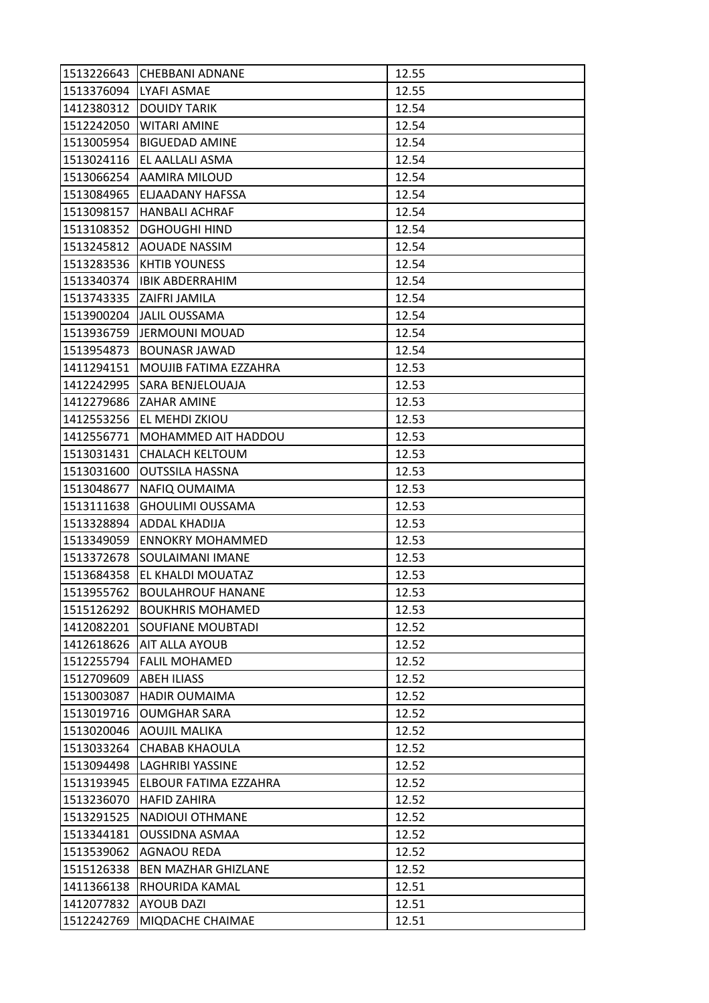| 1513226643 | <b>CHEBBANI ADNANE</b>     | 12.55 |
|------------|----------------------------|-------|
| 1513376094 | LYAFI ASMAE                | 12.55 |
| 1412380312 | <b>DOUIDY TARIK</b>        | 12.54 |
| 1512242050 | <b>WITARI AMINE</b>        | 12.54 |
| 1513005954 | <b>BIGUEDAD AMINE</b>      | 12.54 |
| 1513024116 | EL AALLALI ASMA            | 12.54 |
| 1513066254 | <b>AAMIRA MILOUD</b>       | 12.54 |
| 1513084965 | ELJAADANY HAFSSA           | 12.54 |
| 1513098157 | <b>HANBALI ACHRAF</b>      | 12.54 |
| 1513108352 | <b>DGHOUGHI HIND</b>       | 12.54 |
| 1513245812 | <b>AOUADE NASSIM</b>       | 12.54 |
| 1513283536 | <b>KHTIB YOUNESS</b>       | 12.54 |
| 1513340374 | <b>IBIK ABDERRAHIM</b>     | 12.54 |
|            | 1513743335 ZAIFRI JAMILA   | 12.54 |
| 1513900204 | JALIL OUSSAMA              | 12.54 |
| 1513936759 | <b>JERMOUNI MOUAD</b>      | 12.54 |
| 1513954873 | <b>BOUNASR JAWAD</b>       | 12.54 |
| 1411294151 | MOUJIB FATIMA EZZAHRA      | 12.53 |
| 1412242995 | SARA BENJELOUAJA           | 12.53 |
| 1412279686 | <b>ZAHAR AMINE</b>         | 12.53 |
| 1412553256 | EL MEHDI ZKIOU             | 12.53 |
| 1412556771 | MOHAMMED AIT HADDOU        | 12.53 |
| 1513031431 | <b>CHALACH KELTOUM</b>     | 12.53 |
| 1513031600 | <b>OUTSSILA HASSNA</b>     | 12.53 |
| 1513048677 | NAFIQ OUMAIMA              | 12.53 |
| 1513111638 | <b>GHOULIMI OUSSAMA</b>    | 12.53 |
| 1513328894 | ADDAL KHADIJA              | 12.53 |
| 1513349059 | <b>ENNOKRY MOHAMMED</b>    | 12.53 |
| 1513372678 | SOULAIMANI IMANE           | 12.53 |
| 1513684358 | EL KHALDI MOUATAZ          | 12.53 |
| 1513955762 | <b>BOULAHROUF HANANE</b>   | 12.53 |
| 1515126292 | <b>BOUKHRIS MOHAMED</b>    | 12.53 |
| 1412082201 | <b>SOUFIANE MOUBTADI</b>   | 12.52 |
| 1412618626 | <b>AIT ALLA AYOUB</b>      | 12.52 |
| 1512255794 | <b>FALIL MOHAMED</b>       | 12.52 |
| 1512709609 | <b>ABEH ILIASS</b>         | 12.52 |
| 1513003087 | <b>HADIR OUMAIMA</b>       | 12.52 |
| 1513019716 | <b>OUMGHAR SARA</b>        | 12.52 |
| 1513020046 | AOUJIL MALIKA              | 12.52 |
| 1513033264 | <b>CHABAB KHAOULA</b>      | 12.52 |
| 1513094498 | LAGHRIBI YASSINE           | 12.52 |
| 1513193945 | ELBOUR FATIMA EZZAHRA      | 12.52 |
| 1513236070 | <b>HAFID ZAHIRA</b>        | 12.52 |
| 1513291525 | NADIOUI OTHMANE            | 12.52 |
| 1513344181 | <b>OUSSIDNA ASMAA</b>      | 12.52 |
| 1513539062 | AGNAOU REDA                | 12.52 |
| 1515126338 | <b>BEN MAZHAR GHIZLANE</b> | 12.52 |
| 1411366138 | RHOURIDA KAMAL             | 12.51 |
| 1412077832 | <b>AYOUB DAZI</b>          | 12.51 |
| 1512242769 | MIQDACHE CHAIMAE           | 12.51 |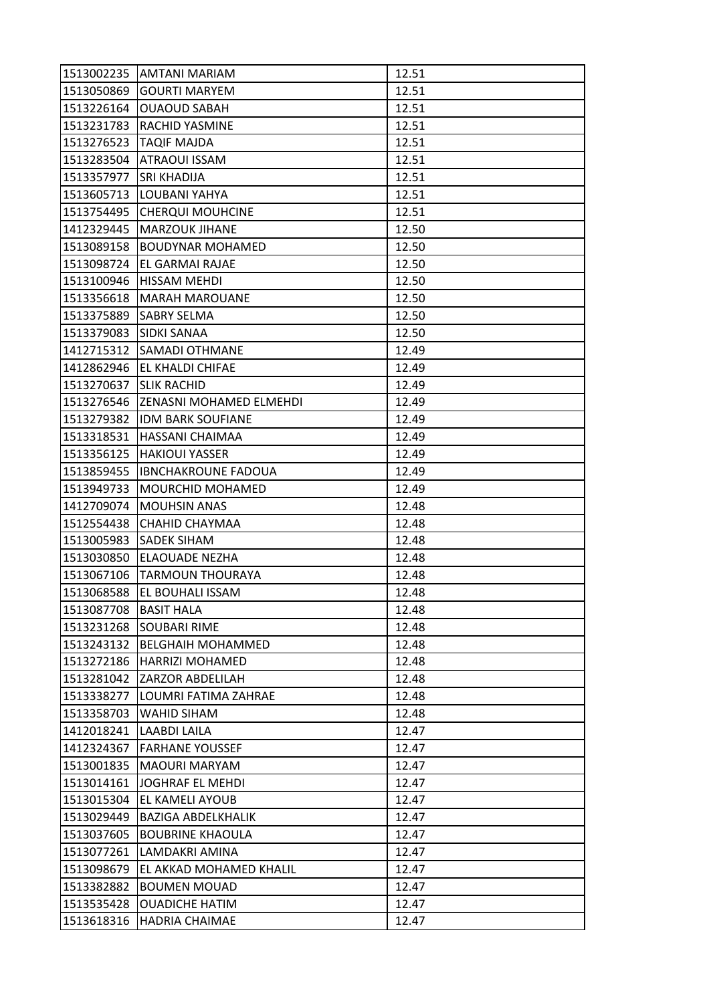|                        | 1513002235 AMTANI MARIAM   | 12.51 |
|------------------------|----------------------------|-------|
| 1513050869             | <b>GOURTI MARYEM</b>       | 12.51 |
| 1513226164             | <b>OUAOUD SABAH</b>        | 12.51 |
| 1513231783             | <b>RACHID YASMINE</b>      | 12.51 |
| 1513276523             | <b>TAQIF MAJDA</b>         | 12.51 |
| 1513283504             | ATRAOUI ISSAM              | 12.51 |
| 1513357977             | <b>SRI KHADIJA</b>         | 12.51 |
| 1513605713             | LOUBANI YAHYA              | 12.51 |
| 1513754495             | <b>CHERQUI MOUHCINE</b>    | 12.51 |
| 1412329445             | <b>MARZOUK JIHANE</b>      | 12.50 |
| 1513089158             | <b>BOUDYNAR MOHAMED</b>    | 12.50 |
| 1513098724             | <b>EL GARMAI RAJAE</b>     | 12.50 |
| 1513100946             | <b>HISSAM MEHDI</b>        | 12.50 |
| 1513356618             | <b>MARAH MAROUANE</b>      | 12.50 |
| 1513375889             | <b>SABRY SELMA</b>         | 12.50 |
| 1513379083 SIDKI SANAA |                            | 12.50 |
| 1412715312             | SAMADI OTHMANE             | 12.49 |
| 1412862946             | EL KHALDI CHIFAE           | 12.49 |
| 1513270637             | <b>SLIK RACHID</b>         | 12.49 |
| 1513276546             | ZENASNI MOHAMED ELMEHDI    | 12.49 |
| 1513279382             | <b>IDM BARK SOUFIANE</b>   | 12.49 |
| 1513318531             | <b>HASSANI CHAIMAA</b>     | 12.49 |
| 1513356125             | <b>HAKIOUI YASSER</b>      | 12.49 |
| 1513859455             | <b>IBNCHAKROUNE FADOUA</b> | 12.49 |
| 1513949733             | MOURCHID MOHAMED           | 12.49 |
| 1412709074             | <b>MOUHSIN ANAS</b>        | 12.48 |
| 1512554438             | CHAHID CHAYMAA             | 12.48 |
| 1513005983             | <b>SADEK SIHAM</b>         | 12.48 |
| 1513030850             | ELAOUADE NEZHA             | 12.48 |
| 1513067106             | <b>TARMOUN THOURAYA</b>    | 12.48 |
| 1513068588             | EL BOUHALI ISSAM           | 12.48 |
| 1513087708             | <b>BASIT HALA</b>          | 12.48 |
| 1513231268             | <b>SOUBARI RIME</b>        | 12.48 |
| 1513243132             | <b>BELGHAIH MOHAMMED</b>   | 12.48 |
| 1513272186             | HARRIZI MOHAMED            | 12.48 |
| 1513281042             | IZARZOR ABDELILAH          | 12.48 |
| 1513338277             | LOUMRI FATIMA ZAHRAE       | 12.48 |
| 1513358703             | WAHID SIHAM                | 12.48 |
| 1412018241             | LAABDI LAILA               | 12.47 |
| 1412324367             | <b>FARHANE YOUSSEF</b>     | 12.47 |
| 1513001835             | <b>MAOURI MARYAM</b>       | 12.47 |
| 1513014161             | <b>JOGHRAF EL MEHDI</b>    | 12.47 |
| 1513015304             | EL KAMELI AYOUB            | 12.47 |
| 1513029449             | BAZIGA ABDELKHALIK         | 12.47 |
| 1513037605             | <b>BOUBRINE KHAOULA</b>    | 12.47 |
| 1513077261             | LAMDAKRI AMINA             | 12.47 |
| 1513098679             | EL AKKAD MOHAMED KHALIL    | 12.47 |
| 1513382882             | <b>BOUMEN MOUAD</b>        | 12.47 |
| 1513535428             | <b>OUADICHE HATIM</b>      | 12.47 |
| 1513618316             | <b>HADRIA CHAIMAE</b>      | 12.47 |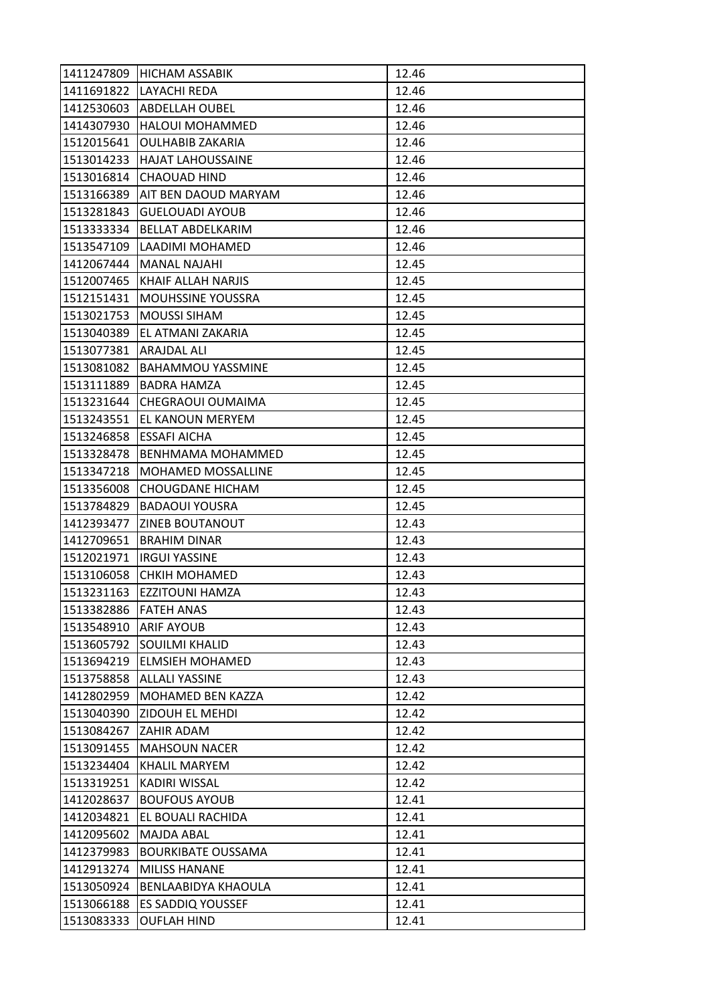| 1411247809            | HICHAM ASSABIK            | 12.46 |
|-----------------------|---------------------------|-------|
|                       | 1411691822 LAYACHI REDA   | 12.46 |
|                       | 1412530603 ABDELLAH OUBEL | 12.46 |
| 1414307930            | <b>HALOUI MOHAMMED</b>    | 12.46 |
| 1512015641            | <b>OULHABIB ZAKARIA</b>   | 12.46 |
| 1513014233            | <b>HAJAT LAHOUSSAINE</b>  | 12.46 |
| 1513016814            | <b>CHAOUAD HIND</b>       | 12.46 |
| 1513166389            | AIT BEN DAOUD MARYAM      | 12.46 |
| 1513281843            | <b>GUELOUADI AYOUB</b>    | 12.46 |
| 1513333334            | <b>BELLAT ABDELKARIM</b>  | 12.46 |
| 1513547109            | LAADIMI MOHAMED           | 12.46 |
| 1412067444            | <b>MANAL NAJAHI</b>       | 12.45 |
| 1512007465            | KHAIF ALLAH NARJIS        | 12.45 |
| 1512151431            | <b>MOUHSSINE YOUSSRA</b>  | 12.45 |
| 1513021753            | <b>MOUSSI SIHAM</b>       | 12.45 |
| 1513040389            | EL ATMANI ZAKARIA         | 12.45 |
| 1513077381            | ARAJDAL ALI               | 12.45 |
| 1513081082            | <b>BAHAMMOU YASSMINE</b>  | 12.45 |
| 1513111889            | <b>BADRA HAMZA</b>        | 12.45 |
| 1513231644            | CHEGRAOUI OUMAIMA         | 12.45 |
| 1513243551            | <b>EL KANOUN MERYEM</b>   | 12.45 |
| 1513246858            | <b>ESSAFI AICHA</b>       | 12.45 |
| 1513328478            | BENHMAMA MOHAMMED         | 12.45 |
| 1513347218            | MOHAMED MOSSALLINE        | 12.45 |
| 1513356008            | <b>CHOUGDANE HICHAM</b>   | 12.45 |
| 1513784829            | <b>BADAOUI YOUSRA</b>     | 12.45 |
| 1412393477            | ZINEB BOUTANOUT           | 12.43 |
| 1412709651            | <b>BRAHIM DINAR</b>       | 12.43 |
| 1512021971            | lirgui Yassine            | 12.43 |
| 1513106058            | <b>CHKIH MOHAMED</b>      | 12.43 |
| 1513231163            | EZZITOUNI HAMZA           | 12.43 |
| 1513382886            | <b>FATEH ANAS</b>         | 12.43 |
| 1513548910 ARIF AYOUB |                           | 12.43 |
| 1513605792            | <b>SOUILMI KHALID</b>     | 12.43 |
| 1513694219            | <b>ELMSIEH MOHAMED</b>    | 12.43 |
| 1513758858            | <b>ALLALI YASSINE</b>     | 12.43 |
| 1412802959            | MOHAMED BEN KAZZA         | 12.42 |
| 1513040390            | <b>ZIDOUH EL MEHDI</b>    | 12.42 |
| 1513084267            | ZAHIR ADAM                | 12.42 |
| 1513091455            | <b>MAHSOUN NACER</b>      | 12.42 |
| 1513234404            | <b>KHALIL MARYEM</b>      | 12.42 |
| 1513319251            | KADIRI WISSAL             | 12.42 |
| 1412028637            | <b>BOUFOUS AYOUB</b>      | 12.41 |
| 1412034821            | EL BOUALI RACHIDA         | 12.41 |
| 1412095602            | <b>MAJDA ABAL</b>         | 12.41 |
| 1412379983            | <b>BOURKIBATE OUSSAMA</b> | 12.41 |
| 1412913274            | <b>MILISS HANANE</b>      | 12.41 |
| 1513050924            | BENLAABIDYA KHAOULA       | 12.41 |
| 1513066188            | <b>ES SADDIQ YOUSSEF</b>  | 12.41 |
| 1513083333            | <b>OUFLAH HIND</b>        | 12.41 |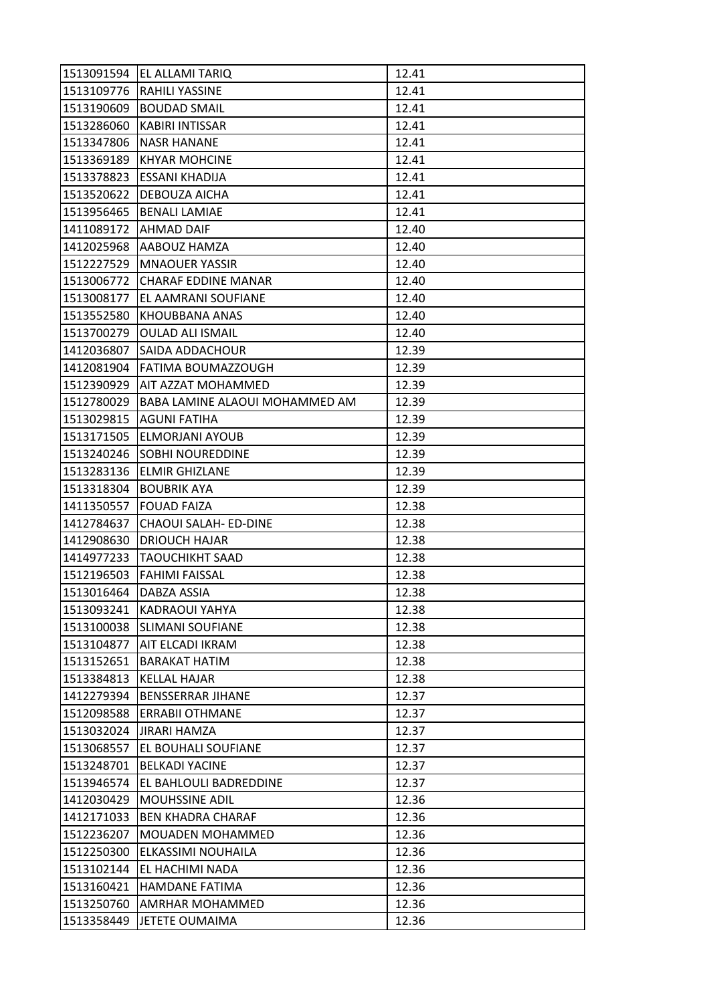| 1513091594 | EL ALLAMI TARIQ                | 12.41 |
|------------|--------------------------------|-------|
| 1513109776 | <b>RAHILI YASSINE</b>          | 12.41 |
| 1513190609 | <b>BOUDAD SMAIL</b>            | 12.41 |
| 1513286060 | <b>KABIRI INTISSAR</b>         | 12.41 |
| 1513347806 | <b>NASR HANANE</b>             | 12.41 |
| 1513369189 | <b>KHYAR MOHCINE</b>           | 12.41 |
| 1513378823 | <b>ESSANI KHADIJA</b>          | 12.41 |
| 1513520622 | DEBOUZA AICHA                  | 12.41 |
| 1513956465 | <b>BENALI LAMIAE</b>           | 12.41 |
| 1411089172 | <b>AHMAD DAIF</b>              | 12.40 |
| 1412025968 | AABOUZ HAMZA                   | 12.40 |
| 1512227529 | <b>MNAOUER YASSIR</b>          | 12.40 |
| 1513006772 | <b>CHARAF EDDINE MANAR</b>     | 12.40 |
| 1513008177 | EL AAMRANI SOUFIANE            | 12.40 |
| 1513552580 | KHOUBBANA ANAS                 | 12.40 |
| 1513700279 | <b>OULAD ALI ISMAIL</b>        | 12.40 |
| 1412036807 | SAIDA ADDACHOUR                | 12.39 |
| 1412081904 | FATIMA BOUMAZZOUGH             | 12.39 |
| 1512390929 | AIT AZZAT MOHAMMED             | 12.39 |
| 1512780029 | BABA LAMINE ALAOUI MOHAMMED AM | 12.39 |
| 1513029815 | <b>AGUNI FATIHA</b>            | 12.39 |
| 1513171505 | ELMORJANI AYOUB                | 12.39 |
| 1513240246 | <b>SOBHI NOUREDDINE</b>        | 12.39 |
| 1513283136 | <b>ELMIR GHIZLANE</b>          | 12.39 |
| 1513318304 | <b>BOUBRIK AYA</b>             | 12.39 |
| 1411350557 | <b>FOUAD FAIZA</b>             | 12.38 |
| 1412784637 | CHAOUI SALAH- ED-DINE          | 12.38 |
| 1412908630 | <b>DRIOUCH HAJAR</b>           | 12.38 |
| 1414977233 | <b>TAOUCHIKHT SAAD</b>         | 12.38 |
| 1512196503 | FAHIMI FAISSAL                 | 12.38 |
| 1513016464 | DABZA ASSIA                    | 12.38 |
| 1513093241 | <b>KADRAOUI YAHYA</b>          | 12.38 |
| 1513100038 | <b>SLIMANI SOUFIANE</b>        | 12.38 |
| 1513104877 | AIT ELCADI IKRAM               | 12.38 |
| 1513152651 | <b>BARAKAT HATIM</b>           | 12.38 |
| 1513384813 | <b>KELLAL HAJAR</b>            | 12.38 |
| 1412279394 | <b>BENSSERRAR JIHANE</b>       | 12.37 |
| 1512098588 | <b>ERRABII OTHMANE</b>         | 12.37 |
| 1513032024 | <b>JIRARI HAMZA</b>            | 12.37 |
| 1513068557 | EL BOUHALI SOUFIANE            | 12.37 |
| 1513248701 | <b>BELKADI YACINE</b>          | 12.37 |
| 1513946574 | EL BAHLOULI BADREDDINE         | 12.37 |
| 1412030429 | <b>MOUHSSINE ADIL</b>          | 12.36 |
| 1412171033 | <b>BEN KHADRA CHARAF</b>       | 12.36 |
| 1512236207 | <b>MOUADEN MOHAMMED</b>        | 12.36 |
| 1512250300 | ELKASSIMI NOUHAILA             | 12.36 |
| 1513102144 | EL HACHIMI NADA                | 12.36 |
| 1513160421 | <b>HAMDANE FATIMA</b>          | 12.36 |
| 1513250760 | AMRHAR MOHAMMED                | 12.36 |
| 1513358449 | JETETE OUMAIMA                 | 12.36 |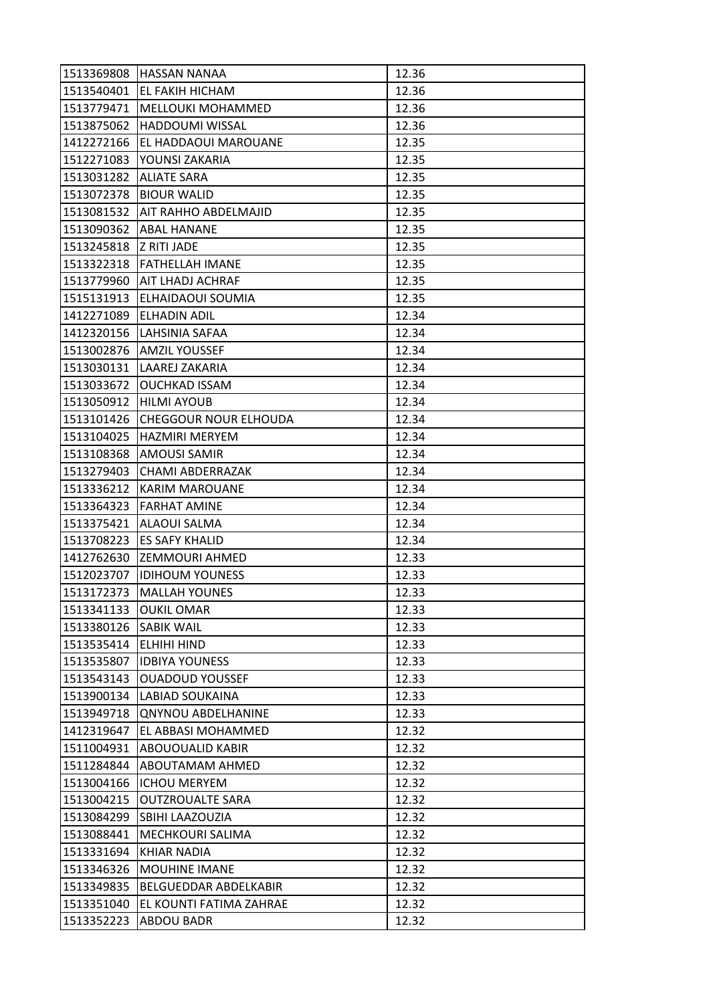| 1513369808             | <b>HASSAN NANAA</b>          | 12.36 |
|------------------------|------------------------------|-------|
| 1513540401             | <b>EL FAKIH HICHAM</b>       | 12.36 |
| 1513779471             | <b>MELLOUKI MOHAMMED</b>     | 12.36 |
| 1513875062             | <b>HADDOUMI WISSAL</b>       | 12.36 |
| 1412272166             | EL HADDAOUI MAROUANE         | 12.35 |
| 1512271083             | YOUNSI ZAKARIA               | 12.35 |
| 1513031282             | <b>ALIATE SARA</b>           | 12.35 |
| 1513072378             | <b>BIOUR WALID</b>           | 12.35 |
| 1513081532             | <b>AIT RAHHO ABDELMAJID</b>  | 12.35 |
| 1513090362             | <b>ABAL HANANE</b>           | 12.35 |
| 1513245818 Z RITI JADE |                              | 12.35 |
| 1513322318             | <b>FATHELLAH IMANE</b>       | 12.35 |
| 1513779960             | AIT LHADJ ACHRAF             | 12.35 |
| 1515131913             | <b>ELHAIDAOUI SOUMIA</b>     | 12.35 |
| 1412271089             | <b>ELHADIN ADIL</b>          | 12.34 |
|                        | 1412320156 LAHSINIA SAFAA    | 12.34 |
| 1513002876             | <b>AMZIL YOUSSEF</b>         | 12.34 |
| 1513030131             | LAAREJ ZAKARIA               | 12.34 |
| 1513033672             | <b>OUCHKAD ISSAM</b>         | 12.34 |
| 1513050912             | <b>HILMI AYOUB</b>           | 12.34 |
| 1513101426             | <b>CHEGGOUR NOUR ELHOUDA</b> | 12.34 |
| 1513104025             | <b>HAZMIRI MERYEM</b>        | 12.34 |
| 1513108368             | AMOUSI SAMIR                 | 12.34 |
| 1513279403             | CHAMI ABDERRAZAK             | 12.34 |
| 1513336212             | <b>KARIM MAROUANE</b>        | 12.34 |
| 1513364323             | <b>FARHAT AMINE</b>          | 12.34 |
| 1513375421             | ALAOUI SALMA                 | 12.34 |
| 1513708223             | <b>ES SAFY KHALID</b>        | 12.34 |
| 1412762630             | <b>ZEMMOURI AHMED</b>        | 12.33 |
| 1512023707             | <b>IDIHOUM YOUNESS</b>       | 12.33 |
| 1513172373             | <b>MALLAH YOUNES</b>         | 12.33 |
| 1513341133             | <b>OUKIL OMAR</b>            | 12.33 |
| 1513380126             | <b>SABIK WAIL</b>            | 12.33 |
| 1513535414             | <b>ELHIHI HIND</b>           | 12.33 |
| 1513535807             | <b>IDBIYA YOUNESS</b>        | 12.33 |
| 1513543143             | <b>OUADOUD YOUSSEF</b>       | 12.33 |
| 1513900134             | <b>LABIAD SOUKAINA</b>       | 12.33 |
| 1513949718             | <b>QNYNOU ABDELHANINE</b>    | 12.33 |
| 1412319647             | EL ABBASI MOHAMMED           | 12.32 |
| 1511004931             | <b>ABOUOUALID KABIR</b>      | 12.32 |
| 1511284844             | ABOUTAMAM AHMED              | 12.32 |
| 1513004166             | <b>ICHOU MERYEM</b>          | 12.32 |
| 1513004215             | <b>OUTZROUALTE SARA</b>      | 12.32 |
| 1513084299             | <b>SBIHI LAAZOUZIA</b>       | 12.32 |
| 1513088441             | MECHKOURI SALIMA             | 12.32 |
| 1513331694             | <b>KHIAR NADIA</b>           | 12.32 |
| 1513346326             | <b>MOUHINE IMANE</b>         | 12.32 |
| 1513349835             | BELGUEDDAR ABDELKABIR        | 12.32 |
| 1513351040             | EL KOUNTI FATIMA ZAHRAE      | 12.32 |
| 1513352223             | <b>ABDOU BADR</b>            | 12.32 |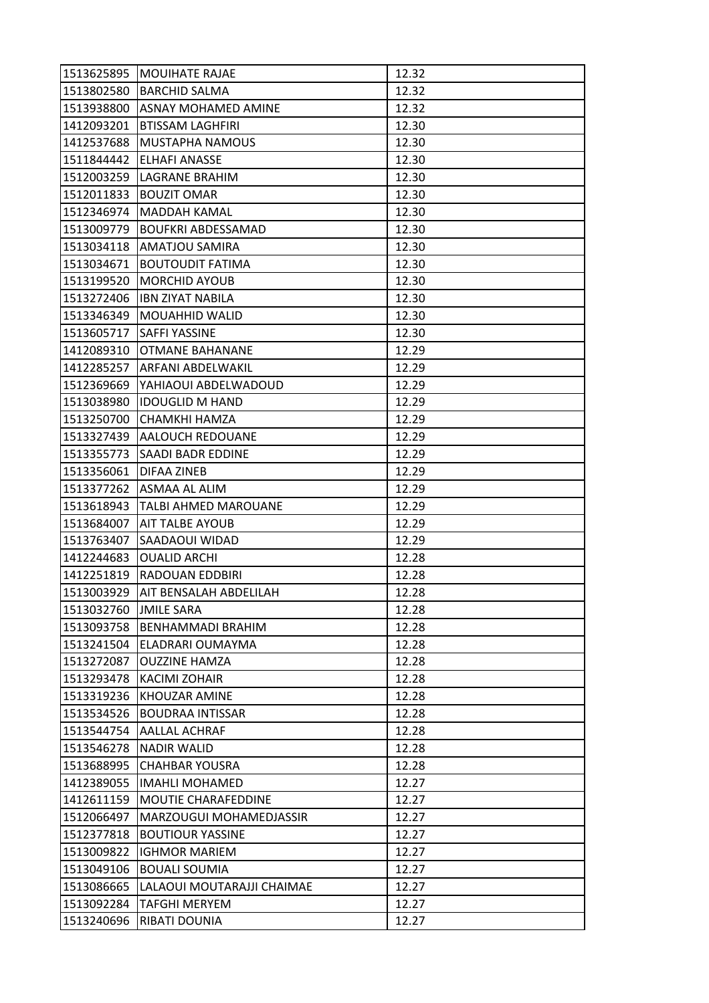| 1513625895 | <b>MOUIHATE RAJAE</b>       | 12.32 |
|------------|-----------------------------|-------|
| 1513802580 | <b>BARCHID SALMA</b>        | 12.32 |
| 1513938800 | ASNAY MOHAMED AMINE         | 12.32 |
| 1412093201 | <b>BTISSAM LAGHFIRI</b>     | 12.30 |
| 1412537688 | MUSTAPHA NAMOUS             | 12.30 |
| 1511844442 | ELHAFI ANASSE               | 12.30 |
| 1512003259 | LAGRANE BRAHIM              | 12.30 |
| 1512011833 | <b>BOUZIT OMAR</b>          | 12.30 |
| 1512346974 | <b>MADDAH KAMAL</b>         | 12.30 |
| 1513009779 | <b>BOUFKRI ABDESSAMAD</b>   | 12.30 |
|            | 1513034118   AMATJOU SAMIRA | 12.30 |
| 1513034671 | <b>BOUTOUDIT FATIMA</b>     | 12.30 |
| 1513199520 | <b>MORCHID AYOUB</b>        | 12.30 |
| 1513272406 | <b>IBN ZIYAT NABILA</b>     | 12.30 |
| 1513346349 | <b>MOUAHHID WALID</b>       | 12.30 |
|            | 1513605717   SAFFI YASSINE  | 12.30 |
| 1412089310 | OTMANE BAHANANE             | 12.29 |
| 1412285257 | ARFANI ABDELWAKIL           | 12.29 |
| 1512369669 | YAHIAOUI ABDELWADOUD        | 12.29 |
| 1513038980 | <b>IDOUGLID M HAND</b>      | 12.29 |
| 1513250700 | CHAMKHI HAMZA               | 12.29 |
| 1513327439 | <b>AALOUCH REDOUANE</b>     | 12.29 |
| 1513355773 | SAADI BADR EDDINE           | 12.29 |
| 1513356061 | DIFAA ZINEB                 | 12.29 |
|            | 1513377262   ASMAA AL ALIM  | 12.29 |
| 1513618943 | <b>TALBI AHMED MAROUANE</b> | 12.29 |
| 1513684007 | <b>AIT TALBE AYOUB</b>      | 12.29 |
| 1513763407 | SAADAOUI WIDAD              | 12.29 |
| 1412244683 | <b>OUALID ARCHI</b>         | 12.28 |
| 1412251819 | <b>RADOUAN EDDBIRI</b>      | 12.28 |
| 1513003929 | AIT BENSALAH ABDELILAH      | 12.28 |
| 1513032760 | <b>JMILE SARA</b>           | 12.28 |
| 1513093758 | <b>BENHAMMADI BRAHIM</b>    | 12.28 |
| 1513241504 | ELADRARI OUMAYMA            | 12.28 |
| 1513272087 | <b>OUZZINE HAMZA</b>        | 12.28 |
| 1513293478 | KACIMI ZOHAIR               | 12.28 |
| 1513319236 | KHOUZAR AMINE               | 12.28 |
| 1513534526 | <b>BOUDRAA INTISSAR</b>     | 12.28 |
| 1513544754 | AALLAL ACHRAF               | 12.28 |
| 1513546278 | <b>NADIR WALID</b>          | 12.28 |
| 1513688995 | <b>CHAHBAR YOUSRA</b>       | 12.28 |
| 1412389055 | <b>IMAHLI MOHAMED</b>       | 12.27 |
| 1412611159 | MOUTIE CHARAFEDDINE         | 12.27 |
| 1512066497 | MARZOUGUI MOHAMEDJASSIR     | 12.27 |
| 1512377818 | <b>BOUTIOUR YASSINE</b>     | 12.27 |
| 1513009822 | <b>IGHMOR MARIEM</b>        | 12.27 |
| 1513049106 | <b>BOUALI SOUMIA</b>        | 12.27 |
| 1513086665 | LALAOUI MOUTARAJJI CHAIMAE  | 12.27 |
| 1513092284 | TAFGHI MERYEM               | 12.27 |
| 1513240696 | RIBATI DOUNIA               | 12.27 |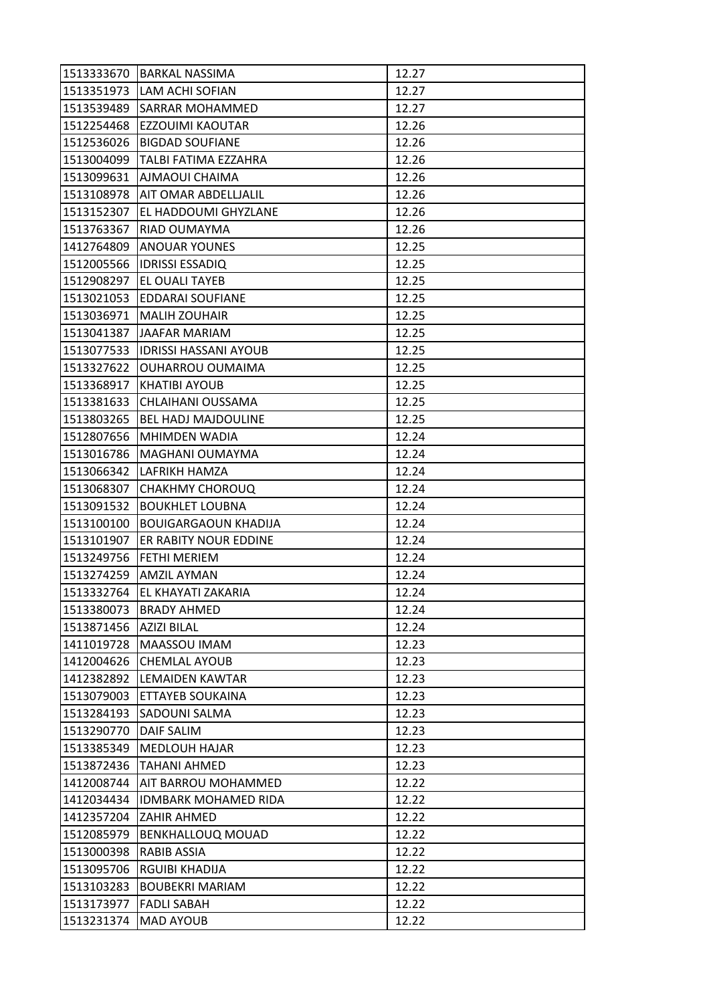| 1513333670 | <b>BARKAL NASSIMA</b>        | 12.27 |
|------------|------------------------------|-------|
| 1513351973 | <b>LAM ACHI SOFIAN</b>       | 12.27 |
| 1513539489 | <b>SARRAR MOHAMMED</b>       | 12.27 |
| 1512254468 | EZZOUIMI KAOUTAR             | 12.26 |
| 1512536026 | <b>BIGDAD SOUFIANE</b>       | 12.26 |
| 1513004099 | TALBI FATIMA EZZAHRA         | 12.26 |
| 1513099631 | <b>AJMAOUI CHAIMA</b>        | 12.26 |
| 1513108978 | AIT OMAR ABDELLJALIL         | 12.26 |
| 1513152307 | EL HADDOUMI GHYZLANE         | 12.26 |
| 1513763367 | <b>RIAD OUMAYMA</b>          | 12.26 |
| 1412764809 | <b>ANOUAR YOUNES</b>         | 12.25 |
| 1512005566 | <b>IDRISSI ESSADIQ</b>       | 12.25 |
| 1512908297 | EL OUALI TAYEB               | 12.25 |
| 1513021053 | EDDARAI SOUFIANE             | 12.25 |
| 1513036971 | <b>MALIH ZOUHAIR</b>         | 12.25 |
|            | 1513041387 JAAFAR MARIAM     | 12.25 |
| 1513077533 | <b>IDRISSI HASSANI AYOUB</b> | 12.25 |
| 1513327622 | <b>OUHARROU OUMAIMA</b>      | 12.25 |
| 1513368917 | <b>KHATIBI AYOUB</b>         | 12.25 |
| 1513381633 | CHLAIHANI OUSSAMA            | 12.25 |
| 1513803265 | <b>BEL HADJ MAJDOULINE</b>   | 12.25 |
| 1512807656 | MHIMDEN WADIA                | 12.24 |
| 1513016786 | MAGHANI OUMAYMA              | 12.24 |
| 1513066342 | LAFRIKH HAMZA                | 12.24 |
| 1513068307 | <b>CHAKHMY CHOROUQ</b>       | 12.24 |
| 1513091532 | <b>BOUKHLET LOUBNA</b>       | 12.24 |
| 1513100100 | <b>BOUIGARGAOUN KHADIJA</b>  | 12.24 |
| 1513101907 | ER RABITY NOUR EDDINE        | 12.24 |
| 1513249756 | IFETHI MERIEM                | 12.24 |
|            | 1513274259 AMZIL AYMAN       | 12.24 |
| 1513332764 | EL KHAYATI ZAKARIA           | 12.24 |
| 1513380073 | <b>BRADY AHMED</b>           | 12.24 |
| 1513871456 | <b>AZIZI BILAL</b>           | 12.24 |
| 1411019728 | MAASSOU IMAM                 | 12.23 |
| 1412004626 | <b>CHEMLAL AYOUB</b>         | 12.23 |
| 1412382892 | <b>LEMAIDEN KAWTAR</b>       | 12.23 |
| 1513079003 | ETTAYEB SOUKAINA             | 12.23 |
| 1513284193 | SADOUNI SALMA                | 12.23 |
| 1513290770 | <b>DAIF SALIM</b>            | 12.23 |
| 1513385349 | <b>MEDLOUH HAJAR</b>         | 12.23 |
| 1513872436 | TAHANI AHMED                 | 12.23 |
| 1412008744 | AIT BARROU MOHAMMED          | 12.22 |
| 1412034434 | <b>IDMBARK MOHAMED RIDA</b>  | 12.22 |
| 1412357204 | ZAHIR AHMED                  | 12.22 |
| 1512085979 | <b>BENKHALLOUQ MOUAD</b>     | 12.22 |
| 1513000398 | <b>RABIB ASSIA</b>           | 12.22 |
| 1513095706 | <b>RGUIBI KHADIJA</b>        | 12.22 |
| 1513103283 | <b>BOUBEKRI MARIAM</b>       | 12.22 |
| 1513173977 | <b>FADLI SABAH</b>           | 12.22 |
| 1513231374 | <b>MAD AYOUB</b>             | 12.22 |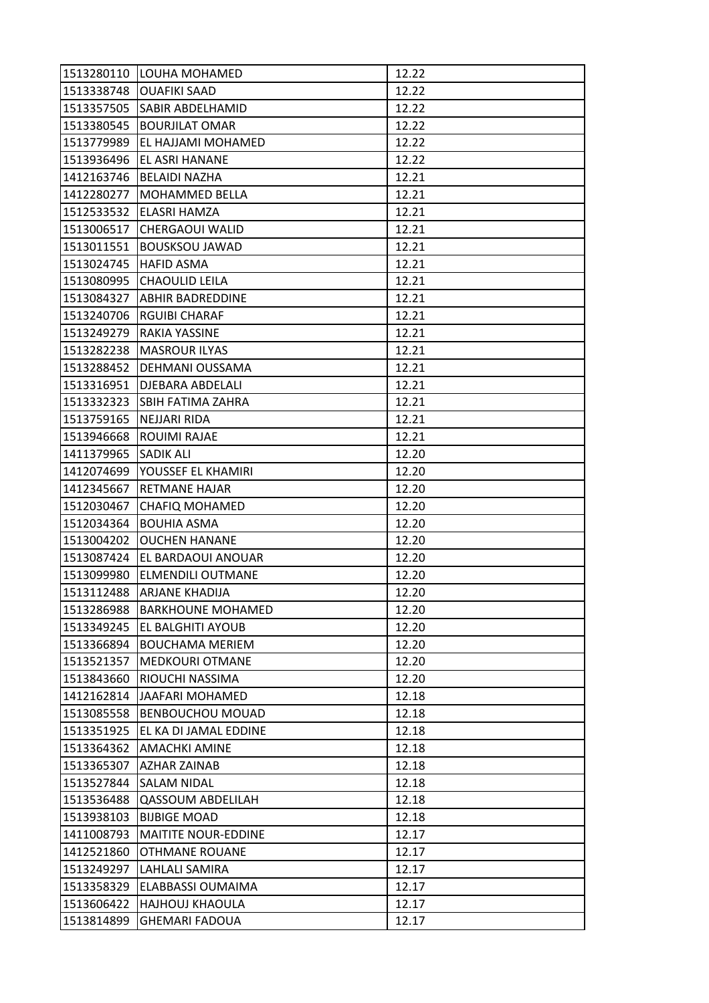| 1513280110 | LOUHA MOHAMED              | 12.22 |
|------------|----------------------------|-------|
| 1513338748 | <b>OUAFIKI SAAD</b>        | 12.22 |
| 1513357505 | <b>SABIR ABDELHAMID</b>    | 12.22 |
| 1513380545 | <b>BOURJILAT OMAR</b>      | 12.22 |
| 1513779989 | EL HAJJAMI MOHAMED         | 12.22 |
| 1513936496 | EL ASRI HANANE             | 12.22 |
| 1412163746 | <b>BELAIDI NAZHA</b>       | 12.21 |
| 1412280277 | MOHAMMED BELLA             | 12.21 |
| 1512533532 | ELASRI HAMZA               | 12.21 |
| 1513006517 | CHERGAOUI WALID            | 12.21 |
| 1513011551 | <b>BOUSKSOU JAWAD</b>      | 12.21 |
| 1513024745 | <b>HAFID ASMA</b>          | 12.21 |
| 1513080995 | <b>CHAOULID LEILA</b>      | 12.21 |
| 1513084327 | <b>ABHIR BADREDDINE</b>    | 12.21 |
| 1513240706 | <b>RGUIBI CHARAF</b>       | 12.21 |
|            | 1513249279 RAKIA YASSINE   | 12.21 |
| 1513282238 | <b>MASROUR ILYAS</b>       | 12.21 |
| 1513288452 | DEHMANI OUSSAMA            | 12.21 |
| 1513316951 | <b>DJEBARA ABDELALI</b>    | 12.21 |
| 1513332323 | <b>SBIH FATIMA ZAHRA</b>   | 12.21 |
| 1513759165 | NEJJARI RIDA               | 12.21 |
| 1513946668 | ROUIMI RAJAE               | 12.21 |
| 1411379965 | <b>SADIK ALI</b>           | 12.20 |
| 1412074699 | YOUSSEF EL KHAMIRI         | 12.20 |
| 1412345667 | <b>RETMANE HAJAR</b>       | 12.20 |
| 1512030467 | <b>CHAFIQ MOHAMED</b>      | 12.20 |
| 1512034364 | <b>BOUHIA ASMA</b>         | 12.20 |
| 1513004202 | <b>OUCHEN HANANE</b>       | 12.20 |
| 1513087424 | EL BARDAOUI ANOUAR         | 12.20 |
| 1513099980 | <b>ELMENDILI OUTMANE</b>   | 12.20 |
| 1513112488 | ARJANE KHADIJA             | 12.20 |
| 1513286988 | <b>BARKHOUNE MOHAMED</b>   | 12.20 |
| 1513349245 | <b>EL BALGHITI AYOUB</b>   | 12.20 |
| 1513366894 | <b>BOUCHAMA MERIEM</b>     | 12.20 |
| 1513521357 | <b>MEDKOURI OTMANE</b>     | 12.20 |
| 1513843660 | RIOUCHI NASSIMA            | 12.20 |
| 1412162814 | JAAFARI MOHAMED            | 12.18 |
| 1513085558 | <b>BENBOUCHOU MOUAD</b>    | 12.18 |
| 1513351925 | EL KA DI JAMAL EDDINE      | 12.18 |
| 1513364362 | <b>AMACHKI AMINE</b>       | 12.18 |
| 1513365307 | AZHAR ZAINAB               | 12.18 |
| 1513527844 | <b>SALAM NIDAL</b>         | 12.18 |
| 1513536488 | <b>QASSOUM ABDELILAH</b>   | 12.18 |
| 1513938103 | <b>BIJBIGE MOAD</b>        | 12.18 |
| 1411008793 | <b>MAITITE NOUR-EDDINE</b> | 12.17 |
| 1412521860 | OTHMANE ROUANE             | 12.17 |
| 1513249297 | LAHLALI SAMIRA             | 12.17 |
| 1513358329 | ELABBASSI OUMAIMA          | 12.17 |
| 1513606422 | <b>HAJHOUJ KHAOULA</b>     | 12.17 |
| 1513814899 | <b>GHEMARI FADOUA</b>      | 12.17 |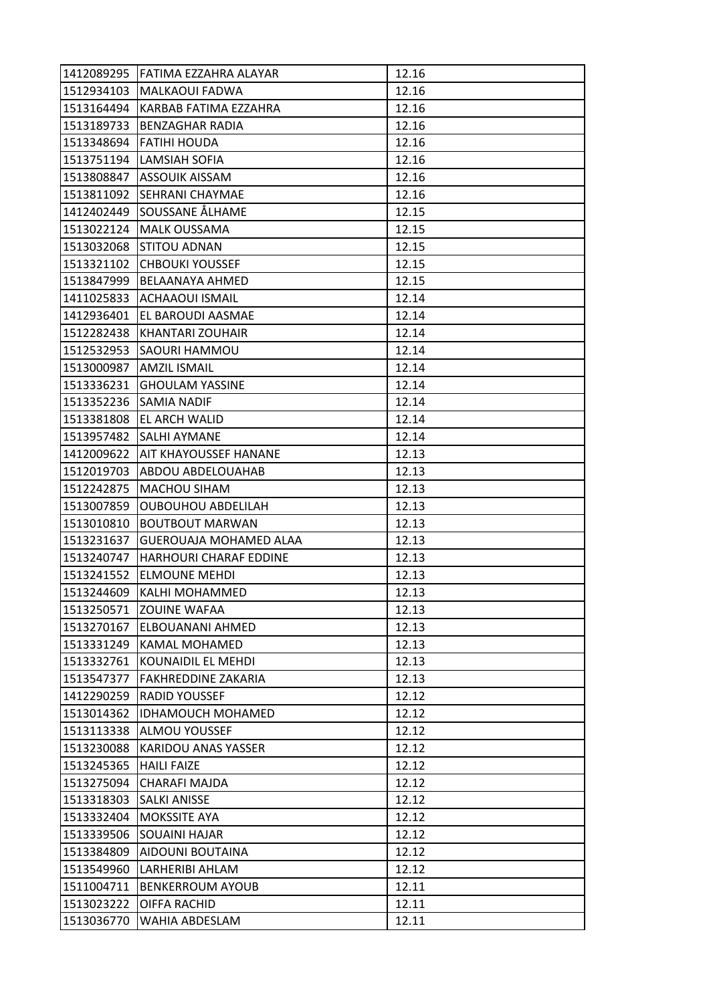| 1412089295 | lFATIMA EZZAHRA ALAYAR     | 12.16 |
|------------|----------------------------|-------|
| 1512934103 | MALKAOUI FADWA             | 12.16 |
| 1513164494 | KARBAB FATIMA EZZAHRA      | 12.16 |
| 1513189733 | <b>BENZAGHAR RADIA</b>     | 12.16 |
| 1513348694 | <b>FATIHI HOUDA</b>        | 12.16 |
| 1513751194 | LAMSIAH SOFIA              | 12.16 |
| 1513808847 | <b>ASSOUIK AISSAM</b>      | 12.16 |
| 1513811092 | <b>SEHRANI CHAYMAE</b>     | 12.16 |
| 1412402449 | SOUSSANE ÅLHAME            | 12.15 |
| 1513022124 | <b>MALK OUSSAMA</b>        | 12.15 |
| 1513032068 | <b>STITOU ADNAN</b>        | 12.15 |
| 1513321102 | <b>CHBOUKI YOUSSEF</b>     | 12.15 |
| 1513847999 | BELAANAYA AHMED            | 12.15 |
| 1411025833 | <b>ACHAAOUI ISMAIL</b>     | 12.14 |
| 1412936401 | EL BAROUDI AASMAE          | 12.14 |
| 1512282438 | <b>KHANTARI ZOUHAIR</b>    | 12.14 |
| 1512532953 | SAOURI HAMMOU              | 12.14 |
| 1513000987 | <b>AMZIL ISMAIL</b>        | 12.14 |
| 1513336231 | <b>GHOULAM YASSINE</b>     | 12.14 |
| 1513352236 | <b>SAMIA NADIF</b>         | 12.14 |
| 1513381808 | <b>EL ARCH WALID</b>       | 12.14 |
| 1513957482 | <b>SALHI AYMANE</b>        | 12.14 |
| 1412009622 | AIT KHAYOUSSEF HANANE      | 12.13 |
| 1512019703 | ABDOU ABDELOUAHAB          | 12.13 |
| 1512242875 | <b>MACHOU SIHAM</b>        | 12.13 |
| 1513007859 | <b>OUBOUHOU ABDELILAH</b>  | 12.13 |
| 1513010810 | <b>BOUTBOUT MARWAN</b>     | 12.13 |
| 1513231637 | GUEROUAJA MOHAMED ALAA     | 12.13 |
| 1513240747 | HARHOURI CHARAF EDDINE     | 12.13 |
| 1513241552 | <b>ELMOUNE MEHDI</b>       | 12.13 |
| 1513244609 | KALHI MOHAMMED             | 12.13 |
| 1513250571 | <b>ZOUINE WAFAA</b>        | 12.13 |
| 1513270167 | <b>ELBOUANANI AHMED</b>    | 12.13 |
| 1513331249 | KAMAL MOHAMED              | 12.13 |
| 1513332761 | KOUNAIDIL EL MEHDI         | 12.13 |
| 1513547377 | <b>FAKHREDDINE ZAKARIA</b> | 12.13 |
| 1412290259 | <b>RADID YOUSSEF</b>       | 12.12 |
| 1513014362 | <b>IDHAMOUCH MOHAMED</b>   | 12.12 |
| 1513113338 | ALMOU YOUSSEF              | 12.12 |
| 1513230088 | <b>KARIDOU ANAS YASSER</b> | 12.12 |
| 1513245365 | <b>HAILI FAIZE</b>         | 12.12 |
| 1513275094 | CHARAFI MAJDA              | 12.12 |
| 1513318303 | <b>SALKI ANISSE</b>        | 12.12 |
| 1513332404 | MOKSSITE AYA               | 12.12 |
| 1513339506 | <b>SOUAINI HAJAR</b>       | 12.12 |
| 1513384809 | AIDOUNI BOUTAINA           | 12.12 |
| 1513549960 | <b>LARHERIBI AHLAM</b>     | 12.12 |
| 1511004711 | <b>BENKERROUM AYOUB</b>    | 12.11 |
| 1513023222 | OIFFA RACHID               | 12.11 |
| 1513036770 | WAHIA ABDESLAM             | 12.11 |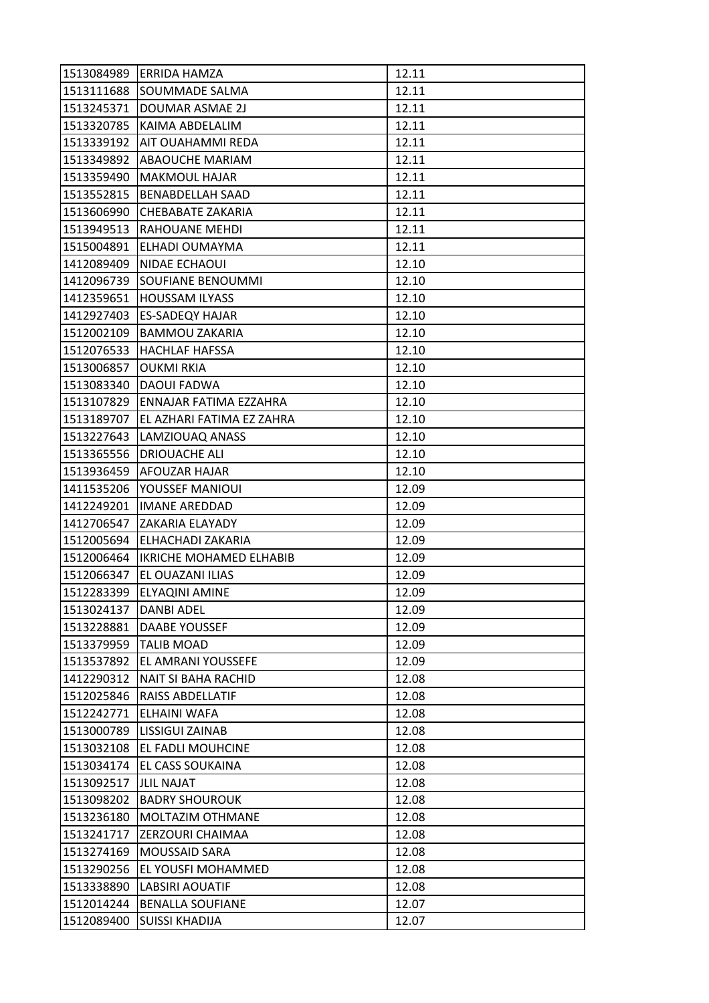| 1513084989 | ERRIDA HAMZA              | 12.11 |
|------------|---------------------------|-------|
| 1513111688 | <b>SOUMMADE SALMA</b>     | 12.11 |
| 1513245371 | DOUMAR ASMAE 2J           | 12.11 |
| 1513320785 | KAIMA ABDELALIM           | 12.11 |
| 1513339192 | AIT OUAHAMMI REDA         | 12.11 |
| 1513349892 | ABAOUCHE MARIAM           | 12.11 |
| 1513359490 | <b>MAKMOUL HAJAR</b>      | 12.11 |
| 1513552815 | <b>BENABDELLAH SAAD</b>   | 12.11 |
| 1513606990 | CHEBABATE ZAKARIA         | 12.11 |
| 1513949513 | <b>RAHOUANE MEHDI</b>     | 12.11 |
| 1515004891 | ELHADI OUMAYMA            | 12.11 |
| 1412089409 | NIDAE ECHAOUI             | 12.10 |
| 1412096739 | <b>SOUFIANE BENOUMMI</b>  | 12.10 |
| 1412359651 | <b>HOUSSAM ILYASS</b>     | 12.10 |
| 1412927403 | <b>ES-SADEQY HAJAR</b>    | 12.10 |
| 1512002109 | <b>BAMMOU ZAKARIA</b>     | 12.10 |
| 1512076533 | <b>HACHLAF HAFSSA</b>     | 12.10 |
| 1513006857 | OUKMI RKIA                | 12.10 |
| 1513083340 | <b>DAOUI FADWA</b>        | 12.10 |
| 1513107829 | ENNAJAR FATIMA EZZAHRA    | 12.10 |
| 1513189707 | EL AZHARI FATIMA EZ ZAHRA | 12.10 |
| 1513227643 | LAMZIOUAQ ANASS           | 12.10 |
| 1513365556 | <b>DRIOUACHE ALI</b>      | 12.10 |
| 1513936459 | AFOUZAR HAJAR             | 12.10 |
| 1411535206 | YOUSSEF MANIOUI           | 12.09 |
| 1412249201 | <b>IMANE AREDDAD</b>      | 12.09 |
| 1412706547 | ZAKARIA ELAYADY           | 12.09 |
| 1512005694 | ELHACHADI ZAKARIA         | 12.09 |
| 1512006464 | IKRICHE MOHAMED ELHABIB   | 12.09 |
| 1512066347 | EL OUAZANI ILIAS          | 12.09 |
| 1512283399 | ELYAQINI AMINE            | 12.09 |
| 1513024137 | <b>DANBI ADEL</b>         | 12.09 |
| 1513228881 | <b>DAABE YOUSSEF</b>      | 12.09 |
| 1513379959 | <b>TALIB MOAD</b>         | 12.09 |
| 1513537892 | EL AMRANI YOUSSEFE        | 12.09 |
| 1412290312 | NAIT SI BAHA RACHID       | 12.08 |
| 1512025846 | RAISS ABDELLATIF          | 12.08 |
| 1512242771 | <b>ELHAINI WAFA</b>       | 12.08 |
| 1513000789 | LISSIGUI ZAINAB           | 12.08 |
| 1513032108 | EL FADLI MOUHCINE         | 12.08 |
| 1513034174 | EL CASS SOUKAINA          | 12.08 |
| 1513092517 | <b>JLIL NAJAT</b>         | 12.08 |
| 1513098202 | <b>BADRY SHOUROUK</b>     | 12.08 |
| 1513236180 | <b>MOLTAZIM OTHMANE</b>   | 12.08 |
| 1513241717 | <b>ZERZOURI CHAIMAA</b>   | 12.08 |
| 1513274169 | MOUSSAID SARA             | 12.08 |
| 1513290256 | EL YOUSFI MOHAMMED        | 12.08 |
| 1513338890 | <b>LABSIRI AOUATIF</b>    | 12.08 |
| 1512014244 | <b>BENALLA SOUFIANE</b>   | 12.07 |
| 1512089400 | <b>SUISSI KHADIJA</b>     | 12.07 |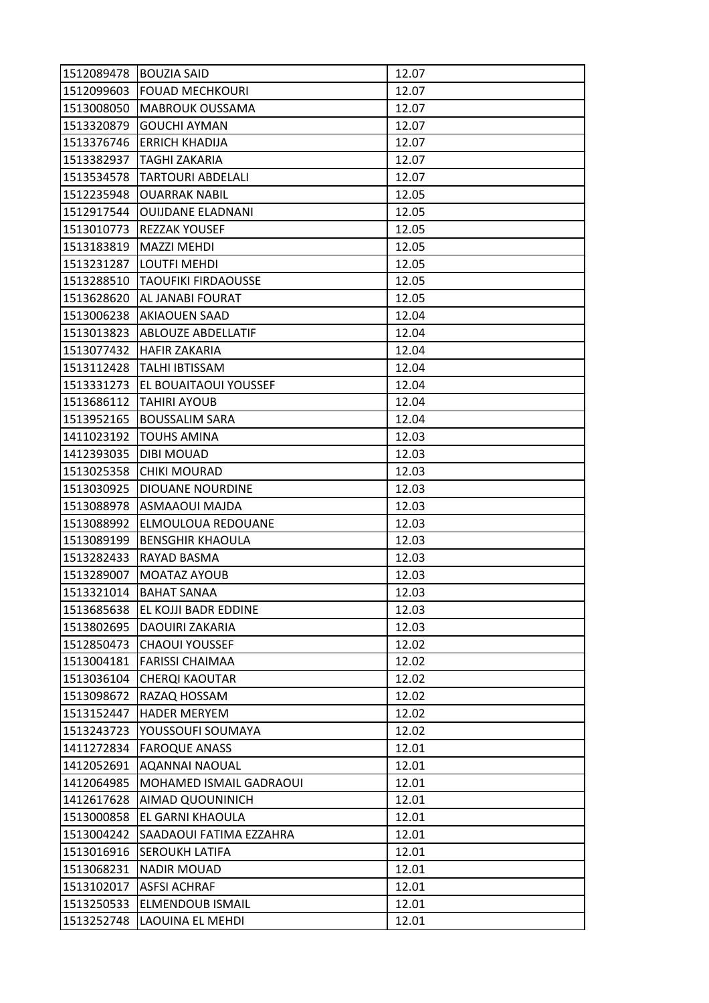| 1512089478 | <b>BOUZIA SAID</b>            | 12.07 |
|------------|-------------------------------|-------|
| 1512099603 | <b>FOUAD MECHKOURI</b>        | 12.07 |
| 1513008050 | <b>MABROUK OUSSAMA</b>        | 12.07 |
| 1513320879 | <b>GOUCHI AYMAN</b>           | 12.07 |
| 1513376746 | <b>ERRICH KHADIJA</b>         | 12.07 |
| 1513382937 | TAGHI ZAKARIA                 | 12.07 |
| 1513534578 | <b>TARTOURI ABDELALI</b>      | 12.07 |
| 1512235948 | <b>OUARRAK NABIL</b>          | 12.05 |
| 1512917544 | <b>OUIJDANE ELADNANI</b>      | 12.05 |
| 1513010773 | <b>REZZAK YOUSEF</b>          | 12.05 |
| 1513183819 | <b>MAZZI MEHDI</b>            | 12.05 |
| 1513231287 | <b>LOUTFI MEHDI</b>           | 12.05 |
| 1513288510 | <b>TAOUFIKI FIRDAOUSSE</b>    | 12.05 |
| 1513628620 | <b>AL JANABI FOURAT</b>       | 12.05 |
| 1513006238 | <b>AKIAOUEN SAAD</b>          | 12.04 |
|            | 1513013823 ABLOUZE ABDELLATIF | 12.04 |
| 1513077432 | <b>HAFIR ZAKARIA</b>          | 12.04 |
| 1513112428 | <b>TALHI IBTISSAM</b>         | 12.04 |
| 1513331273 | EL BOUAITAOUI YOUSSEF         | 12.04 |
| 1513686112 | <b>TAHIRI AYOUB</b>           | 12.04 |
| 1513952165 | <b>BOUSSALIM SARA</b>         | 12.04 |
| 1411023192 | <b>TOUHS AMINA</b>            | 12.03 |
| 1412393035 | <b>DIBI MOUAD</b>             | 12.03 |
| 1513025358 | CHIKI MOURAD                  | 12.03 |
| 1513030925 | DIOUANE NOURDINE              | 12.03 |
| 1513088978 | <b>ASMAAOUI MAJDA</b>         | 12.03 |
| 1513088992 | ELMOULOUA REDOUANE            | 12.03 |
| 1513089199 | <b>BENSGHIR KHAOULA</b>       | 12.03 |
| 1513282433 | RAYAD BASMA                   | 12.03 |
| 1513289007 | MOATAZ AYOUB                  | 12.03 |
| 1513321014 | <b>BAHAT SANAA</b>            | 12.03 |
| 1513685638 | EL KOJJI BADR EDDINE          | 12.03 |
| 1513802695 | DAOUIRI ZAKARIA               | 12.03 |
| 1512850473 | <b>CHAOUI YOUSSEF</b>         | 12.02 |
| 1513004181 | <b>FARISSI CHAIMAA</b>        | 12.02 |
| 1513036104 | CHERQI KAOUTAR                | 12.02 |
| 1513098672 | RAZAQ HOSSAM                  | 12.02 |
| 1513152447 | <b>HADER MERYEM</b>           | 12.02 |
| 1513243723 | YOUSSOUFI SOUMAYA             | 12.02 |
| 1411272834 | <b>FAROQUE ANASS</b>          | 12.01 |
| 1412052691 | AQANNAI NAOUAL                | 12.01 |
| 1412064985 | MOHAMED ISMAIL GADRAOUI       | 12.01 |
| 1412617628 | AIMAD QUOUNINICH              | 12.01 |
| 1513000858 | EL GARNI KHAOULA              | 12.01 |
| 1513004242 | SAADAOUI FATIMA EZZAHRA       | 12.01 |
| 1513016916 | <b>SEROUKH LATIFA</b>         | 12.01 |
| 1513068231 | <b>NADIR MOUAD</b>            | 12.01 |
| 1513102017 | <b>ASFSI ACHRAF</b>           | 12.01 |
| 1513250533 | <b>ELMENDOUB ISMAIL</b>       | 12.01 |
| 1513252748 | LAOUINA EL MEHDI              | 12.01 |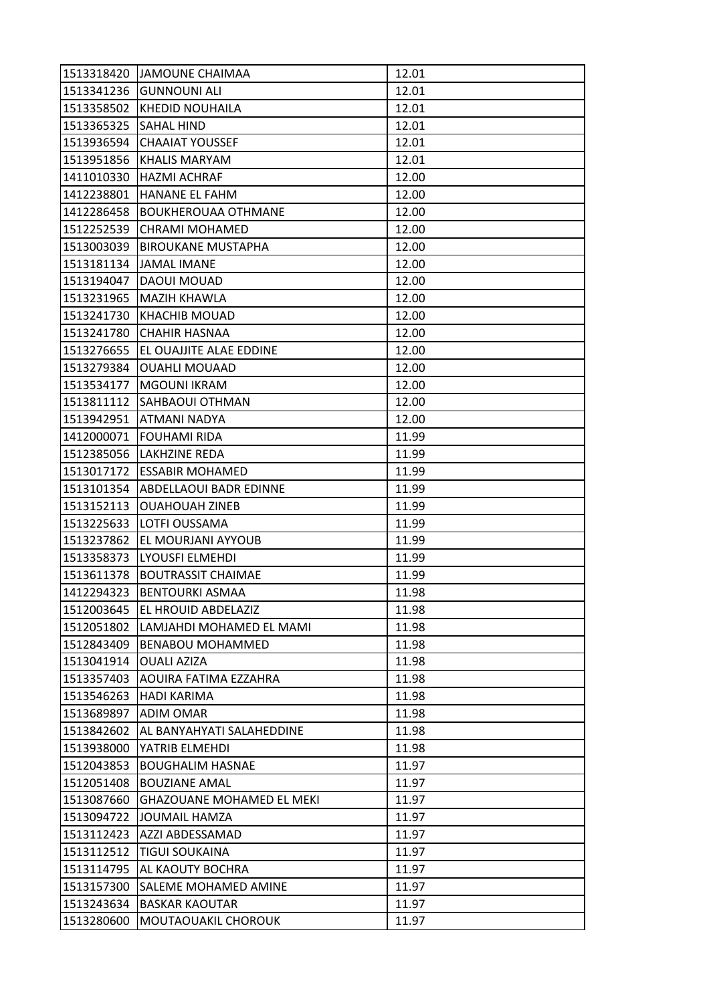| 1513318420 | <b>JAMOUNE CHAIMAA</b>           | 12.01 |
|------------|----------------------------------|-------|
| 1513341236 | <b>GUNNOUNI ALI</b>              | 12.01 |
| 1513358502 | <b>KHEDID NOUHAILA</b>           | 12.01 |
| 1513365325 | <b>SAHAL HIND</b>                | 12.01 |
| 1513936594 | <b>CHAAIAT YOUSSEF</b>           | 12.01 |
| 1513951856 | KHALIS MARYAM                    | 12.01 |
| 1411010330 | <b>HAZMI ACHRAF</b>              | 12.00 |
| 1412238801 | HANANE EL FAHM                   | 12.00 |
| 1412286458 | <b>BOUKHEROUAA OTHMANE</b>       | 12.00 |
| 1512252539 | <b>CHRAMI MOHAMED</b>            | 12.00 |
| 1513003039 | <b>BIROUKANE MUSTAPHA</b>        | 12.00 |
| 1513181134 | <b>JAMAL IMANE</b>               | 12.00 |
| 1513194047 | DAOUI MOUAD                      | 12.00 |
| 1513231965 | MAZIH KHAWLA                     | 12.00 |
| 1513241730 | <b>KHACHIB MOUAD</b>             | 12.00 |
| 1513241780 | <b>CHAHIR HASNAA</b>             | 12.00 |
| 1513276655 | EL OUAJJITE ALAE EDDINE          | 12.00 |
| 1513279384 | <b>OUAHLI MOUAAD</b>             | 12.00 |
| 1513534177 | <b>MGOUNI IKRAM</b>              | 12.00 |
| 1513811112 | SAHBAOUI OTHMAN                  | 12.00 |
|            | 1513942951 ATMANI NADYA          | 12.00 |
| 1412000071 | <b>FOUHAMI RIDA</b>              | 11.99 |
| 1512385056 | <b>LAKHZINE REDA</b>             | 11.99 |
| 1513017172 | <b>ESSABIR MOHAMED</b>           | 11.99 |
| 1513101354 | <b>ABDELLAOUI BADR EDINNE</b>    | 11.99 |
| 1513152113 | <b>OUAHOUAH ZINEB</b>            | 11.99 |
| 1513225633 | LOTFI OUSSAMA                    | 11.99 |
| 1513237862 | EL MOURJANI AYYOUB               | 11.99 |
| 1513358373 | LYOUSFI ELMEHDI                  | 11.99 |
| 1513611378 | <b>BOUTRASSIT CHAIMAE</b>        | 11.99 |
| 1412294323 | <b>BENTOURKI ASMAA</b>           | 11.98 |
| 1512003645 | EL HROUID ABDELAZIZ              | 11.98 |
| 1512051802 | LAMJAHDI MOHAMED EL MAMI         | 11.98 |
| 1512843409 | <b>BENABOU MOHAMMED</b>          | 11.98 |
| 1513041914 | <b>OUALI AZIZA</b>               | 11.98 |
| 1513357403 | AOUIRA FATIMA EZZAHRA            | 11.98 |
| 1513546263 | HADI KARIMA                      | 11.98 |
| 1513689897 | <b>ADIM OMAR</b>                 | 11.98 |
| 1513842602 | AL BANYAHYATI SALAHEDDINE        | 11.98 |
| 1513938000 | YATRIB ELMEHDI                   | 11.98 |
| 1512043853 | <b>BOUGHALIM HASNAE</b>          | 11.97 |
| 1512051408 | <b>BOUZIANE AMAL</b>             | 11.97 |
| 1513087660 | <b>GHAZOUANE MOHAMED EL MEKI</b> | 11.97 |
| 1513094722 | <b>JOUMAIL HAMZA</b>             | 11.97 |
| 1513112423 | AZZI ABDESSAMAD                  | 11.97 |
| 1513112512 | <b>TIGUI SOUKAINA</b>            | 11.97 |
| 1513114795 | <b>AL KAOUTY BOCHRA</b>          | 11.97 |
| 1513157300 | SALEME MOHAMED AMINE             | 11.97 |
| 1513243634 | <b>BASKAR KAOUTAR</b>            | 11.97 |
| 1513280600 | MOUTAOUAKIL CHOROUK              | 11.97 |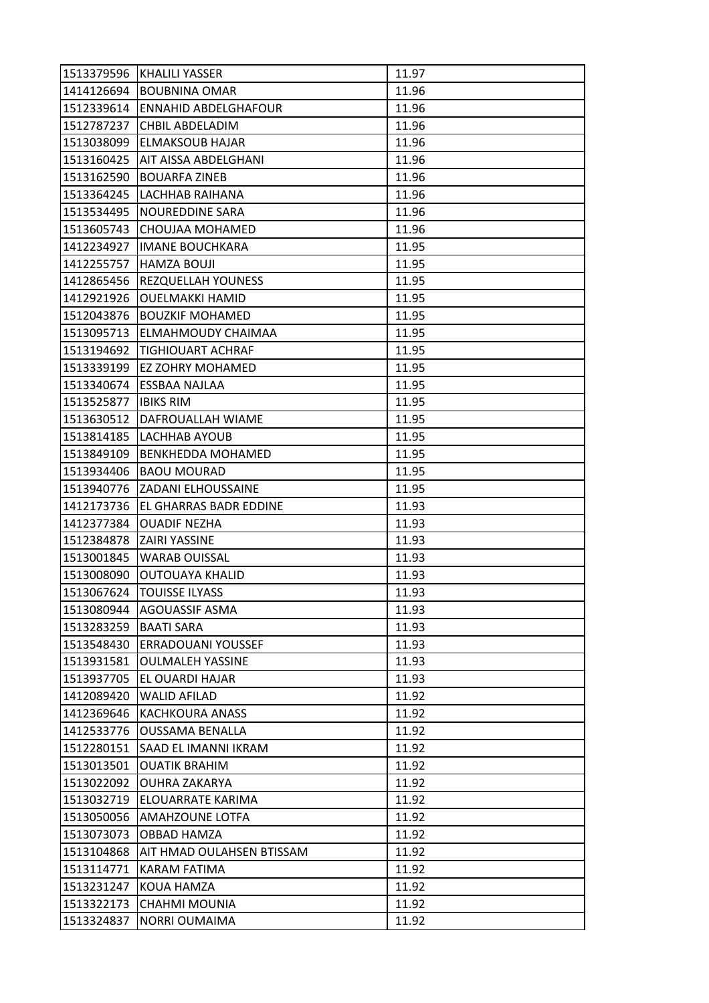| 1513379596 | KHALILI YASSER                    | 11.97 |
|------------|-----------------------------------|-------|
| 1414126694 | <b>BOUBNINA OMAR</b>              | 11.96 |
|            | 1512339614 ENNAHID ABDELGHAFOUR   | 11.96 |
| 1512787237 | CHBIL ABDELADIM                   | 11.96 |
| 1513038099 | <b>ELMAKSOUB HAJAR</b>            | 11.96 |
|            | 1513160425   AIT AISSA ABDELGHANI | 11.96 |
| 1513162590 | <b>BOUARFA ZINEB</b>              | 11.96 |
| 1513364245 | LACHHAB RAIHANA                   | 11.96 |
| 1513534495 | <b>NOUREDDINE SARA</b>            | 11.96 |
| 1513605743 | CHOUJAA MOHAMED                   | 11.96 |
| 1412234927 | <b>IMANE BOUCHKARA</b>            | 11.95 |
| 1412255757 | <b>HAMZA BOUJI</b>                | 11.95 |
| 1412865456 | <b>REZQUELLAH YOUNESS</b>         | 11.95 |
| 1412921926 | <b>OUELMAKKI HAMID</b>            | 11.95 |
| 1512043876 | <b>BOUZKIF MOHAMED</b>            | 11.95 |
|            | 1513095713   ELMAHMOUDY CHAIMAA   | 11.95 |
| 1513194692 | TIGHIOUART ACHRAF                 | 11.95 |
| 1513339199 | EZ ZOHRY MOHAMED                  | 11.95 |
| 1513340674 | <b>ESSBAA NAJLAA</b>              | 11.95 |
| 1513525877 | <b>IBIKS RIM</b>                  | 11.95 |
| 1513630512 | DAFROUALLAH WIAME                 | 11.95 |
| 1513814185 | LACHHAB AYOUB                     | 11.95 |
| 1513849109 | <b>BENKHEDDA MOHAMED</b>          | 11.95 |
| 1513934406 | <b>BAOU MOURAD</b>                | 11.95 |
|            | 1513940776 ZADANI ELHOUSSAINE     | 11.95 |
| 1412173736 | <b>EL GHARRAS BADR EDDINE</b>     | 11.93 |
| 1412377384 | <b>OUADIF NEZHA</b>               | 11.93 |
| 1512384878 | <b>ZAIRI YASSINE</b>              | 11.93 |
| 1513001845 | <b>WARAB OUISSAL</b>              | 11.93 |
| 1513008090 | <b>OUTOUAYA KHALID</b>            | 11.93 |
| 1513067624 | <b>TOUISSE ILYASS</b>             | 11.93 |
| 1513080944 | <b>AGOUASSIF ASMA</b>             | 11.93 |
| 1513283259 | <b>BAATI SARA</b>                 | 11.93 |
| 1513548430 | <b>ERRADOUANI YOUSSEF</b>         | 11.93 |
| 1513931581 | <b>OULMALEH YASSINE</b>           | 11.93 |
| 1513937705 | EL OUARDI HAJAR                   | 11.93 |
| 1412089420 | <b>WALID AFILAD</b>               | 11.92 |
| 1412369646 | KACHKOURA ANASS                   | 11.92 |
| 1412533776 | <b>OUSSAMA BENALLA</b>            | 11.92 |
| 1512280151 | SAAD EL IMANNI IKRAM              | 11.92 |
| 1513013501 | <b>OUATIK BRAHIM</b>              | 11.92 |
| 1513022092 | <b>OUHRA ZAKARYA</b>              | 11.92 |
| 1513032719 | ELOUARRATE KARIMA                 | 11.92 |
| 1513050056 | AMAHZOUNE LOTFA                   | 11.92 |
| 1513073073 | <b>OBBAD HAMZA</b>                | 11.92 |
| 1513104868 | AIT HMAD OULAHSEN BTISSAM         | 11.92 |
| 1513114771 | <b>KARAM FATIMA</b>               | 11.92 |
| 1513231247 | KOUA HAMZA                        | 11.92 |
| 1513322173 | <b>CHAHMI MOUNIA</b>              | 11.92 |
| 1513324837 | NORRI OUMAIMA                     | 11.92 |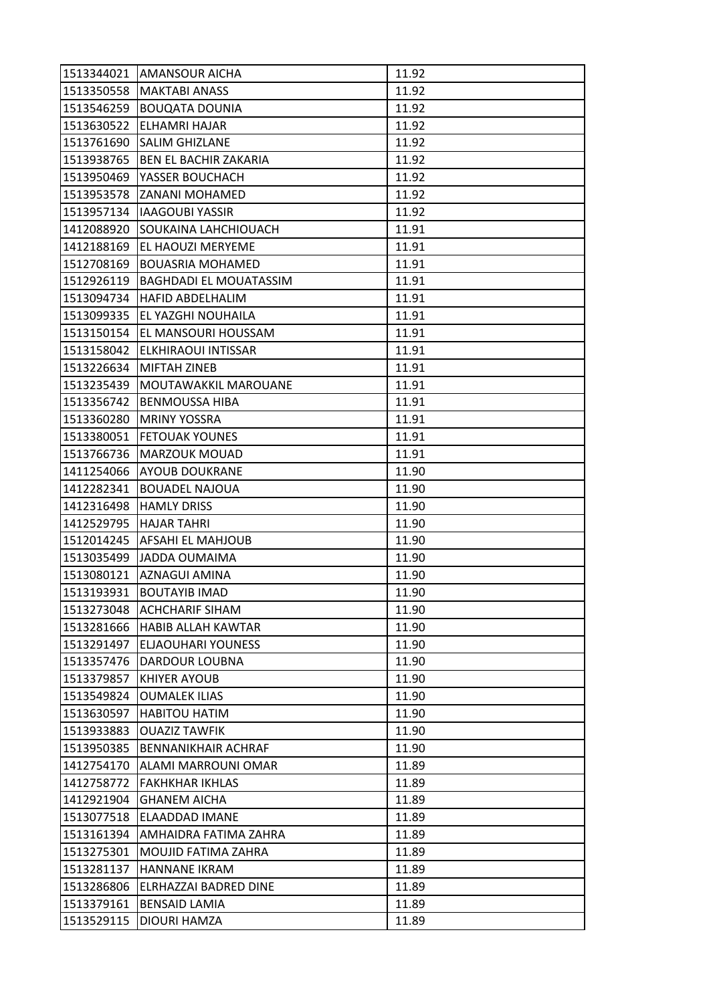| 1513344021 | <b>AMANSOUR AICHA</b>          | 11.92 |
|------------|--------------------------------|-------|
| 1513350558 | <b>MAKTABI ANASS</b>           | 11.92 |
| 1513546259 | <b>BOUQATA DOUNIA</b>          | 11.92 |
| 1513630522 | ELHAMRI HAJAR                  | 11.92 |
| 1513761690 | <b>SALIM GHIZLANE</b>          | 11.92 |
| 1513938765 | <b>BEN EL BACHIR ZAKARIA</b>   | 11.92 |
| 1513950469 | YASSER BOUCHACH                | 11.92 |
| 1513953578 | ZANANI MOHAMED                 | 11.92 |
| 1513957134 | <b>IAAGOUBI YASSIR</b>         | 11.92 |
| 1412088920 | <b>SOUKAINA LAHCHIOUACH</b>    | 11.91 |
| 1412188169 | EL HAOUZI MERYEME              | 11.91 |
| 1512708169 | <b>BOUASRIA MOHAMED</b>        | 11.91 |
| 1512926119 | <b>BAGHDADI EL MOUATASSIM</b>  | 11.91 |
| 1513094734 | <b>HAFID ABDELHALIM</b>        | 11.91 |
| 1513099335 | EL YAZGHI NOUHAILA             | 11.91 |
|            | 1513150154 EL MANSOURI HOUSSAM | 11.91 |
| 1513158042 | ELKHIRAOUI INTISSAR            | 11.91 |
| 1513226634 | <b>MIFTAH ZINEB</b>            | 11.91 |
| 1513235439 | MOUTAWAKKIL MAROUANE           | 11.91 |
| 1513356742 | <b>BENMOUSSA HIBA</b>          | 11.91 |
| 1513360280 | <b>MRINY YOSSRA</b>            | 11.91 |
| 1513380051 | <b>FETOUAK YOUNES</b>          | 11.91 |
| 1513766736 | <b>MARZOUK MOUAD</b>           | 11.91 |
| 1411254066 | <b>AYOUB DOUKRANE</b>          | 11.90 |
| 1412282341 | <b>BOUADEL NAJOUA</b>          | 11.90 |
| 1412316498 | <b>HAMLY DRISS</b>             | 11.90 |
| 1412529795 | <b>HAJAR TAHRI</b>             | 11.90 |
|            | 1512014245   AFSAHI EL MAHJOUB | 11.90 |
| 1513035499 | JADDA OUMAIMA                  | 11.90 |
|            | 1513080121 AZNAGUI AMINA       | 11.90 |
| 1513193931 | <b>BOUTAYIB IMAD</b>           | 11.90 |
| 1513273048 | <b>ACHCHARIF SIHAM</b>         | 11.90 |
| 1513281666 | <b>HABIB ALLAH KAWTAR</b>      | 11.90 |
| 1513291497 | ELJAOUHARI YOUNESS             | 11.90 |
| 1513357476 | <b>DARDOUR LOUBNA</b>          | 11.90 |
| 1513379857 | <b>KHIYER AYOUB</b>            | 11.90 |
| 1513549824 | <b>OUMALEK ILIAS</b>           | 11.90 |
| 1513630597 | <b>HABITOU HATIM</b>           | 11.90 |
| 1513933883 | <b>OUAZIZ TAWFIK</b>           | 11.90 |
| 1513950385 | <b>BENNANIKHAIR ACHRAF</b>     | 11.90 |
| 1412754170 | ALAMI MARROUNI OMAR            | 11.89 |
| 1412758772 | <b>FAKHKHAR IKHLAS</b>         | 11.89 |
| 1412921904 | <b>GHANEM AICHA</b>            | 11.89 |
| 1513077518 | ELAADDAD IMANE                 | 11.89 |
| 1513161394 | AMHAIDRA FATIMA ZAHRA          | 11.89 |
| 1513275301 | MOUJID FATIMA ZAHRA            | 11.89 |
| 1513281137 | <b>HANNANE IKRAM</b>           | 11.89 |
| 1513286806 | ELRHAZZAI BADRED DINE          | 11.89 |
| 1513379161 | <b>BENSAID LAMIA</b>           | 11.89 |
| 1513529115 | <b>DIOURI HAMZA</b>            | 11.89 |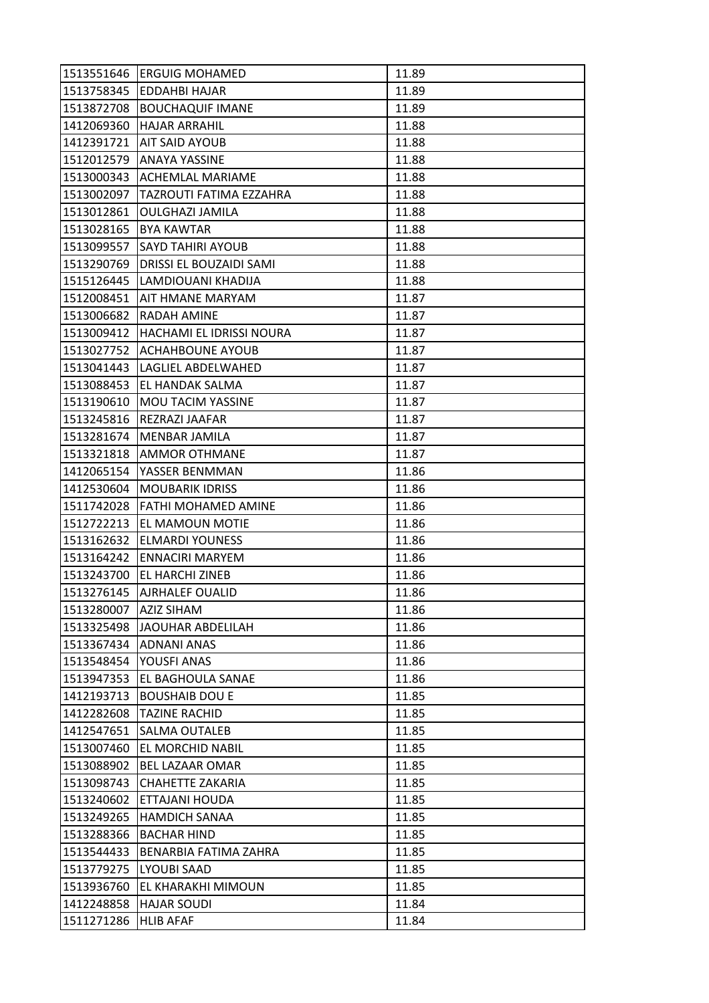| 1513551646 | <b>ERGUIG MOHAMED</b>          | 11.89 |
|------------|--------------------------------|-------|
| 1513758345 | <b>EDDAHBI HAJAR</b>           | 11.89 |
| 1513872708 | <b>BOUCHAQUIF IMANE</b>        | 11.89 |
| 1412069360 | <b>HAJAR ARRAHIL</b>           | 11.88 |
| 1412391721 | <b>AIT SAID AYOUB</b>          | 11.88 |
| 1512012579 | <b>ANAYA YASSINE</b>           | 11.88 |
| 1513000343 | <b>ACHEMLAL MARIAME</b>        | 11.88 |
| 1513002097 | <b>TAZROUTI FATIMA EZZAHRA</b> | 11.88 |
| 1513012861 | <b>OULGHAZI JAMILA</b>         | 11.88 |
| 1513028165 | <b>BYA KAWTAR</b>              | 11.88 |
| 1513099557 | <b>SAYD TAHIRI AYOUB</b>       | 11.88 |
| 1513290769 | DRISSI EL BOUZAIDI SAMI        | 11.88 |
| 1515126445 | LAMDIOUANI KHADIJA             | 11.88 |
| 1512008451 | AIT HMANE MARYAM               | 11.87 |
| 1513006682 | <b>RADAH AMINE</b>             | 11.87 |
| 1513009412 | HACHAMI EL IDRISSI NOURA       | 11.87 |
| 1513027752 | <b>ACHAHBOUNE AYOUB</b>        | 11.87 |
| 1513041443 | LAGLIEL ABDELWAHED             | 11.87 |
| 1513088453 | EL HANDAK SALMA                | 11.87 |
| 1513190610 | <b>MOU TACIM YASSINE</b>       | 11.87 |
| 1513245816 | REZRAZI JAAFAR                 | 11.87 |
| 1513281674 | MENBAR JAMILA                  | 11.87 |
| 1513321818 | <b>AMMOR OTHMANE</b>           | 11.87 |
| 1412065154 | YASSER BENMMAN                 | 11.86 |
| 1412530604 | <b>MOUBARIK IDRISS</b>         | 11.86 |
| 1511742028 | [FATHI MOHAMED AMINE           | 11.86 |
| 1512722213 | EL MAMOUN MOTIE                | 11.86 |
| 1513162632 | <b>ELMARDI YOUNESS</b>         | 11.86 |
| 1513164242 | <b>ENNACIRI MARYEM</b>         | 11.86 |
| 1513243700 | <b>EL HARCHI ZINEB</b>         | 11.86 |
| 1513276145 | <b>AJRHALEF OUALID</b>         | 11.86 |
| 1513280007 | <b>AZIZ SIHAM</b>              | 11.86 |
| 1513325498 | JAOUHAR ABDELILAH              | 11.86 |
| 1513367434 | <b>ADNANI ANAS</b>             | 11.86 |
| 1513548454 | YOUSFI ANAS                    | 11.86 |
| 1513947353 | EL BAGHOULA SANAE              | 11.86 |
| 1412193713 | <b>BOUSHAIB DOU E</b>          | 11.85 |
| 1412282608 | <b>TAZINE RACHID</b>           | 11.85 |
| 1412547651 | SALMA OUTALEB                  | 11.85 |
| 1513007460 | EL MORCHID NABIL               | 11.85 |
| 1513088902 | <b>BEL LAZAAR OMAR</b>         | 11.85 |
| 1513098743 | CHAHETTE ZAKARIA               | 11.85 |
| 1513240602 | ETTAJANI HOUDA                 | 11.85 |
| 1513249265 | <b>HAMDICH SANAA</b>           | 11.85 |
| 1513288366 | <b>BACHAR HIND</b>             | 11.85 |
| 1513544433 | BENARBIA FATIMA ZAHRA          | 11.85 |
| 1513779275 | LYOUBI SAAD                    | 11.85 |
| 1513936760 | EL KHARAKHI MIMOUN             | 11.85 |
| 1412248858 | <b>HAJAR SOUDI</b>             | 11.84 |
| 1511271286 | <b>HLIB AFAF</b>               | 11.84 |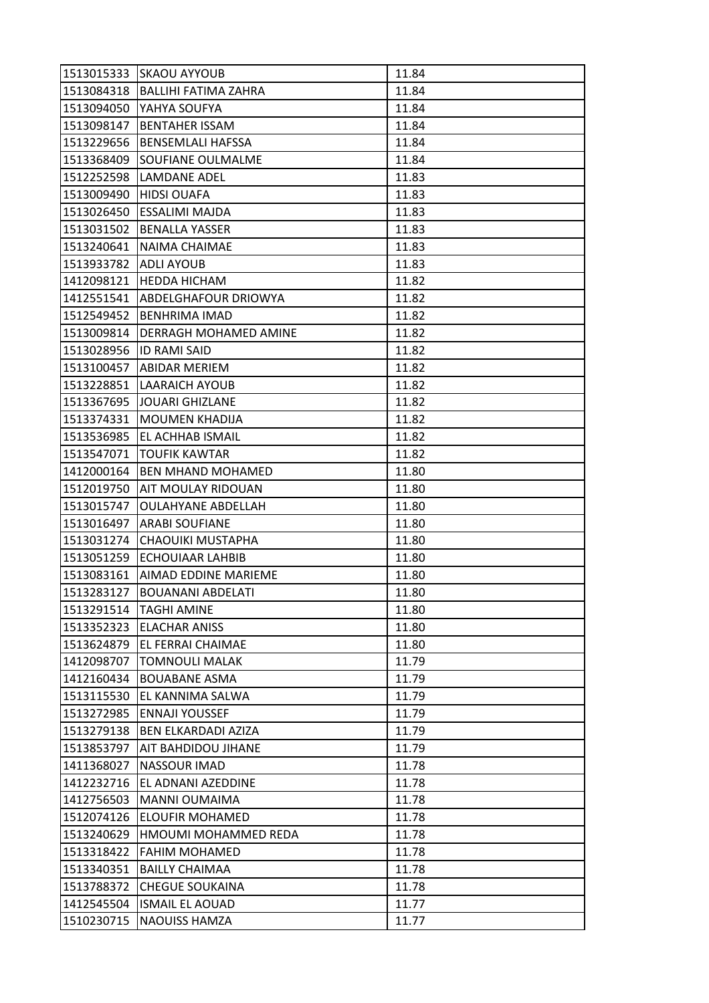| 1513015333 | <b>SKAOU AYYOUB</b>          | 11.84 |
|------------|------------------------------|-------|
| 1513084318 | <b>BALLIHI FATIMA ZAHRA</b>  | 11.84 |
| 1513094050 | YAHYA SOUFYA                 | 11.84 |
| 1513098147 | <b>BENTAHER ISSAM</b>        | 11.84 |
| 1513229656 | <b>BENSEMLALI HAFSSA</b>     | 11.84 |
| 1513368409 | SOUFIANE OULMALME            | 11.84 |
| 1512252598 | LAMDANE ADEL                 | 11.83 |
| 1513009490 | <b>HIDSI OUAFA</b>           | 11.83 |
| 1513026450 | <b>ESSALIMI MAJDA</b>        | 11.83 |
| 1513031502 | <b>BENALLA YASSER</b>        | 11.83 |
| 1513240641 | NAIMA CHAIMAE                | 11.83 |
| 1513933782 | <b>ADLI AYOUB</b>            | 11.83 |
| 1412098121 | <b>HEDDA HICHAM</b>          | 11.82 |
| 1412551541 | <b>ABDELGHAFOUR DRIOWYA</b>  | 11.82 |
| 1512549452 | <b>BENHRIMA IMAD</b>         | 11.82 |
| 1513009814 | <b>DERRAGH MOHAMED AMINE</b> | 11.82 |
| 1513028956 | <b>ID RAMI SAID</b>          | 11.82 |
| 1513100457 | <b>ABIDAR MERIEM</b>         | 11.82 |
| 1513228851 | <b>LAARAICH AYOUB</b>        | 11.82 |
| 1513367695 | <b>JOUARI GHIZLANE</b>       | 11.82 |
| 1513374331 | <b>MOUMEN KHADIJA</b>        | 11.82 |
| 1513536985 | EL ACHHAB ISMAIL             | 11.82 |
| 1513547071 | <b>TOUFIK KAWTAR</b>         | 11.82 |
| 1412000164 | <b>BEN MHAND MOHAMED</b>     | 11.80 |
| 1512019750 | AIT MOULAY RIDOUAN           | 11.80 |
| 1513015747 | <b>OULAHYANE ABDELLAH</b>    | 11.80 |
| 1513016497 | <b>ARABI SOUFIANE</b>        | 11.80 |
| 1513031274 | CHAOUIKI MUSTAPHA            | 11.80 |
| 1513051259 | ECHOUIAAR LAHBIB             | 11.80 |
| 1513083161 | AIMAD EDDINE MARIEME         | 11.80 |
| 1513283127 | <b>BOUANANI ABDELATI</b>     | 11.80 |
| 1513291514 | <b>TAGHI AMINE</b>           | 11.80 |
| 1513352323 | <b>ELACHAR ANISS</b>         | 11.80 |
| 1513624879 | EL FERRAI CHAIMAE            | 11.80 |
| 1412098707 | <b>TOMNOULI MALAK</b>        | 11.79 |
| 1412160434 | <b>BOUABANE ASMA</b>         | 11.79 |
| 1513115530 | EL KANNIMA SALWA             | 11.79 |
| 1513272985 | <b>ENNAJI YOUSSEF</b>        | 11.79 |
| 1513279138 | <b>BEN ELKARDADI AZIZA</b>   | 11.79 |
| 1513853797 | <b>AIT BAHDIDOU JIHANE</b>   | 11.79 |
| 1411368027 | NASSOUR IMAD                 | 11.78 |
| 1412232716 | EL ADNANI AZEDDINE           | 11.78 |
| 1412756503 | <b>MANNI OUMAIMA</b>         | 11.78 |
| 1512074126 | ELOUFIR MOHAMED              | 11.78 |
| 1513240629 | HMOUMI MOHAMMED REDA         | 11.78 |
| 1513318422 | <b>FAHIM MOHAMED</b>         | 11.78 |
| 1513340351 | <b>BAILLY CHAIMAA</b>        | 11.78 |
| 1513788372 | <b>CHEGUE SOUKAINA</b>       | 11.78 |
| 1412545504 | <b>ISMAIL EL AOUAD</b>       | 11.77 |
| 1510230715 | <b>NAOUISS HAMZA</b>         | 11.77 |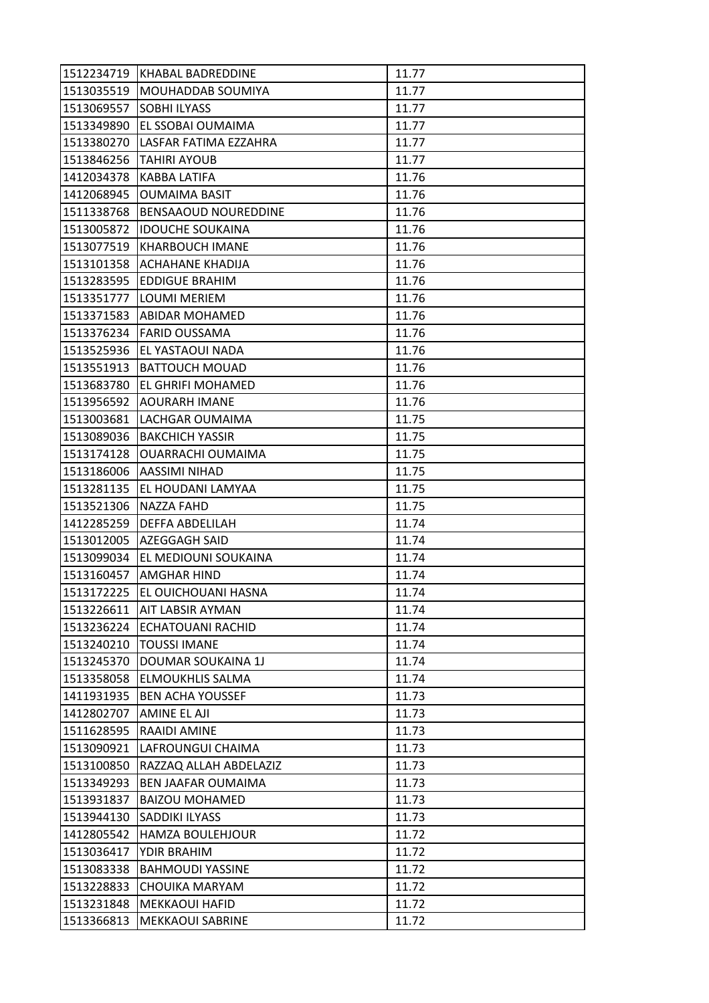| 1512234719 | KHABAL BADREDDINE        | 11.77 |
|------------|--------------------------|-------|
| 1513035519 | <b>MOUHADDAB SOUMIYA</b> | 11.77 |
| 1513069557 | <b>SOBHI ILYASS</b>      | 11.77 |
| 1513349890 | EL SSOBAI OUMAIMA        | 11.77 |
| 1513380270 | LASFAR FATIMA EZZAHRA    | 11.77 |
| 1513846256 | TAHIRI AYOUB             | 11.77 |
| 1412034378 | <b>KABBA LATIFA</b>      | 11.76 |
| 1412068945 | <b>OUMAIMA BASIT</b>     | 11.76 |
| 1511338768 | BENSAAOUD NOUREDDINE     | 11.76 |
| 1513005872 | <b>IDOUCHE SOUKAINA</b>  | 11.76 |
| 1513077519 | <b>KHARBOUCH IMANE</b>   | 11.76 |
| 1513101358 | ACHAHANE KHADIJA         | 11.76 |
| 1513283595 | <b>EDDIGUE BRAHIM</b>    | 11.76 |
| 1513351777 | <b>LOUMI MERIEM</b>      | 11.76 |
| 1513371583 | ABIDAR MOHAMED           | 11.76 |
|            | 1513376234 FARID OUSSAMA | 11.76 |
| 1513525936 | EL YASTAOUI NADA         | 11.76 |
| 1513551913 | <b>BATTOUCH MOUAD</b>    | 11.76 |
| 1513683780 | EL GHRIFI MOHAMED        | 11.76 |
| 1513956592 | <b>AOURARH IMANE</b>     | 11.76 |
| 1513003681 | LACHGAR OUMAIMA          | 11.75 |
| 1513089036 | <b>BAKCHICH YASSIR</b>   | 11.75 |
| 1513174128 | <b>OUARRACHI OUMAIMA</b> | 11.75 |
| 1513186006 | AASSIMI NIHAD            | 11.75 |
| 1513281135 | EL HOUDANI LAMYAA        | 11.75 |
| 1513521306 | <b>NAZZA FAHD</b>        | 11.75 |
| 1412285259 | DEFFA ABDELILAH          | 11.74 |
| 1513012005 | <b>AZEGGAGH SAID</b>     | 11.74 |
| 1513099034 | EL MEDIOUNI SOUKAINA     | 11.74 |
|            | 1513160457   AMGHAR HIND | 11.74 |
| 1513172225 | EL OUICHOUANI HASNA      | 11.74 |
| 1513226611 | AIT LABSIR AYMAN         | 11.74 |
| 1513236224 | <b>ECHATOUANI RACHID</b> | 11.74 |
| 1513240210 | <b>TOUSSI IMANE</b>      | 11.74 |
| 1513245370 | DOUMAR SOUKAINA 1J       | 11.74 |
| 1513358058 | <b>ELMOUKHLIS SALMA</b>  | 11.74 |
| 1411931935 | <b>BEN ACHA YOUSSEF</b>  | 11.73 |
| 1412802707 | AMINE EL AJI             | 11.73 |
| 1511628595 | RAAIDI AMINE             | 11.73 |
| 1513090921 | LAFROUNGUI CHAIMA        | 11.73 |
| 1513100850 | RAZZAQ ALLAH ABDELAZIZ   | 11.73 |
| 1513349293 | BEN JAAFAR OUMAIMA       | 11.73 |
| 1513931837 | <b>BAIZOU MOHAMED</b>    | 11.73 |
| 1513944130 | SADDIKI ILYASS           | 11.73 |
| 1412805542 | <b>HAMZA BOULEHJOUR</b>  | 11.72 |
| 1513036417 | YDIR BRAHIM              | 11.72 |
| 1513083338 | <b>BAHMOUDI YASSINE</b>  | 11.72 |
| 1513228833 | CHOUIKA MARYAM           | 11.72 |
| 1513231848 | <b>MEKKAOUI HAFID</b>    | 11.72 |
| 1513366813 | MEKKAOUI SABRINE         | 11.72 |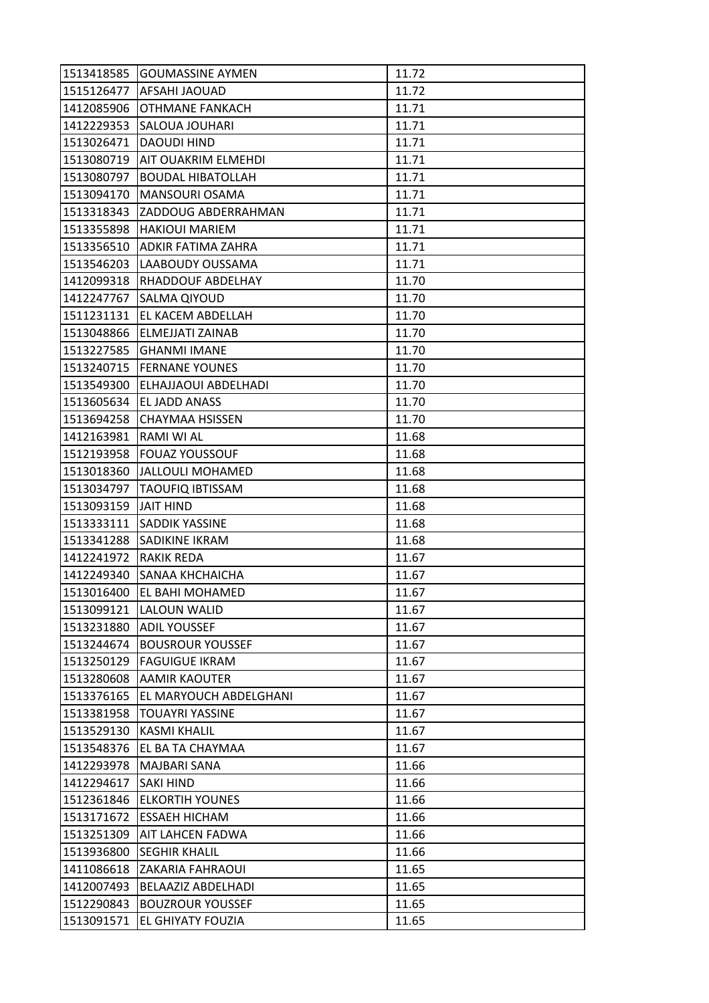| 1513418585 | <b>GOUMASSINE AYMEN</b>   | 11.72 |
|------------|---------------------------|-------|
| 1515126477 | <b>AFSAHI JAOUAD</b>      | 11.72 |
| 1412085906 | <b>OTHMANE FANKACH</b>    | 11.71 |
| 1412229353 | <b>SALOUA JOUHARI</b>     | 11.71 |
| 1513026471 | <b>DAOUDI HIND</b>        | 11.71 |
| 1513080719 | AIT OUAKRIM ELMEHDI       | 11.71 |
| 1513080797 | <b>BOUDAL HIBATOLLAH</b>  | 11.71 |
| 1513094170 | MANSOURI OSAMA            | 11.71 |
| 1513318343 | ZADDOUG ABDERRAHMAN       | 11.71 |
| 1513355898 | <b>HAKIOUI MARIEM</b>     | 11.71 |
| 1513356510 | <b>ADKIR FATIMA ZAHRA</b> | 11.71 |
| 1513546203 | LAABOUDY OUSSAMA          | 11.71 |
| 1412099318 | RHADDOUF ABDELHAY         | 11.70 |
| 1412247767 | <b>SALMA QIYOUD</b>       | 11.70 |
| 1511231131 | EL KACEM ABDELLAH         | 11.70 |
| 1513048866 | <b>ELMEJJATI ZAINAB</b>   | 11.70 |
| 1513227585 | <b>GHANMI IMANE</b>       | 11.70 |
| 1513240715 | <b>FERNANE YOUNES</b>     | 11.70 |
| 1513549300 | ELHAJJAOUI ABDELHADI      | 11.70 |
| 1513605634 | EL JADD ANASS             | 11.70 |
| 1513694258 | <b>CHAYMAA HSISSEN</b>    | 11.70 |
| 1412163981 | RAMI WI AL                | 11.68 |
| 1512193958 | <b>FOUAZ YOUSSOUF</b>     | 11.68 |
| 1513018360 | <b>JALLOULI MOHAMED</b>   | 11.68 |
| 1513034797 | <b>TAOUFIQ IBTISSAM</b>   | 11.68 |
| 1513093159 | <b>JAIT HIND</b>          | 11.68 |
| 1513333111 | SADDIK YASSINE            | 11.68 |
| 1513341288 | <b>SADIKINE IKRAM</b>     | 11.68 |
| 1412241972 | RAKIK REDA                | 11.67 |
| 1412249340 | <b>SANAA KHCHAICHA</b>    | 11.67 |
| 1513016400 | EL BAHI MOHAMED           | 11.67 |
| 1513099121 | <b>LALOUN WALID</b>       | 11.67 |
| 1513231880 | <b>ADIL YOUSSEF</b>       | 11.67 |
| 1513244674 | <b>BOUSROUR YOUSSEF</b>   | 11.67 |
| 1513250129 | <b>FAGUIGUE IKRAM</b>     | 11.67 |
| 1513280608 | AAMIR KAOUTER             | 11.67 |
| 1513376165 | EL MARYOUCH ABDELGHANI    | 11.67 |
| 1513381958 | <b>TOUAYRI YASSINE</b>    | 11.67 |
| 1513529130 | <b>KASMI KHALIL</b>       | 11.67 |
| 1513548376 | EL BA TA CHAYMAA          | 11.67 |
| 1412293978 | MAJBARI SANA              | 11.66 |
| 1412294617 | <b>SAKI HIND</b>          | 11.66 |
| 1512361846 | <b>ELKORTIH YOUNES</b>    | 11.66 |
| 1513171672 | <b>ESSAEH HICHAM</b>      | 11.66 |
| 1513251309 | <b>AIT LAHCEN FADWA</b>   | 11.66 |
| 1513936800 | <b>SEGHIR KHALIL</b>      | 11.66 |
| 1411086618 | <b>ZAKARIA FAHRAOUI</b>   | 11.65 |
| 1412007493 | BELAAZIZ ABDELHADI        | 11.65 |
| 1512290843 | <b>BOUZROUR YOUSSEF</b>   | 11.65 |
| 1513091571 | EL GHIYATY FOUZIA         | 11.65 |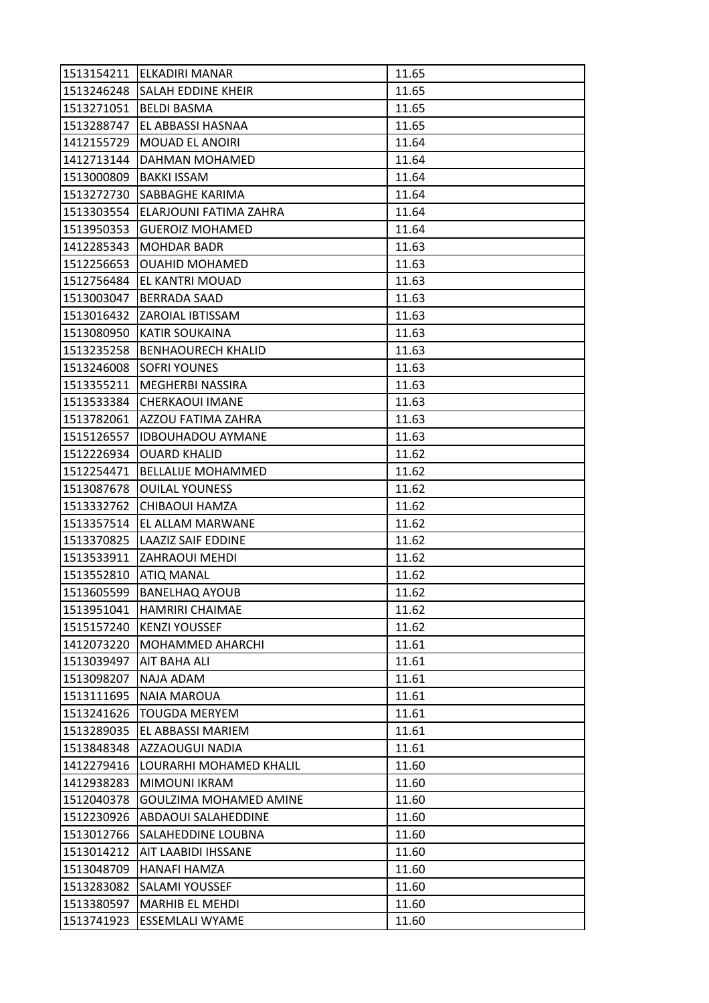| 1513154211 | <b>ELKADIRI MANAR</b>     | 11.65 |
|------------|---------------------------|-------|
| 1513246248 | <b>SALAH EDDINE KHEIR</b> | 11.65 |
| 1513271051 | <b>BELDI BASMA</b>        | 11.65 |
| 1513288747 | EL ABBASSI HASNAA         | 11.65 |
| 1412155729 | MOUAD EL ANOIRI           | 11.64 |
| 1412713144 | DAHMAN MOHAMED            | 11.64 |
| 1513000809 | <b>BAKKI ISSAM</b>        | 11.64 |
| 1513272730 | SABBAGHE KARIMA           | 11.64 |
| 1513303554 | ELARJOUNI FATIMA ZAHRA    | 11.64 |
| 1513950353 | <b>GUEROIZ MOHAMED</b>    | 11.64 |
| 1412285343 | <b>MOHDAR BADR</b>        | 11.63 |
| 1512256653 | <b>OUAHID MOHAMED</b>     | 11.63 |
| 1512756484 | EL KANTRI MOUAD           | 11.63 |
| 1513003047 | <b>BERRADA SAAD</b>       | 11.63 |
| 1513016432 | <b>ZAROIAL IBTISSAM</b>   | 11.63 |
|            | 1513080950 KATIR SOUKAINA | 11.63 |
| 1513235258 | <b>BENHAOURECH KHALID</b> | 11.63 |
| 1513246008 | <b>SOFRI YOUNES</b>       | 11.63 |
| 1513355211 | <b>MEGHERBI NASSIRA</b>   | 11.63 |
| 1513533384 | <b>CHERKAOUI IMANE</b>    | 11.63 |
| 1513782061 | AZZOU FATIMA ZAHRA        | 11.63 |
| 1515126557 | <b>IDBOUHADOU AYMANE</b>  | 11.63 |
| 1512226934 | <b>OUARD KHALID</b>       | 11.62 |
| 1512254471 | <b>BELLALIJE MOHAMMED</b> | 11.62 |
| 1513087678 | <b>OUILAL YOUNESS</b>     | 11.62 |
| 1513332762 | CHIBAOUI HAMZA            | 11.62 |
| 1513357514 | EL ALLAM MARWANE          | 11.62 |
| 1513370825 | <b>LAAZIZ SAIF EDDINE</b> | 11.62 |
| 1513533911 | <b>ZAHRAOUI MEHDI</b>     | 11.62 |
| 1513552810 | <b>ATIQ MANAL</b>         | 11.62 |
| 1513605599 | <b>BANELHAQ AYOUB</b>     | 11.62 |
| 1513951041 | <b>HAMRIRI CHAIMAE</b>    | 11.62 |
| 1515157240 | <b>KENZI YOUSSEF</b>      | 11.62 |
| 1412073220 | MOHAMMED AHARCHI          | 11.61 |
| 1513039497 | <b>AIT BAHA ALI</b>       | 11.61 |
| 1513098207 | NAJA ADAM                 | 11.61 |
| 1513111695 | <b>NAIA MAROUA</b>        | 11.61 |
| 1513241626 | <b>TOUGDA MERYEM</b>      | 11.61 |
| 1513289035 | EL ABBASSI MARIEM         | 11.61 |
| 1513848348 | <b>AZZAOUGUI NADIA</b>    | 11.61 |
| 1412279416 | LOURARHI MOHAMED KHALIL   | 11.60 |
| 1412938283 | MIMOUNI IKRAM             | 11.60 |
| 1512040378 | GOULZIMA MOHAMED AMINE    | 11.60 |
| 1512230926 | ABDAOUI SALAHEDDINE       | 11.60 |
| 1513012766 | SALAHEDDINE LOUBNA        | 11.60 |
| 1513014212 | AIT LAABIDI IHSSANE       | 11.60 |
| 1513048709 | <b>HANAFI HAMZA</b>       | 11.60 |
| 1513283082 | SALAMI YOUSSEF            | 11.60 |
| 1513380597 | <b>MARHIB EL MEHDI</b>    | 11.60 |
| 1513741923 | <b>ESSEMLALI WYAME</b>    | 11.60 |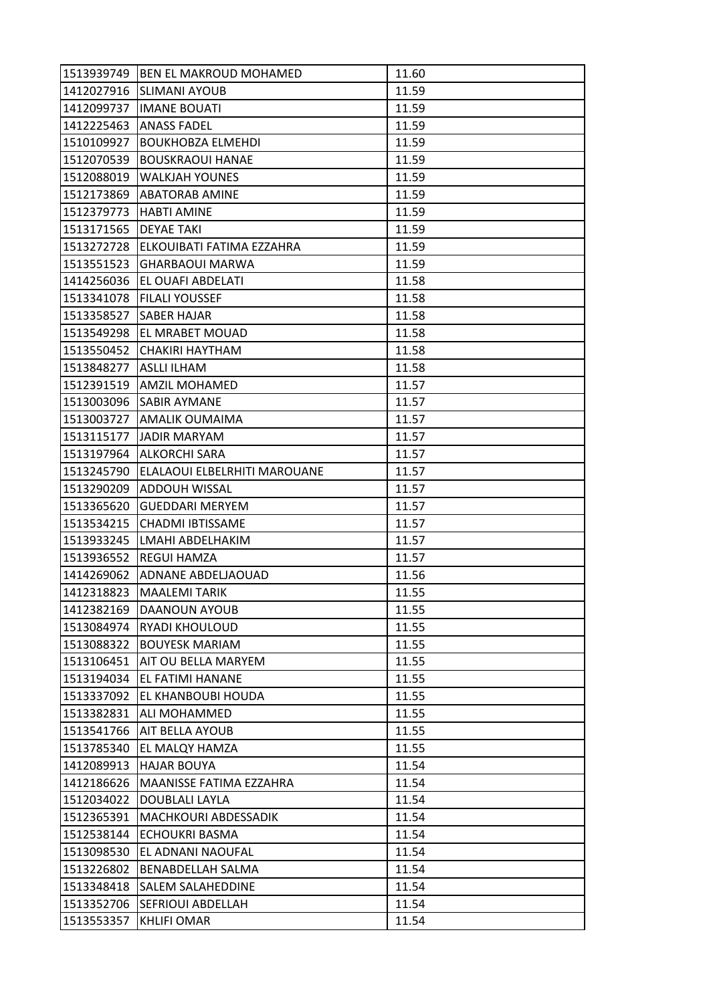| 1513939749 | <b>BEN EL MAKROUD MOHAMED</b> | 11.60 |
|------------|-------------------------------|-------|
| 1412027916 | <b>SLIMANI AYOUB</b>          | 11.59 |
| 1412099737 | <b>IMANE BOUATI</b>           | 11.59 |
| 1412225463 | <b>ANASS FADEL</b>            | 11.59 |
| 1510109927 | <b>BOUKHOBZA ELMEHDI</b>      | 11.59 |
| 1512070539 | <b>BOUSKRAOUI HANAE</b>       | 11.59 |
| 1512088019 | <b>WALKJAH YOUNES</b>         | 11.59 |
| 1512173869 | <b>ABATORAB AMINE</b>         | 11.59 |
| 1512379773 | <b>HABTI AMINE</b>            | 11.59 |
| 1513171565 | <b>DEYAE TAKI</b>             | 11.59 |
| 1513272728 | ELKOUIBATI FATIMA EZZAHRA     | 11.59 |
| 1513551523 | <b>GHARBAOUI MARWA</b>        | 11.59 |
| 1414256036 | EL OUAFI ABDELATI             | 11.58 |
| 1513341078 | <b>FILALI YOUSSEF</b>         | 11.58 |
| 1513358527 | <b>SABER HAJAR</b>            | 11.58 |
|            | 1513549298 EL MRABET MOUAD    | 11.58 |
| 1513550452 | CHAKIRI HAYTHAM               | 11.58 |
| 1513848277 | <b>ASLLI ILHAM</b>            | 11.58 |
| 1512391519 | <b>AMZIL MOHAMED</b>          | 11.57 |
|            | 1513003096 SABIR AYMANE       | 11.57 |
|            | 1513003727 AMALIK OUMAIMA     | 11.57 |
| 1513115177 | <b>JADIR MARYAM</b>           | 11.57 |
| 1513197964 | <b>ALKORCHI SARA</b>          | 11.57 |
| 1513245790 | ELALAOUI ELBELRHITI MAROUANE  | 11.57 |
| 1513290209 | <b>ADDOUH WISSAL</b>          | 11.57 |
| 1513365620 | <b>GUEDDARI MERYEM</b>        | 11.57 |
| 1513534215 | <b>CHADMI IBTISSAME</b>       | 11.57 |
| 1513933245 | LMAHI ABDELHAKIM              | 11.57 |
| 1513936552 | <b>REGUI HAMZA</b>            | 11.57 |
| 1414269062 | ADNANE ABDELJAOUAD            | 11.56 |
| 1412318823 | <b>MAALEMI TARIK</b>          | 11.55 |
| 1412382169 | DAANOUN AYOUB                 | 11.55 |
| 1513084974 | <b>RYADI KHOULOUD</b>         | 11.55 |
| 1513088322 | <b>BOUYESK MARIAM</b>         | 11.55 |
| 1513106451 | AIT OU BELLA MARYEM           | 11.55 |
| 1513194034 | EL FATIMI HANANE              | 11.55 |
| 1513337092 | EL KHANBOUBI HOUDA            | 11.55 |
| 1513382831 | ALI MOHAMMED                  | 11.55 |
| 1513541766 | AIT BELLA AYOUB               | 11.55 |
| 1513785340 | EL MALQY HAMZA                | 11.55 |
| 1412089913 | <b>HAJAR BOUYA</b>            | 11.54 |
| 1412186626 | MAANISSE FATIMA EZZAHRA       | 11.54 |
| 1512034022 | DOUBLALI LAYLA                | 11.54 |
| 1512365391 | <b>MACHKOURI ABDESSADIK</b>   | 11.54 |
| 1512538144 | ECHOUKRI BASMA                | 11.54 |
| 1513098530 | EL ADNANI NAOUFAL             | 11.54 |
| 1513226802 | BENABDELLAH SALMA             | 11.54 |
| 1513348418 | <b>SALEM SALAHEDDINE</b>      | 11.54 |
| 1513352706 | <b>SEFRIOUI ABDELLAH</b>      | 11.54 |
| 1513553357 | <b>KHLIFI OMAR</b>            | 11.54 |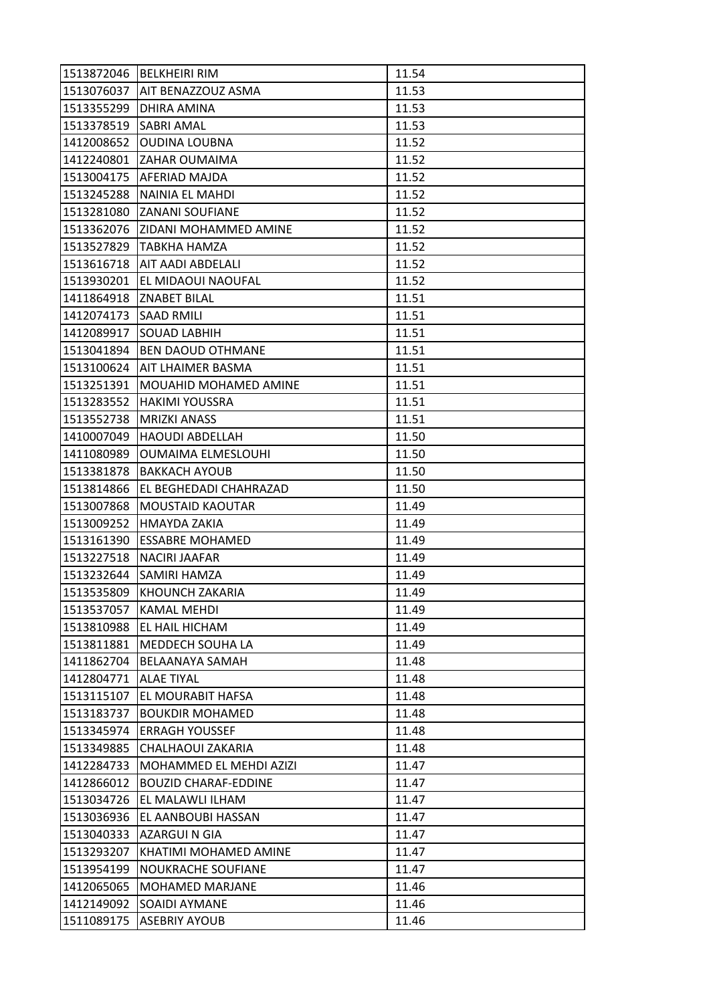| 1513872046 | <b>BELKHEIRI RIM</b>        | 11.54 |
|------------|-----------------------------|-------|
| 1513076037 | <b>AIT BENAZZOUZ ASMA</b>   | 11.53 |
| 1513355299 | DHIRA AMINA                 | 11.53 |
| 1513378519 | <b>SABRI AMAL</b>           | 11.53 |
| 1412008652 | <b>OUDINA LOUBNA</b>        | 11.52 |
|            | 1412240801 ZAHAR OUMAIMA    | 11.52 |
| 1513004175 | <b>AFERIAD MAJDA</b>        | 11.52 |
| 1513245288 | NAINIA EL MAHDI             | 11.52 |
| 1513281080 | <b>ZANANI SOUFIANE</b>      | 11.52 |
| 1513362076 | IZIDANI MOHAMMED AMINE      | 11.52 |
| 1513527829 | ITABKHA HAMZA               | 11.52 |
| 1513616718 | <b>AIT AADI ABDELALI</b>    | 11.52 |
| 1513930201 | EL MIDAOUI NAOUFAL          | 11.52 |
| 1411864918 | <b>ZNABET BILAL</b>         | 11.51 |
| 1412074173 | <b>SAAD RMILI</b>           | 11.51 |
|            | 1412089917 SOUAD LABHIH     | 11.51 |
| 1513041894 | <b>BEN DAOUD OTHMANE</b>    | 11.51 |
| 1513100624 | AIT LHAIMER BASMA           | 11.51 |
| 1513251391 | MOUAHID MOHAMED AMINE       | 11.51 |
| 1513283552 | <b>HAKIMI YOUSSRA</b>       | 11.51 |
| 1513552738 | <b>MRIZKI ANASS</b>         | 11.51 |
| 1410007049 | <b>HAOUDI ABDELLAH</b>      | 11.50 |
| 1411080989 | <b>OUMAIMA ELMESLOUHI</b>   | 11.50 |
| 1513381878 | <b>BAKKACH AYOUB</b>        | 11.50 |
| 1513814866 | EL BEGHEDADI CHAHRAZAD      | 11.50 |
| 1513007868 | <b>MOUSTAID KAOUTAR</b>     | 11.49 |
| 1513009252 | HMAYDA ZAKIA                | 11.49 |
| 1513161390 | <b>ESSABRE MOHAMED</b>      | 11.49 |
| 1513227518 | <b>NACIRI JAAFAR</b>        | 11.49 |
|            | 1513232644 SAMIRI HAMZA     | 11.49 |
| 1513535809 | KHOUNCH ZAKARIA             | 11.49 |
| 1513537057 | <b>KAMAL MEHDI</b>          | 11.49 |
| 1513810988 | EL HAIL HICHAM              | 11.49 |
| 1513811881 | MEDDECH SOUHA LA            | 11.49 |
| 1411862704 | BELAANAYA SAMAH             | 11.48 |
| 1412804771 | <b>ALAE TIYAL</b>           | 11.48 |
| 1513115107 | EL MOURABIT HAFSA           | 11.48 |
| 1513183737 | <b>BOUKDIR MOHAMED</b>      | 11.48 |
| 1513345974 | <b>ERRAGH YOUSSEF</b>       | 11.48 |
| 1513349885 | CHALHAOUI ZAKARIA           | 11.48 |
| 1412284733 | MOHAMMED EL MEHDI AZIZI     | 11.47 |
| 1412866012 | <b>BOUZID CHARAF-EDDINE</b> | 11.47 |
| 1513034726 | EL MALAWLI ILHAM            | 11.47 |
| 1513036936 | EL AANBOUBI HASSAN          | 11.47 |
| 1513040333 | <b>AZARGUI N GIA</b>        | 11.47 |
| 1513293207 | KHATIMI MOHAMED AMINE       | 11.47 |
| 1513954199 | NOUKRACHE SOUFIANE          | 11.47 |
| 1412065065 | <b>MOHAMED MARJANE</b>      | 11.46 |
| 1412149092 | <b>SOAIDI AYMANE</b>        | 11.46 |
| 1511089175 | <b>ASEBRIY AYOUB</b>        | 11.46 |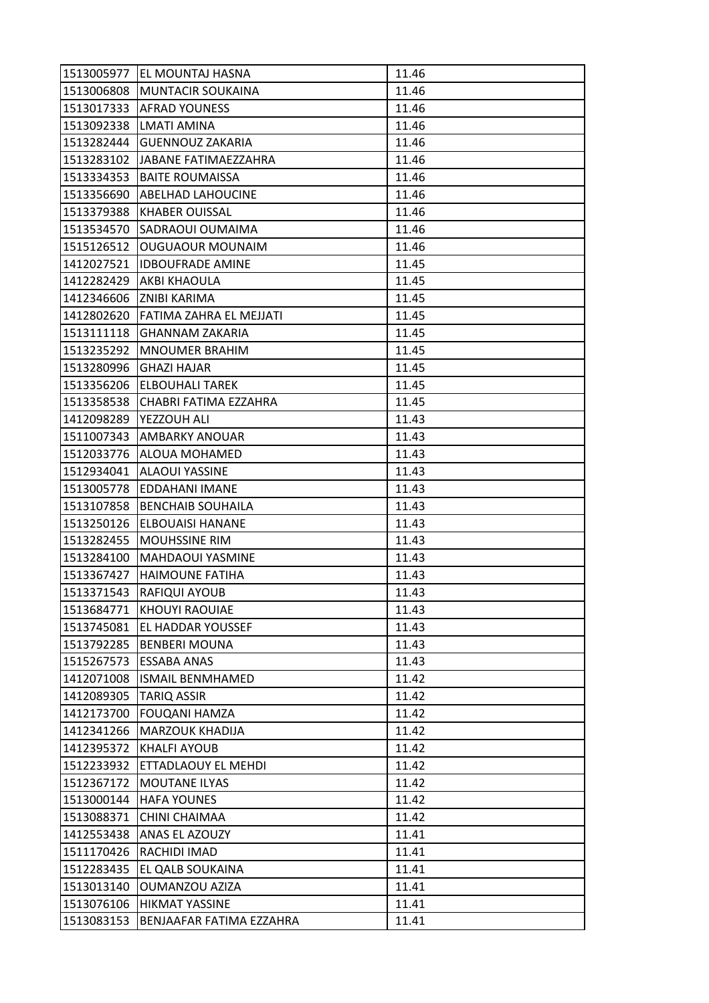| 1513005977 | <b>EL MOUNTAJ HASNA</b>          | 11.46 |
|------------|----------------------------------|-------|
|            | 1513006808 MUNTACIR SOUKAINA     | 11.46 |
|            | 1513017333   AFRAD YOUNESS       | 11.46 |
| 1513092338 | <b>LMATI AMINA</b>               | 11.46 |
| 1513282444 | <b>GUENNOUZ ZAKARIA</b>          | 11.46 |
|            | 1513283102 JJABANE FATIMAEZZAHRA | 11.46 |
| 1513334353 | <b>BAITE ROUMAISSA</b>           | 11.46 |
| 1513356690 | <b>ABELHAD LAHOUCINE</b>         | 11.46 |
| 1513379388 | <b>KHABER OUISSAL</b>            | 11.46 |
| 1513534570 | <b>SADRAOUI OUMAIMA</b>          | 11.46 |
| 1515126512 | <b>OUGUAOUR MOUNAIM</b>          | 11.46 |
| 1412027521 | <b>IDBOUFRADE AMINE</b>          | 11.45 |
| 1412282429 | AKBI KHAOULA                     | 11.45 |
| 1412346606 | <b>ZNIBI KARIMA</b>              | 11.45 |
| 1412802620 | FATIMA ZAHRA EL MEJJATI          | 11.45 |
| 1513111118 | <b>GHANNAM ZAKARIA</b>           | 11.45 |
| 1513235292 | <b>MNOUMER BRAHIM</b>            | 11.45 |
| 1513280996 | <b>GHAZI HAJAR</b>               | 11.45 |
| 1513356206 | <b>ELBOUHALI TAREK</b>           | 11.45 |
| 1513358538 | CHABRI FATIMA EZZAHRA            | 11.45 |
| 1412098289 | YEZZOUH ALI                      | 11.43 |
| 1511007343 | <b>AMBARKY ANOUAR</b>            | 11.43 |
| 1512033776 | ALOUA MOHAMED                    | 11.43 |
| 1512934041 | <b>ALAOUI YASSINE</b>            | 11.43 |
| 1513005778 | EDDAHANI IMANE                   | 11.43 |
| 1513107858 | <b>BENCHAIB SOUHAILA</b>         | 11.43 |
| 1513250126 | <b>ELBOUAISI HANANE</b>          | 11.43 |
| 1513282455 | <b>MOUHSSINE RIM</b>             | 11.43 |
| 1513284100 | <b>MAHDAOUI YASMINE</b>          | 11.43 |
| 1513367427 | <b>HAIMOUNE FATIHA</b>           | 11.43 |
| 1513371543 | <b>RAFIQUI AYOUB</b>             | 11.43 |
| 1513684771 | <b>KHOUYI RAOUIAE</b>            | 11.43 |
| 1513745081 | <b>EL HADDAR YOUSSEF</b>         | 11.43 |
| 1513792285 | <b>BENBERI MOUNA</b>             | 11.43 |
| 1515267573 | <b>ESSABA ANAS</b>               | 11.43 |
| 1412071008 | <b>ISMAIL BENMHAMED</b>          | 11.42 |
| 1412089305 | <b>TARIQ ASSIR</b>               | 11.42 |
| 1412173700 | <b>FOUQANI HAMZA</b>             | 11.42 |
| 1412341266 | <b>MARZOUK KHADIJA</b>           | 11.42 |
| 1412395372 | <b>KHALFI AYOUB</b>              | 11.42 |
| 1512233932 | ETTADLAOUY EL MEHDI              | 11.42 |
| 1512367172 | MOUTANE ILYAS                    | 11.42 |
| 1513000144 | <b>HAFA YOUNES</b>               | 11.42 |
| 1513088371 | CHINI CHAIMAA                    | 11.42 |
| 1412553438 | ANAS EL AZOUZY                   | 11.41 |
| 1511170426 | RACHIDI IMAD                     | 11.41 |
| 1512283435 | EL QALB SOUKAINA                 | 11.41 |
| 1513013140 | <b>OUMANZOU AZIZA</b>            | 11.41 |
| 1513076106 | <b>HIKMAT YASSINE</b>            | 11.41 |
| 1513083153 | BENJAAFAR FATIMA EZZAHRA         | 11.41 |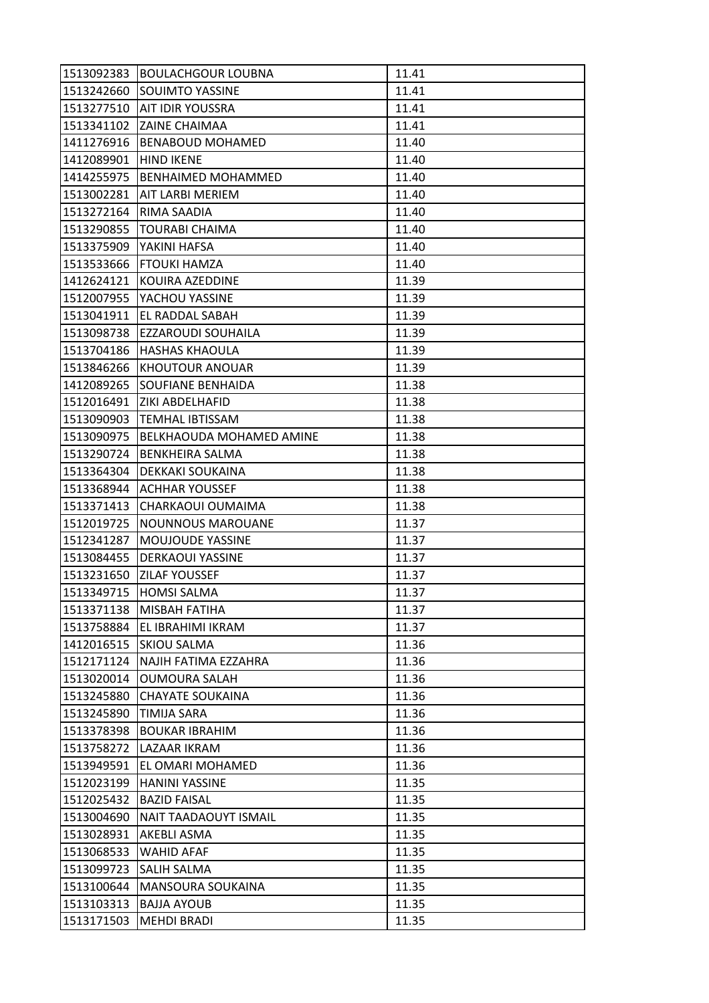| 1513092383 | <b>BOULACHGOUR LOUBNA</b> | 11.41 |
|------------|---------------------------|-------|
| 1513242660 | <b>SOUIMTO YASSINE</b>    | 11.41 |
| 1513277510 | <b>JAIT IDIR YOUSSRA</b>  | 11.41 |
| 1513341102 | <b>ZAINE CHAIMAA</b>      | 11.41 |
| 1411276916 | <b>BENABOUD MOHAMED</b>   | 11.40 |
| 1412089901 | <b>HIND IKENE</b>         | 11.40 |
| 1414255975 | <b>BENHAIMED MOHAMMED</b> | 11.40 |
| 1513002281 | AIT LARBI MERIEM          | 11.40 |
| 1513272164 | RIMA SAADIA               | 11.40 |
| 1513290855 | <b>TOURABI CHAIMA</b>     | 11.40 |
| 1513375909 | YAKINI HAFSA              | 11.40 |
| 1513533666 | <b>FTOUKI HAMZA</b>       | 11.40 |
| 1412624121 | KOUIRA AZEDDINE           | 11.39 |
| 1512007955 | YACHOU YASSINE            | 11.39 |
| 1513041911 | EL RADDAL SABAH           | 11.39 |
| 1513098738 | <b>EZZAROUDI SOUHAILA</b> | 11.39 |
| 1513704186 | <b>HASHAS KHAOULA</b>     | 11.39 |
| 1513846266 | KHOUTOUR ANOUAR           | 11.39 |
| 1412089265 | <b>SOUFIANE BENHAIDA</b>  | 11.38 |
| 1512016491 | IZIKI ABDELHAFID          | 11.38 |
| 1513090903 | <b>TEMHAL IBTISSAM</b>    | 11.38 |
| 1513090975 | BELKHAOUDA MOHAMED AMINE  | 11.38 |
| 1513290724 | <b>BENKHEIRA SALMA</b>    | 11.38 |
| 1513364304 | DEKKAKI SOUKAINA          | 11.38 |
| 1513368944 | IACHHAR YOUSSEF           | 11.38 |
| 1513371413 | CHARKAOUI OUMAIMA         | 11.38 |
| 1512019725 | NOUNNOUS MAROUANE         | 11.37 |
| 1512341287 | MOUJOUDE YASSINE          | 11.37 |
| 1513084455 | <b>DERKAOUI YASSINE</b>   | 11.37 |
| 1513231650 | <b>IZILAF YOUSSEF</b>     | 11.37 |
| 1513349715 | <b>HOMSI SALMA</b>        | 11.37 |
| 1513371138 | MISBAH FATIHA             | 11.37 |
| 1513758884 | EL IBRAHIMI IKRAM         | 11.37 |
| 1412016515 | <b>SKIOU SALMA</b>        | 11.36 |
| 1512171124 | NAJIH FATIMA EZZAHRA      | 11.36 |
| 1513020014 | <b>OUMOURA SALAH</b>      | 11.36 |
| 1513245880 | <b>CHAYATE SOUKAINA</b>   | 11.36 |
| 1513245890 | <b>TIMIJA SARA</b>        | 11.36 |
| 1513378398 | <b>BOUKAR IBRAHIM</b>     | 11.36 |
| 1513758272 | LAZAAR IKRAM              | 11.36 |
| 1513949591 | EL OMARI MOHAMED          | 11.36 |
| 1512023199 | <b>HANINI YASSINE</b>     | 11.35 |
| 1512025432 | <b>BAZID FAISAL</b>       | 11.35 |
| 1513004690 | NAIT TAADAOUYT ISMAIL     | 11.35 |
| 1513028931 | <b>AKEBLI ASMA</b>        | 11.35 |
| 1513068533 | WAHID AFAF                | 11.35 |
| 1513099723 | <b>SALIH SALMA</b>        | 11.35 |
| 1513100644 | MANSOURA SOUKAINA         | 11.35 |
| 1513103313 | <b>BAJJA AYOUB</b>        | 11.35 |
| 1513171503 | <b>MEHDI BRADI</b>        | 11.35 |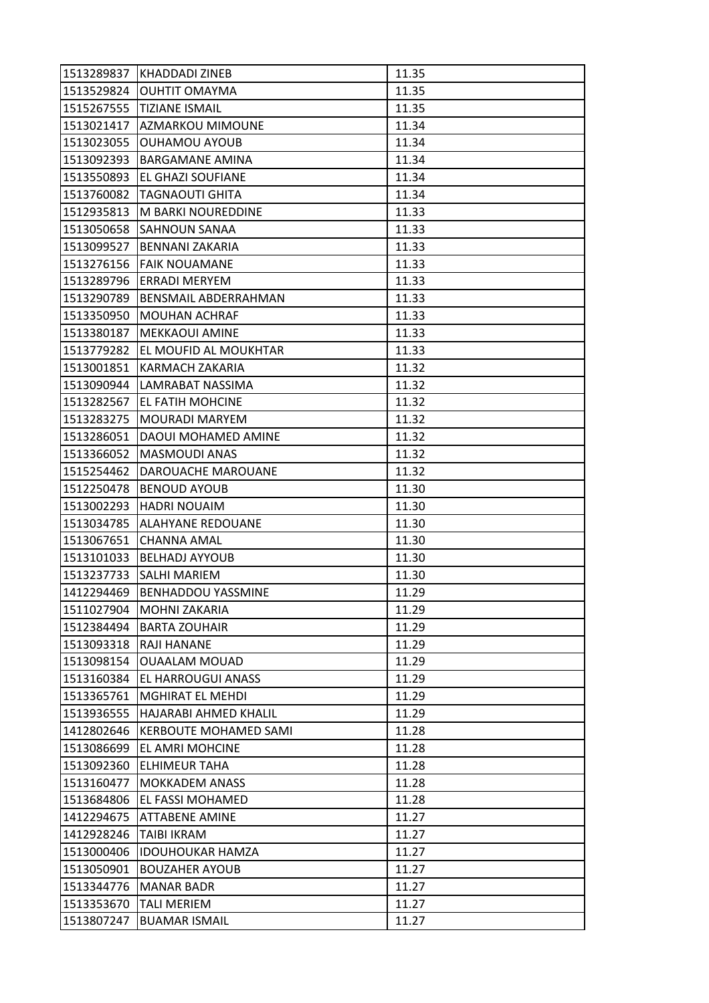| 1513289837 | KHADDADI ZINEB               | 11.35 |
|------------|------------------------------|-------|
| 1513529824 | <b>OUHTIT OMAYMA</b>         | 11.35 |
| 1515267555 | <b>TIZIANE ISMAIL</b>        | 11.35 |
| 1513021417 | AZMARKOU MIMOUNE             | 11.34 |
| 1513023055 | <b>OUHAMOU AYOUB</b>         | 11.34 |
| 1513092393 | <b>BARGAMANE AMINA</b>       | 11.34 |
| 1513550893 | <b>EL GHAZI SOUFIANE</b>     | 11.34 |
| 1513760082 | <b>TAGNAOUTI GHITA</b>       | 11.34 |
| 1512935813 | M BARKI NOUREDDINE           | 11.33 |
| 1513050658 | <b>SAHNOUN SANAA</b>         | 11.33 |
| 1513099527 | <b>BENNANI ZAKARIA</b>       | 11.33 |
| 1513276156 | <b>FAIK NOUAMANE</b>         | 11.33 |
| 1513289796 | ERRADI MERYEM                | 11.33 |
| 1513290789 | <b>BENSMAIL ABDERRAHMAN</b>  | 11.33 |
| 1513350950 | <b>MOUHAN ACHRAF</b>         | 11.33 |
| 1513380187 | <b>MEKKAOUI AMINE</b>        | 11.33 |
| 1513779282 | EL MOUFID AL MOUKHTAR        | 11.33 |
| 1513001851 | KARMACH ZAKARIA              | 11.32 |
| 1513090944 | LAMRABAT NASSIMA             | 11.32 |
| 1513282567 | EL FATIH MOHCINE             | 11.32 |
| 1513283275 | MOURADI MARYEM               | 11.32 |
| 1513286051 | DAOUI MOHAMED AMINE          | 11.32 |
| 1513366052 | <b>MASMOUDI ANAS</b>         | 11.32 |
| 1515254462 | DAROUACHE MAROUANE           | 11.32 |
| 1512250478 | <b>BENOUD AYOUB</b>          | 11.30 |
| 1513002293 | <b>HADRI NOUAIM</b>          | 11.30 |
| 1513034785 | <b>ALAHYANE REDOUANE</b>     | 11.30 |
| 1513067651 | <b>CHANNA AMAL</b>           | 11.30 |
| 1513101033 | <b>BELHADJ AYYOUB</b>        | 11.30 |
|            | 1513237733 SALHI MARIEM      | 11.30 |
| 1412294469 | <b>BENHADDOU YASSMINE</b>    | 11.29 |
| 1511027904 | <b>MOHNI ZAKARIA</b>         | 11.29 |
| 1512384494 | <b>BARTA ZOUHAIR</b>         | 11.29 |
| 1513093318 | <b>RAJI HANANE</b>           | 11.29 |
| 1513098154 | <b>OUAALAM MOUAD</b>         | 11.29 |
| 1513160384 | EL HARROUGUI ANASS           | 11.29 |
| 1513365761 | <b>MGHIRAT EL MEHDI</b>      | 11.29 |
| 1513936555 | HAJARABI AHMED KHALIL        | 11.29 |
| 1412802646 | <b>KERBOUTE MOHAMED SAMI</b> | 11.28 |
| 1513086699 | EL AMRI MOHCINE              | 11.28 |
| 1513092360 | ELHIMEUR TAHA                | 11.28 |
| 1513160477 | <b>MOKKADEM ANASS</b>        | 11.28 |
| 1513684806 | EL FASSI MOHAMED             | 11.28 |
| 1412294675 | <b>ATTABENE AMINE</b>        | 11.27 |
| 1412928246 | <b>TAIBI IKRAM</b>           | 11.27 |
| 1513000406 | <b>IDOUHOUKAR HAMZA</b>      | 11.27 |
| 1513050901 | <b>BOUZAHER AYOUB</b>        | 11.27 |
| 1513344776 | <b>MANAR BADR</b>            | 11.27 |
| 1513353670 | <b>TALI MERIEM</b>           | 11.27 |
| 1513807247 | <b>BUAMAR ISMAIL</b>         | 11.27 |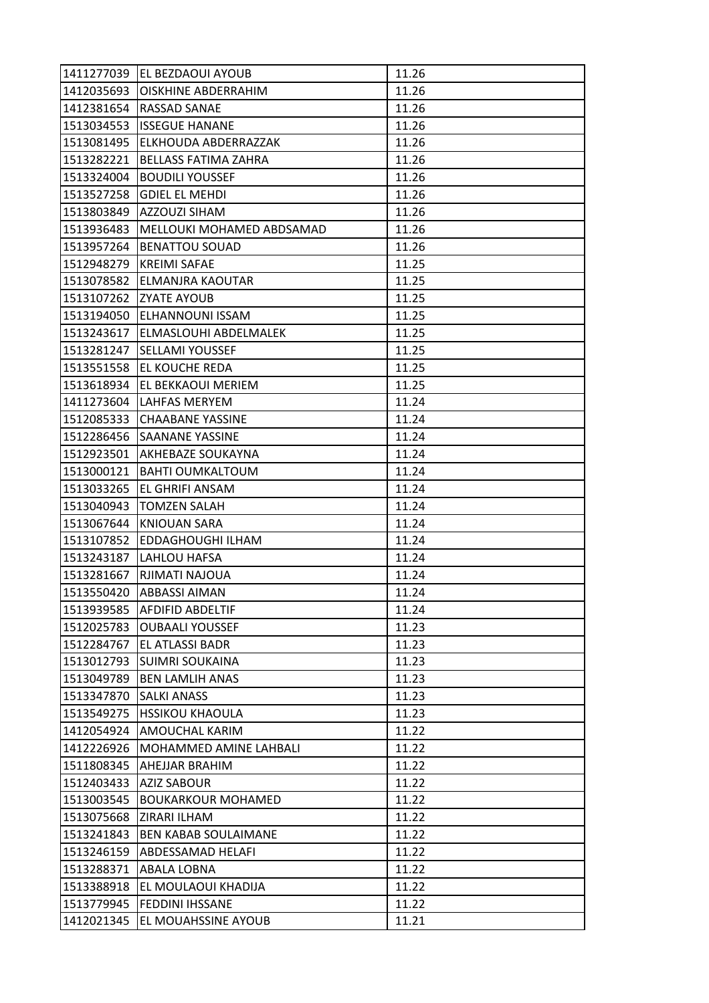| 1411277039 | <b>IEL BEZDAOUI AYOUB</b>         | 11.26 |
|------------|-----------------------------------|-------|
| 1412035693 | <b>OISKHINE ABDERRAHIM</b>        | 11.26 |
| 1412381654 | <b>RASSAD SANAE</b>               | 11.26 |
| 1513034553 | <b>ISSEGUE HANANE</b>             | 11.26 |
| 1513081495 | ELKHOUDA ABDERRAZZAK              | 11.26 |
| 1513282221 | <b>BELLASS FATIMA ZAHRA</b>       | 11.26 |
| 1513324004 | <b>BOUDILI YOUSSEF</b>            | 11.26 |
| 1513527258 | <b>GDIEL EL MEHDI</b>             | 11.26 |
| 1513803849 | <b>AZZOUZI SIHAM</b>              | 11.26 |
| 1513936483 | MELLOUKI MOHAMED ABDSAMAD         | 11.26 |
| 1513957264 | <b>BENATTOU SOUAD</b>             | 11.26 |
| 1512948279 | <b>KREIMI SAFAE</b>               | 11.25 |
| 1513078582 | ELMANJRA KAOUTAR                  | 11.25 |
| 1513107262 | <b>ZYATE AYOUB</b>                | 11.25 |
| 1513194050 | <b>ELHANNOUNI ISSAM</b>           | 11.25 |
|            | 1513243617  ELMASLOUHI ABDELMALEK | 11.25 |
| 1513281247 | <b>SELLAMI YOUSSEF</b>            | 11.25 |
| 1513551558 | EL KOUCHE REDA                    | 11.25 |
| 1513618934 | EL BEKKAOUI MERIEM                | 11.25 |
| 1411273604 | LAHFAS MERYEM                     | 11.24 |
| 1512085333 | <b>CHAABANE YASSINE</b>           | 11.24 |
| 1512286456 | <b>SAANANE YASSINE</b>            | 11.24 |
| 1512923501 | AKHEBAZE SOUKAYNA                 | 11.24 |
| 1513000121 | <b>BAHTI OUMKALTOUM</b>           | 11.24 |
| 1513033265 | EL GHRIFI ANSAM                   | 11.24 |
| 1513040943 | <b>TOMZEN SALAH</b>               | 11.24 |
| 1513067644 | <b>KNIOUAN SARA</b>               | 11.24 |
| 1513107852 | EDDAGHOUGHI ILHAM                 | 11.24 |
| 1513243187 | LAHLOU HAFSA                      | 11.24 |
| 1513281667 | RJIMATI NAJOUA                    | 11.24 |
| 1513550420 | <b>ABBASSI AIMAN</b>              | 11.24 |
| 1513939585 | <b>AFDIFID ABDELTIF</b>           | 11.24 |
| 1512025783 | <b>OUBAALI YOUSSEF</b>            | 11.23 |
| 1512284767 | EL ATLASSI BADR                   | 11.23 |
| 1513012793 | <b>SUIMRI SOUKAINA</b>            | 11.23 |
| 1513049789 | <b>BEN LAMLIH ANAS</b>            | 11.23 |
| 1513347870 | <b>SALKI ANASS</b>                | 11.23 |
| 1513549275 | <b>HSSIKOU KHAOULA</b>            | 11.23 |
| 1412054924 | AMOUCHAL KARIM                    | 11.22 |
| 1412226926 | MOHAMMED AMINE LAHBALI            | 11.22 |
| 1511808345 | <b>AHEJJAR BRAHIM</b>             | 11.22 |
| 1512403433 | <b>AZIZ SABOUR</b>                | 11.22 |
| 1513003545 | <b>BOUKARKOUR MOHAMED</b>         | 11.22 |
| 1513075668 | ZIRARI ILHAM                      | 11.22 |
| 1513241843 | <b>BEN KABAB SOULAIMANE</b>       | 11.22 |
| 1513246159 | <b>ABDESSAMAD HELAFI</b>          | 11.22 |
| 1513288371 | <b>ABALA LOBNA</b>                | 11.22 |
| 1513388918 | EL MOULAOUI KHADIJA               | 11.22 |
| 1513779945 | <b>FEDDINI IHSSANE</b>            | 11.22 |
| 1412021345 | EL MOUAHSSINE AYOUB               | 11.21 |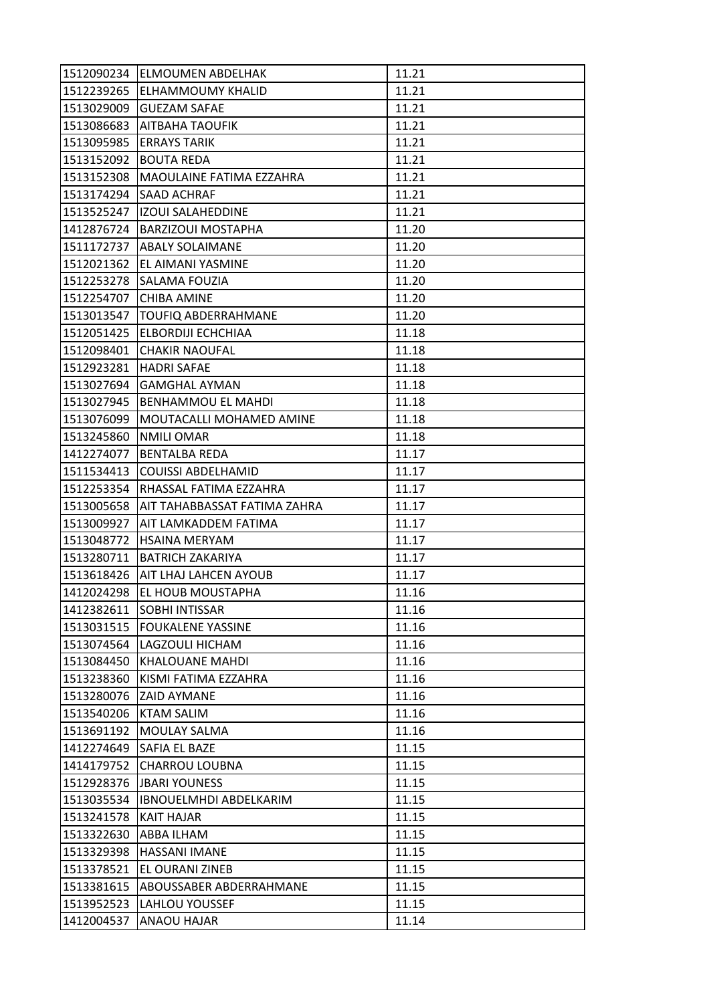| 1512090234 | <b>IELMOUMEN ABDELHAK</b>           | 11.21 |
|------------|-------------------------------------|-------|
|            | 1512239265 ELHAMMOUMY KHALID        | 11.21 |
| 1513029009 | <b>GUEZAM SAFAE</b>                 | 11.21 |
| 1513086683 | <b>AITBAHA TAOUFIK</b>              | 11.21 |
| 1513095985 | <b>ERRAYS TARIK</b>                 | 11.21 |
| 1513152092 | <b>BOUTA REDA</b>                   | 11.21 |
| 1513152308 | MAOULAINE FATIMA EZZAHRA            | 11.21 |
| 1513174294 | <b>SAAD ACHRAF</b>                  | 11.21 |
| 1513525247 | <b>IZOUI SALAHEDDINE</b>            | 11.21 |
| 1412876724 | <b>BARZIZOUI MOSTAPHA</b>           | 11.20 |
|            | 1511172737  ABALY SOLAIMANE         | 11.20 |
| 1512021362 | EL AIMANI YASMINE                   | 11.20 |
| 1512253278 | ISALAMA FOUZIA                      | 11.20 |
| 1512254707 | <b>CHIBA AMINE</b>                  | 11.20 |
| 1513013547 | TOUFIQ ABDERRAHMANE                 | 11.20 |
|            | 1512051425 ELBORDIJI ECHCHIAA       | 11.18 |
| 1512098401 | <b>CHAKIR NAOUFAL</b>               | 11.18 |
| 1512923281 | <b>HADRI SAFAE</b>                  | 11.18 |
| 1513027694 | <b>GAMGHAL AYMAN</b>                | 11.18 |
| 1513027945 | <b>BENHAMMOU EL MAHDI</b>           | 11.18 |
| 1513076099 | MOUTACALLI MOHAMED AMINE            | 11.18 |
| 1513245860 | <b>NMILI OMAR</b>                   | 11.18 |
| 1412274077 | <b>BENTALBA REDA</b>                | 11.17 |
| 1511534413 | <b>COUISSI ABDELHAMID</b>           | 11.17 |
| 1512253354 | RHASSAL FATIMA EZZAHRA              | 11.17 |
| 1513005658 | <b>AIT TAHABBASSAT FATIMA ZAHRA</b> | 11.17 |
| 1513009927 | IAIT LAMKADDEM FATIMA               | 11.17 |
| 1513048772 | <b>HSAINA MERYAM</b>                | 11.17 |
| 1513280711 | IBATRICH ZAKARIYA                   | 11.17 |
|            | 1513618426 AIT LHAJ LAHCEN AYOUB    | 11.17 |
| 1412024298 | EL HOUB MOUSTAPHA                   | 11.16 |
| 1412382611 | <b>SOBHI INTISSAR</b>               | 11.16 |
|            | 1513031515   FOUKALENE YASSINE      | 11.16 |
| 1513074564 | LAGZOULI HICHAM                     | 11.16 |
| 1513084450 | <b>KHALOUANE MAHDI</b>              | 11.16 |
| 1513238360 | KISMI FATIMA EZZAHRA                | 11.16 |
| 1513280076 | <b>ZAID AYMANE</b>                  | 11.16 |
| 1513540206 | <b>KTAM SALIM</b>                   | 11.16 |
| 1513691192 | MOULAY SALMA                        | 11.16 |
| 1412274649 | SAFIA EL BAZE                       | 11.15 |
| 1414179752 | <b>CHARROU LOUBNA</b>               | 11.15 |
| 1512928376 | <b>JBARI YOUNESS</b>                | 11.15 |
| 1513035534 | <b>IBNOUELMHDI ABDELKARIM</b>       | 11.15 |
| 1513241578 | KAIT HAJAR                          | 11.15 |
| 1513322630 | <b>ABBA ILHAM</b>                   | 11.15 |
| 1513329398 | <b>HASSANI IMANE</b>                | 11.15 |
| 1513378521 | EL OURANI ZINEB                     | 11.15 |
| 1513381615 | ABOUSSABER ABDERRAHMANE             | 11.15 |
| 1513952523 | <b>LAHLOU YOUSSEF</b>               | 11.15 |
| 1412004537 | ANAOU HAJAR                         | 11.14 |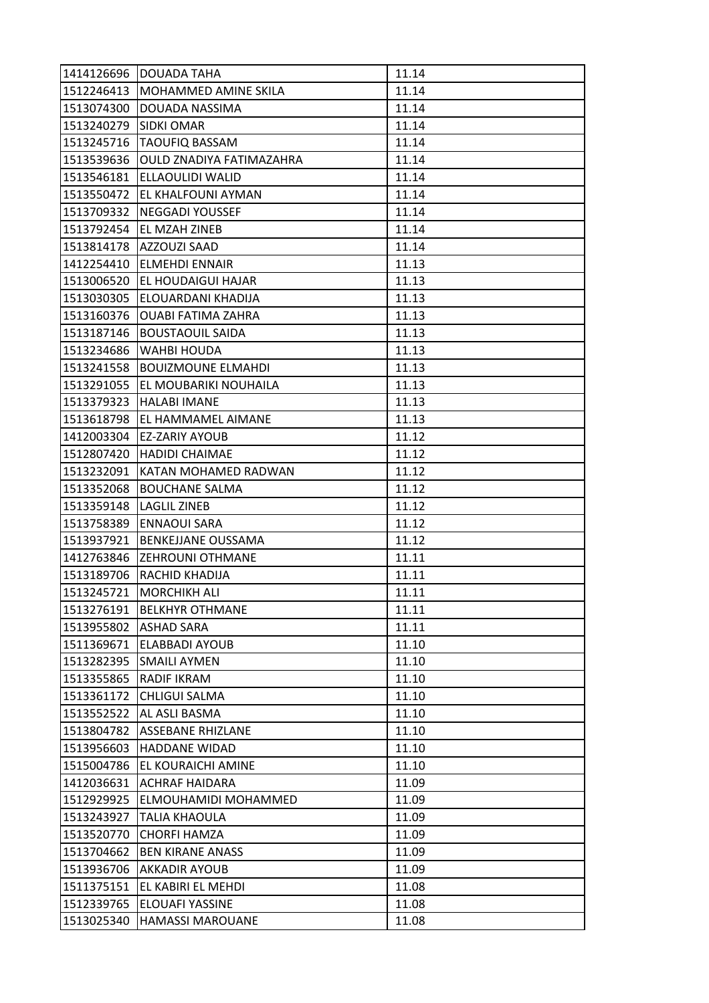| 1414126696 | DOUADA TAHA                     | 11.14 |
|------------|---------------------------------|-------|
| 1512246413 | MOHAMMED AMINE SKILA            | 11.14 |
| 1513074300 | DOUADA NASSIMA                  | 11.14 |
| 1513240279 | <b>SIDKI OMAR</b>               | 11.14 |
| 1513245716 | <b>TAOUFIQ BASSAM</b>           | 11.14 |
| 1513539636 | OULD ZNADIYA FATIMAZAHRA        | 11.14 |
| 1513546181 | <b>ELLAOULIDI WALID</b>         | 11.14 |
| 1513550472 | EL KHALFOUNI AYMAN              | 11.14 |
| 1513709332 | <b>NEGGADI YOUSSEF</b>          | 11.14 |
| 1513792454 | EL MZAH ZINEB                   | 11.14 |
|            | 1513814178  AZZOUZI SAAD        | 11.14 |
| 1412254410 | <b>ELMEHDI ENNAIR</b>           | 11.13 |
| 1513006520 | EL HOUDAIGUI HAJAR              | 11.13 |
| 1513030305 | ELOUARDANI KHADIJA              | 11.13 |
| 1513160376 | <b>OUABI FATIMA ZAHRA</b>       | 11.13 |
| 1513187146 | <b>BOUSTAOUIL SAIDA</b>         | 11.13 |
| 1513234686 | WAHBI HOUDA                     | 11.13 |
| 1513241558 | <b>BOUIZMOUNE ELMAHDI</b>       | 11.13 |
| 1513291055 | EL MOUBARIKI NOUHAILA           | 11.13 |
| 1513379323 | <b>HALABI IMANE</b>             | 11.13 |
|            | 1513618798   EL HAMMAMEL AIMANE | 11.13 |
| 1412003304 | <b>EZ-ZARIY AYOUB</b>           | 11.12 |
| 1512807420 | <b>HADIDI CHAIMAE</b>           | 11.12 |
| 1513232091 | KATAN MOHAMED RADWAN            | 11.12 |
| 1513352068 | <b>BOUCHANE SALMA</b>           | 11.12 |
| 1513359148 | <b>LAGLIL ZINEB</b>             | 11.12 |
| 1513758389 | <b>ENNAOUI SARA</b>             | 11.12 |
| 1513937921 | <b>BENKEJJANE OUSSAMA</b>       | 11.12 |
| 1412763846 | <b>ZEHROUNI OTHMANE</b>         | 11.11 |
| 1513189706 | RACHID KHADIJA                  | 11.11 |
| 1513245721 | <b>MORCHIKH ALI</b>             | 11.11 |
| 1513276191 | <b>BELKHYR OTHMANE</b>          | 11.11 |
| 1513955802 | <b>ASHAD SARA</b>               | 11.11 |
| 1511369671 | <b>ELABBADI AYOUB</b>           | 11.10 |
| 1513282395 | <b>SMAILI AYMEN</b>             | 11.10 |
| 1513355865 | <b>RADIF IKRAM</b>              | 11.10 |
| 1513361172 | <b>CHLIGUI SALMA</b>            | 11.10 |
| 1513552522 | AL ASLI BASMA                   | 11.10 |
| 1513804782 | <b>ASSEBANE RHIZLANE</b>        | 11.10 |
| 1513956603 | <b>HADDANE WIDAD</b>            | 11.10 |
| 1515004786 | EL KOURAICHI AMINE              | 11.10 |
| 1412036631 | <b>ACHRAF HAIDARA</b>           | 11.09 |
| 1512929925 | ELMOUHAMIDI MOHAMMED            | 11.09 |
| 1513243927 | TALIA KHAOULA                   | 11.09 |
| 1513520770 | <b>CHORFI HAMZA</b>             | 11.09 |
| 1513704662 | <b>BEN KIRANE ANASS</b>         | 11.09 |
| 1513936706 | <b>AKKADIR AYOUB</b>            | 11.09 |
| 1511375151 | EL KABIRI EL MEHDI              | 11.08 |
| 1512339765 | <b>ELOUAFI YASSINE</b>          | 11.08 |
| 1513025340 | <b>HAMASSI MAROUANE</b>         | 11.08 |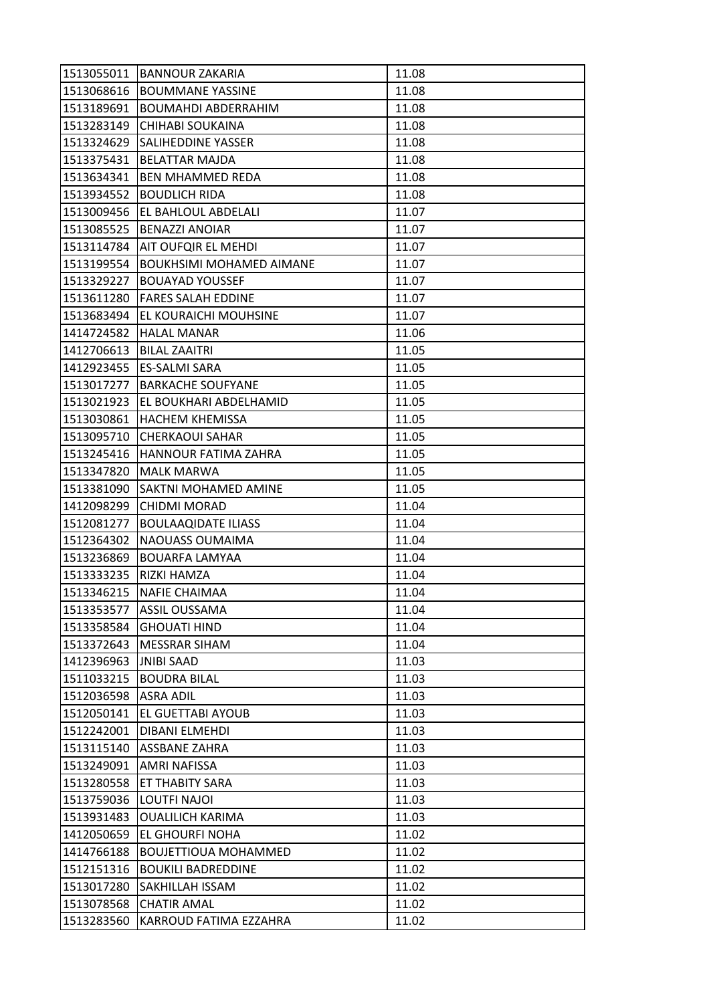| 1513055011 | <b>BANNOUR ZAKARIA</b>          | 11.08 |
|------------|---------------------------------|-------|
| 1513068616 | <b>BOUMMANE YASSINE</b>         | 11.08 |
| 1513189691 | <b>BOUMAHDI ABDERRAHIM</b>      | 11.08 |
| 1513283149 | CHIHABI SOUKAINA                | 11.08 |
| 1513324629 | <b>SALIHEDDINE YASSER</b>       | 11.08 |
| 1513375431 | <b>BELATTAR MAJDA</b>           | 11.08 |
| 1513634341 | <b>BEN MHAMMED REDA</b>         | 11.08 |
| 1513934552 | <b>BOUDLICH RIDA</b>            | 11.08 |
| 1513009456 | EL BAHLOUL ABDELALI             | 11.07 |
| 1513085525 | <b>BENAZZI ANOIAR</b>           | 11.07 |
| 1513114784 | AIT OUFQIR EL MEHDI             | 11.07 |
| 1513199554 | <b>BOUKHSIMI MOHAMED AIMANE</b> | 11.07 |
| 1513329227 | <b>BOUAYAD YOUSSEF</b>          | 11.07 |
| 1513611280 | <b>FARES SALAH EDDINE</b>       | 11.07 |
| 1513683494 | EL KOURAICHI MOUHSINE           | 11.07 |
|            | 1414724582 HALAL MANAR          | 11.06 |
| 1412706613 | <b>BILAL ZAAITRI</b>            | 11.05 |
| 1412923455 | ES-SALMI SARA                   | 11.05 |
| 1513017277 | <b>BARKACHE SOUFYANE</b>        | 11.05 |
| 1513021923 | EL BOUKHARI ABDELHAMID          | 11.05 |
| 1513030861 | <b>HACHEM KHEMISSA</b>          | 11.05 |
| 1513095710 | <b>CHERKAOUI SAHAR</b>          | 11.05 |
| 1513245416 | HANNOUR FATIMA ZAHRA            | 11.05 |
| 1513347820 | <b>MALK MARWA</b>               | 11.05 |
| 1513381090 | SAKTNI MOHAMED AMINE            | 11.05 |
| 1412098299 | <b>CHIDMI MORAD</b>             | 11.04 |
| 1512081277 | <b>BOULAAQIDATE ILIASS</b>      | 11.04 |
| 1512364302 | NAOUASS OUMAIMA                 | 11.04 |
| 1513236869 | <b>BOUARFA LAMYAA</b>           | 11.04 |
| 1513333235 | <b>RIZKI HAMZA</b>              | 11.04 |
| 1513346215 | <b>NAFIE CHAIMAA</b>            | 11.04 |
| 1513353577 | <b>ASSIL OUSSAMA</b>            | 11.04 |
| 1513358584 | <b>GHOUATI HIND</b>             | 11.04 |
| 1513372643 | MESSRAR SIHAM                   | 11.04 |
| 1412396963 | <b>JNIBI SAAD</b>               | 11.03 |
| 1511033215 | <b>BOUDRA BILAL</b>             | 11.03 |
| 1512036598 | <b>ASRA ADIL</b>                | 11.03 |
| 1512050141 | EL GUETTABI AYOUB               | 11.03 |
| 1512242001 | <b>DIBANI ELMEHDI</b>           | 11.03 |
| 1513115140 | <b>ASSBANE ZAHRA</b>            | 11.03 |
| 1513249091 | AMRI NAFISSA                    | 11.03 |
| 1513280558 | ET THABITY SARA                 | 11.03 |
| 1513759036 | LOUTFI NAJOI                    | 11.03 |
| 1513931483 | <b>OUALILICH KARIMA</b>         | 11.03 |
| 1412050659 | EL GHOURFI NOHA                 | 11.02 |
| 1414766188 | <b>BOUJETTIOUA MOHAMMED</b>     | 11.02 |
| 1512151316 | <b>BOUKILI BADREDDINE</b>       | 11.02 |
| 1513017280 | <b>SAKHILLAH ISSAM</b>          | 11.02 |
| 1513078568 | <b>CHATIR AMAL</b>              | 11.02 |
| 1513283560 | KARROUD FATIMA EZZAHRA          | 11.02 |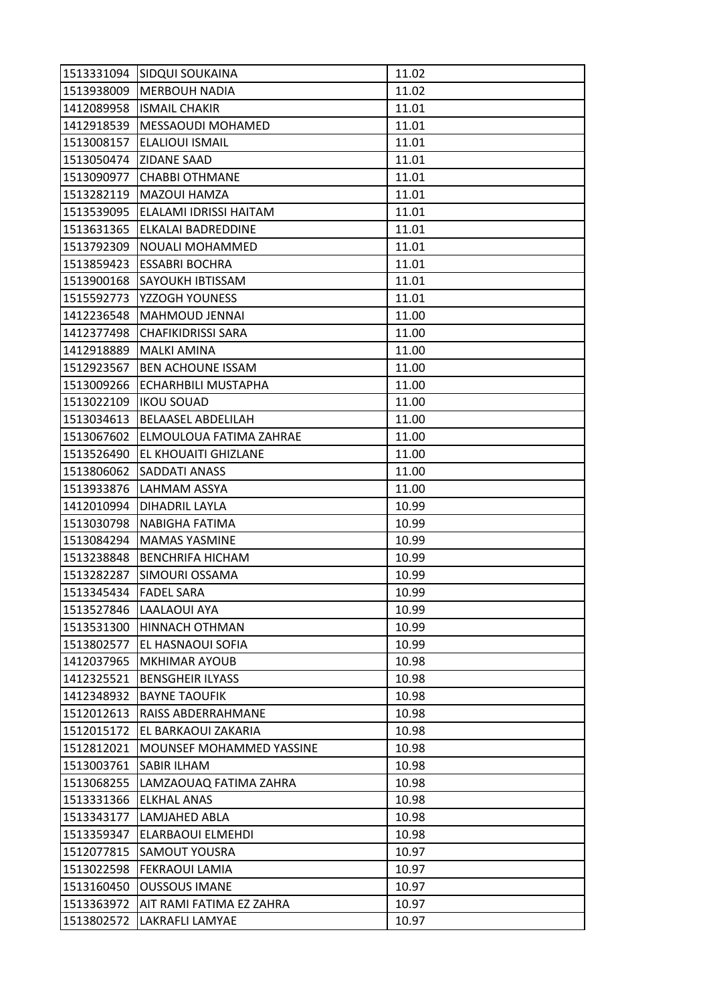| 1513331094 | <b>SIDQUI SOUKAINA</b>    | 11.02 |
|------------|---------------------------|-------|
| 1513938009 | <b>MERBOUH NADIA</b>      | 11.02 |
| 1412089958 | <b>ISMAIL CHAKIR</b>      | 11.01 |
| 1412918539 | <b>MESSAOUDI MOHAMED</b>  | 11.01 |
| 1513008157 | <b>ELALIOUI ISMAIL</b>    | 11.01 |
| 1513050474 | <b>ZIDANE SAAD</b>        | 11.01 |
| 1513090977 | <b>CHABBI OTHMANE</b>     | 11.01 |
| 1513282119 | MAZOUI HAMZA              | 11.01 |
| 1513539095 | ELALAMI IDRISSI HAITAM    | 11.01 |
| 1513631365 | <b>ELKALAI BADREDDINE</b> | 11.01 |
| 1513792309 | NOUALI MOHAMMED           | 11.01 |
| 1513859423 | <b>ESSABRI BOCHRA</b>     | 11.01 |
| 1513900168 | SAYOUKH IBTISSAM          | 11.01 |
| 1515592773 | YZZOGH YOUNESS            | 11.01 |
| 1412236548 | MAHMOUD JENNAI            | 11.00 |
| 1412377498 | <b>CHAFIKIDRISSI SARA</b> | 11.00 |
| 1412918889 | <b>MALKI AMINA</b>        | 11.00 |
| 1512923567 | <b>BEN ACHOUNE ISSAM</b>  | 11.00 |
| 1513009266 | ECHARHBILI MUSTAPHA       | 11.00 |
| 1513022109 | <b>IKOU SOUAD</b>         | 11.00 |
| 1513034613 | <b>BELAASEL ABDELILAH</b> | 11.00 |
| 1513067602 | ELMOULOUA FATIMA ZAHRAE   | 11.00 |
| 1513526490 | EL KHOUAITI GHIZLANE      | 11.00 |
| 1513806062 | SADDATI ANASS             | 11.00 |
| 1513933876 | LAHMAM ASSYA              | 11.00 |
| 1412010994 | <b>DIHADRIL LAYLA</b>     | 10.99 |
| 1513030798 | NABIGHA FATIMA            | 10.99 |
| 1513084294 | <b>MAMAS YASMINE</b>      | 10.99 |
| 1513238848 | <b>BENCHRIFA HICHAM</b>   | 10.99 |
| 1513282287 | SIMOURI OSSAMA            | 10.99 |
| 1513345434 | <b>FADEL SARA</b>         | 10.99 |
| 1513527846 | LAALAOUI AYA              | 10.99 |
| 1513531300 | <b>HINNACH OTHMAN</b>     | 10.99 |
| 1513802577 | EL HASNAOUI SOFIA         | 10.99 |
| 1412037965 | <b>MKHIMAR AYOUB</b>      | 10.98 |
| 1412325521 | <b>BENSGHEIR ILYASS</b>   | 10.98 |
| 1412348932 | <b>BAYNE TAOUFIK</b>      | 10.98 |
| 1512012613 | RAISS ABDERRAHMANE        | 10.98 |
| 1512015172 | EL BARKAOUI ZAKARIA       | 10.98 |
| 1512812021 | MOUNSEF MOHAMMED YASSINE  | 10.98 |
| 1513003761 | <b>SABIR ILHAM</b>        | 10.98 |
| 1513068255 | LAMZAOUAQ FATIMA ZAHRA    | 10.98 |
| 1513331366 | <b>ELKHAL ANAS</b>        | 10.98 |
| 1513343177 | LAMJAHED ABLA             | 10.98 |
| 1513359347 | <b>ELARBAOUI ELMEHDI</b>  | 10.98 |
| 1512077815 | <b>SAMOUT YOUSRA</b>      | 10.97 |
| 1513022598 | <b>FEKRAOUI LAMIA</b>     | 10.97 |
| 1513160450 | <b>OUSSOUS IMANE</b>      | 10.97 |
| 1513363972 | AIT RAMI FATIMA EZ ZAHRA  | 10.97 |
| 1513802572 | LAKRAFLI LAMYAE           | 10.97 |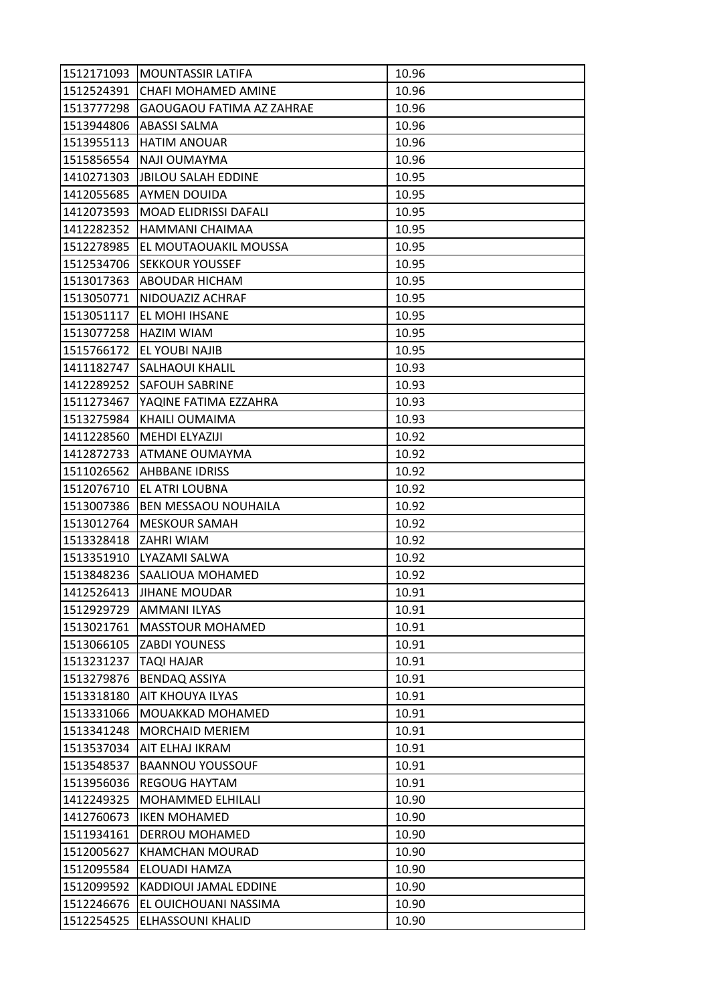| 1512171093               | <b>MOUNTASSIR LATIFA</b>                  | 10.96          |
|--------------------------|-------------------------------------------|----------------|
| 1512524391               | CHAFI MOHAMED AMINE                       | 10.96          |
| 1513777298               | <b>GAOUGAOU FATIMA AZ ZAHRAE</b>          | 10.96          |
| 1513944806               | <b>ABASSI SALMA</b>                       | 10.96          |
| 1513955113               | <b>HATIM ANOUAR</b>                       | 10.96          |
| 1515856554               | NAJI OUMAYMA                              | 10.96          |
| 1410271303               | JBILOU SALAH EDDINE                       | 10.95          |
| 1412055685               | <b>AYMEN DOUIDA</b>                       | 10.95          |
| 1412073593               | <b>MOAD ELIDRISSI DAFALI</b>              | 10.95          |
| 1412282352               | HAMMANI CHAIMAA                           | 10.95          |
| 1512278985               | EL MOUTAOUAKIL MOUSSA                     | 10.95          |
| 1512534706               | <b>SEKKOUR YOUSSEF</b>                    | 10.95          |
| 1513017363               | ABOUDAR HICHAM                            | 10.95          |
| 1513050771               | NIDOUAZIZ ACHRAF                          | 10.95          |
| 1513051117               | EL MOHI IHSANE                            | 10.95          |
|                          | 1513077258   HAZIM WIAM                   | 10.95          |
| 1515766172               | <b>EL YOUBI NAJIB</b>                     | 10.95          |
| 1411182747               | <b>SALHAOUI KHALIL</b>                    | 10.93          |
| 1412289252               | <b>SAFOUH SABRINE</b>                     | 10.93          |
| 1511273467               | YAQINE FATIMA EZZAHRA                     | 10.93          |
| 1513275984               | KHAILI OUMAIMA                            | 10.93          |
| 1411228560               | <b>MEHDI ELYAZIJI</b>                     | 10.92          |
| 1412872733               | <b>ATMANE OUMAYMA</b>                     | 10.92          |
| 1511026562               | <b>AHBBANE IDRISS</b>                     | 10.92          |
| 1512076710               | EL ATRI LOUBNA                            | 10.92          |
| 1513007386               | <b>BEN MESSAOU NOUHAILA</b>               | 10.92          |
| 1513012764               | <b>MESKOUR SAMAH</b>                      | 10.92          |
| 1513328418               | <b>ZAHRI WIAM</b>                         | 10.92          |
| 1513351910               | LYAZAMI SALWA                             | 10.92          |
|                          | 1513848236 SAALIOUA MOHAMED               | 10.92          |
| 1412526413               | <b>JIHANE MOUDAR</b>                      | 10.91          |
| 1512929729               | <b>AMMANI ILYAS</b>                       | 10.91          |
| 1513021761               | <b>MASSTOUR MOHAMED</b>                   | 10.91          |
| 1513066105               | <b>ZABDI YOUNESS</b>                      | 10.91          |
| 1513231237               | TAQI HAJAR                                | 10.91          |
| 1513279876               | <b>BENDAQ ASSIYA</b>                      | 10.91          |
| 1513318180               | <b>AIT KHOUYA ILYAS</b>                   | 10.91          |
| 1513331066<br>1513341248 | MOUAKKAD MOHAMED                          | 10.91          |
| 1513537034               | <b>MORCHAID MERIEM</b><br>AIT ELHAJ IKRAM | 10.91<br>10.91 |
| 1513548537               | <b>BAANNOU YOUSSOUF</b>                   | 10.91          |
| 1513956036               | <b>REGOUG HAYTAM</b>                      | 10.91          |
| 1412249325               | <b>MOHAMMED ELHILALI</b>                  | 10.90          |
| 1412760673               | <b>IKEN MOHAMED</b>                       | 10.90          |
| 1511934161               | <b>DERROU MOHAMED</b>                     | 10.90          |
| 1512005627               | KHAMCHAN MOURAD                           | 10.90          |
| 1512095584               | ELOUADI HAMZA                             | 10.90          |
| 1512099592               | KADDIOUI JAMAL EDDINE                     | 10.90          |
| 1512246676               | EL OUICHOUANI NASSIMA                     | 10.90          |
| 1512254525               | ELHASSOUNI KHALID                         | 10.90          |
|                          |                                           |                |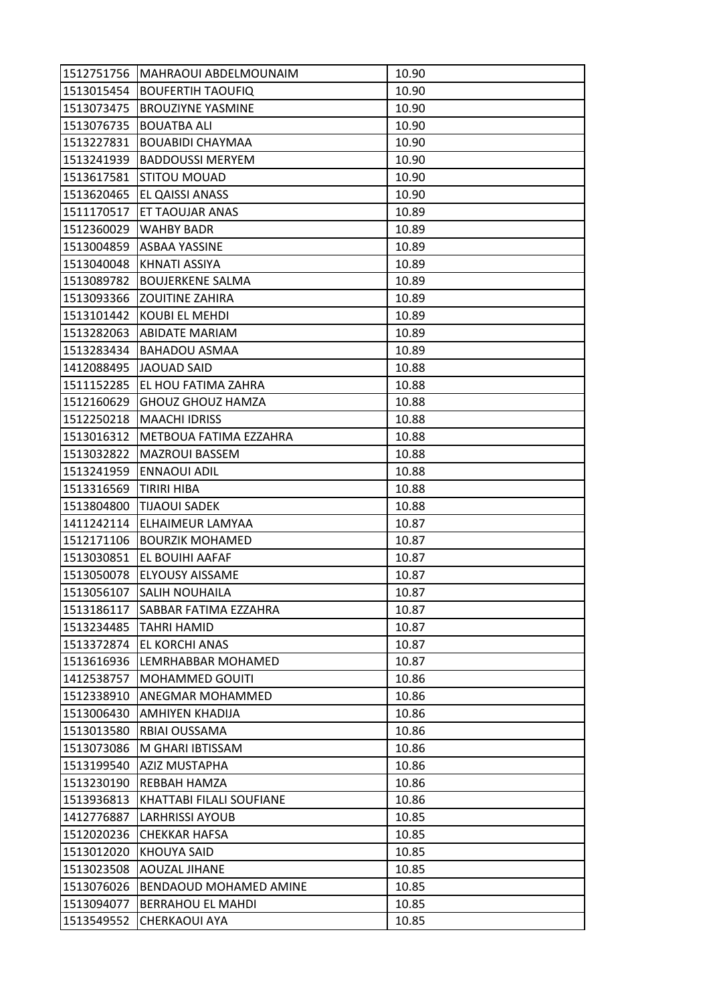| 1512751756 | MAHRAOUI ABDELMOUNAIM     | 10.90 |
|------------|---------------------------|-------|
| 1513015454 | <b>BOUFERTIH TAOUFIQ</b>  | 10.90 |
| 1513073475 | <b>BROUZIYNE YASMINE</b>  | 10.90 |
| 1513076735 | <b>BOUATBA ALI</b>        | 10.90 |
| 1513227831 | <b>BOUABIDI CHAYMAA</b>   | 10.90 |
| 1513241939 | <b>BADDOUSSI MERYEM</b>   | 10.90 |
| 1513617581 | <b>STITOU MOUAD</b>       | 10.90 |
| 1513620465 | EL QAISSI ANASS           | 10.90 |
| 1511170517 | ET TAOUJAR ANAS           | 10.89 |
| 1512360029 | <b>WAHBY BADR</b>         | 10.89 |
| 1513004859 | <b>ASBAA YASSINE</b>      | 10.89 |
| 1513040048 | KHNATI ASSIYA             | 10.89 |
| 1513089782 | <b>BOUJERKENE SALMA</b>   | 10.89 |
| 1513093366 | <b>ZOUITINE ZAHIRA</b>    | 10.89 |
| 1513101442 | KOUBI EL MEHDI            | 10.89 |
|            | 1513282063 ABIDATE MARIAM | 10.89 |
| 1513283434 | <b>BAHADOU ASMAA</b>      | 10.89 |
| 1412088495 | JAOUAD SAID               | 10.88 |
| 1511152285 | EL HOU FATIMA ZAHRA       | 10.88 |
| 1512160629 | <b>GHOUZ GHOUZ HAMZA</b>  | 10.88 |
| 1512250218 | <b>MAACHI IDRISS</b>      | 10.88 |
| 1513016312 | METBOUA FATIMA EZZAHRA    | 10.88 |
| 1513032822 | <b>MAZROUI BASSEM</b>     | 10.88 |
| 1513241959 | <b>ENNAOUI ADIL</b>       | 10.88 |
| 1513316569 | <b>TIRIRI HIBA</b>        | 10.88 |
| 1513804800 | <b>TIJAOUI SADEK</b>      | 10.88 |
| 1411242114 | ELHAIMEUR LAMYAA          | 10.87 |
| 1512171106 | <b>BOURZIK MOHAMED</b>    | 10.87 |
| 1513030851 | <b>EL BOUIHI AAFAF</b>    | 10.87 |
| 1513050078 | <b>ELYOUSY AISSAME</b>    | 10.87 |
| 1513056107 | SALIH NOUHAILA            | 10.87 |
| 1513186117 | SABBAR FATIMA EZZAHRA     | 10.87 |
| 1513234485 | <b>TAHRI HAMID</b>        | 10.87 |
| 1513372874 | EL KORCHI ANAS            | 10.87 |
| 1513616936 | LEMRHABBAR MOHAMED        | 10.87 |
| 1412538757 | <b>MOHAMMED GOUITI</b>    | 10.86 |
| 1512338910 | <b>ANEGMAR MOHAMMED</b>   | 10.86 |
| 1513006430 | <b>AMHIYEN KHADIJA</b>    | 10.86 |
| 1513013580 | RBIAI OUSSAMA             | 10.86 |
| 1513073086 | M GHARI IBTISSAM          | 10.86 |
| 1513199540 | <b>AZIZ MUSTAPHA</b>      | 10.86 |
| 1513230190 | REBBAH HAMZA              | 10.86 |
| 1513936813 | KHATTABI FILALI SOUFIANE  | 10.86 |
| 1412776887 | <b>LARHRISSI AYOUB</b>    | 10.85 |
| 1512020236 | <b>CHEKKAR HAFSA</b>      | 10.85 |
| 1513012020 | KHOUYA SAID               | 10.85 |
| 1513023508 | <b>AOUZAL JIHANE</b>      | 10.85 |
| 1513076026 | BENDAOUD MOHAMED AMINE    | 10.85 |
| 1513094077 | <b>BERRAHOU EL MAHDI</b>  | 10.85 |
| 1513549552 | <b>CHERKAOUI AYA</b>      | 10.85 |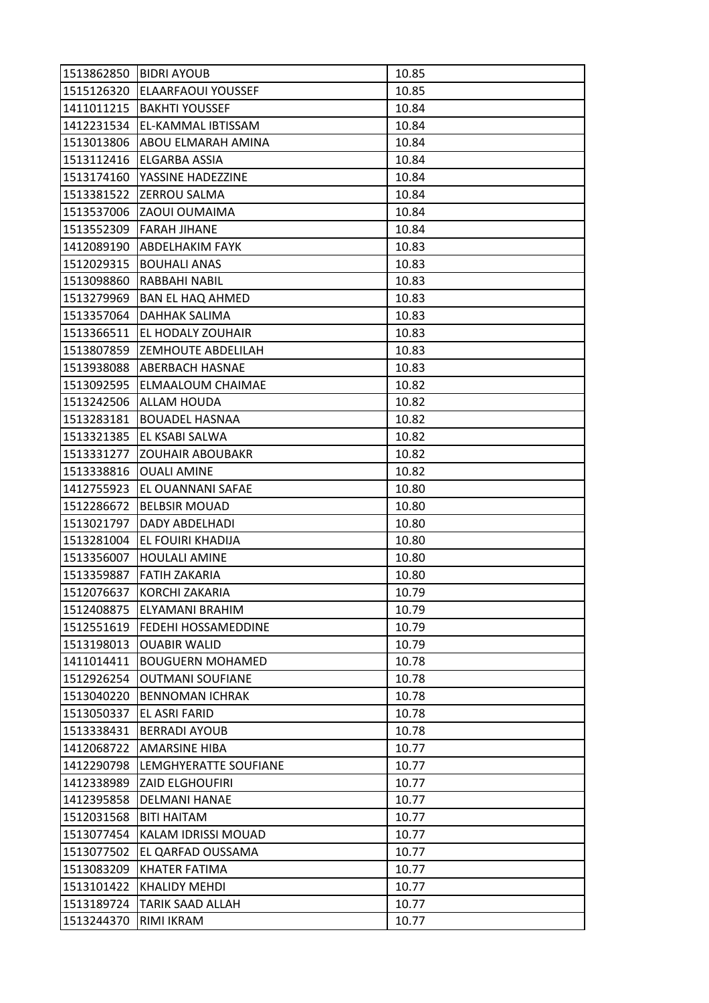| 1513862850 | <b>BIDRI AYOUB</b>         | 10.85 |
|------------|----------------------------|-------|
| 1515126320 | <b>ELAARFAOUI YOUSSEF</b>  | 10.85 |
| 1411011215 | <b>BAKHTI YOUSSEF</b>      | 10.84 |
| 1412231534 | EL-KAMMAL IBTISSAM         | 10.84 |
| 1513013806 | ABOU ELMARAH AMINA         | 10.84 |
| 1513112416 | ELGARBA ASSIA              | 10.84 |
| 1513174160 | YASSINE HADEZZINE          | 10.84 |
| 1513381522 | ZERROU SALMA               | 10.84 |
| 1513537006 | ZAOUI OUMAIMA              | 10.84 |
| 1513552309 | <b>FARAH JIHANE</b>        | 10.84 |
| 1412089190 | <b>ABDELHAKIM FAYK</b>     | 10.83 |
| 1512029315 | <b>BOUHALI ANAS</b>        | 10.83 |
| 1513098860 | RABBAHI NABIL              | 10.83 |
| 1513279969 | <b>BAN EL HAQ AHMED</b>    | 10.83 |
| 1513357064 | <b>DAHHAK SALIMA</b>       | 10.83 |
| 1513366511 | EL HODALY ZOUHAIR          | 10.83 |
| 1513807859 | <b>ZEMHOUTE ABDELILAH</b>  | 10.83 |
| 1513938088 | <b>ABERBACH HASNAE</b>     | 10.83 |
| 1513092595 | <b>ELMAALOUM CHAIMAE</b>   | 10.82 |
| 1513242506 | <b>ALLAM HOUDA</b>         | 10.82 |
| 1513283181 | <b>BOUADEL HASNAA</b>      | 10.82 |
| 1513321385 | EL KSABI SALWA             | 10.82 |
| 1513331277 | <b>ZOUHAIR ABOUBAKR</b>    | 10.82 |
| 1513338816 | <b>OUALI AMINE</b>         | 10.82 |
| 1412755923 | EL OUANNANI SAFAE          | 10.80 |
| 1512286672 | <b>BELBSIR MOUAD</b>       | 10.80 |
| 1513021797 | DADY ABDELHADI             | 10.80 |
| 1513281004 | EL FOUIRI KHADIJA          | 10.80 |
| 1513356007 | <b>HOULALI AMINE</b>       | 10.80 |
| 1513359887 | <b>FATIH ZAKARIA</b>       | 10.80 |
| 1512076637 | KORCHI ZAKARIA             | 10.79 |
| 1512408875 | ELYAMANI BRAHIM            | 10.79 |
| 1512551619 | <b>FEDEHI HOSSAMEDDINE</b> | 10.79 |
| 1513198013 | <b>OUABIR WALID</b>        | 10.79 |
| 1411014411 | <b>BOUGUERN MOHAMED</b>    | 10.78 |
| 1512926254 | <b>OUTMANI SOUFIANE</b>    | 10.78 |
| 1513040220 | <b>BENNOMAN ICHRAK</b>     | 10.78 |
| 1513050337 | EL ASRI FARID              | 10.78 |
| 1513338431 | <b>BERRADI AYOUB</b>       | 10.78 |
| 1412068722 | <b>AMARSINE HIBA</b>       | 10.77 |
| 1412290798 | LEMGHYERATTE SOUFIANE      | 10.77 |
| 1412338989 | <b>ZAID ELGHOUFIRI</b>     | 10.77 |
| 1412395858 | <b>DELMANI HANAE</b>       | 10.77 |
| 1512031568 | <b>BITI HAITAM</b>         | 10.77 |
| 1513077454 | KALAM IDRISSI MOUAD        | 10.77 |
| 1513077502 | EL QARFAD OUSSAMA          | 10.77 |
| 1513083209 | KHATER FATIMA              | 10.77 |
| 1513101422 | <b>KHALIDY MEHDI</b>       | 10.77 |
| 1513189724 | TARIK SAAD ALLAH           | 10.77 |
| 1513244370 | RIMI IKRAM                 | 10.77 |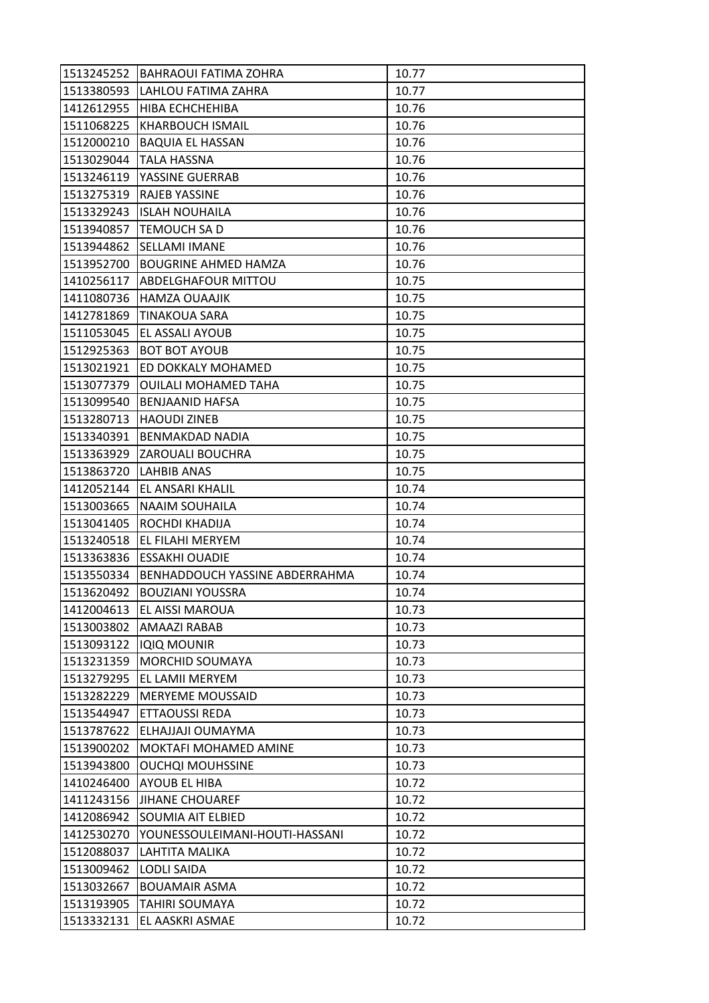| 1513245252 | <b>BAHRAOUI FATIMA ZOHRA</b>   | 10.77 |
|------------|--------------------------------|-------|
| 1513380593 | LAHLOU FATIMA ZAHRA            | 10.77 |
| 1412612955 | HIBA ECHCHEHIBA                | 10.76 |
| 1511068225 | <b>KHARBOUCH ISMAIL</b>        | 10.76 |
| 1512000210 | <b>BAQUIA EL HASSAN</b>        | 10.76 |
| 1513029044 | TALA HASSNA                    | 10.76 |
| 1513246119 | YASSINE GUERRAB                | 10.76 |
| 1513275319 | RAJEB YASSINE                  | 10.76 |
| 1513329243 | <b>ISLAH NOUHAILA</b>          | 10.76 |
| 1513940857 | TEMOUCH SA D                   | 10.76 |
| 1513944862 | <b>SELLAMI IMANE</b>           | 10.76 |
| 1513952700 | <b>BOUGRINE AHMED HAMZA</b>    | 10.76 |
| 1410256117 | <b>ABDELGHAFOUR MITTOU</b>     | 10.75 |
| 1411080736 | <b>HAMZA OUAAJIK</b>           | 10.75 |
| 1412781869 | <b>TINAKOUA SARA</b>           | 10.75 |
| 1511053045 | EL ASSALI AYOUB                | 10.75 |
| 1512925363 | <b>BOT BOT AYOUB</b>           | 10.75 |
| 1513021921 | ED DOKKALY MOHAMED             | 10.75 |
| 1513077379 | <b>OUILALI MOHAMED TAHA</b>    | 10.75 |
| 1513099540 | <b>BENJAANID HAFSA</b>         | 10.75 |
| 1513280713 | <b>HAOUDI ZINEB</b>            | 10.75 |
| 1513340391 | <b>BENMAKDAD NADIA</b>         | 10.75 |
| 1513363929 | <b>ZAROUALI BOUCHRA</b>        | 10.75 |
| 1513863720 | LAHBIB ANAS                    | 10.75 |
| 1412052144 | EL ANSARI KHALIL               | 10.74 |
| 1513003665 | <b>NAAIM SOUHAILA</b>          | 10.74 |
| 1513041405 | ROCHDI KHADIJA                 | 10.74 |
| 1513240518 | EL FILAHI MERYEM               | 10.74 |
| 1513363836 | <b>ESSAKHI OUADIE</b>          | 10.74 |
| 1513550334 | BENHADDOUCH YASSINE ABDERRAHMA | 10.74 |
| 1513620492 | <b>BOUZIANI YOUSSRA</b>        | 10.74 |
| 1412004613 | EL AISSI MAROUA                | 10.73 |
| 1513003802 | <b>AMAAZI RABAB</b>            | 10.73 |
| 1513093122 | <b>IQIQ MOUNIR</b>             | 10.73 |
| 1513231359 | MORCHID SOUMAYA                | 10.73 |
| 1513279295 | EL LAMII MERYEM                | 10.73 |
| 1513282229 | <b>MERYEME MOUSSAID</b>        | 10.73 |
| 1513544947 | ETTAOUSSI REDA                 | 10.73 |
| 1513787622 | ELHAJJAJI OUMAYMA              | 10.73 |
| 1513900202 | MOKTAFI MOHAMED AMINE          | 10.73 |
| 1513943800 | <b>OUCHQI MOUHSSINE</b>        | 10.73 |
| 1410246400 | <b>AYOUB EL HIBA</b>           | 10.72 |
| 1411243156 | <b>JIHANE CHOUAREF</b>         | 10.72 |
| 1412086942 | SOUMIA AIT ELBIED              | 10.72 |
| 1412530270 | YOUNESSOULEIMANI-HOUTI-HASSANI | 10.72 |
| 1512088037 | LAHTITA MALIKA                 | 10.72 |
| 1513009462 | <b>LODLI SAIDA</b>             | 10.72 |
| 1513032667 | <b>BOUAMAIR ASMA</b>           | 10.72 |
| 1513193905 | <b>TAHIRI SOUMAYA</b>          | 10.72 |
| 1513332131 | EL AASKRI ASMAE                | 10.72 |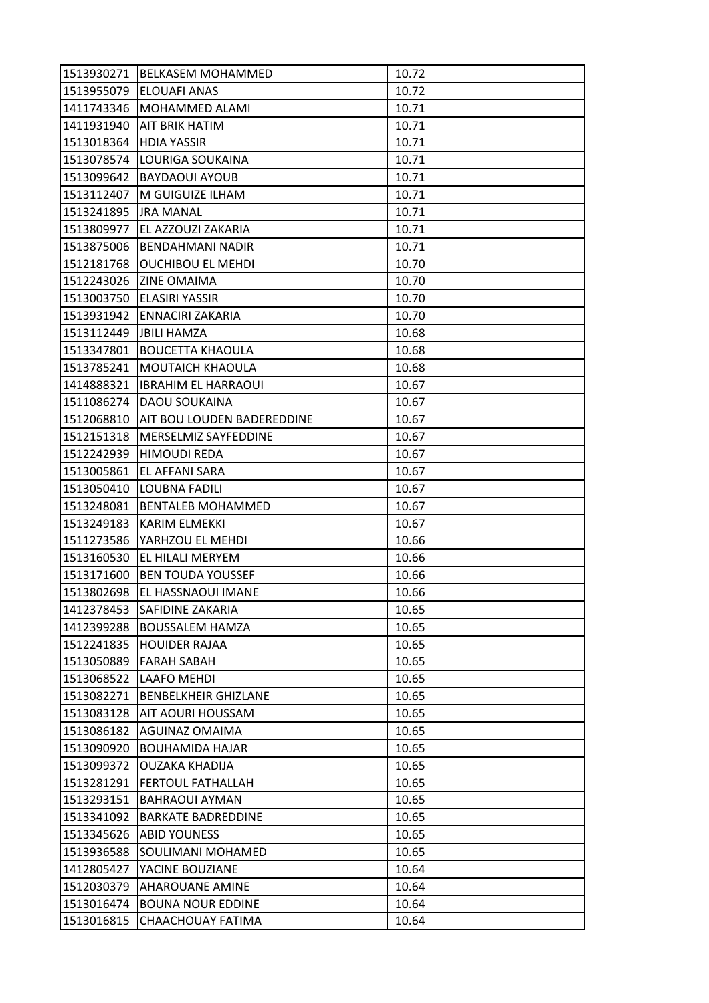| 1513930271             | <b>BELKASEM MOHAMMED</b>          | 10.72 |
|------------------------|-----------------------------------|-------|
| 1513955079             | <b>ELOUAFI ANAS</b>               | 10.72 |
| 1411743346             | MOHAMMED ALAMI                    | 10.71 |
| 1411931940             | AIT BRIK HATIM                    | 10.71 |
| 1513018364             | <b>HDIA YASSIR</b>                | 10.71 |
| 1513078574             | LOURIGA SOUKAINA                  | 10.71 |
| 1513099642             | <b>BAYDAOUI AYOUB</b>             | 10.71 |
| 1513112407             | M GUIGUIZE ILHAM                  | 10.71 |
| 1513241895             | <b>JRA MANAL</b>                  | 10.71 |
| 1513809977             | EL AZZOUZI ZAKARIA                | 10.71 |
| 1513875006             | <b>BENDAHMANI NADIR</b>           | 10.71 |
| 1512181768             | <b>OUCHIBOU EL MEHDI</b>          | 10.70 |
| 1512243026             | <b>ZINE OMAIMA</b>                | 10.70 |
| 1513003750             | <b>ELASIRI YASSIR</b>             | 10.70 |
| 1513931942             | ENNACIRI ZAKARIA                  | 10.70 |
| 1513112449 JBILI HAMZA |                                   | 10.68 |
| 1513347801             | <b>BOUCETTA KHAOULA</b>           | 10.68 |
| 1513785241             | MOUTAICH KHAOULA                  | 10.68 |
| 1414888321             | <b>IBRAHIM EL HARRAOUI</b>        | 10.67 |
| 1511086274             | DAOU SOUKAINA                     | 10.67 |
| 1512068810             | <b>AIT BOU LOUDEN BADEREDDINE</b> | 10.67 |
| 1512151318             | MERSELMIZ SAYFEDDINE              | 10.67 |
| 1512242939             | <b>HIMOUDI REDA</b>               | 10.67 |
| 1513005861             | EL AFFANI SARA                    | 10.67 |
| 1513050410             | LOUBNA FADILI                     | 10.67 |
| 1513248081             | <b>BENTALEB MOHAMMED</b>          | 10.67 |
| 1513249183             | KARIM ELMEKKI                     | 10.67 |
| 1511273586             | YARHZOU EL MEHDI                  | 10.66 |
| 1513160530             | EL HILALI MERYEM                  | 10.66 |
| 1513171600             | <b>BEN TOUDA YOUSSEF</b>          | 10.66 |
| 1513802698             | EL HASSNAOUI IMANE                | 10.66 |
| 1412378453             | <b>SAFIDINE ZAKARIA</b>           | 10.65 |
| 1412399288             | <b>BOUSSALEM HAMZA</b>            | 10.65 |
| 1512241835             | <b>HOUIDER RAJAA</b>              | 10.65 |
| 1513050889             | <b>FARAH SABAH</b>                | 10.65 |
| 1513068522             | LAAFO MEHDI                       | 10.65 |
| 1513082271             | <b>BENBELKHEIR GHIZLANE</b>       | 10.65 |
| 1513083128             | AIT AOURI HOUSSAM                 | 10.65 |
| 1513086182             | AGUINAZ OMAIMA                    | 10.65 |
| 1513090920             | <b>BOUHAMIDA HAJAR</b>            | 10.65 |
| 1513099372             | <b>OUZAKA KHADIJA</b>             | 10.65 |
| 1513281291             | <b>FERTOUL FATHALLAH</b>          | 10.65 |
| 1513293151             | <b>BAHRAOUI AYMAN</b>             | 10.65 |
| 1513341092             | <b>BARKATE BADREDDINE</b>         | 10.65 |
| 1513345626             | <b>ABID YOUNESS</b>               | 10.65 |
| 1513936588             | SOULIMANI MOHAMED                 | 10.65 |
| 1412805427             | YACINE BOUZIANE                   | 10.64 |
| 1512030379             | <b>AHAROUANE AMINE</b>            | 10.64 |
| 1513016474             | <b>BOUNA NOUR EDDINE</b>          | 10.64 |
| 1513016815             | CHAACHOUAY FATIMA                 | 10.64 |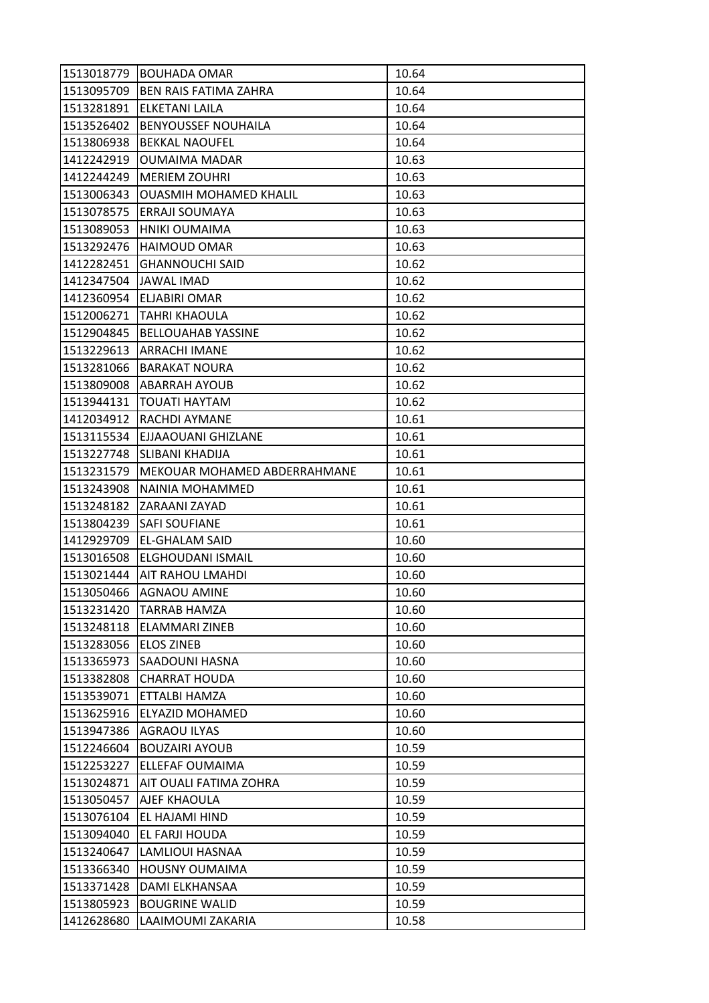| 1513018779 | <b>BOUHADA OMAR</b>           | 10.64 |
|------------|-------------------------------|-------|
| 1513095709 | <b>BEN RAIS FATIMA ZAHRA</b>  | 10.64 |
| 1513281891 | ELKETANI LAILA                | 10.64 |
| 1513526402 | <b>BENYOUSSEF NOUHAILA</b>    | 10.64 |
| 1513806938 | <b>BEKKAL NAOUFEL</b>         | 10.64 |
| 1412242919 | <b>OUMAIMA MADAR</b>          | 10.63 |
| 1412244249 | <b>MERIEM ZOUHRI</b>          | 10.63 |
| 1513006343 | <b>OUASMIH MOHAMED KHALIL</b> | 10.63 |
| 1513078575 | <b>ERRAJI SOUMAYA</b>         | 10.63 |
| 1513089053 | HNIKI OUMAIMA                 | 10.63 |
| 1513292476 | <b>HAIMOUD OMAR</b>           | 10.63 |
| 1412282451 | <b>GHANNOUCHI SAID</b>        | 10.62 |
| 1412347504 | <b>JAWAL IMAD</b>             | 10.62 |
| 1412360954 | <b>ELJABIRI OMAR</b>          | 10.62 |
| 1512006271 | <b>TAHRI KHAOULA</b>          | 10.62 |
| 1512904845 | <b>BELLOUAHAB YASSINE</b>     | 10.62 |
| 1513229613 | <b>ARRACHI IMANE</b>          | 10.62 |
| 1513281066 | <b>BARAKAT NOURA</b>          | 10.62 |
| 1513809008 | <b>ABARRAH AYOUB</b>          | 10.62 |
| 1513944131 | <b>TOUATI HAYTAM</b>          | 10.62 |
| 1412034912 | RACHDI AYMANE                 | 10.61 |
| 1513115534 | EJJAAOUANI GHIZLANE           | 10.61 |
| 1513227748 | ISLIBANI KHADIJA              | 10.61 |
| 1513231579 | MEKOUAR MOHAMED ABDERRAHMANE  | 10.61 |
| 1513243908 | NAINIA MOHAMMED               | 10.61 |
| 1513248182 | ZARAANI ZAYAD                 | 10.61 |
| 1513804239 | <b>SAFI SOUFIANE</b>          | 10.61 |
| 1412929709 | EL-GHALAM SAID                | 10.60 |
| 1513016508 | ELGHOUDANI ISMAIL             | 10.60 |
| 1513021444 | <b>AIT RAHOU LMAHDI</b>       | 10.60 |
| 1513050466 | <b>AGNAOU AMINE</b>           | 10.60 |
| 1513231420 | <b>TARRAB HAMZA</b>           | 10.60 |
| 1513248118 | <b>ELAMMARI ZINEB</b>         | 10.60 |
| 1513283056 | <b>ELOS ZINEB</b>             | 10.60 |
| 1513365973 | <b>SAADOUNI HASNA</b>         | 10.60 |
| 1513382808 | <b>CHARRAT HOUDA</b>          | 10.60 |
| 1513539071 | ETTALBI HAMZA                 | 10.60 |
| 1513625916 | <b>ELYAZID MOHAMED</b>        | 10.60 |
| 1513947386 | AGRAOU ILYAS                  | 10.60 |
| 1512246604 | <b>BOUZAIRI AYOUB</b>         | 10.59 |
| 1512253227 | ELLEFAF OUMAIMA               | 10.59 |
| 1513024871 | AIT OUALI FATIMA ZOHRA        | 10.59 |
| 1513050457 | AJEF KHAOULA                  | 10.59 |
| 1513076104 | EL HAJAMI HIND                | 10.59 |
| 1513094040 | EL FARJI HOUDA                | 10.59 |
| 1513240647 | LAMLIOUI HASNAA               | 10.59 |
| 1513366340 | <b>HOUSNY OUMAIMA</b>         | 10.59 |
| 1513371428 | DAMI ELKHANSAA                | 10.59 |
| 1513805923 | <b>BOUGRINE WALID</b>         | 10.59 |
| 1412628680 | LAAIMOUMI ZAKARIA             | 10.58 |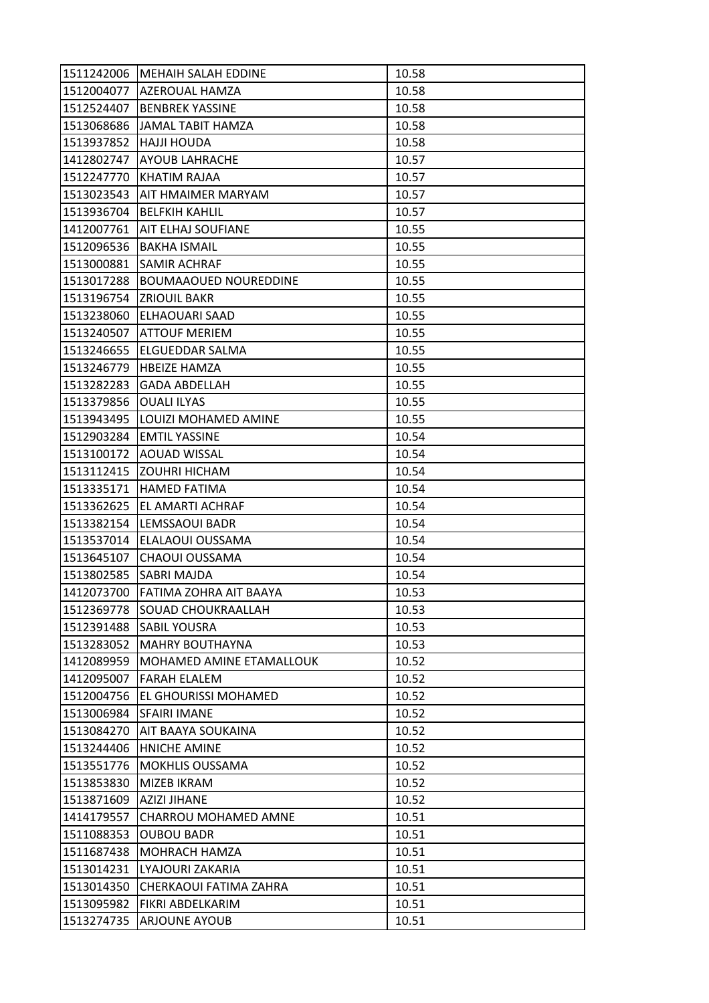| 1511242006 | IMEHAIH SALAH EDDINE             | 10.58 |
|------------|----------------------------------|-------|
|            | 1512004077 AZEROUAL HAMZA        | 10.58 |
| 1512524407 | <b>BENBREK YASSINE</b>           | 10.58 |
| 1513068686 | JAMAL TABIT HAMZA                | 10.58 |
| 1513937852 | <b>HAJJI HOUDA</b>               | 10.58 |
| 1412802747 | <b>AYOUB LAHRACHE</b>            | 10.57 |
| 1512247770 | KHATIM RAJAA                     | 10.57 |
| 1513023543 | AIT HMAIMER MARYAM               | 10.57 |
| 1513936704 | <b>BELFKIH KAHLIL</b>            | 10.57 |
| 1412007761 | IAIT ELHAJ SOUFIANE              | 10.55 |
| 1512096536 | <b>BAKHA ISMAIL</b>              | 10.55 |
| 1513000881 | <b>SAMIR ACHRAF</b>              | 10.55 |
| 1513017288 | <b>BOUMAAOUED NOUREDDINE</b>     | 10.55 |
| 1513196754 | <b>ZRIOUIL BAKR</b>              | 10.55 |
| 1513238060 | ELHAOUARI SAAD                   | 10.55 |
|            | 1513240507 ATTOUF MERIEM         | 10.55 |
| 1513246655 | lELGUEDDAR SALMA                 | 10.55 |
| 1513246779 | <b>HBEIZE HAMZA</b>              | 10.55 |
| 1513282283 | <b>GADA ABDELLAH</b>             | 10.55 |
| 1513379856 | <b>OUALI ILYAS</b>               | 10.55 |
|            | 1513943495  LOUIZI MOHAMED AMINE | 10.55 |
| 1512903284 | <b>EMTIL YASSINE</b>             | 10.54 |
| 1513100172 | <b>AOUAD WISSAL</b>              | 10.54 |
| 1513112415 | <b>ZOUHRI HICHAM</b>             | 10.54 |
| 1513335171 | <b>HAMED FATIMA</b>              | 10.54 |
| 1513362625 | <b>EL AMARTI ACHRAF</b>          | 10.54 |
| 1513382154 | LEMSSAOUI BADR                   | 10.54 |
| 1513537014 | ELALAOUI OUSSAMA                 | 10.54 |
| 1513645107 | CHAOUI OUSSAMA                   | 10.54 |
|            | 1513802585 SABRI MAJDA           | 10.54 |
| 1412073700 | FATIMA ZOHRA AIT BAAYA           | 10.53 |
| 1512369778 | <b>SOUAD CHOUKRAALLAH</b>        | 10.53 |
| 1512391488 | <b>SABIL YOUSRA</b>              | 10.53 |
| 1513283052 | <b>MAHRY BOUTHAYNA</b>           | 10.53 |
| 1412089959 | MOHAMED AMINE ETAMALLOUK         | 10.52 |
| 1412095007 | <b>FARAH ELALEM</b>              | 10.52 |
| 1512004756 | EL GHOURISSI MOHAMED             | 10.52 |
| 1513006984 | <b>SFAIRI IMANE</b>              | 10.52 |
| 1513084270 | AIT BAAYA SOUKAINA               | 10.52 |
| 1513244406 | HNICHE AMINE                     | 10.52 |
| 1513551776 | <b>MOKHLIS OUSSAMA</b>           | 10.52 |
| 1513853830 | MIZEB IKRAM                      | 10.52 |
| 1513871609 | <b>AZIZI JIHANE</b>              | 10.52 |
| 1414179557 | CHARROU MOHAMED AMNE             | 10.51 |
| 1511088353 | <b>OUBOU BADR</b>                | 10.51 |
| 1511687438 | MOHRACH HAMZA                    | 10.51 |
| 1513014231 | LYAJOURI ZAKARIA                 | 10.51 |
| 1513014350 | CHERKAOUI FATIMA ZAHRA           | 10.51 |
| 1513095982 | FIKRI ABDELKARIM                 | 10.51 |
| 1513274735 | <b>ARJOUNE AYOUB</b>             | 10.51 |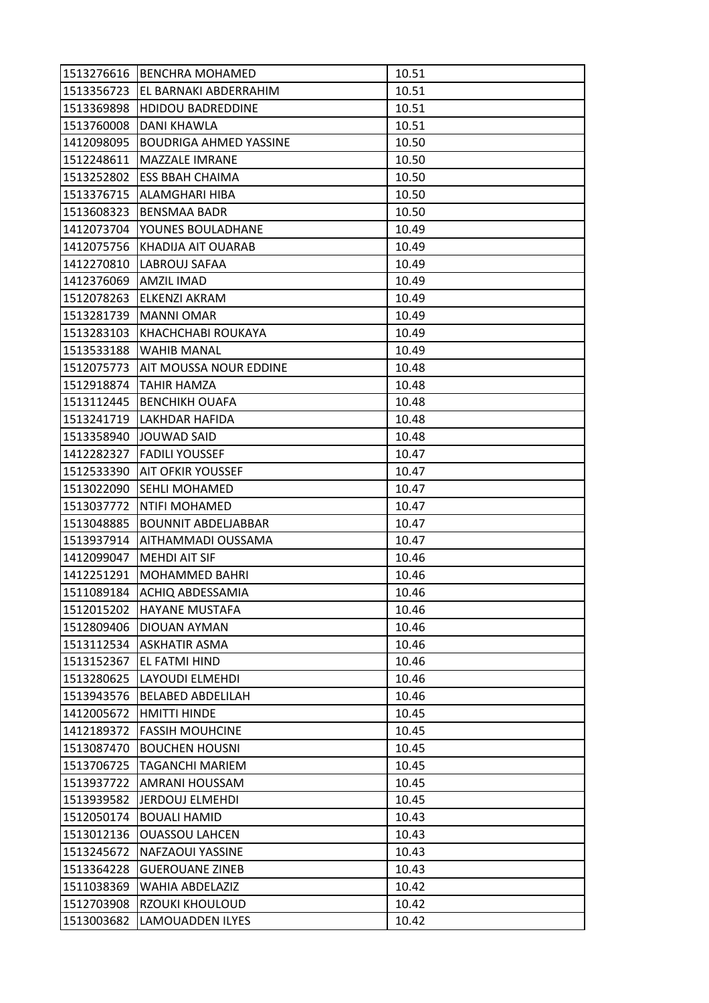| 1513276616 | <b>BENCHRA MOHAMED</b>        | 10.51 |
|------------|-------------------------------|-------|
| 1513356723 | EL BARNAKI ABDERRAHIM         | 10.51 |
| 1513369898 | <b>HDIDOU BADREDDINE</b>      | 10.51 |
| 1513760008 | DANI KHAWLA                   | 10.51 |
| 1412098095 | <b>BOUDRIGA AHMED YASSINE</b> | 10.50 |
| 1512248611 | MAZZALE IMRANE                | 10.50 |
| 1513252802 | <b>ESS BBAH CHAIMA</b>        | 10.50 |
| 1513376715 | ALAMGHARI HIBA                | 10.50 |
| 1513608323 | <b>BENSMAA BADR</b>           | 10.50 |
| 1412073704 | YOUNES BOULADHANE             | 10.49 |
| 1412075756 | KHADIJA AIT OUARAB            | 10.49 |
| 1412270810 | LABROUJ SAFAA                 | 10.49 |
| 1412376069 | AMZIL IMAD                    | 10.49 |
| 1512078263 | ELKENZI AKRAM                 | 10.49 |
| 1513281739 | <b>MANNI OMAR</b>             | 10.49 |
| 1513283103 | KHACHCHABI ROUKAYA            | 10.49 |
| 1513533188 | <b>WAHIB MANAL</b>            | 10.49 |
| 1512075773 | AIT MOUSSA NOUR EDDINE        | 10.48 |
| 1512918874 | <b>TAHIR HAMZA</b>            | 10.48 |
| 1513112445 | <b>BENCHIKH OUAFA</b>         | 10.48 |
|            | 1513241719   LAKHDAR HAFIDA   | 10.48 |
| 1513358940 | JOUWAD SAID                   | 10.48 |
| 1412282327 | <b>FADILI YOUSSEF</b>         | 10.47 |
| 1512533390 | <b>AIT OFKIR YOUSSEF</b>      | 10.47 |
| 1513022090 | <b>ISEHLI MOHAMED</b>         | 10.47 |
| 1513037772 | <b>NTIFI MOHAMED</b>          | 10.47 |
| 1513048885 | <b>BOUNNIT ABDELJABBAR</b>    | 10.47 |
| 1513937914 | <b>AITHAMMADI OUSSAMA</b>     | 10.47 |
| 1412099047 | <b>MEHDI AIT SIF</b>          | 10.46 |
| 1412251291 | <b>MOHAMMED BAHRI</b>         | 10.46 |
| 1511089184 | ACHIQ ABDESSAMIA              | 10.46 |
| 1512015202 | <b>HAYANE MUSTAFA</b>         | 10.46 |
| 1512809406 | DIOUAN AYMAN                  | 10.46 |
| 1513112534 | <b>ASKHATIR ASMA</b>          | 10.46 |
| 1513152367 | EL FATMI HIND                 | 10.46 |
| 1513280625 | LAYOUDI ELMEHDI               | 10.46 |
| 1513943576 | <b>BELABED ABDELILAH</b>      | 10.46 |
| 1412005672 | HMITTI HINDE                  | 10.45 |
| 1412189372 | <b>FASSIH MOUHCINE</b>        | 10.45 |
| 1513087470 | <b>BOUCHEN HOUSNI</b>         | 10.45 |
| 1513706725 | TAGANCHI MARIEM               | 10.45 |
| 1513937722 | AMRANI HOUSSAM                | 10.45 |
| 1513939582 | <b>JERDOUJ ELMEHDI</b>        | 10.45 |
| 1512050174 | <b>BOUALI HAMID</b>           | 10.43 |
| 1513012136 | <b>OUASSOU LAHCEN</b>         | 10.43 |
| 1513245672 | NAFZAOUI YASSINE              | 10.43 |
| 1513364228 | <b>GUEROUANE ZINEB</b>        | 10.43 |
| 1511038369 | WAHIA ABDELAZIZ               | 10.42 |
| 1512703908 | RZOUKI KHOULOUD               | 10.42 |
| 1513003682 | LAMOUADDEN ILYES              | 10.42 |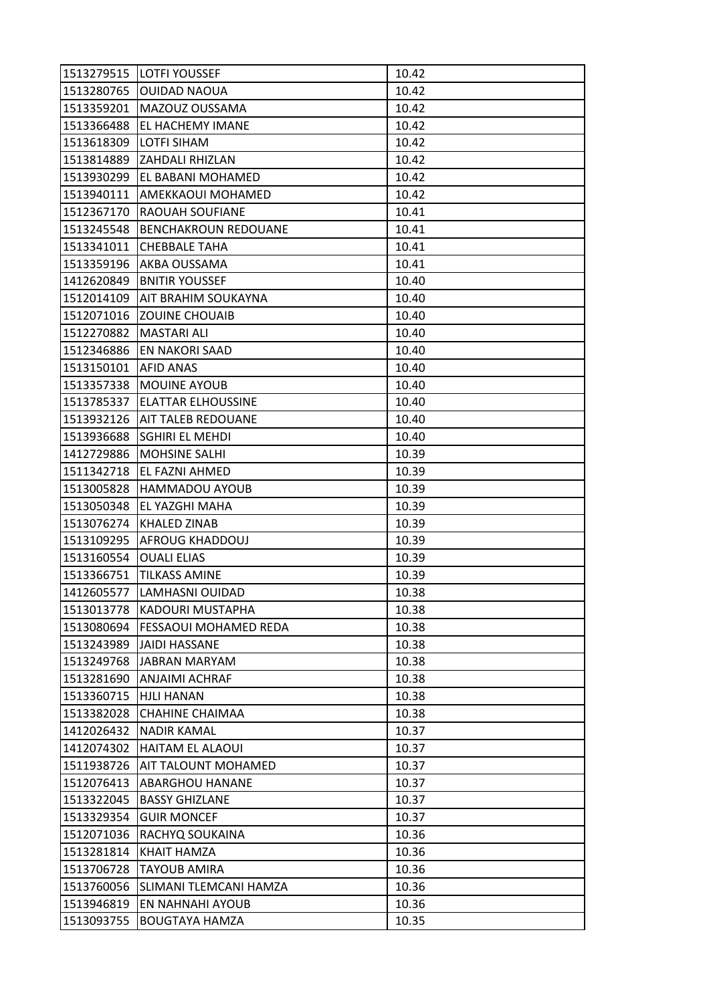| 1513279515 | <b>LOTFI YOUSSEF</b>            | 10.42 |
|------------|---------------------------------|-------|
| 1513280765 | <b>OUIDAD NAOUA</b>             | 10.42 |
| 1513359201 | MAZOUZ OUSSAMA                  | 10.42 |
| 1513366488 | EL HACHEMY IMANE                | 10.42 |
| 1513618309 | <b>LOTFI SIHAM</b>              | 10.42 |
|            | 1513814889 ZAHDALI RHIZLAN      | 10.42 |
| 1513930299 | <b>EL BABANI MOHAMED</b>        | 10.42 |
| 1513940111 | AMEKKAOUI MOHAMED               | 10.42 |
| 1512367170 | <b>RAOUAH SOUFIANE</b>          | 10.41 |
| 1513245548 | <b>BENCHAKROUN REDOUANE</b>     | 10.41 |
| 1513341011 | <b>CHEBBALE TAHA</b>            | 10.41 |
| 1513359196 | AKBA OUSSAMA                    | 10.41 |
| 1412620849 | <b>BNITIR YOUSSEF</b>           | 10.40 |
| 1512014109 | <b>AIT BRAHIM SOUKAYNA</b>      | 10.40 |
| 1512071016 | <b>ZOUINE CHOUAIB</b>           | 10.40 |
| 1512270882 | <b>MASTARI ALI</b>              | 10.40 |
| 1512346886 | EN NAKORI SAAD                  | 10.40 |
| 1513150101 | <b>AFID ANAS</b>                | 10.40 |
| 1513357338 | <b>MOUINE AYOUB</b>             | 10.40 |
| 1513785337 | ELATTAR ELHOUSSINE              | 10.40 |
|            | 1513932126   AIT TALEB REDOUANE | 10.40 |
| 1513936688 | <b>SGHIRI EL MEHDI</b>          | 10.40 |
| 1412729886 | <b>MOHSINE SALHI</b>            | 10.39 |
| 1511342718 | EL FAZNI AHMED                  | 10.39 |
| 1513005828 | <b>HAMMADOU AYOUB</b>           | 10.39 |
| 1513050348 | EL YAZGHI MAHA                  | 10.39 |
| 1513076274 | KHALED ZINAB                    | 10.39 |
| 1513109295 | <b>AFROUG KHADDOUJ</b>          | 10.39 |
| 1513160554 | <b>OUALI ELIAS</b>              | 10.39 |
| 1513366751 | <b>TILKASS AMINE</b>            | 10.39 |
| 1412605577 | LAMHASNI OUIDAD                 | 10.38 |
| 1513013778 | KADOURI MUSTAPHA                | 10.38 |
| 1513080694 | <b>FESSAOUI MOHAMED REDA</b>    | 10.38 |
| 1513243989 | <b>JAIDI HASSANE</b>            | 10.38 |
| 1513249768 | <b>JABRAN MARYAM</b>            | 10.38 |
| 1513281690 | ANJAIMI ACHRAF                  | 10.38 |
| 1513360715 | <b>HJLI HANAN</b>               | 10.38 |
| 1513382028 | CHAHINE CHAIMAA                 | 10.38 |
| 1412026432 | <b>NADIR KAMAL</b>              | 10.37 |
| 1412074302 | <b>HAITAM EL ALAOUI</b>         | 10.37 |
| 1511938726 | AIT TALOUNT MOHAMED             | 10.37 |
| 1512076413 | <b>ABARGHOU HANANE</b>          | 10.37 |
| 1513322045 | <b>BASSY GHIZLANE</b>           | 10.37 |
| 1513329354 | <b>GUIR MONCEF</b>              | 10.37 |
| 1512071036 | RACHYQ SOUKAINA                 | 10.36 |
| 1513281814 | KHAIT HAMZA                     | 10.36 |
| 1513706728 | <b>TAYOUB AMIRA</b>             | 10.36 |
| 1513760056 | SLIMANI TLEMCANI HAMZA          | 10.36 |
| 1513946819 | EN NAHNAHI AYOUB                | 10.36 |
| 1513093755 | <b>BOUGTAYA HAMZA</b>           | 10.35 |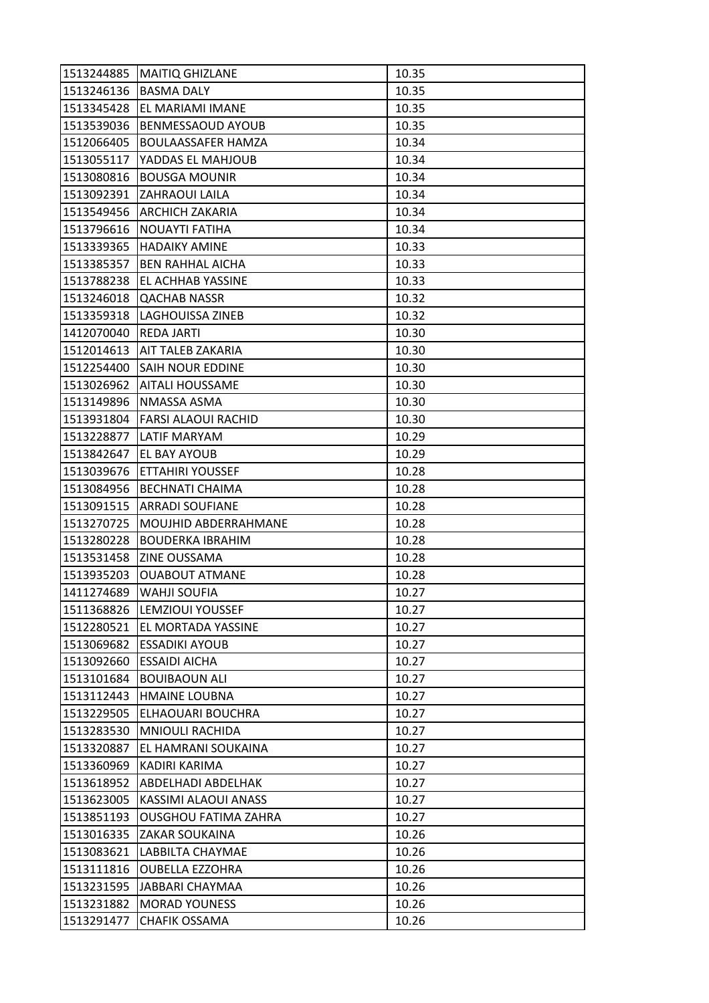| 1513244885 | <b>MAITIQ GHIZLANE</b>           | 10.35 |
|------------|----------------------------------|-------|
| 1513246136 | <b>BASMA DALY</b>                | 10.35 |
| 1513345428 | EL MARIAMI IMANE                 | 10.35 |
| 1513539036 | <b>BENMESSAOUD AYOUB</b>         | 10.35 |
| 1512066405 | <b>BOULAASSAFER HAMZA</b>        | 10.34 |
| 1513055117 | YADDAS EL MAHJOUB                | 10.34 |
| 1513080816 | <b>BOUSGA MOUNIR</b>             | 10.34 |
| 1513092391 | <b>ZAHRAOUI LAILA</b>            | 10.34 |
| 1513549456 | <b>ARCHICH ZAKARIA</b>           | 10.34 |
| 1513796616 | <b>NOUAYTI FATIHA</b>            | 10.34 |
| 1513339365 | <b>HADAIKY AMINE</b>             | 10.33 |
| 1513385357 | <b>BEN RAHHAL AICHA</b>          | 10.33 |
| 1513788238 | EL ACHHAB YASSINE                | 10.33 |
| 1513246018 | <b>QACHAB NASSR</b>              | 10.32 |
| 1513359318 | <b>LAGHOUISSA ZINEB</b>          | 10.32 |
| 1412070040 | <b>REDA JARTI</b>                | 10.30 |
| 1512014613 | AIT TALEB ZAKARIA                | 10.30 |
| 1512254400 | <b>SAIH NOUR EDDINE</b>          | 10.30 |
| 1513026962 | <b>AITALI HOUSSAME</b>           | 10.30 |
| 1513149896 | NMASSA ASMA                      | 10.30 |
|            | 1513931804   FARSI ALAOUI RACHID | 10.30 |
| 1513228877 | LATIF MARYAM                     | 10.29 |
| 1513842647 | EL BAY AYOUB                     | 10.29 |
| 1513039676 | <b>ETTAHIRI YOUSSEF</b>          | 10.28 |
| 1513084956 | <b>BECHNATI CHAIMA</b>           | 10.28 |
| 1513091515 | <b>ARRADI SOUFIANE</b>           | 10.28 |
| 1513270725 | <b>MOUJHID ABDERRAHMANE</b>      | 10.28 |
| 1513280228 | <b>BOUDERKA IBRAHIM</b>          | 10.28 |
| 1513531458 | <b>ZINE OUSSAMA</b>              | 10.28 |
| 1513935203 | <b>OUABOUT ATMANE</b>            | 10.28 |
| 1411274689 | <b>WAHJI SOUFIA</b>              | 10.27 |
| 1511368826 | <b>LEMZIOUI YOUSSEF</b>          | 10.27 |
| 1512280521 | EL MORTADA YASSINE               | 10.27 |
| 1513069682 | <b>ESSADIKI AYOUB</b>            | 10.27 |
| 1513092660 | <b>ESSAIDI AICHA</b>             | 10.27 |
| 1513101684 | <b>BOUIBAOUN ALI</b>             | 10.27 |
| 1513112443 | <b>HMAINE LOUBNA</b>             | 10.27 |
| 1513229505 | ELHAOUARI BOUCHRA                | 10.27 |
| 1513283530 | <b>MNIOULI RACHIDA</b>           | 10.27 |
| 1513320887 | EL HAMRANI SOUKAINA              | 10.27 |
| 1513360969 | KADIRI KARIMA                    | 10.27 |
|            | 1513618952   ABDELHADI ABDELHAK  | 10.27 |
| 1513623005 | KASSIMI ALAOUI ANASS             | 10.27 |
| 1513851193 | OUSGHOU FATIMA ZAHRA             | 10.27 |
| 1513016335 | <b>ZAKAR SOUKAINA</b>            | 10.26 |
| 1513083621 | LABBILTA CHAYMAE                 | 10.26 |
| 1513111816 | <b>OUBELLA EZZOHRA</b>           | 10.26 |
| 1513231595 | JABBARI CHAYMAA                  | 10.26 |
| 1513231882 | <b>MORAD YOUNESS</b>             | 10.26 |
| 1513291477 | CHAFIK OSSAMA                    | 10.26 |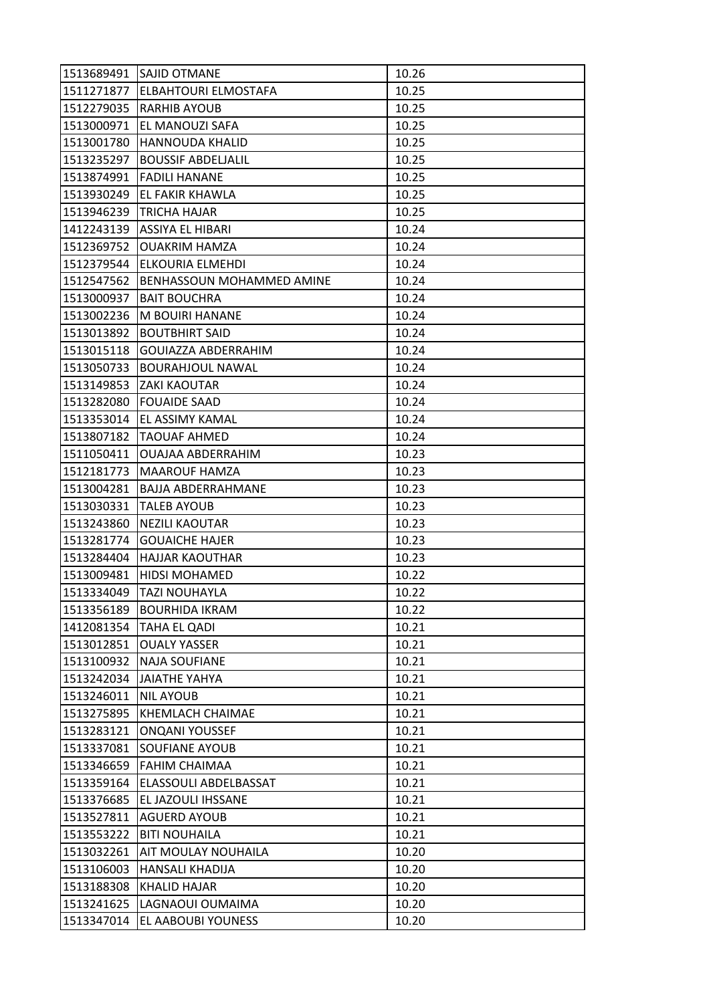| 1513689491 | <b>ISAJID OTMANE</b>        | 10.26 |
|------------|-----------------------------|-------|
| 1511271877 | <b>ELBAHTOURI ELMOSTAFA</b> | 10.25 |
| 1512279035 | <b>RARHIB AYOUB</b>         | 10.25 |
| 1513000971 | EL MANOUZI SAFA             | 10.25 |
| 1513001780 | <b>HANNOUDA KHALID</b>      | 10.25 |
| 1513235297 | <b>BOUSSIF ABDELJALIL</b>   | 10.25 |
| 1513874991 | <b>FADILI HANANE</b>        | 10.25 |
| 1513930249 | EL FAKIR KHAWLA             | 10.25 |
| 1513946239 | <b>TRICHA HAJAR</b>         | 10.25 |
| 1412243139 | ASSIYA EL HIBARI            | 10.24 |
| 1512369752 | <b>OUAKRIM HAMZA</b>        | 10.24 |
| 1512379544 | ELKOURIA ELMEHDI            | 10.24 |
| 1512547562 | BENHASSOUN MOHAMMED AMINE   | 10.24 |
| 1513000937 | <b>BAIT BOUCHRA</b>         | 10.24 |
| 1513002236 | M BOUIRI HANANE             | 10.24 |
| 1513013892 | <b>BOUTBHIRT SAID</b>       | 10.24 |
| 1513015118 | <b>GOUIAZZA ABDERRAHIM</b>  | 10.24 |
| 1513050733 | <b>BOURAHJOUL NAWAL</b>     | 10.24 |
| 1513149853 | <b>ZAKI KAOUTAR</b>         | 10.24 |
| 1513282080 | <b>FOUAIDE SAAD</b>         | 10.24 |
| 1513353014 | <b>EL ASSIMY KAMAL</b>      | 10.24 |
| 1513807182 | TAOUAF AHMED                | 10.24 |
| 1511050411 | <b>OUAJAA ABDERRAHIM</b>    | 10.23 |
| 1512181773 | <b>MAAROUF HAMZA</b>        | 10.23 |
| 1513004281 | <b>BAJJA ABDERRAHMANE</b>   | 10.23 |
| 1513030331 | <b>TALEB AYOUB</b>          | 10.23 |
| 1513243860 | NEZILI KAOUTAR              | 10.23 |
| 1513281774 | <b>GOUAICHE HAJER</b>       | 10.23 |
| 1513284404 | <b>HAJJAR KAOUTHAR</b>      | 10.23 |
| 1513009481 | <b>HIDSI MOHAMED</b>        | 10.22 |
| 1513334049 | <b>TAZI NOUHAYLA</b>        | 10.22 |
| 1513356189 | <b>BOURHIDA IKRAM</b>       | 10.22 |
| 1412081354 | <b>TAHA EL QADI</b>         | 10.21 |
| 1513012851 | <b>OUALY YASSER</b>         | 10.21 |
| 1513100932 | <b>NAJA SOUFIANE</b>        | 10.21 |
| 1513242034 | JAIATHE YAHYA               | 10.21 |
| 1513246011 | <b>NIL AYOUB</b>            | 10.21 |
| 1513275895 | KHEMLACH CHAIMAE            | 10.21 |
| 1513283121 | <b>ONQANI YOUSSEF</b>       | 10.21 |
| 1513337081 | <b>SOUFIANE AYOUB</b>       | 10.21 |
| 1513346659 | <b>FAHIM CHAIMAA</b>        | 10.21 |
| 1513359164 | ELASSOULI ABDELBASSAT       | 10.21 |
| 1513376685 | EL JAZOULI IHSSANE          | 10.21 |
| 1513527811 | <b>AGUERD AYOUB</b>         | 10.21 |
| 1513553222 | <b>BITI NOUHAILA</b>        | 10.21 |
| 1513032261 | AIT MOULAY NOUHAILA         | 10.20 |
| 1513106003 | <b>HANSALI KHADIJA</b>      | 10.20 |
| 1513188308 | KHALID HAJAR                | 10.20 |
| 1513241625 | LAGNAOUI OUMAIMA            | 10.20 |
| 1513347014 | EL AABOUBI YOUNESS          | 10.20 |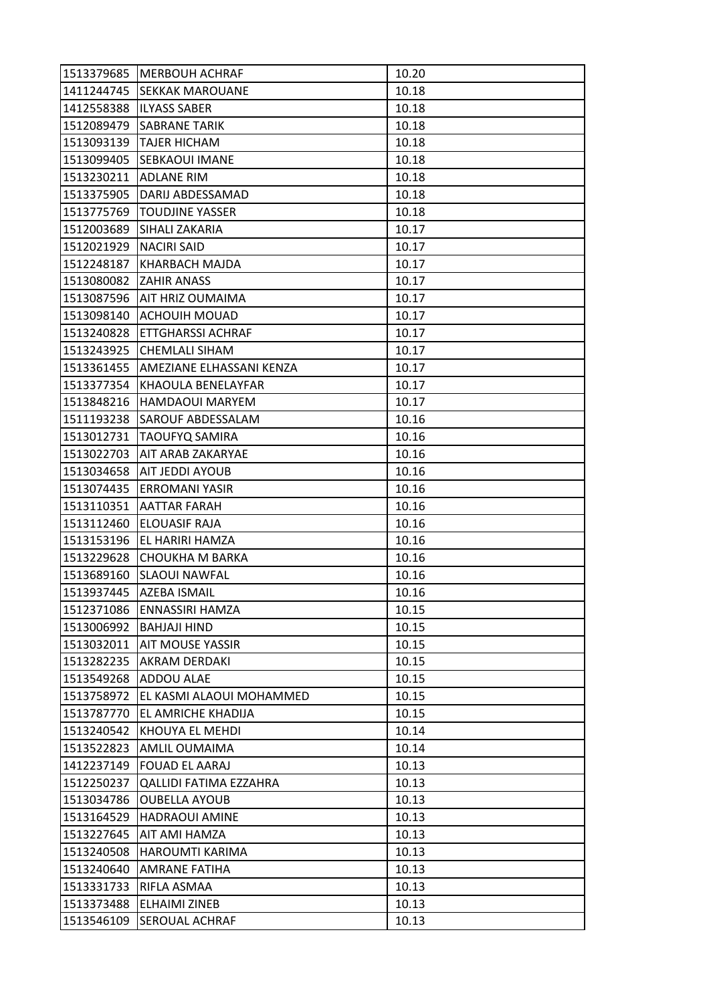| 1513379685 | <b>MERBOUH ACHRAF</b>         | 10.20 |
|------------|-------------------------------|-------|
| 1411244745 | <b>SEKKAK MAROUANE</b>        | 10.18 |
| 1412558388 | <b>ILYASS SABER</b>           | 10.18 |
| 1512089479 | <b>SABRANE TARIK</b>          | 10.18 |
| 1513093139 | <b>TAJER HICHAM</b>           | 10.18 |
| 1513099405 | SEBKAOUI IMANE                | 10.18 |
| 1513230211 | <b>ADLANE RIM</b>             | 10.18 |
| 1513375905 | DARIJ ABDESSAMAD              | 10.18 |
| 1513775769 | <b>TOUDJINE YASSER</b>        | 10.18 |
| 1512003689 | SIHALI ZAKARIA                | 10.17 |
| 1512021929 | <b>NACIRI SAID</b>            | 10.17 |
| 1512248187 | KHARBACH MAJDA                | 10.17 |
| 1513080082 | <b>ZAHIR ANASS</b>            | 10.17 |
| 1513087596 | <b>AIT HRIZ OUMAIMA</b>       | 10.17 |
| 1513098140 | <b>ACHOUIH MOUAD</b>          | 10.17 |
| 1513240828 | <b>ETTGHARSSI ACHRAF</b>      | 10.17 |
| 1513243925 | <b>CHEMLALI SIHAM</b>         | 10.17 |
| 1513361455 | AMEZIANE ELHASSANI KENZA      | 10.17 |
| 1513377354 | KHAOULA BENELAYFAR            | 10.17 |
| 1513848216 | <b>HAMDAOUI MARYEM</b>        | 10.17 |
| 1511193238 | <b>SAROUF ABDESSALAM</b>      | 10.16 |
| 1513012731 | <b>TAOUFYQ SAMIRA</b>         | 10.16 |
| 1513022703 | AIT ARAB ZAKARYAE             | 10.16 |
| 1513034658 | AIT JEDDI AYOUB               | 10.16 |
| 1513074435 | <b>ERROMANI YASIR</b>         | 10.16 |
| 1513110351 | <b>AATTAR FARAH</b>           | 10.16 |
| 1513112460 | <b>ELOUASIF RAJA</b>          | 10.16 |
| 1513153196 | EL HARIRI HAMZA               | 10.16 |
| 1513229628 | CHOUKHA M BARKA               | 10.16 |
| 1513689160 | <b>SLAOUI NAWFAL</b>          | 10.16 |
| 1513937445 | AZEBA ISMAIL                  | 10.16 |
| 1512371086 | ENNASSIRI HAMZA               | 10.15 |
| 1513006992 | <b>BAHJAJI HIND</b>           | 10.15 |
| 1513032011 | <b>AIT MOUSE YASSIR</b>       | 10.15 |
| 1513282235 | <b>AKRAM DERDAKI</b>          | 10.15 |
| 1513549268 | <b>ADDOU ALAE</b>             | 10.15 |
| 1513758972 | EL KASMI ALAOUI MOHAMMED      | 10.15 |
| 1513787770 | EL AMRICHE KHADIJA            | 10.15 |
| 1513240542 | KHOUYA EL MEHDI               | 10.14 |
| 1513522823 | <b>AMLIL OUMAIMA</b>          | 10.14 |
| 1412237149 | <b>FOUAD EL AARAJ</b>         | 10.13 |
| 1512250237 | <b>QALLIDI FATIMA EZZAHRA</b> | 10.13 |
| 1513034786 | <b>OUBELLA AYOUB</b>          | 10.13 |
| 1513164529 | <b>HADRAOUI AMINE</b>         | 10.13 |
| 1513227645 | AIT AMI HAMZA                 | 10.13 |
| 1513240508 | <b>HAROUMTI KARIMA</b>        | 10.13 |
| 1513240640 | <b>AMRANE FATIHA</b>          | 10.13 |
| 1513331733 | RIFLA ASMAA                   | 10.13 |
| 1513373488 | <b>ELHAIMI ZINEB</b>          | 10.13 |
| 1513546109 | <b>SEROUAL ACHRAF</b>         | 10.13 |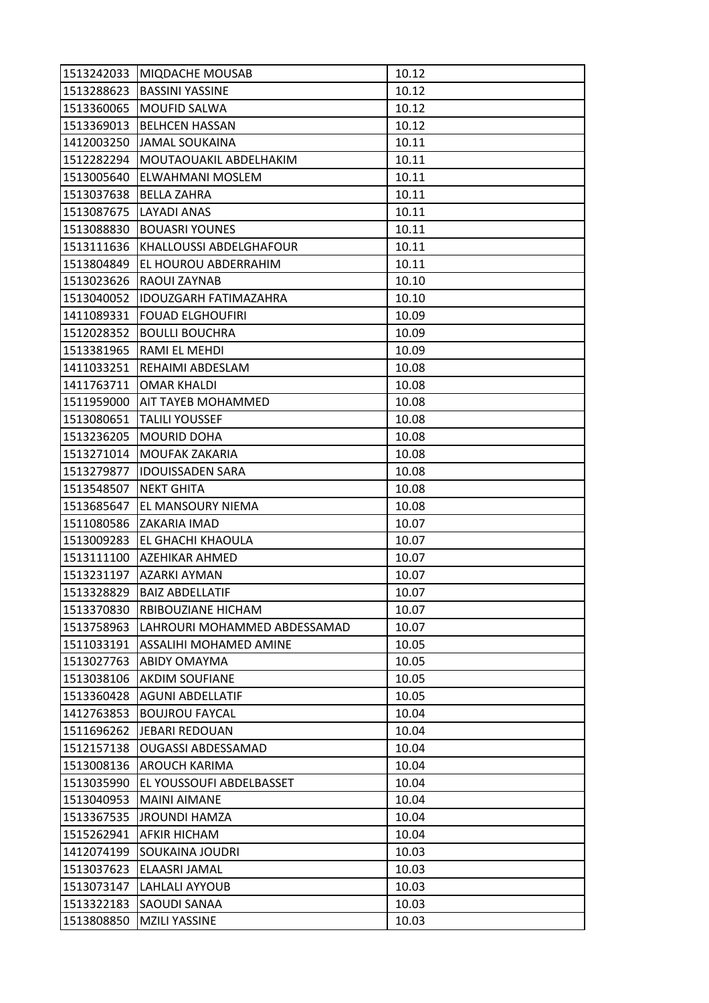| 1513242033 | <b>MIQDACHE MOUSAB</b>         | 10.12 |
|------------|--------------------------------|-------|
| 1513288623 | <b>BASSINI YASSINE</b>         | 10.12 |
| 1513360065 | <b>MOUFID SALWA</b>            | 10.12 |
| 1513369013 | <b>BELHCEN HASSAN</b>          | 10.12 |
| 1412003250 | <b>JAMAL SOUKAINA</b>          | 10.11 |
| 1512282294 | MOUTAOUAKIL ABDELHAKIM         | 10.11 |
| 1513005640 | <b>ELWAHMANI MOSLEM</b>        | 10.11 |
| 1513037638 | <b>BELLA ZAHRA</b>             | 10.11 |
| 1513087675 | LAYADI ANAS                    | 10.11 |
| 1513088830 | <b>BOUASRI YOUNES</b>          | 10.11 |
| 1513111636 | <b>KHALLOUSSI ABDELGHAFOUR</b> | 10.11 |
| 1513804849 | EL HOUROU ABDERRAHIM           | 10.11 |
| 1513023626 | RAOUI ZAYNAB                   | 10.10 |
| 1513040052 | <b>IDOUZGARH FATIMAZAHRA</b>   | 10.10 |
| 1411089331 | <b>FOUAD ELGHOUFIRI</b>        | 10.09 |
| 1512028352 | <b>BOULLI BOUCHRA</b>          | 10.09 |
| 1513381965 | RAMI EL MEHDI                  | 10.09 |
| 1411033251 | REHAIMI ABDESLAM               | 10.08 |
| 1411763711 | <b>OMAR KHALDI</b>             | 10.08 |
| 1511959000 | <b>AIT TAYEB MOHAMMED</b>      | 10.08 |
| 1513080651 | <b>TALILI YOUSSEF</b>          | 10.08 |
| 1513236205 | <b>MOURID DOHA</b>             | 10.08 |
| 1513271014 | MOUFAK ZAKARIA                 | 10.08 |
| 1513279877 | <b>IDOUISSADEN SARA</b>        | 10.08 |
| 1513548507 | <b>NEKT GHITA</b>              | 10.08 |
| 1513685647 | EL MANSOURY NIEMA              | 10.08 |
| 1511080586 | ZAKARIA IMAD                   | 10.07 |
| 1513009283 | EL GHACHI KHAOULA              | 10.07 |
| 1513111100 | AZEHIKAR AHMED                 | 10.07 |
| 1513231197 | <b>AZARKI AYMAN</b>            | 10.07 |
| 1513328829 | <b>BAIZ ABDELLATIF</b>         | 10.07 |
| 1513370830 | RBIBOUZIANE HICHAM             | 10.07 |
| 1513758963 | LAHROURI MOHAMMED ABDESSAMAD   | 10.07 |
| 1511033191 | ASSALIHI MOHAMED AMINE         | 10.05 |
| 1513027763 | <b>ABIDY OMAYMA</b>            | 10.05 |
| 1513038106 | <b>AKDIM SOUFIANE</b>          | 10.05 |
| 1513360428 | <b>AGUNI ABDELLATIF</b>        | 10.05 |
| 1412763853 | <b>BOUJROU FAYCAL</b>          | 10.04 |
| 1511696262 | <b>JEBARI REDOUAN</b>          | 10.04 |
| 1512157138 | <b>OUGASSI ABDESSAMAD</b>      | 10.04 |
| 1513008136 | <b>AROUCH KARIMA</b>           | 10.04 |
| 1513035990 | EL YOUSSOUFI ABDELBASSET       | 10.04 |
| 1513040953 | <b>MAINI AIMANE</b>            | 10.04 |
| 1513367535 | <b>JROUNDI HAMZA</b>           | 10.04 |
| 1515262941 | <b>AFKIR HICHAM</b>            | 10.04 |
| 1412074199 | SOUKAINA JOUDRI                | 10.03 |
| 1513037623 | ELAASRI JAMAL                  | 10.03 |
| 1513073147 | LAHLALI AYYOUB                 | 10.03 |
| 1513322183 | <b>SAOUDI SANAA</b>            | 10.03 |
| 1513808850 | <b>MZILI YASSINE</b>           | 10.03 |